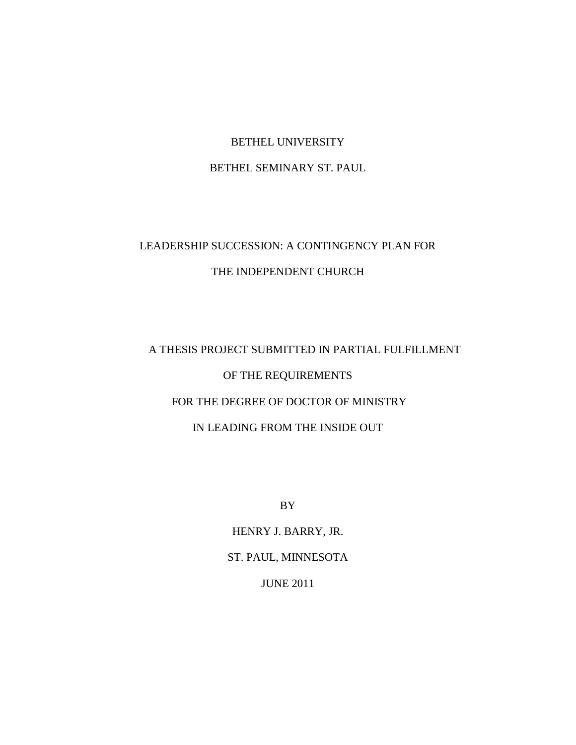# BETHEL UNIVERSITY

# BETHEL SEMINARY ST. PAUL

# LEADERSHIP SUCCESSION: A CONTINGENCY PLAN FOR THE INDEPENDENT CHURCH

# A THESIS PROJECT SUBMITTED IN PARTIAL FULFILLMENT OF THE REQUIREMENTS FOR THE DEGREE OF DOCTOR OF MINISTRY IN LEADING FROM THE INSIDE OUT

BY

HENRY J. BARRY, JR. ST. PAUL, MINNESOTA JUNE 2011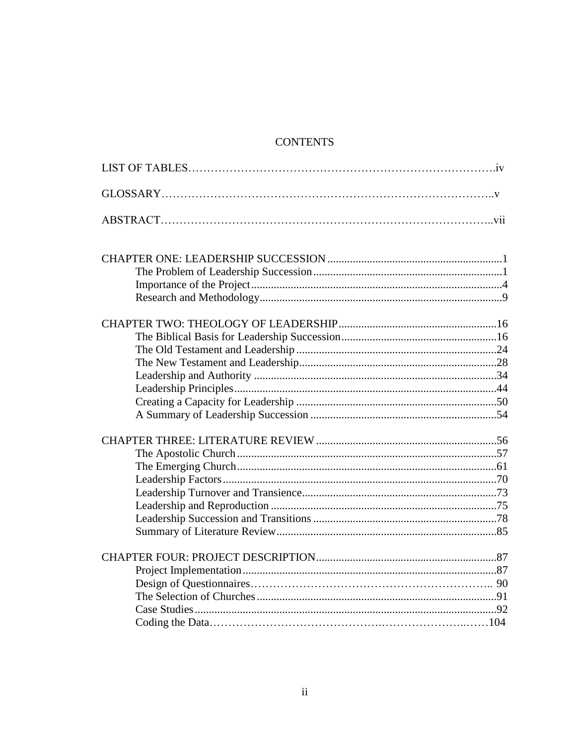# **CONTENTS**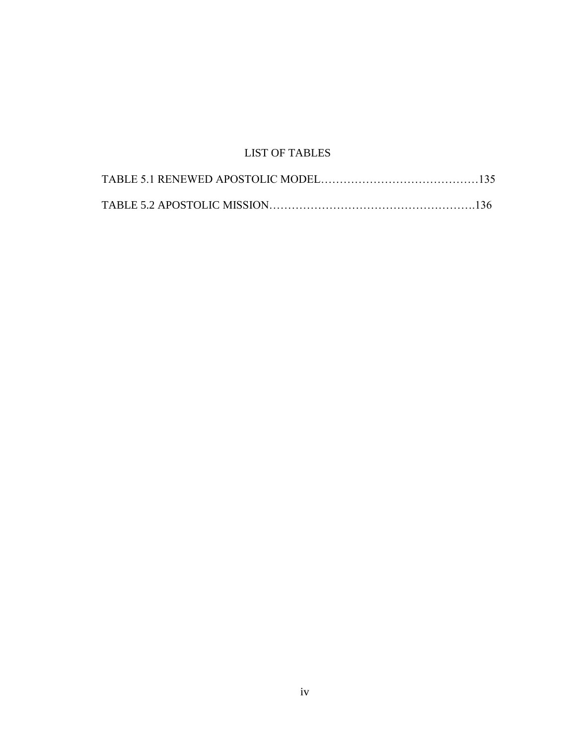# LIST OF TABLES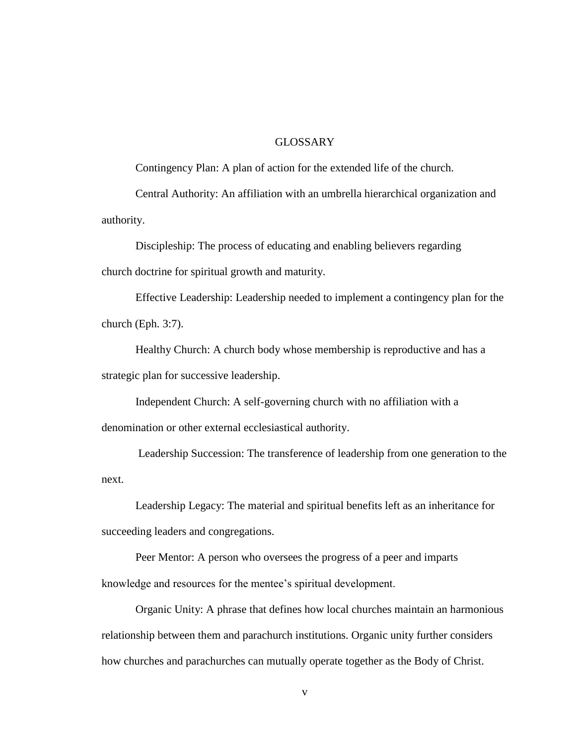# GLOSSARY

Contingency Plan: A plan of action for the extended life of the church.

Central Authority: An affiliation with an umbrella hierarchical organization and authority.

Discipleship: The process of educating and enabling believers regarding church doctrine for spiritual growth and maturity.

Effective Leadership: Leadership needed to implement a contingency plan for the church (Eph. 3:7).

Healthy Church: A church body whose membership is reproductive and has a strategic plan for successive leadership.

Independent Church: A self-governing church with no affiliation with a denomination or other external ecclesiastical authority.

Leadership Succession: The transference of leadership from one generation to the next.

Leadership Legacy: The material and spiritual benefits left as an inheritance for succeeding leaders and congregations.

Peer Mentor: A person who oversees the progress of a peer and imparts knowledge and resources for the mentee's spiritual development.

Organic Unity: A phrase that defines how local churches maintain an harmonious relationship between them and parachurch institutions. Organic unity further considers how churches and parachurches can mutually operate together as the Body of Christ.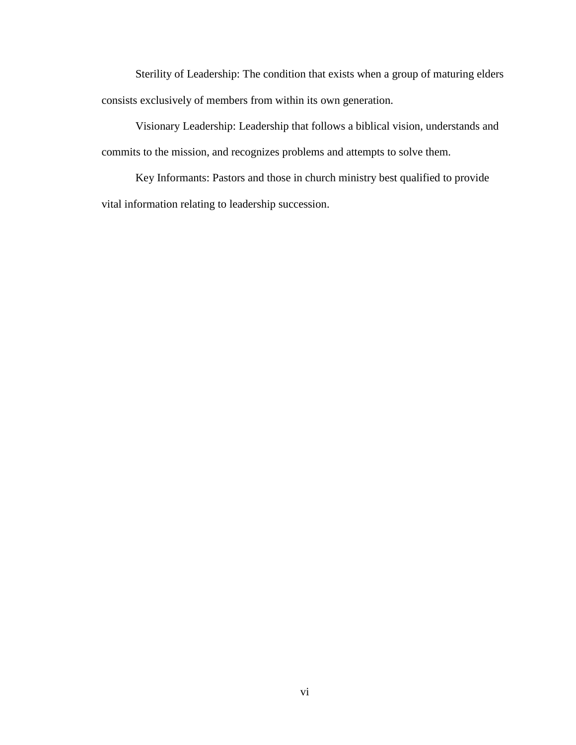Sterility of Leadership: The condition that exists when a group of maturing elders consists exclusively of members from within its own generation.

Visionary Leadership: Leadership that follows a biblical vision, understands and commits to the mission, and recognizes problems and attempts to solve them.

Key Informants: Pastors and those in church ministry best qualified to provide vital information relating to leadership succession.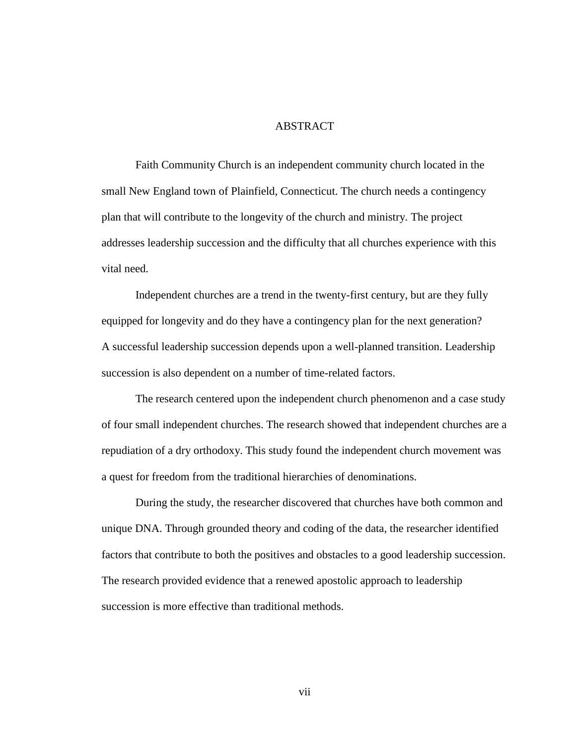# **ABSTRACT**

Faith Community Church is an independent community church located in the small New England town of Plainfield, Connecticut. The church needs a contingency plan that will contribute to the longevity of the church and ministry. The project addresses leadership succession and the difficulty that all churches experience with this vital need.

Independent churches are a trend in the twenty-first century, but are they fully equipped for longevity and do they have a contingency plan for the next generation? A successful leadership succession depends upon a well-planned transition. Leadership succession is also dependent on a number of time-related factors.

The research centered upon the independent church phenomenon and a case study of four small independent churches. The research showed that independent churches are a repudiation of a dry orthodoxy. This study found the independent church movement was a quest for freedom from the traditional hierarchies of denominations.

During the study, the researcher discovered that churches have both common and unique DNA. Through grounded theory and coding of the data, the researcher identified factors that contribute to both the positives and obstacles to a good leadership succession. The research provided evidence that a renewed apostolic approach to leadership succession is more effective than traditional methods.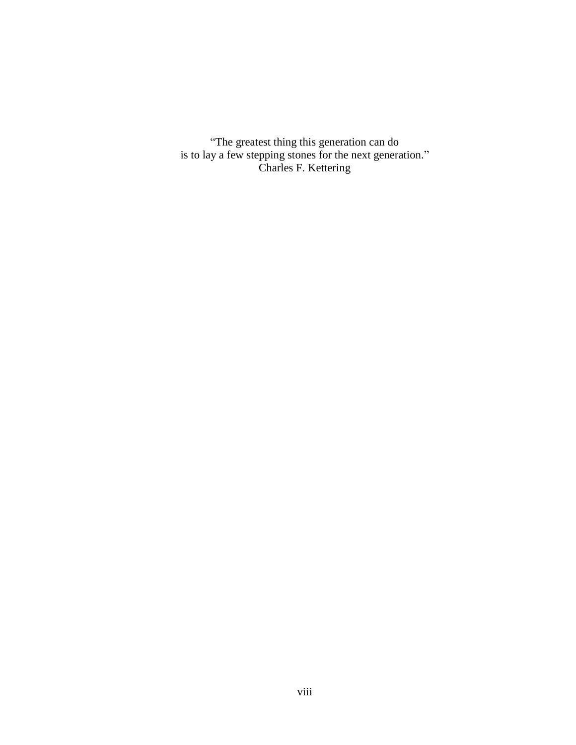―The greatest thing this generation can do is to lay a few stepping stones for the next generation." Charles F. Kettering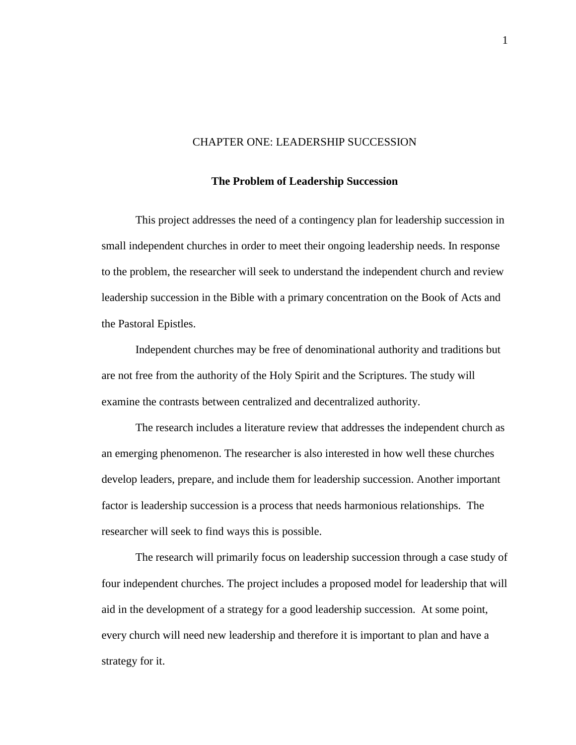#### CHAPTER ONE: LEADERSHIP SUCCESSION

#### **The Problem of Leadership Succession**

This project addresses the need of a contingency plan for leadership succession in small independent churches in order to meet their ongoing leadership needs. In response to the problem, the researcher will seek to understand the independent church and review leadership succession in the Bible with a primary concentration on the Book of Acts and the Pastoral Epistles.

Independent churches may be free of denominational authority and traditions but are not free from the authority of the Holy Spirit and the Scriptures. The study will examine the contrasts between centralized and decentralized authority.

The research includes a literature review that addresses the independent church as an emerging phenomenon. The researcher is also interested in how well these churches develop leaders, prepare, and include them for leadership succession. Another important factor is leadership succession is a process that needs harmonious relationships. The researcher will seek to find ways this is possible.

The research will primarily focus on leadership succession through a case study of four independent churches. The project includes a proposed model for leadership that will aid in the development of a strategy for a good leadership succession. At some point, every church will need new leadership and therefore it is important to plan and have a strategy for it.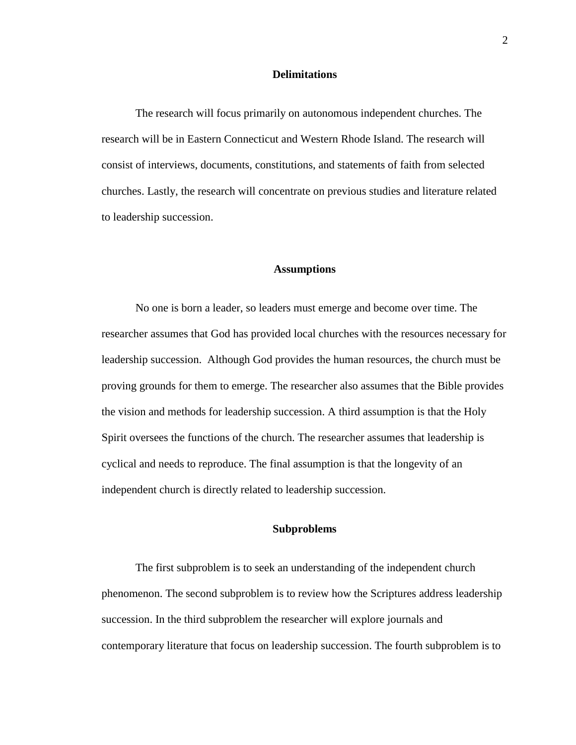#### **Delimitations**

The research will focus primarily on autonomous independent churches. The research will be in Eastern Connecticut and Western Rhode Island. The research will consist of interviews, documents, constitutions, and statements of faith from selected churches. Lastly, the research will concentrate on previous studies and literature related to leadership succession.

#### **Assumptions**

No one is born a leader, so leaders must emerge and become over time. The researcher assumes that God has provided local churches with the resources necessary for leadership succession. Although God provides the human resources, the church must be proving grounds for them to emerge. The researcher also assumes that the Bible provides the vision and methods for leadership succession. A third assumption is that the Holy Spirit oversees the functions of the church. The researcher assumes that leadership is cyclical and needs to reproduce. The final assumption is that the longevity of an independent church is directly related to leadership succession.

## **Subproblems**

The first subproblem is to seek an understanding of the independent church phenomenon. The second subproblem is to review how the Scriptures address leadership succession. In the third subproblem the researcher will explore journals and contemporary literature that focus on leadership succession. The fourth subproblem is to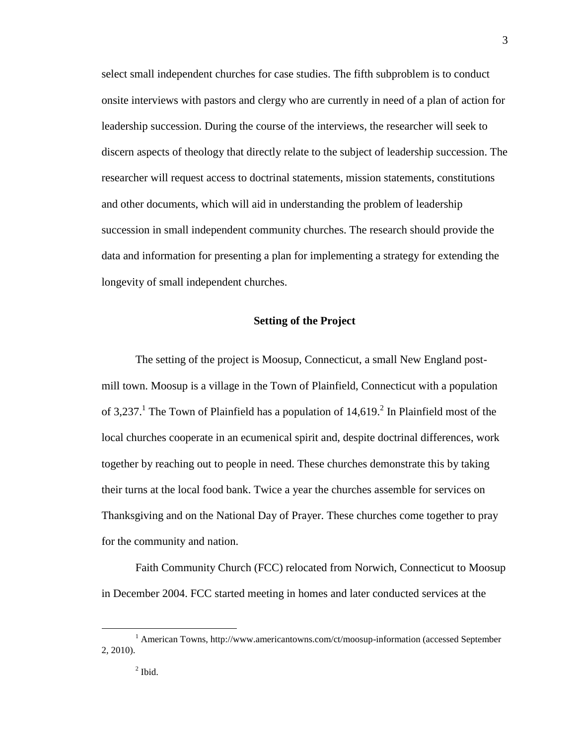select small independent churches for case studies. The fifth subproblem is to conduct onsite interviews with pastors and clergy who are currently in need of a plan of action for leadership succession. During the course of the interviews, the researcher will seek to discern aspects of theology that directly relate to the subject of leadership succession. The researcher will request access to doctrinal statements, mission statements, constitutions and other documents, which will aid in understanding the problem of leadership succession in small independent community churches. The research should provide the data and information for presenting a plan for implementing a strategy for extending the longevity of small independent churches.

## **Setting of the Project**

The setting of the project is Moosup, Connecticut, a small New England postmill town. Moosup is a village in the Town of Plainfield, Connecticut with a population of 3,237.<sup>1</sup> The Town of Plainfield has a population of  $14,619$ .<sup>2</sup> In Plainfield most of the local churches cooperate in an ecumenical spirit and, despite doctrinal differences, work together by reaching out to people in need. These churches demonstrate this by taking their turns at the local food bank. Twice a year the churches assemble for services on Thanksgiving and on the National Day of Prayer. These churches come together to pray for the community and nation.

Faith Community Church (FCC) relocated from Norwich, Connecticut to Moosup in December 2004. FCC started meeting in homes and later conducted services at the

<sup>&</sup>lt;sup>1</sup> American Towns, http://www.americantowns.com/ct/moosup-information (accessed September 2, 2010).

 $<sup>2</sup>$  Ibid.</sup>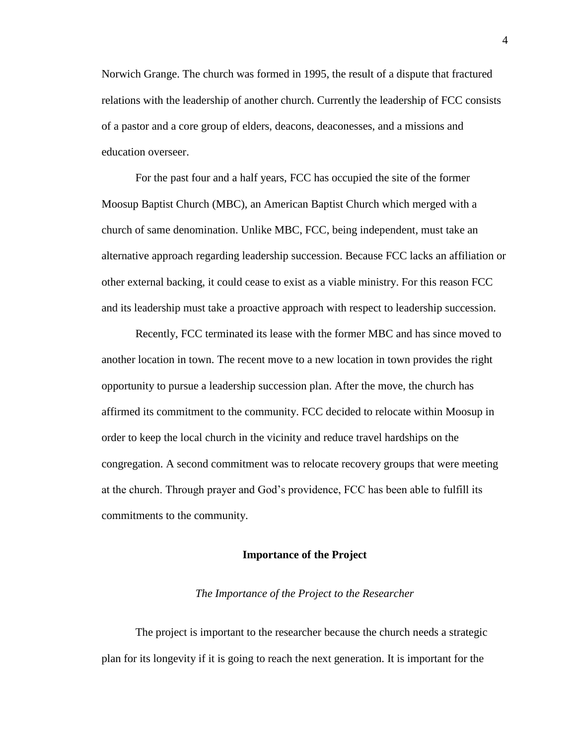Norwich Grange. The church was formed in 1995, the result of a dispute that fractured relations with the leadership of another church. Currently the leadership of FCC consists of a pastor and a core group of elders, deacons, deaconesses, and a missions and education overseer.

For the past four and a half years, FCC has occupied the site of the former Moosup Baptist Church (MBC), an American Baptist Church which merged with a church of same denomination. Unlike MBC, FCC, being independent, must take an alternative approach regarding leadership succession. Because FCC lacks an affiliation or other external backing, it could cease to exist as a viable ministry. For this reason FCC and its leadership must take a proactive approach with respect to leadership succession.

Recently, FCC terminated its lease with the former MBC and has since moved to another location in town. The recent move to a new location in town provides the right opportunity to pursue a leadership succession plan. After the move, the church has affirmed its commitment to the community. FCC decided to relocate within Moosup in order to keep the local church in the vicinity and reduce travel hardships on the congregation. A second commitment was to relocate recovery groups that were meeting at the church. Through prayer and God's providence, FCC has been able to fulfill its commitments to the community.

#### **Importance of the Project**

#### *The Importance of the Project to the Researcher*

The project is important to the researcher because the church needs a strategic plan for its longevity if it is going to reach the next generation. It is important for the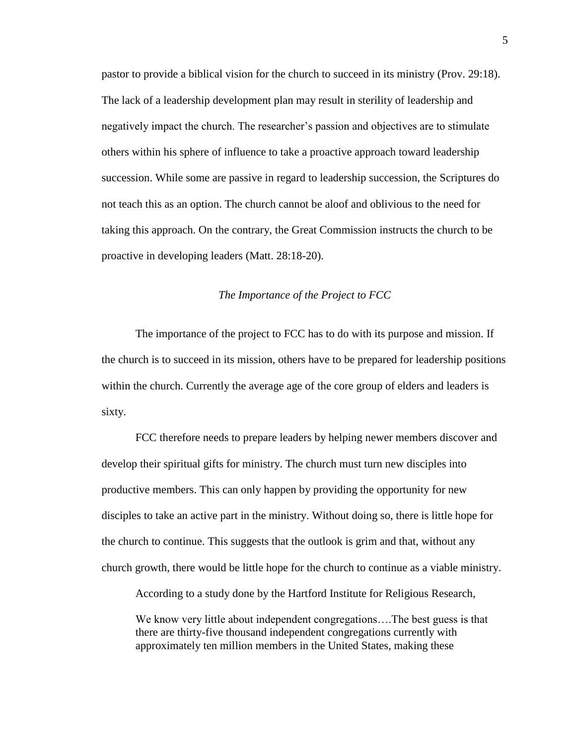pastor to provide a biblical vision for the church to succeed in its ministry (Prov. 29:18). The lack of a leadership development plan may result in sterility of leadership and negatively impact the church. The researcher's passion and objectives are to stimulate others within his sphere of influence to take a proactive approach toward leadership succession. While some are passive in regard to leadership succession, the Scriptures do not teach this as an option. The church cannot be aloof and oblivious to the need for taking this approach. On the contrary, the Great Commission instructs the church to be proactive in developing leaders (Matt. 28:18-20).

### *The Importance of the Project to FCC*

The importance of the project to FCC has to do with its purpose and mission. If the church is to succeed in its mission, others have to be prepared for leadership positions within the church. Currently the average age of the core group of elders and leaders is sixty.

FCC therefore needs to prepare leaders by helping newer members discover and develop their spiritual gifts for ministry. The church must turn new disciples into productive members. This can only happen by providing the opportunity for new disciples to take an active part in the ministry. Without doing so, there is little hope for the church to continue. This suggests that the outlook is grim and that, without any church growth, there would be little hope for the church to continue as a viable ministry.

According to a study done by the Hartford Institute for Religious Research,

We know very little about independent congregations...The best guess is that there are thirty-five thousand independent congregations currently with approximately ten million members in the United States, making these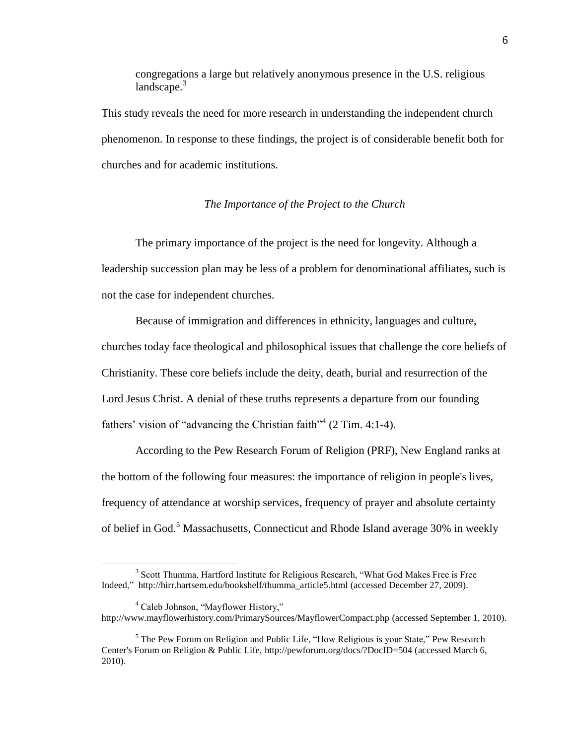congregations a large but relatively anonymous presence in the U.S. religious landscape. $3$ 

This study reveals the need for more research in understanding the independent church phenomenon. In response to these findings, the project is of considerable benefit both for churches and for academic institutions.

*The Importance of the Project to the Church*

The primary importance of the project is the need for longevity. Although a leadership succession plan may be less of a problem for denominational affiliates, such is not the case for independent churches.

Because of immigration and differences in ethnicity, languages and culture, churches today face theological and philosophical issues that challenge the core beliefs of Christianity. These core beliefs include the deity, death, burial and resurrection of the Lord Jesus Christ. A denial of these truths represents a departure from our founding fathers' vision of "advancing the Christian faith"<sup>4</sup> (2 Tim. 4:1-4).

According to the Pew Research Forum of Religion (PRF), New England ranks at the bottom of the following four measures: the importance of religion in people's lives, frequency of attendance at worship services, frequency of prayer and absolute certainty of belief in God.<sup>5</sup> Massachusetts, Connecticut and Rhode Island average 30% in weekly

 $3$  Scott Thumma, Hartford Institute for Religious Research, "What God Makes Free is Free Indeed," http://hirr.hartsem.edu/bookshelf/thumma\_article5.html (accessed December 27, 2009).

 $4$  Caleb Johnson, "Mayflower History," http://www.mayflowerhistory.com/PrimarySources/MayflowerCompact.php (accessed September 1, 2010).

 $<sup>5</sup>$  The Pew Forum on Religion and Public Life, "How Religious is your State," Pew Research</sup> Center's Forum on Religion & Public Life, http://pewforum.org/docs/?DocID=504 (accessed March 6, 2010).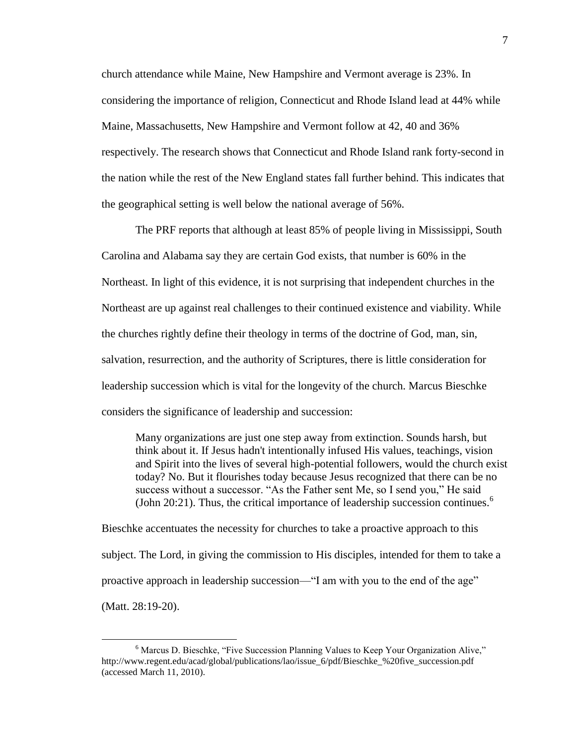church attendance while Maine, New Hampshire and Vermont average is 23%. In considering the importance of religion, Connecticut and Rhode Island lead at 44% while Maine, Massachusetts, New Hampshire and Vermont follow at 42, 40 and 36% respectively. The research shows that Connecticut and Rhode Island rank forty-second in the nation while the rest of the New England states fall further behind. This indicates that the geographical setting is well below the national average of 56%.

The PRF reports that although at least 85% of people living in Mississippi, South Carolina and Alabama say they are certain God exists, that number is 60% in the Northeast. In light of this evidence, it is not surprising that independent churches in the Northeast are up against real challenges to their continued existence and viability. While the churches rightly define their theology in terms of the doctrine of God, man, sin, salvation, resurrection, and the authority of Scriptures, there is little consideration for leadership succession which is vital for the longevity of the church. Marcus Bieschke considers the significance of leadership and succession:

Many organizations are just one step away from extinction. Sounds harsh, but think about it. If Jesus hadn't intentionally infused His values, teachings, vision and Spirit into the lives of several high-potential followers, would the church exist today? No. But it flourishes today because Jesus recognized that there can be no success without a successor. "As the Father sent Me, so I send you," He said (John 20:21). Thus, the critical importance of leadership succession continues.<sup>6</sup>

Bieschke accentuates the necessity for churches to take a proactive approach to this subject. The Lord, in giving the commission to His disciples, intended for them to take a proactive approach in leadership succession—"I am with you to the end of the age" (Matt. 28:19-20).

<sup>&</sup>lt;sup>6</sup> Marcus D. Bieschke, "Five Succession Planning Values to Keep Your Organization Alive," http://www.regent.edu/acad/global/publications/lao/issue 6/pdf/Bieschke %20five succession.pdf (accessed March 11, 2010).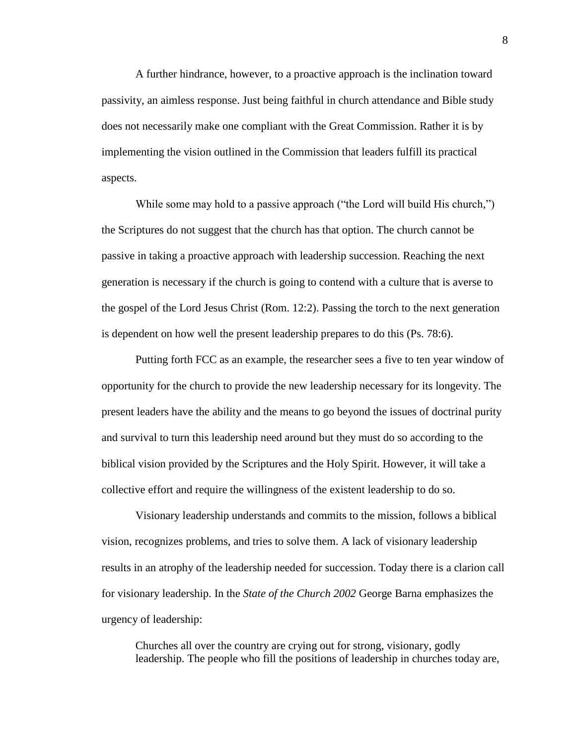A further hindrance, however, to a proactive approach is the inclination toward passivity, an aimless response. Just being faithful in church attendance and Bible study does not necessarily make one compliant with the Great Commission. Rather it is by implementing the vision outlined in the Commission that leaders fulfill its practical aspects.

While some may hold to a passive approach ("the Lord will build His church,") the Scriptures do not suggest that the church has that option. The church cannot be passive in taking a proactive approach with leadership succession. Reaching the next generation is necessary if the church is going to contend with a culture that is averse to the gospel of the Lord Jesus Christ (Rom. 12:2). Passing the torch to the next generation is dependent on how well the present leadership prepares to do this (Ps. 78:6).

Putting forth FCC as an example, the researcher sees a five to ten year window of opportunity for the church to provide the new leadership necessary for its longevity. The present leaders have the ability and the means to go beyond the issues of doctrinal purity and survival to turn this leadership need around but they must do so according to the biblical vision provided by the Scriptures and the Holy Spirit. However, it will take a collective effort and require the willingness of the existent leadership to do so.

Visionary leadership understands and commits to the mission, follows a biblical vision, recognizes problems, and tries to solve them. A lack of visionary leadership results in an atrophy of the leadership needed for succession. Today there is a clarion call for visionary leadership. In the *State of the Church 2002* George Barna emphasizes the urgency of leadership:

Churches all over the country are crying out for strong, visionary, godly leadership. The people who fill the positions of leadership in churches today are,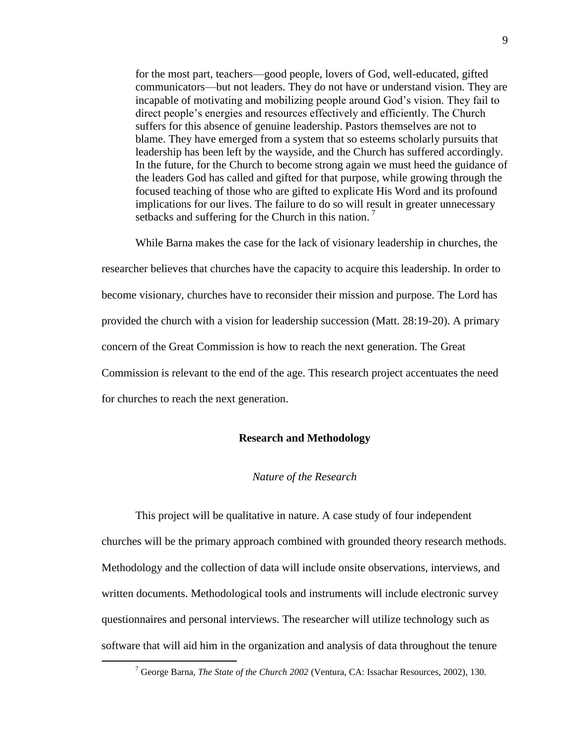for the most part, teachers—good people, lovers of God, well-educated, gifted communicators—but not leaders. They do not have or understand vision. They are incapable of motivating and mobilizing people around God's vision. They fail to direct people's energies and resources effectively and efficiently. The Church suffers for this absence of genuine leadership. Pastors themselves are not to blame. They have emerged from a system that so esteems scholarly pursuits that leadership has been left by the wayside, and the Church has suffered accordingly. In the future, for the Church to become strong again we must heed the guidance of the leaders God has called and gifted for that purpose, while growing through the focused teaching of those who are gifted to explicate His Word and its profound implications for our lives. The failure to do so will result in greater unnecessary setbacks and suffering for the Church in this nation.<sup>7</sup>

While Barna makes the case for the lack of visionary leadership in churches, the researcher believes that churches have the capacity to acquire this leadership. In order to become visionary, churches have to reconsider their mission and purpose. The Lord has provided the church with a vision for leadership succession (Matt. 28:19-20). A primary concern of the Great Commission is how to reach the next generation. The Great Commission is relevant to the end of the age. This research project accentuates the need for churches to reach the next generation.

#### **Research and Methodology**

#### *Nature of the Research*

This project will be qualitative in nature. A case study of four independent churches will be the primary approach combined with grounded theory research methods. Methodology and the collection of data will include onsite observations, interviews, and written documents. Methodological tools and instruments will include electronic survey questionnaires and personal interviews. The researcher will utilize technology such as software that will aid him in the organization and analysis of data throughout the tenure

<sup>7</sup> George Barna, *The State of the Church 2002* (Ventura, CA: Issachar Resources, 2002), 130.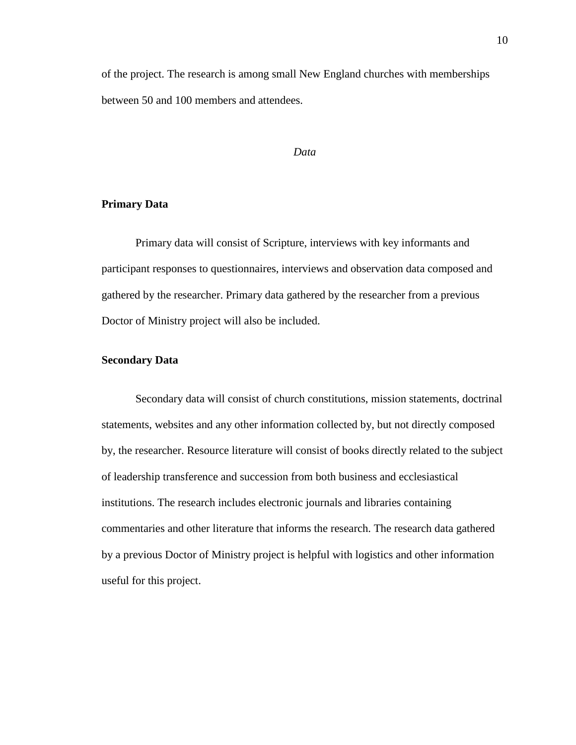of the project. The research is among small New England churches with memberships between 50 and 100 members and attendees.

## *Data*

# **Primary Data**

Primary data will consist of Scripture, interviews with key informants and participant responses to questionnaires, interviews and observation data composed and gathered by the researcher. Primary data gathered by the researcher from a previous Doctor of Ministry project will also be included.

# **Secondary Data**

Secondary data will consist of church constitutions, mission statements, doctrinal statements, websites and any other information collected by, but not directly composed by, the researcher. Resource literature will consist of books directly related to the subject of leadership transference and succession from both business and ecclesiastical institutions. The research includes electronic journals and libraries containing commentaries and other literature that informs the research. The research data gathered by a previous Doctor of Ministry project is helpful with logistics and other information useful for this project.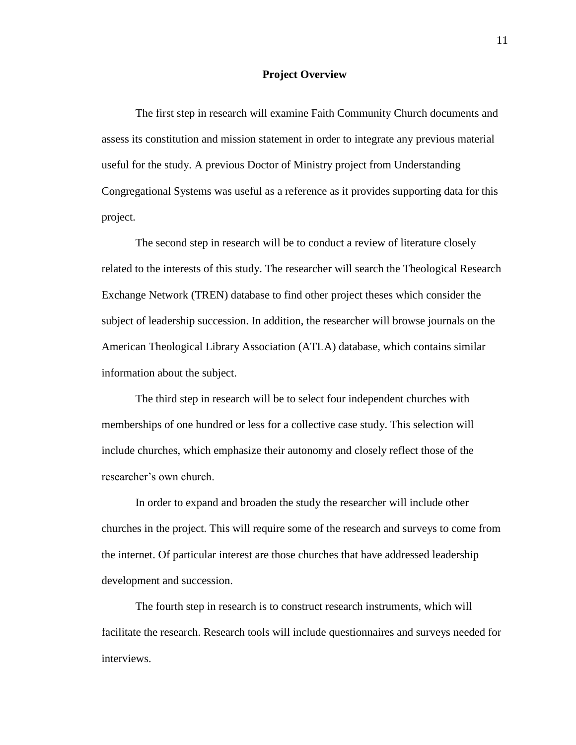#### **Project Overview**

The first step in research will examine Faith Community Church documents and assess its constitution and mission statement in order to integrate any previous material useful for the study. A previous Doctor of Ministry project from Understanding Congregational Systems was useful as a reference as it provides supporting data for this project.

The second step in research will be to conduct a review of literature closely related to the interests of this study. The researcher will search the Theological Research Exchange Network (TREN) database to find other project theses which consider the subject of leadership succession. In addition, the researcher will browse journals on the American Theological Library Association (ATLA) database, which contains similar information about the subject.

The third step in research will be to select four independent churches with memberships of one hundred or less for a collective case study. This selection will include churches, which emphasize their autonomy and closely reflect those of the researcher's own church.

In order to expand and broaden the study the researcher will include other churches in the project. This will require some of the research and surveys to come from the internet. Of particular interest are those churches that have addressed leadership development and succession.

The fourth step in research is to construct research instruments, which will facilitate the research. Research tools will include questionnaires and surveys needed for interviews.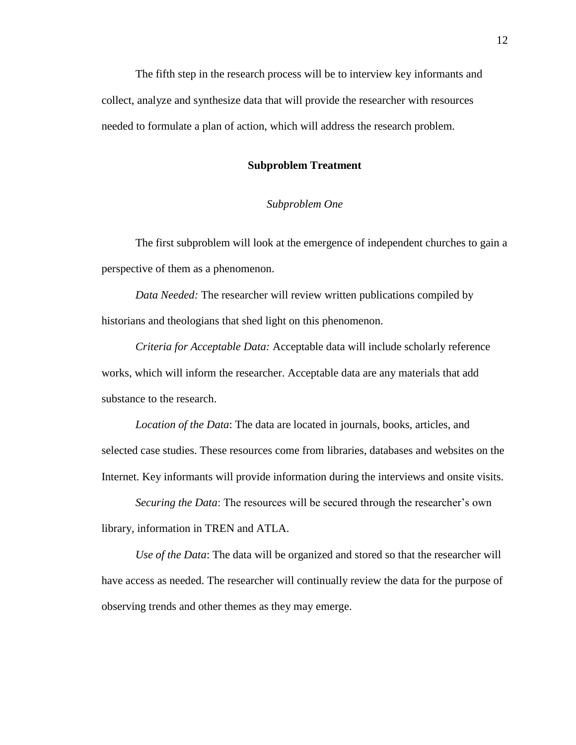The fifth step in the research process will be to interview key informants and collect, analyze and synthesize data that will provide the researcher with resources needed to formulate a plan of action, which will address the research problem.

## **Subproblem Treatment**

# *Subproblem One*

The first subproblem will look at the emergence of independent churches to gain a perspective of them as a phenomenon.

*Data Needed:* The researcher will review written publications compiled by historians and theologians that shed light on this phenomenon.

*Criteria for Acceptable Data:* Acceptable data will include scholarly reference works, which will inform the researcher. Acceptable data are any materials that add substance to the research.

*Location of the Data*: The data are located in journals, books, articles, and selected case studies. These resources come from libraries, databases and websites on the Internet. Key informants will provide information during the interviews and onsite visits.

*Securing the Data*: The resources will be secured through the researcher's own library, information in TREN and ATLA.

*Use of the Data*: The data will be organized and stored so that the researcher will have access as needed. The researcher will continually review the data for the purpose of observing trends and other themes as they may emerge.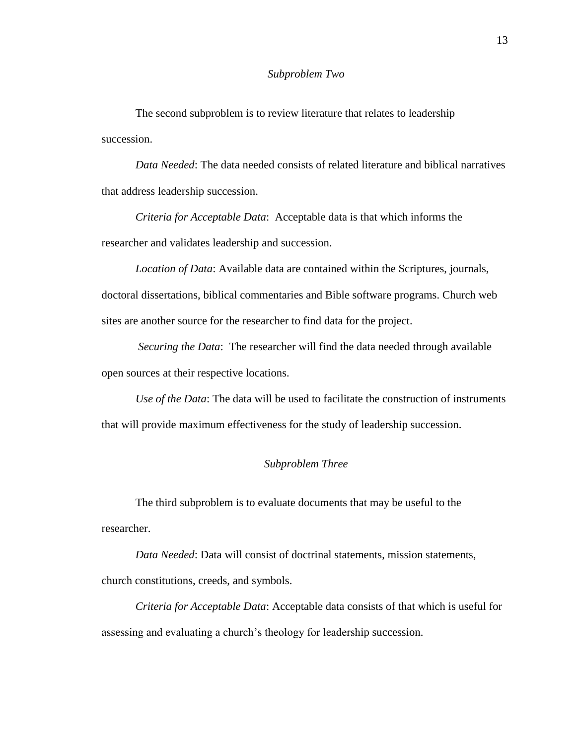#### *Subproblem Two*

The second subproblem is to review literature that relates to leadership succession.

*Data Needed*: The data needed consists of related literature and biblical narratives that address leadership succession.

*Criteria for Acceptable Data*: Acceptable data is that which informs the researcher and validates leadership and succession.

*Location of Data*: Available data are contained within the Scriptures, journals, doctoral dissertations, biblical commentaries and Bible software programs. Church web sites are another source for the researcher to find data for the project.

*Securing the Data*: The researcher will find the data needed through available open sources at their respective locations.

*Use of the Data*: The data will be used to facilitate the construction of instruments that will provide maximum effectiveness for the study of leadership succession.

# *Subproblem Three*

The third subproblem is to evaluate documents that may be useful to the researcher.

*Data Needed*: Data will consist of doctrinal statements, mission statements, church constitutions, creeds, and symbols.

*Criteria for Acceptable Data*: Acceptable data consists of that which is useful for assessing and evaluating a church's theology for leadership succession.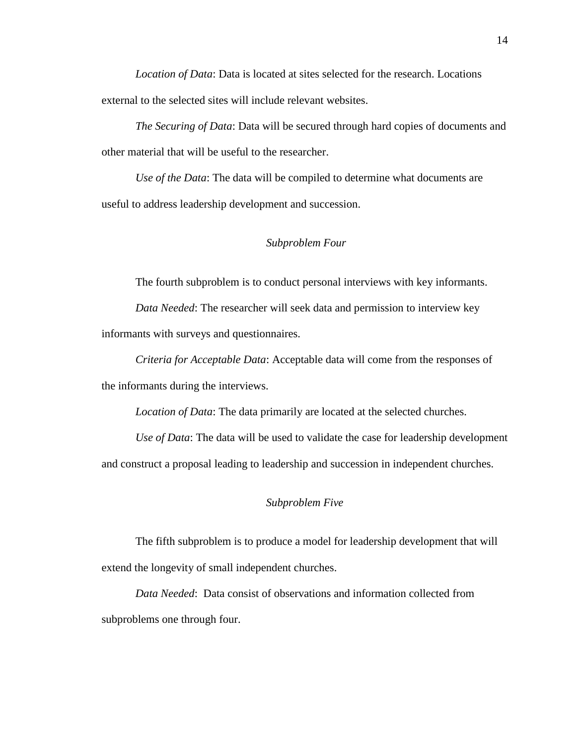*Location of Data*: Data is located at sites selected for the research. Locations external to the selected sites will include relevant websites.

*The Securing of Data*: Data will be secured through hard copies of documents and other material that will be useful to the researcher.

*Use of the Data*: The data will be compiled to determine what documents are useful to address leadership development and succession.

# *Subproblem Four*

The fourth subproblem is to conduct personal interviews with key informants.

*Data Needed*: The researcher will seek data and permission to interview key informants with surveys and questionnaires.

*Criteria for Acceptable Data*: Acceptable data will come from the responses of the informants during the interviews.

*Location of Data*: The data primarily are located at the selected churches.

*Use of Data*: The data will be used to validate the case for leadership development and construct a proposal leading to leadership and succession in independent churches.

# *Subproblem Five*

The fifth subproblem is to produce a model for leadership development that will extend the longevity of small independent churches.

*Data Needed*: Data consist of observations and information collected from subproblems one through four.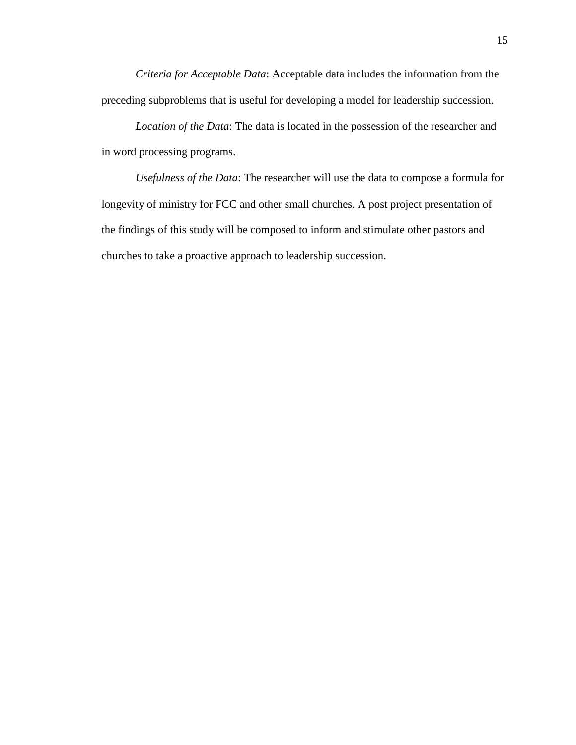*Criteria for Acceptable Data*: Acceptable data includes the information from the preceding subproblems that is useful for developing a model for leadership succession.

*Location of the Data*: The data is located in the possession of the researcher and in word processing programs.

*Usefulness of the Data*: The researcher will use the data to compose a formula for longevity of ministry for FCC and other small churches. A post project presentation of the findings of this study will be composed to inform and stimulate other pastors and churches to take a proactive approach to leadership succession.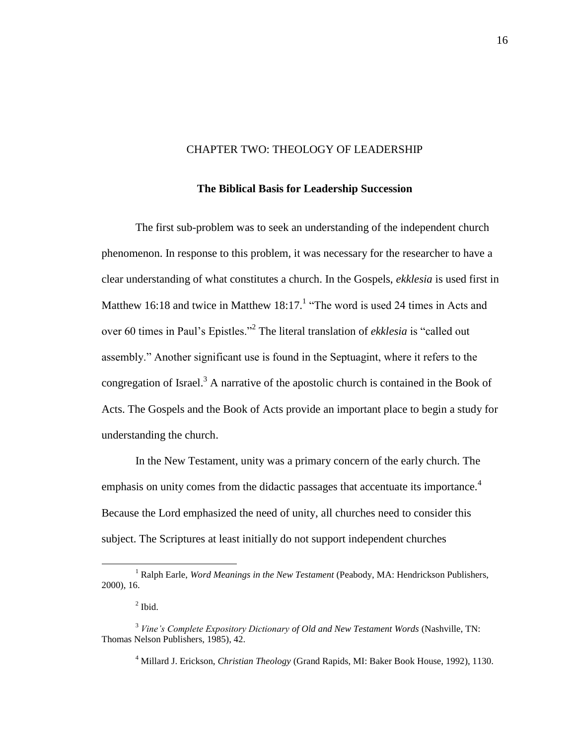### CHAPTER TWO: THEOLOGY OF LEADERSHIP

#### **The Biblical Basis for Leadership Succession**

The first sub-problem was to seek an understanding of the independent church phenomenon. In response to this problem, it was necessary for the researcher to have a clear understanding of what constitutes a church. In the Gospels, *ekklesia* is used first in Matthew 16:18 and twice in Matthew  $18:17$ .<sup>1</sup> "The word is used 24 times in Acts and over 60 times in Paul's Epistles."<sup>2</sup> The literal translation of *ekklesia* is "called out assembly." Another significant use is found in the Septuagint, where it refers to the congregation of Israel.<sup>3</sup> A narrative of the apostolic church is contained in the Book of Acts. The Gospels and the Book of Acts provide an important place to begin a study for understanding the church.

In the New Testament, unity was a primary concern of the early church. The emphasis on unity comes from the didactic passages that accentuate its importance.<sup>4</sup> Because the Lord emphasized the need of unity, all churches need to consider this subject. The Scriptures at least initially do not support independent churches

<sup>&</sup>lt;sup>1</sup> Ralph Earle, *Word Meanings in the New Testament* (Peabody, MA: Hendrickson Publishers, 2000), 16.

 $<sup>2</sup>$  Ibid.</sup>

<sup>3</sup> *Vine's Complete Expository Dictionary of Old and New Testament Words* (Nashville, TN: Thomas Nelson Publishers, 1985), 42.

<sup>4</sup> Millard J. Erickson, *Christian Theology* (Grand Rapids, MI: Baker Book House, 1992), 1130.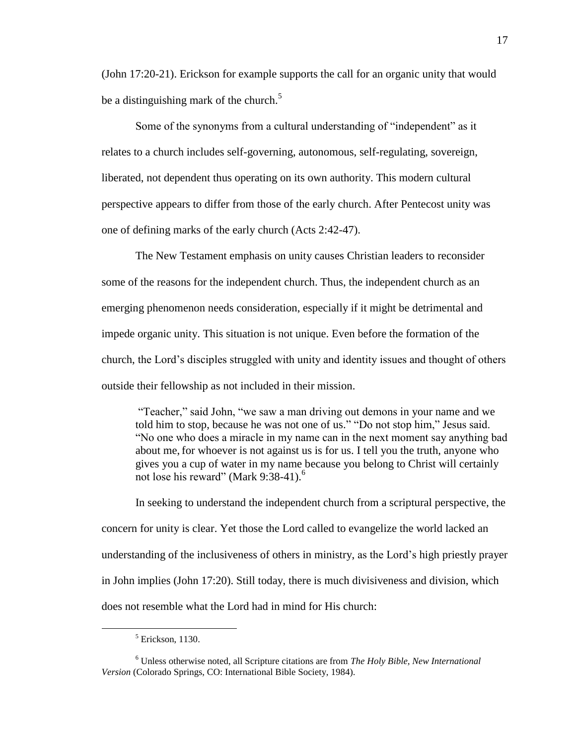(John 17:20-21). Erickson for example supports the call for an organic unity that would be a distinguishing mark of the church.<sup>5</sup>

Some of the synonyms from a cultural understanding of "independent" as it relates to a church includes self-governing, autonomous, self-regulating, sovereign, liberated, not dependent thus operating on its own authority. This modern cultural perspective appears to differ from those of the early church. After Pentecost unity was one of defining marks of the early church (Acts 2:42-47).

The New Testament emphasis on unity causes Christian leaders to reconsider some of the reasons for the independent church. Thus, the independent church as an emerging phenomenon needs consideration, especially if it might be detrimental and impede organic unity. This situation is not unique. Even before the formation of the church, the Lord's disciples struggled with unity and identity issues and thought of others outside their fellowship as not included in their mission.

"Teacher," said John, "we saw a man driving out demons in your name and we told him to stop, because he was not one of us." "Do not stop him," Jesus said. ―No one who does a miracle in my name can in the next moment say anything bad about me, for whoever is not against us is for us. I tell you the truth, anyone who gives you a cup of water in my name because you belong to Christ will certainly not lose his reward" (Mark 9:38-41).<sup>6</sup>

In seeking to understand the independent church from a scriptural perspective, the concern for unity is clear. Yet those the Lord called to evangelize the world lacked an understanding of the inclusiveness of others in ministry, as the Lord's high priestly prayer in John implies (John 17:20). Still today, there is much divisiveness and division, which does not resemble what the Lord had in mind for His church:

 $5$  Erickson, 1130.

<sup>6</sup> Unless otherwise noted, all Scripture citations are from *The Holy Bible, New International Version* (Colorado Springs, CO: International Bible Society, 1984).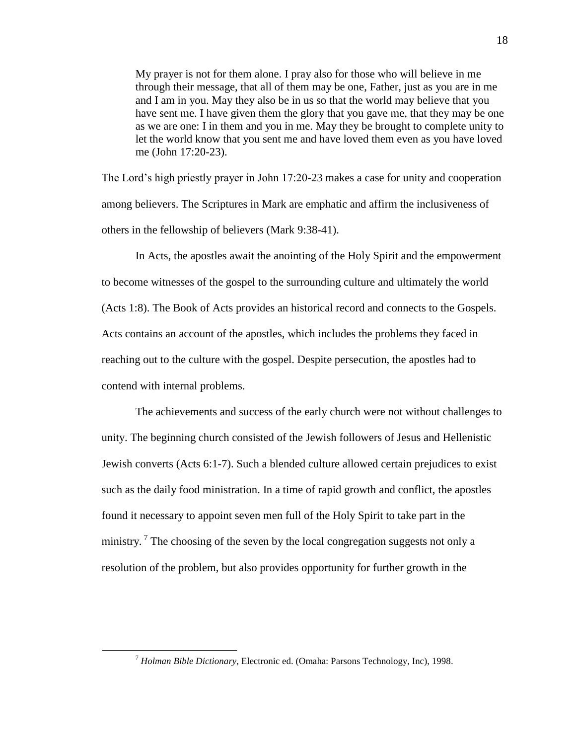My prayer is not for them alone. I pray also for those who will believe in me through their message, that all of them may be one, Father, just as you are in me and I am in you. May they also be in us so that the world may believe that you have sent me. I have given them the glory that you gave me, that they may be one as we are one: I in them and you in me. May they be brought to complete unity to let the world know that you sent me and have loved them even as you have loved me (John 17:20-23).

The Lord's high priestly prayer in John 17:20-23 makes a case for unity and cooperation among believers. The Scriptures in Mark are emphatic and affirm the inclusiveness of others in the fellowship of believers (Mark 9:38-41).

In Acts, the apostles await the anointing of the Holy Spirit and the empowerment to become witnesses of the gospel to the surrounding culture and ultimately the world (Acts 1:8). The Book of Acts provides an historical record and connects to the Gospels. Acts contains an account of the apostles, which includes the problems they faced in reaching out to the culture with the gospel. Despite persecution, the apostles had to contend with internal problems.

The achievements and success of the early church were not without challenges to unity. The beginning church consisted of the Jewish followers of Jesus and Hellenistic Jewish converts (Acts 6:1-7). Such a blended culture allowed certain prejudices to exist such as the daily food ministration. In a time of rapid growth and conflict, the apostles found it necessary to appoint seven men full of the Holy Spirit to take part in the ministry.<sup>7</sup> The choosing of the seven by the local congregation suggests not only a resolution of the problem, but also provides opportunity for further growth in the

<sup>7</sup> *Holman Bible Dictionary*, Electronic ed. (Omaha: Parsons Technology, Inc), 1998.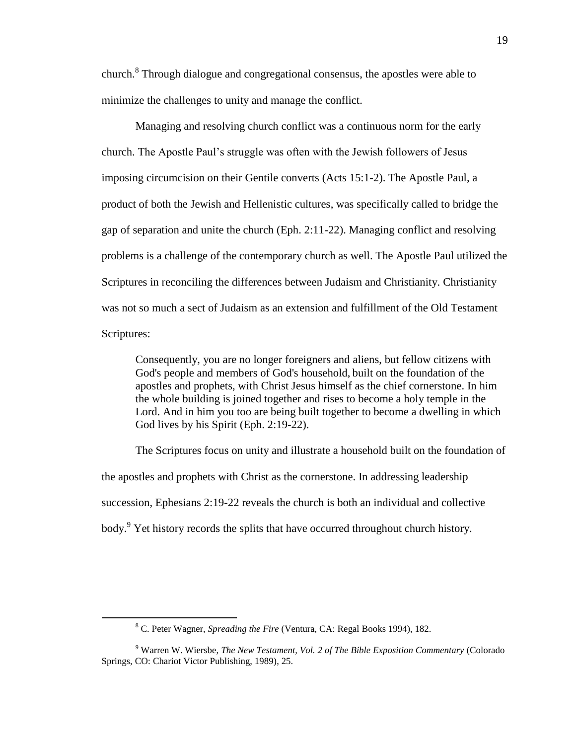church.<sup>8</sup> Through dialogue and congregational consensus, the apostles were able to minimize the challenges to unity and manage the conflict.

Managing and resolving church conflict was a continuous norm for the early church. The Apostle Paul's struggle was often with the Jewish followers of Jesus imposing circumcision on their Gentile converts (Acts 15:1-2). The Apostle Paul, a product of both the Jewish and Hellenistic cultures, was specifically called to bridge the gap of separation and unite the church (Eph. 2:11-22). Managing conflict and resolving problems is a challenge of the contemporary church as well. The Apostle Paul utilized the Scriptures in reconciling the differences between Judaism and Christianity. Christianity was not so much a sect of Judaism as an extension and fulfillment of the Old Testament Scriptures:

Consequently, you are no longer foreigners and aliens, but fellow citizens with God's people and members of God's household, built on the foundation of the apostles and prophets, with Christ Jesus himself as the chief cornerstone. In him the whole building is joined together and rises to become a holy temple in the Lord. And in him you too are being built together to become a dwelling in which God lives by his Spirit (Eph. 2:19-22).

The Scriptures focus on unity and illustrate a household built on the foundation of the apostles and prophets with Christ as the cornerstone. In addressing leadership succession, Ephesians 2:19-22 reveals the church is both an individual and collective body.<sup>9</sup> Yet history records the splits that have occurred throughout church history.

<sup>8</sup> C. Peter Wagner, *Spreading the Fire* (Ventura, CA: Regal Books 1994), 182.

<sup>9</sup> Warren W. Wiersbe, *The New Testament, Vol. 2 of The Bible Exposition Commentary* (Colorado Springs, CO: Chariot Victor Publishing, 1989), 25.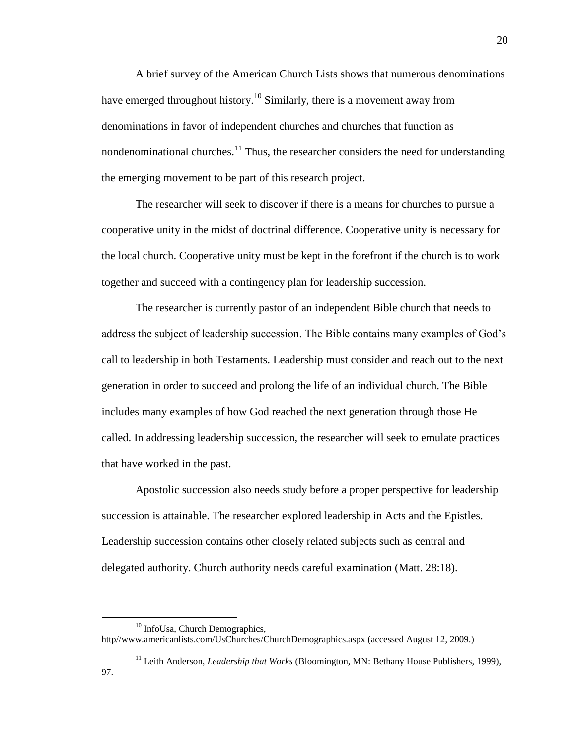A brief survey of the American Church Lists shows that numerous denominations have emerged throughout history.<sup>10</sup> Similarly, there is a movement away from denominations in favor of independent churches and churches that function as nondenominational churches.<sup>11</sup> Thus, the researcher considers the need for understanding the emerging movement to be part of this research project.

The researcher will seek to discover if there is a means for churches to pursue a cooperative unity in the midst of doctrinal difference. Cooperative unity is necessary for the local church. Cooperative unity must be kept in the forefront if the church is to work together and succeed with a contingency plan for leadership succession.

The researcher is currently pastor of an independent Bible church that needs to address the subject of leadership succession. The Bible contains many examples of God's call to leadership in both Testaments. Leadership must consider and reach out to the next generation in order to succeed and prolong the life of an individual church. The Bible includes many examples of how God reached the next generation through those He called. In addressing leadership succession, the researcher will seek to emulate practices that have worked in the past.

Apostolic succession also needs study before a proper perspective for leadership succession is attainable. The researcher explored leadership in Acts and the Epistles. Leadership succession contains other closely related subjects such as central and delegated authority. Church authority needs careful examination (Matt. 28:18).

<sup>&</sup>lt;sup>10</sup> InfoUsa, Church Demographics,

http//www.americanlists.com/UsChurches/ChurchDemographics.aspx (accessed August 12, 2009.)

<sup>&</sup>lt;sup>11</sup> Leith Anderson, *Leadership that Works* (Bloomington, MN: Bethany House Publishers, 1999), 97.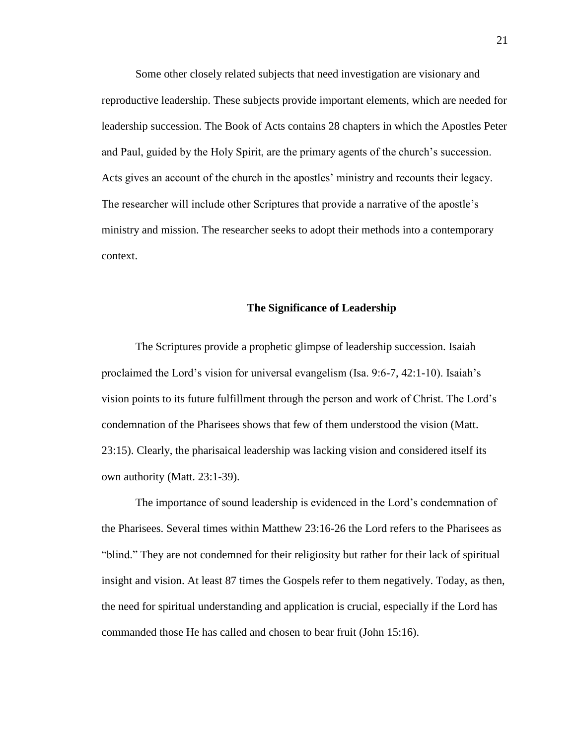Some other closely related subjects that need investigation are visionary and reproductive leadership. These subjects provide important elements, which are needed for leadership succession. The Book of Acts contains 28 chapters in which the Apostles Peter and Paul, guided by the Holy Spirit, are the primary agents of the church's succession. Acts gives an account of the church in the apostles' ministry and recounts their legacy. The researcher will include other Scriptures that provide a narrative of the apostle's ministry and mission. The researcher seeks to adopt their methods into a contemporary context.

#### **The Significance of Leadership**

The Scriptures provide a prophetic glimpse of leadership succession. Isaiah proclaimed the Lord's vision for universal evangelism (Isa. 9:6-7, 42:1-10). Isaiah's vision points to its future fulfillment through the person and work of Christ. The Lord's condemnation of the Pharisees shows that few of them understood the vision (Matt. 23:15). Clearly, the pharisaical leadership was lacking vision and considered itself its own authority (Matt. 23:1-39).

The importance of sound leadership is evidenced in the Lord's condemnation of the Pharisees. Several times within Matthew 23:16-26 the Lord refers to the Pharisees as "blind." They are not condemned for their religiosity but rather for their lack of spiritual insight and vision. At least 87 times the Gospels refer to them negatively. Today, as then, the need for spiritual understanding and application is crucial, especially if the Lord has commanded those He has called and chosen to bear fruit (John 15:16).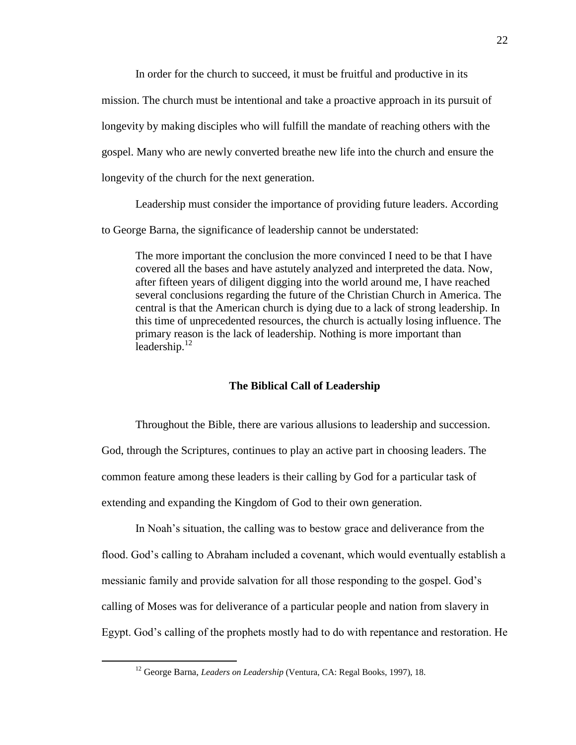In order for the church to succeed, it must be fruitful and productive in its mission. The church must be intentional and take a proactive approach in its pursuit of longevity by making disciples who will fulfill the mandate of reaching others with the gospel. Many who are newly converted breathe new life into the church and ensure the longevity of the church for the next generation.

Leadership must consider the importance of providing future leaders. According

to George Barna, the significance of leadership cannot be understated:

The more important the conclusion the more convinced I need to be that I have covered all the bases and have astutely analyzed and interpreted the data. Now, after fifteen years of diligent digging into the world around me, I have reached several conclusions regarding the future of the Christian Church in America. The central is that the American church is dying due to a lack of strong leadership. In this time of unprecedented resources, the church is actually losing influence. The primary reason is the lack of leadership. Nothing is more important than leadership. $^{12}$ 

## **The Biblical Call of Leadership**

Throughout the Bible, there are various allusions to leadership and succession. God, through the Scriptures, continues to play an active part in choosing leaders. The common feature among these leaders is their calling by God for a particular task of extending and expanding the Kingdom of God to their own generation.

In Noah's situation, the calling was to bestow grace and deliverance from the flood. God's calling to Abraham included a covenant, which would eventually establish a messianic family and provide salvation for all those responding to the gospel. God's calling of Moses was for deliverance of a particular people and nation from slavery in Egypt. God's calling of the prophets mostly had to do with repentance and restoration. He

<sup>12</sup> George Barna, *Leaders on Leadership* (Ventura, CA: Regal Books, 1997), 18.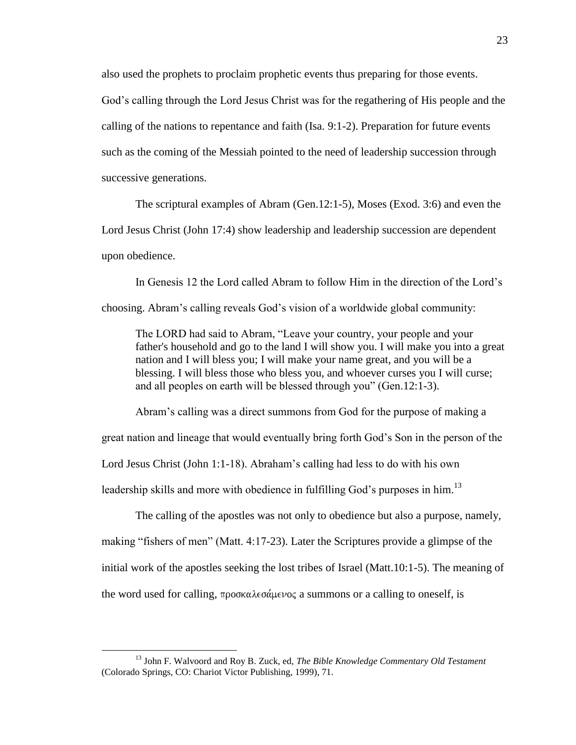also used the prophets to proclaim prophetic events thus preparing for those events.

God's calling through the Lord Jesus Christ was for the regathering of His people and the calling of the nations to repentance and faith (Isa. 9:1-2). Preparation for future events such as the coming of the Messiah pointed to the need of leadership succession through successive generations.

The scriptural examples of Abram (Gen.12:1-5), Moses (Exod. 3:6) and even the Lord Jesus Christ (John 17:4) show leadership and leadership succession are dependent upon obedience.

In Genesis 12 the Lord called Abram to follow Him in the direction of the Lord's

choosing. Abram's calling reveals God's vision of a worldwide global community:

The LORD had said to Abram, "Leave your country, your people and your father's household and go to the land I will show you. I will make you into a great nation and I will bless you; I will make your name great, and you will be a blessing. I will bless those who bless you, and whoever curses you I will curse; and all peoples on earth will be blessed through you" (Gen. 12:1-3).

Abram's calling was a direct summons from God for the purpose of making a great nation and lineage that would eventually bring forth God's Son in the person of the Lord Jesus Christ (John 1:1-18). Abraham's calling had less to do with his own leadership skills and more with obedience in fulfilling God's purposes in him.<sup>13</sup>

The calling of the apostles was not only to obedience but also a purpose, namely, making "fishers of men" (Matt. 4:17-23). Later the Scriptures provide a glimpse of the initial work of the apostles seeking the lost tribes of Israel (Matt.10:1-5). The meaning of the word used for calling,  $\pi \rho \circ \alpha \alpha \lambda \in \sigma \alpha$  a summons or a calling to oneself, is

<sup>13</sup> John F. Walvoord and Roy B. Zuck, ed, *The Bible Knowledge Commentary Old Testament* (Colorado Springs, CO: Chariot Victor Publishing, 1999), 71.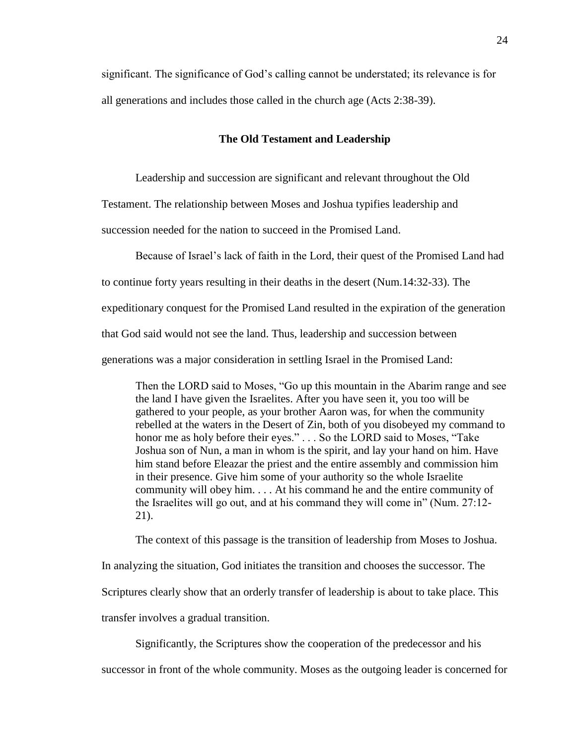significant. The significance of God's calling cannot be understated; its relevance is for all generations and includes those called in the church age (Acts 2:38-39).

#### **The Old Testament and Leadership**

Leadership and succession are significant and relevant throughout the Old

Testament. The relationship between Moses and Joshua typifies leadership and

succession needed for the nation to succeed in the Promised Land.

Because of Israel's lack of faith in the Lord, their quest of the Promised Land had

to continue forty years resulting in their deaths in the desert (Num.14:32-33). The

expeditionary conquest for the Promised Land resulted in the expiration of the generation

that God said would not see the land. Thus, leadership and succession between

generations was a major consideration in settling Israel in the Promised Land:

Then the LORD said to Moses, "Go up this mountain in the Abarim range and see the land I have given the Israelites. After you have seen it, you too will be gathered to your people, as your brother Aaron was, for when the community rebelled at the waters in the Desert of Zin, both of you disobeyed my command to honor me as holy before their eyes." . . . So the LORD said to Moses, "Take Joshua son of Nun, a man in whom is the spirit, and lay your hand on him. Have him stand before Eleazar the priest and the entire assembly and commission him in their presence. Give him some of your authority so the whole Israelite community will obey him. . . . At his command he and the entire community of the Israelites will go out, and at his command they will come in" (Num. 27:12-21).

The context of this passage is the transition of leadership from Moses to Joshua.

In analyzing the situation, God initiates the transition and chooses the successor. The

Scriptures clearly show that an orderly transfer of leadership is about to take place. This

transfer involves a gradual transition.

Significantly, the Scriptures show the cooperation of the predecessor and his

successor in front of the whole community. Moses as the outgoing leader is concerned for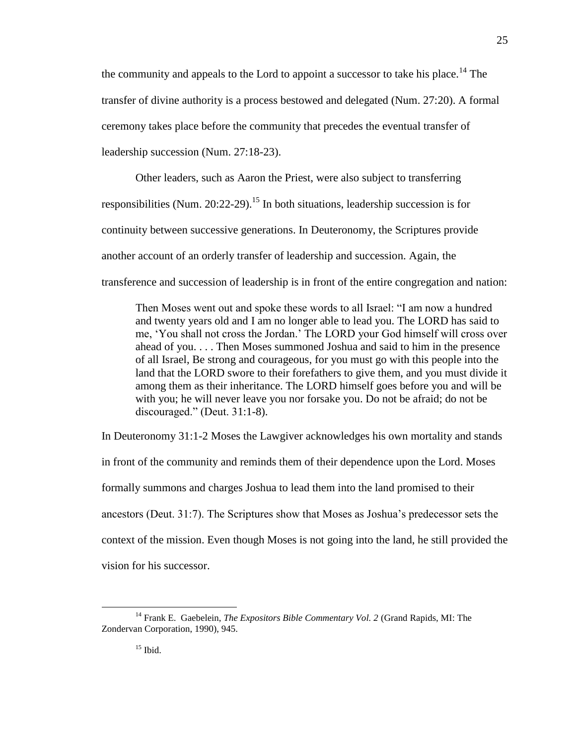the community and appeals to the Lord to appoint a successor to take his place.<sup>14</sup> The transfer of divine authority is a process bestowed and delegated (Num. 27:20). A formal ceremony takes place before the community that precedes the eventual transfer of leadership succession (Num. 27:18-23).

Other leaders, such as Aaron the Priest, were also subject to transferring responsibilities (Num. 20:22-29).<sup>15</sup> In both situations, leadership succession is for continuity between successive generations. In Deuteronomy, the Scriptures provide another account of an orderly transfer of leadership and succession. Again, the transference and succession of leadership is in front of the entire congregation and nation:

Then Moses went out and spoke these words to all Israel: "I am now a hundred and twenty years old and I am no longer able to lead you. The LORD has said to me, ‗You shall not cross the Jordan.' The LORD your God himself will cross over ahead of you. . . . Then Moses summoned Joshua and said to him in the presence of all Israel, Be strong and courageous, for you must go with this people into the land that the LORD swore to their forefathers to give them, and you must divide it among them as their inheritance. The LORD himself goes before you and will be with you; he will never leave you nor forsake you. Do not be afraid; do not be discouraged." (Deut.  $31:1-8$ ).

In Deuteronomy 31:1-2 Moses the Lawgiver acknowledges his own mortality and stands in front of the community and reminds them of their dependence upon the Lord. Moses formally summons and charges Joshua to lead them into the land promised to their ancestors (Deut. 31:7). The Scriptures show that Moses as Joshua's predecessor sets the context of the mission. Even though Moses is not going into the land, he still provided the vision for his successor.

<sup>14</sup> Frank E. Gaebelein, *The Expositors Bible Commentary Vol. 2* (Grand Rapids, MI: The Zondervan Corporation, 1990), 945.

 $15$  Ibid.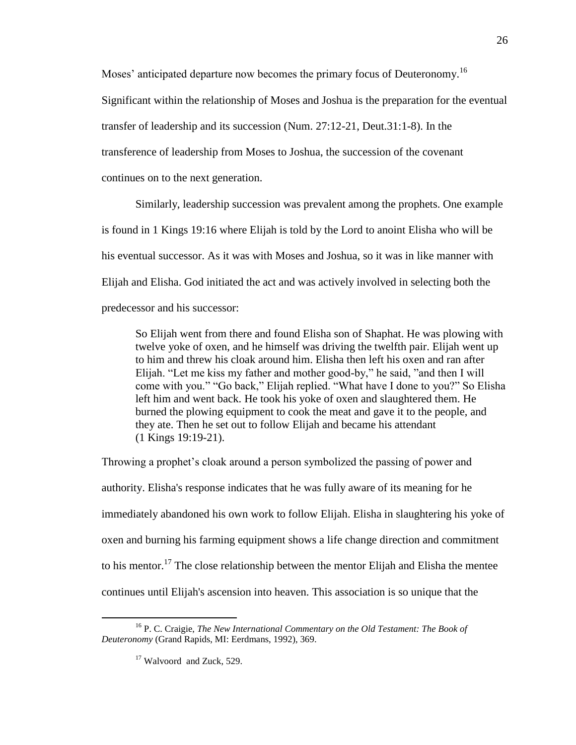Moses' anticipated departure now becomes the primary focus of Deuteronomy.<sup>16</sup>

Significant within the relationship of Moses and Joshua is the preparation for the eventual

transfer of leadership and its succession (Num. 27:12-21, Deut.31:1-8). In the

transference of leadership from Moses to Joshua, the succession of the covenant

continues on to the next generation.

Similarly, leadership succession was prevalent among the prophets. One example

is found in 1 Kings 19:16 where Elijah is told by the Lord to anoint Elisha who will be

his eventual successor. As it was with Moses and Joshua, so it was in like manner with

Elijah and Elisha. God initiated the act and was actively involved in selecting both the

predecessor and his successor:

So Elijah went from there and found Elisha son of Shaphat. He was plowing with twelve yoke of oxen, and he himself was driving the twelfth pair. Elijah went up to him and threw his cloak around him. Elisha then left his oxen and ran after Elijah. "Let me kiss my father and mother good-by," he said, "and then I will come with you." "Go back," Elijah replied. "What have I done to you?" So Elisha left him and went back. He took his yoke of oxen and slaughtered them. He burned the plowing equipment to cook the meat and gave it to the people, and they ate. Then he set out to follow Elijah and became his attendant (1 Kings 19:19-21).

Throwing a prophet's cloak around a person symbolized the passing of power and authority. Elisha's response indicates that he was fully aware of its meaning for he immediately abandoned his own work to follow Elijah. Elisha in slaughtering his yoke of oxen and burning his farming equipment shows a life change direction and commitment to his mentor.<sup>17</sup> The close relationship between the mentor Elijah and Elisha the mentee continues until Elijah's ascension into heaven. This association is so unique that the

<sup>16</sup> P. C. Craigie, *The New International Commentary on the Old Testament: The Book of Deuteronomy* (Grand Rapids, MI: Eerdmans, 1992), 369.

<sup>&</sup>lt;sup>17</sup> Walvoord and Zuck, 529.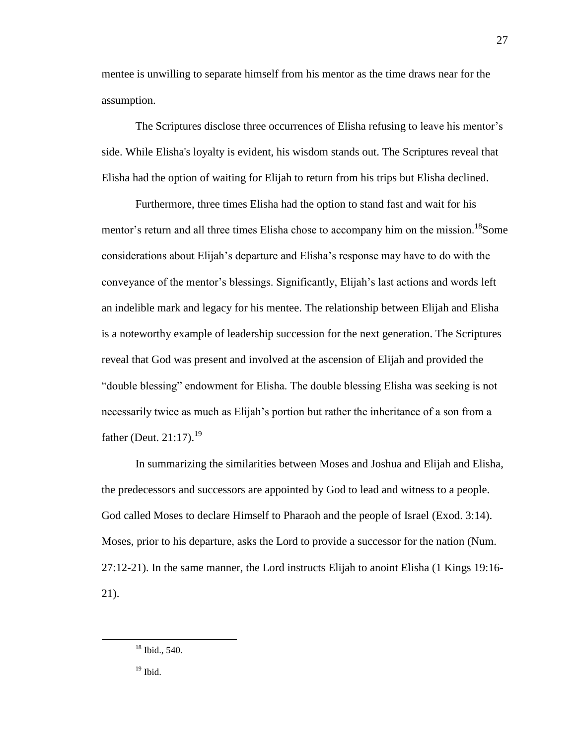mentee is unwilling to separate himself from his mentor as the time draws near for the assumption.

The Scriptures disclose three occurrences of Elisha refusing to leave his mentor's side. While Elisha's loyalty is evident, his wisdom stands out. The Scriptures reveal that Elisha had the option of waiting for Elijah to return from his trips but Elisha declined.

Furthermore, three times Elisha had the option to stand fast and wait for his mentor's return and all three times Elisha chose to accompany him on the mission.<sup>18</sup>Some considerations about Elijah's departure and Elisha's response may have to do with the conveyance of the mentor's blessings. Significantly, Elijah's last actions and words left an indelible mark and legacy for his mentee. The relationship between Elijah and Elisha is a noteworthy example of leadership succession for the next generation. The Scriptures reveal that God was present and involved at the ascension of Elijah and provided the "double blessing" endowment for Elisha. The double blessing Elisha was seeking is not necessarily twice as much as Elijah's portion but rather the inheritance of a son from a father (Deut.  $21:17$ ).<sup>19</sup>

In summarizing the similarities between Moses and Joshua and Elijah and Elisha, the predecessors and successors are appointed by God to lead and witness to a people. God called Moses to declare Himself to Pharaoh and the people of Israel (Exod. 3:14). Moses, prior to his departure, asks the Lord to provide a successor for the nation (Num. 27:12-21). In the same manner, the Lord instructs Elijah to anoint Elisha (1 Kings 19:16- 21).

<sup>&</sup>lt;sup>18</sup> Ibid., 540.

 $19$  Ibid.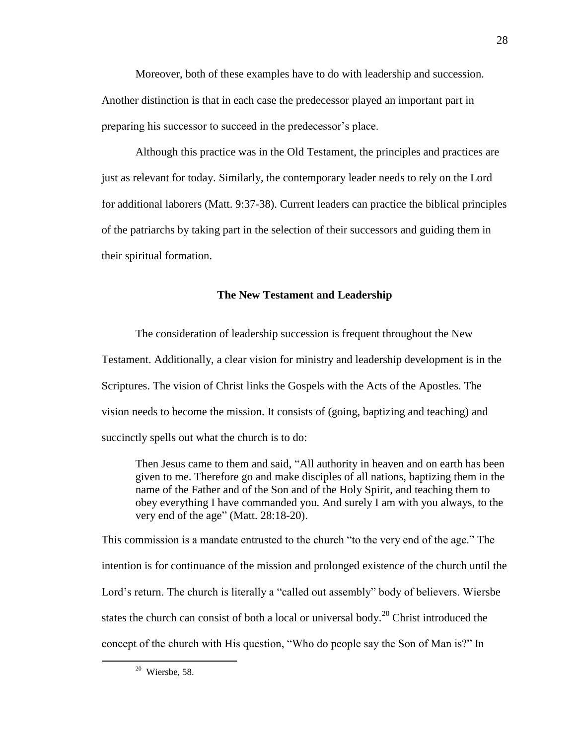Moreover, both of these examples have to do with leadership and succession. Another distinction is that in each case the predecessor played an important part in preparing his successor to succeed in the predecessor's place.

Although this practice was in the Old Testament, the principles and practices are just as relevant for today. Similarly, the contemporary leader needs to rely on the Lord for additional laborers (Matt. 9:37-38). Current leaders can practice the biblical principles of the patriarchs by taking part in the selection of their successors and guiding them in their spiritual formation.

### **The New Testament and Leadership**

The consideration of leadership succession is frequent throughout the New Testament. Additionally, a clear vision for ministry and leadership development is in the Scriptures. The vision of Christ links the Gospels with the Acts of the Apostles. The vision needs to become the mission. It consists of (going, baptizing and teaching) and succinctly spells out what the church is to do:

Then Jesus came to them and said, "All authority in heaven and on earth has been given to me. Therefore go and make disciples of all nations, baptizing them in the name of the Father and of the Son and of the Holy Spirit, and teaching them to obey everything I have commanded you. And surely I am with you always, to the very end of the age" (Matt. 28:18-20).

This commission is a mandate entrusted to the church "to the very end of the age." The intention is for continuance of the mission and prolonged existence of the church until the Lord's return. The church is literally a "called out assembly" body of believers. Wiersbe states the church can consist of both a local or universal body.<sup>20</sup> Christ introduced the concept of the church with His question, "Who do people say the Son of Man is?" In

 $20$  Wiersbe, 58.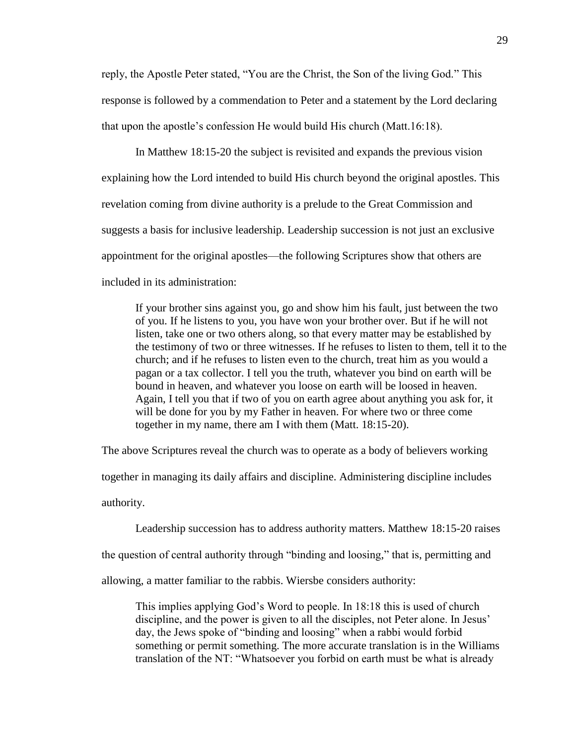reply, the Apostle Peter stated, "You are the Christ, the Son of the living God." This response is followed by a commendation to Peter and a statement by the Lord declaring that upon the apostle's confession He would build His church (Matt.16:18).

In Matthew 18:15-20 the subject is revisited and expands the previous vision explaining how the Lord intended to build His church beyond the original apostles. This revelation coming from divine authority is a prelude to the Great Commission and suggests a basis for inclusive leadership. Leadership succession is not just an exclusive appointment for the original apostles—the following Scriptures show that others are included in its administration:

If your brother sins against you, go and show him his fault, just between the two of you. If he listens to you, you have won your brother over. But if he will not listen, take one or two others along, so that every matter may be established by the testimony of two or three witnesses. If he refuses to listen to them, tell it to the church; and if he refuses to listen even to the church, treat him as you would a pagan or a tax collector. I tell you the truth, whatever you bind on earth will be bound in heaven, and whatever you loose on earth will be loosed in heaven. Again, I tell you that if two of you on earth agree about anything you ask for, it will be done for you by my Father in heaven. For where two or three come together in my name, there am I with them (Matt. 18:15-20).

The above Scriptures reveal the church was to operate as a body of believers working together in managing its daily affairs and discipline. Administering discipline includes authority.

Leadership succession has to address authority matters. Matthew 18:15-20 raises the question of central authority through "binding and loosing," that is, permitting and allowing, a matter familiar to the rabbis. Wiersbe considers authority:

This implies applying God's Word to people. In 18:18 this is used of church discipline, and the power is given to all the disciples, not Peter alone. In Jesus' day, the Jews spoke of "binding and loosing" when a rabbi would forbid something or permit something. The more accurate translation is in the Williams translation of the NT: "Whatsoever you forbid on earth must be what is already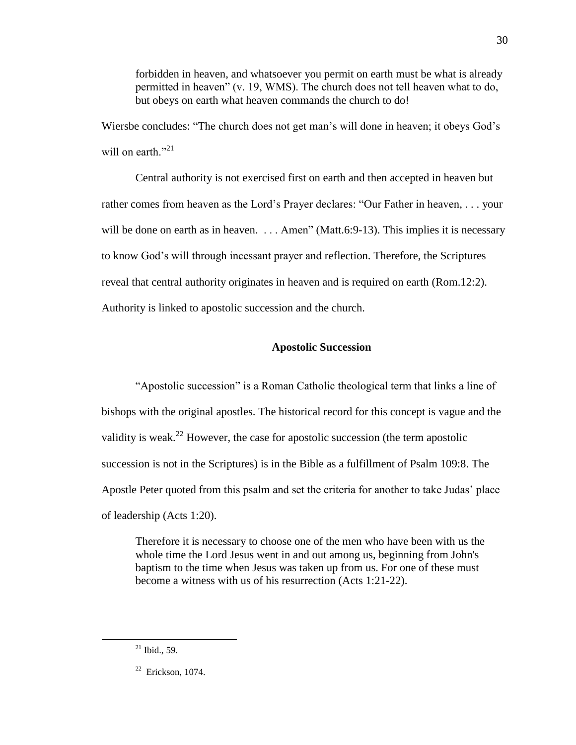forbidden in heaven, and whatsoever you permit on earth must be what is already permitted in heaven"  $(v. 19, WMS)$ . The church does not tell heaven what to do, but obeys on earth what heaven commands the church to do!

Wiersbe concludes: "The church does not get man's will done in heaven; it obeys God's will on earth  $\frac{1}{2}$ <sup>21</sup>

Central authority is not exercised first on earth and then accepted in heaven but rather comes from heaven as the Lord's Prayer declares: "Our Father in heaven, . . . your will be done on earth as in heaven.  $\ldots$  Amen" (Matt.6:9-13). This implies it is necessary to know God's will through incessant prayer and reflection. Therefore, the Scriptures reveal that central authority originates in heaven and is required on earth (Rom.12:2). Authority is linked to apostolic succession and the church.

### **Apostolic Succession**

"Apostolic succession" is a Roman Catholic theological term that links a line of bishops with the original apostles. The historical record for this concept is vague and the validity is weak.<sup>22</sup> However, the case for apostolic succession (the term apostolic succession is not in the Scriptures) is in the Bible as a fulfillment of Psalm 109:8. The Apostle Peter quoted from this psalm and set the criteria for another to take Judas' place of leadership (Acts 1:20).

Therefore it is necessary to choose one of the men who have been with us the whole time the Lord Jesus went in and out among us, beginning from John's baptism to the time when Jesus was taken up from us. For one of these must become a witness with us of his resurrection (Acts 1:21-22).

 $\overline{a}$ 

30

 $^{21}$  Ibid., 59.

 $22$  Erickson, 1074.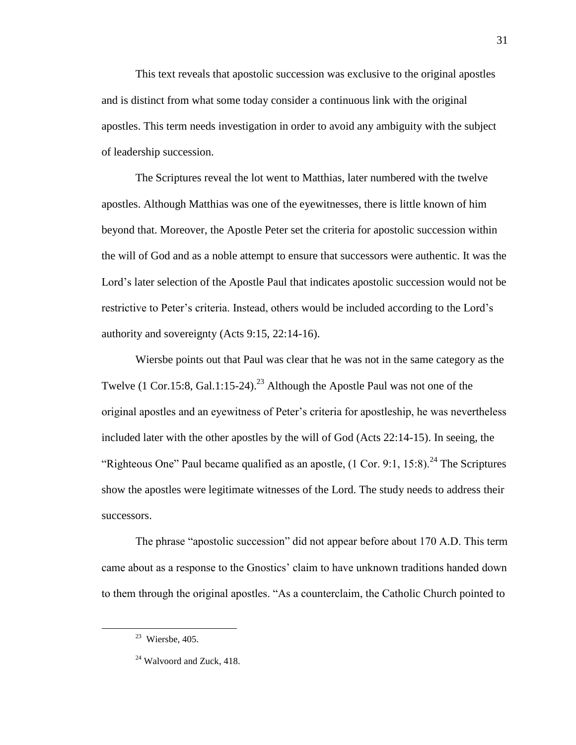This text reveals that apostolic succession was exclusive to the original apostles and is distinct from what some today consider a continuous link with the original apostles. This term needs investigation in order to avoid any ambiguity with the subject of leadership succession.

The Scriptures reveal the lot went to Matthias, later numbered with the twelve apostles. Although Matthias was one of the eyewitnesses, there is little known of him beyond that. Moreover, the Apostle Peter set the criteria for apostolic succession within the will of God and as a noble attempt to ensure that successors were authentic. It was the Lord's later selection of the Apostle Paul that indicates apostolic succession would not be restrictive to Peter's criteria. Instead, others would be included according to the Lord's authority and sovereignty (Acts 9:15, 22:14-16).

Wiersbe points out that Paul was clear that he was not in the same category as the Twelve (1 Cor.15:8, Gal.1:15-24).<sup>23</sup> Although the Apostle Paul was not one of the original apostles and an eyewitness of Peter's criteria for apostleship, he was nevertheless included later with the other apostles by the will of God (Acts 22:14-15). In seeing, the "Righteous One" Paul became qualified as an apostle,  $(1 \text{ Cor. } 9:1, 15:8)$ .<sup>24</sup> The Scriptures show the apostles were legitimate witnesses of the Lord. The study needs to address their successors.

The phrase "apostolic succession" did not appear before about 170 A.D. This term came about as a response to the Gnostics' claim to have unknown traditions handed down to them through the original apostles. "As a counterclaim, the Catholic Church pointed to

 $23$  Wiersbe, 405.

 $24$  Walvoord and Zuck, 418.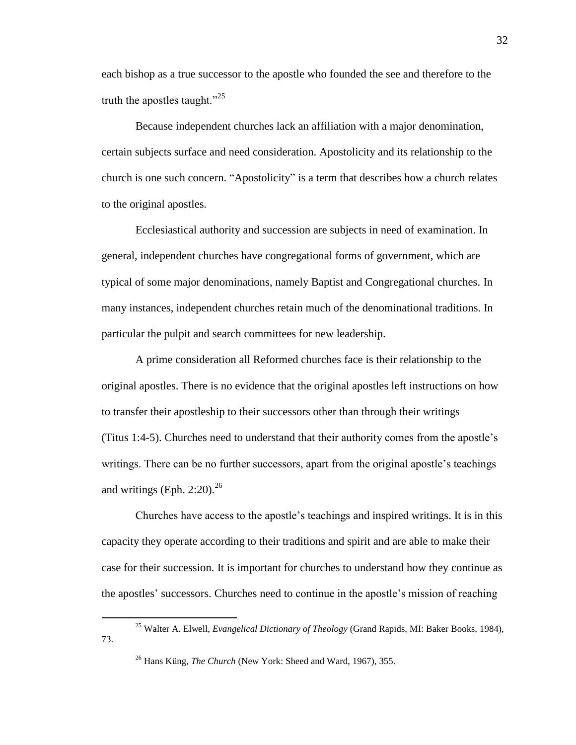each bishop as a true successor to the apostle who founded the see and therefore to the truth the apostles taught." $^{25}$ 

Because independent churches lack an affiliation with a major denomination, certain subjects surface and need consideration. Apostolicity and its relationship to the church is one such concern. "Apostolicity" is a term that describes how a church relates to the original apostles.

Ecclesiastical authority and succession are subjects in need of examination. In general, independent churches have congregational forms of government, which are typical of some major denominations, namely Baptist and Congregational churches. In many instances, independent churches retain much of the denominational traditions. In particular the pulpit and search committees for new leadership.

A prime consideration all Reformed churches face is their relationship to the original apostles. There is no evidence that the original apostles left instructions on how to transfer their apostleship to their successors other than through their writings (Titus 1:4-5). Churches need to understand that their authority comes from the apostle's writings. There can be no further successors, apart from the original apostle's teachings and writings (Eph. 2:20). $^{26}$ 

Churches have access to the apostle's teachings and inspired writings. It is in this capacity they operate according to their traditions and spirit and are able to make their case for their succession. It is important for churches to understand how they continue as the apostles' successors. Churches need to continue in the apostle's mission of reaching

 $\overline{a}$ 

32

<sup>25</sup> Walter A. Elwell, *Evangelical Dictionary of Theology* (Grand Rapids, MI: Baker Books, 1984), 73.

<sup>26</sup> Hans Küng, *The Church* (New York: Sheed and Ward, 1967), 355.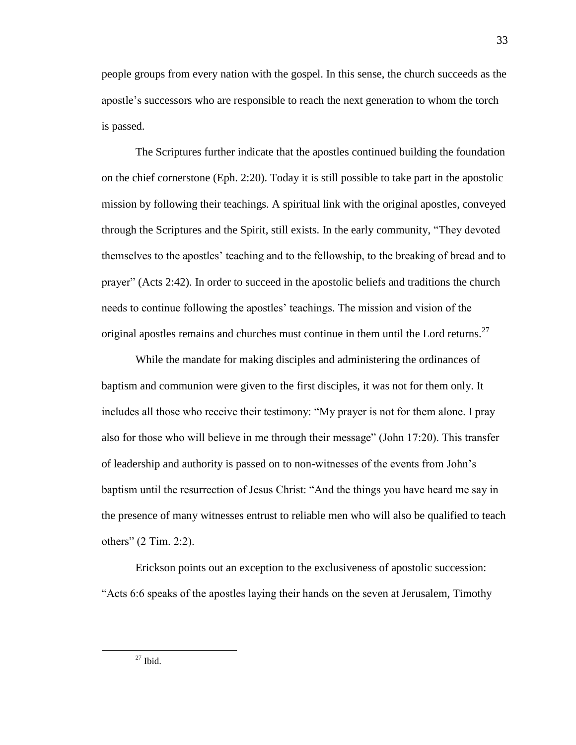people groups from every nation with the gospel. In this sense, the church succeeds as the apostle's successors who are responsible to reach the next generation to whom the torch is passed.

The Scriptures further indicate that the apostles continued building the foundation on the chief cornerstone (Eph. 2:20). Today it is still possible to take part in the apostolic mission by following their teachings. A spiritual link with the original apostles, conveyed through the Scriptures and the Spirit, still exists. In the early community, "They devoted themselves to the apostles' teaching and to the fellowship, to the breaking of bread and to prayer‖ (Acts 2:42). In order to succeed in the apostolic beliefs and traditions the church needs to continue following the apostles' teachings. The mission and vision of the original apostles remains and churches must continue in them until the Lord returns.<sup>27</sup>

While the mandate for making disciples and administering the ordinances of baptism and communion were given to the first disciples, it was not for them only. It includes all those who receive their testimony: "My prayer is not for them alone. I pray also for those who will believe in me through their message" (John 17:20). This transfer of leadership and authority is passed on to non-witnesses of the events from John's baptism until the resurrection of Jesus Christ: "And the things you have heard me say in the presence of many witnesses entrust to reliable men who will also be qualified to teach others"  $(2$  Tim. 2:2).

Erickson points out an exception to the exclusiveness of apostolic succession: ―Acts 6:6 speaks of the apostles laying their hands on the seven at Jerusalem, Timothy

 $27$  Ibid.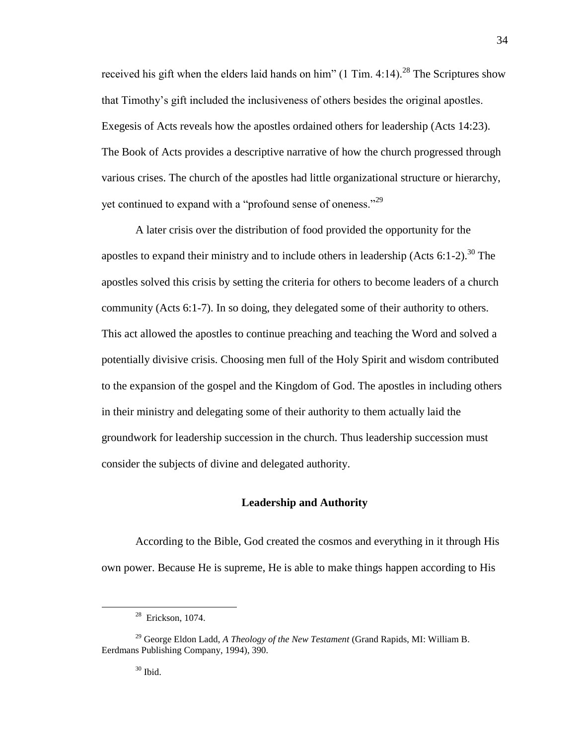received his gift when the elders laid hands on him" (1 Tim. 4:14).<sup>28</sup> The Scriptures show that Timothy's gift included the inclusiveness of others besides the original apostles. Exegesis of Acts reveals how the apostles ordained others for leadership (Acts 14:23). The Book of Acts provides a descriptive narrative of how the church progressed through various crises. The church of the apostles had little organizational structure or hierarchy, yet continued to expand with a "profound sense of oneness."<sup>29</sup>

A later crisis over the distribution of food provided the opportunity for the apostles to expand their ministry and to include others in leadership (Acts  $6:1-2$ ).<sup>30</sup> The apostles solved this crisis by setting the criteria for others to become leaders of a church community (Acts 6:1-7). In so doing, they delegated some of their authority to others. This act allowed the apostles to continue preaching and teaching the Word and solved a potentially divisive crisis. Choosing men full of the Holy Spirit and wisdom contributed to the expansion of the gospel and the Kingdom of God. The apostles in including others in their ministry and delegating some of their authority to them actually laid the groundwork for leadership succession in the church. Thus leadership succession must consider the subjects of divine and delegated authority.

## **Leadership and Authority**

According to the Bible, God created the cosmos and everything in it through His own power. Because He is supreme, He is able to make things happen according to His

 $30$  Ibid.

<sup>&</sup>lt;sup>28</sup> Erickson, 1074.

<sup>29</sup> George Eldon Ladd, *A Theology of the New Testament* (Grand Rapids, MI: William B. Eerdmans Publishing Company, 1994), 390.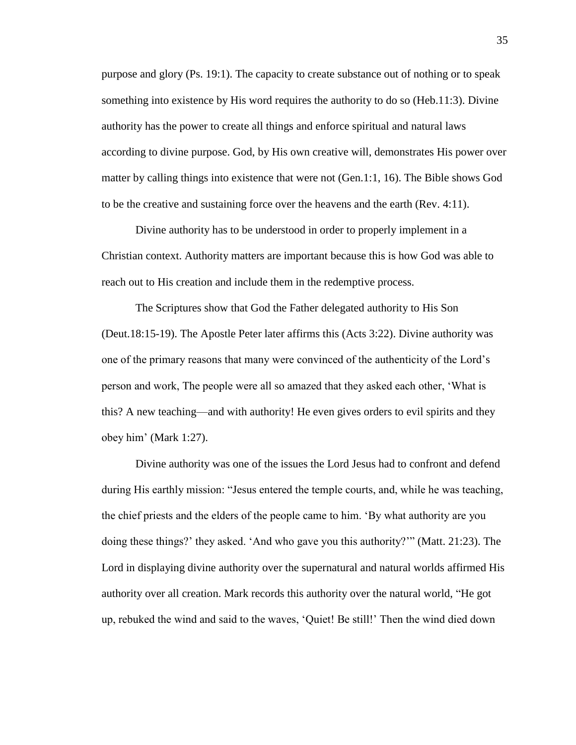purpose and glory (Ps. 19:1). The capacity to create substance out of nothing or to speak something into existence by His word requires the authority to do so (Heb.11:3). Divine authority has the power to create all things and enforce spiritual and natural laws according to divine purpose. God, by His own creative will, demonstrates His power over matter by calling things into existence that were not (Gen.1:1, 16). The Bible shows God to be the creative and sustaining force over the heavens and the earth (Rev. 4:11).

Divine authority has to be understood in order to properly implement in a Christian context. Authority matters are important because this is how God was able to reach out to His creation and include them in the redemptive process.

The Scriptures show that God the Father delegated authority to His Son (Deut.18:15-19). The Apostle Peter later affirms this (Acts 3:22). Divine authority was one of the primary reasons that many were convinced of the authenticity of the Lord's person and work, The people were all so amazed that they asked each other, ‗What is this? A new teaching—and with authority! He even gives orders to evil spirits and they obey him' (Mark 1:27).

Divine authority was one of the issues the Lord Jesus had to confront and defend during His earthly mission: "Jesus entered the temple courts, and, while he was teaching, the chief priests and the elders of the people came to him. ‗By what authority are you doing these things?' they asked. 'And who gave you this authority?'" (Matt. 21:23). The Lord in displaying divine authority over the supernatural and natural worlds affirmed His authority over all creation. Mark records this authority over the natural world, "He got up, rebuked the wind and said to the waves, ‗Quiet! Be still!' Then the wind died down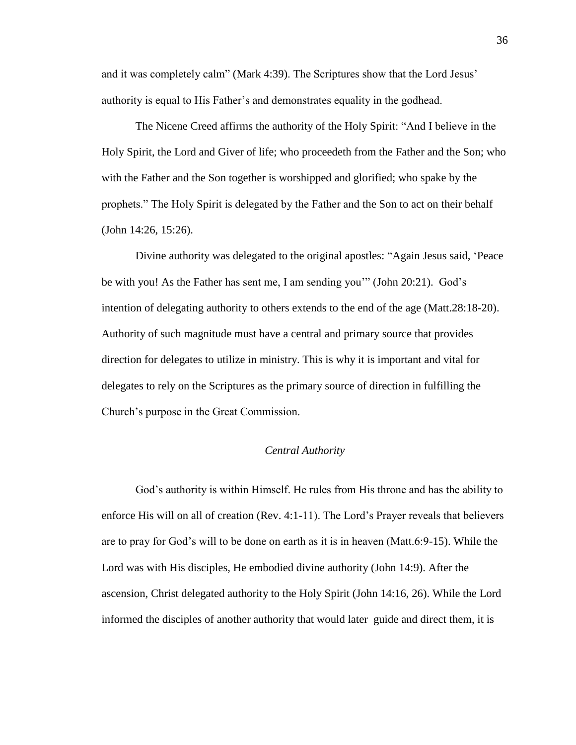and it was completely calm" (Mark 4:39). The Scriptures show that the Lord Jesus' authority is equal to His Father's and demonstrates equality in the godhead.

The Nicene Creed affirms the authority of the Holy Spirit: "And I believe in the Holy Spirit, the Lord and Giver of life; who proceedeth from the Father and the Son; who with the Father and the Son together is worshipped and glorified; who spake by the prophets.‖ The Holy Spirit is delegated by the Father and the Son to act on their behalf (John 14:26, 15:26).

Divine authority was delegated to the original apostles: "Again Jesus said, 'Peace be with you! As the Father has sent me, I am sending you''' (John  $20:21$ ). God's intention of delegating authority to others extends to the end of the age (Matt.28:18-20). Authority of such magnitude must have a central and primary source that provides direction for delegates to utilize in ministry. This is why it is important and vital for delegates to rely on the Scriptures as the primary source of direction in fulfilling the Church's purpose in the Great Commission.

### *Central Authority*

God's authority is within Himself. He rules from His throne and has the ability to enforce His will on all of creation (Rev. 4:1-11). The Lord's Prayer reveals that believers are to pray for God's will to be done on earth as it is in heaven (Matt.6:9-15). While the Lord was with His disciples, He embodied divine authority (John 14:9). After the ascension, Christ delegated authority to the Holy Spirit (John 14:16, 26). While the Lord informed the disciples of another authority that would later guide and direct them, it is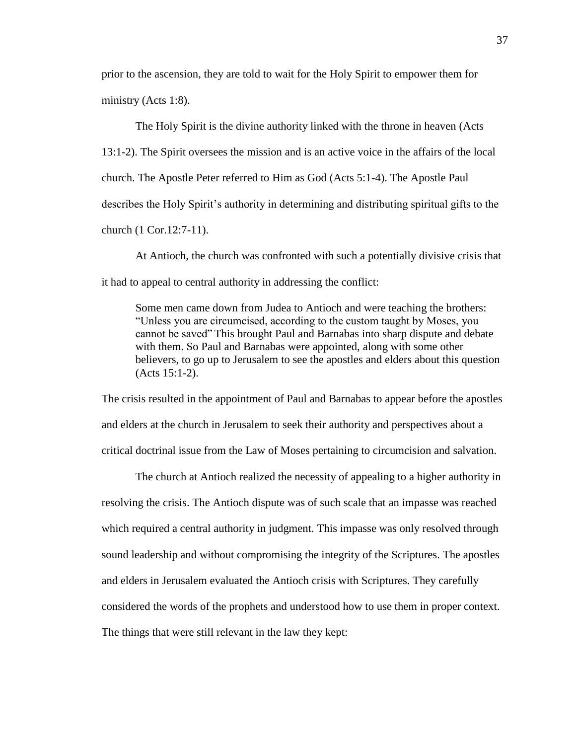prior to the ascension, they are told to wait for the Holy Spirit to empower them for ministry (Acts 1:8).

The Holy Spirit is the divine authority linked with the throne in heaven (Acts 13:1-2). The Spirit oversees the mission and is an active voice in the affairs of the local church. The Apostle Peter referred to Him as God (Acts 5:1-4). The Apostle Paul describes the Holy Spirit's authority in determining and distributing spiritual gifts to the church (1 Cor.12:7-11).

At Antioch, the church was confronted with such a potentially divisive crisis that it had to appeal to central authority in addressing the conflict:

Some men came down from Judea to Antioch and were teaching the brothers: ―Unless you are circumcised, according to the custom taught by Moses, you cannot be saved‖ This brought Paul and Barnabas into sharp dispute and debate with them. So Paul and Barnabas were appointed, along with some other believers, to go up to Jerusalem to see the apostles and elders about this question (Acts 15:1-2).

The crisis resulted in the appointment of Paul and Barnabas to appear before the apostles and elders at the church in Jerusalem to seek their authority and perspectives about a critical doctrinal issue from the Law of Moses pertaining to circumcision and salvation.

The church at Antioch realized the necessity of appealing to a higher authority in resolving the crisis. The Antioch dispute was of such scale that an impasse was reached which required a central authority in judgment. This impasse was only resolved through sound leadership and without compromising the integrity of the Scriptures. The apostles and elders in Jerusalem evaluated the Antioch crisis with Scriptures. They carefully considered the words of the prophets and understood how to use them in proper context. The things that were still relevant in the law they kept: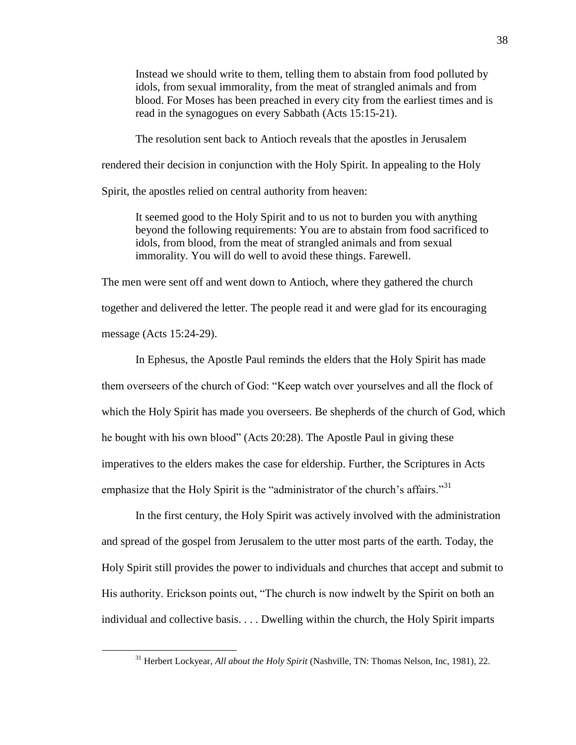Instead we should write to them, telling them to abstain from food polluted by idols, from sexual immorality, from the meat of strangled animals and from blood. For Moses has been preached in every city from the earliest times and is read in the synagogues on every Sabbath (Acts 15:15-21).

The resolution sent back to Antioch reveals that the apostles in Jerusalem

rendered their decision in conjunction with the Holy Spirit. In appealing to the Holy

Spirit, the apostles relied on central authority from heaven:

It seemed good to the Holy Spirit and to us not to burden you with anything beyond the following requirements: You are to abstain from food sacrificed to idols, from blood, from the meat of strangled animals and from sexual immorality. You will do well to avoid these things. Farewell.

The men were sent off and went down to Antioch, where they gathered the church together and delivered the letter. The people read it and were glad for its encouraging message (Acts 15:24-29).

In Ephesus, the Apostle Paul reminds the elders that the Holy Spirit has made them overseers of the church of God: "Keep watch over yourselves and all the flock of which the Holy Spirit has made you overseers. Be shepherds of the church of God, which he bought with his own blood" (Acts 20:28). The Apostle Paul in giving these imperatives to the elders makes the case for eldership. Further, the Scriptures in Acts emphasize that the Holy Spirit is the "administrator of the church's affairs."<sup>31</sup>

In the first century, the Holy Spirit was actively involved with the administration and spread of the gospel from Jerusalem to the utter most parts of the earth. Today, the Holy Spirit still provides the power to individuals and churches that accept and submit to His authority. Erickson points out, "The church is now indwelt by the Spirit on both an individual and collective basis. . . . Dwelling within the church, the Holy Spirit imparts

<sup>&</sup>lt;sup>31</sup> Herbert Lockyear, *All about the Holy Spirit* (Nashville, TN: Thomas Nelson, Inc, 1981), 22.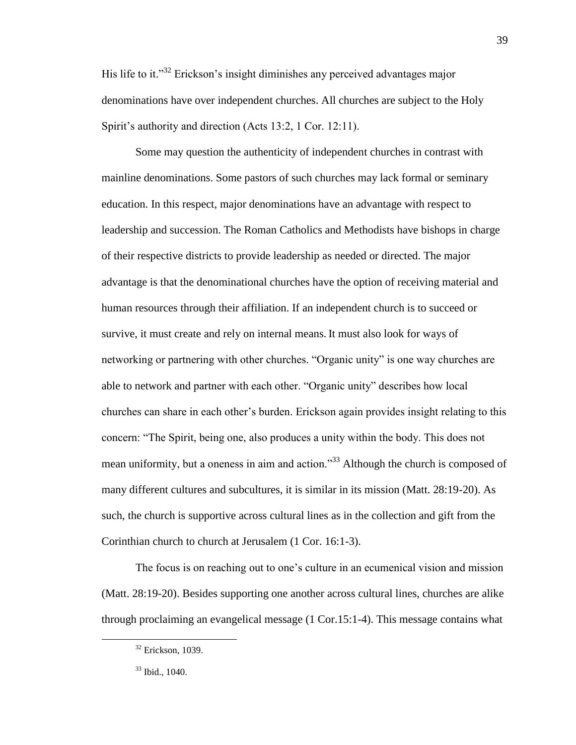His life to it.<sup>33</sup> Erickson's insight diminishes any perceived advantages major denominations have over independent churches. All churches are subject to the Holy Spirit's authority and direction (Acts 13:2, 1 Cor. 12:11).

Some may question the authenticity of independent churches in contrast with mainline denominations. Some pastors of such churches may lack formal or seminary education. In this respect, major denominations have an advantage with respect to leadership and succession. The Roman Catholics and Methodists have bishops in charge of their respective districts to provide leadership as needed or directed. The major advantage is that the denominational churches have the option of receiving material and human resources through their affiliation. If an independent church is to succeed or survive, it must create and rely on internal means. It must also look for ways of networking or partnering with other churches. "Organic unity" is one way churches are able to network and partner with each other. "Organic unity" describes how local churches can share in each other's burden. Erickson again provides insight relating to this concern: "The Spirit, being one, also produces a unity within the body. This does not mean uniformity, but a oneness in aim and action.<sup>33</sup> Although the church is composed of many different cultures and subcultures, it is similar in its mission (Matt. 28:19-20). As such, the church is supportive across cultural lines as in the collection and gift from the Corinthian church to church at Jerusalem (1 Cor. 16:1-3).

The focus is on reaching out to one's culture in an ecumenical vision and mission (Matt. 28:19-20). Besides supporting one another across cultural lines, churches are alike through proclaiming an evangelical message (1 Cor.15:1-4). This message contains what

<sup>&</sup>lt;sup>32</sup> Erickson, 1039.

<sup>33</sup> Ibid., 1040.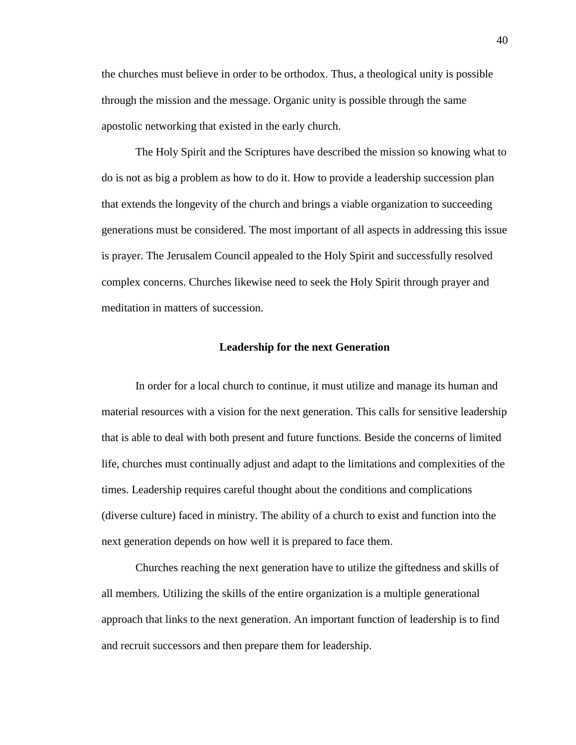the churches must believe in order to be orthodox. Thus, a theological unity is possible through the mission and the message. Organic unity is possible through the same apostolic networking that existed in the early church.

The Holy Spirit and the Scriptures have described the mission so knowing what to do is not as big a problem as how to do it. How to provide a leadership succession plan that extends the longevity of the church and brings a viable organization to succeeding generations must be considered. The most important of all aspects in addressing this issue is prayer. The Jerusalem Council appealed to the Holy Spirit and successfully resolved complex concerns. Churches likewise need to seek the Holy Spirit through prayer and meditation in matters of succession.

#### **Leadership for the next Generation**

In order for a local church to continue, it must utilize and manage its human and material resources with a vision for the next generation. This calls for sensitive leadership that is able to deal with both present and future functions. Beside the concerns of limited life, churches must continually adjust and adapt to the limitations and complexities of the times. Leadership requires careful thought about the conditions and complications (diverse culture) faced in ministry. The ability of a church to exist and function into the next generation depends on how well it is prepared to face them.

Churches reaching the next generation have to utilize the giftedness and skills of all members. Utilizing the skills of the entire organization is a multiple generational approach that links to the next generation. An important function of leadership is to find and recruit successors and then prepare them for leadership.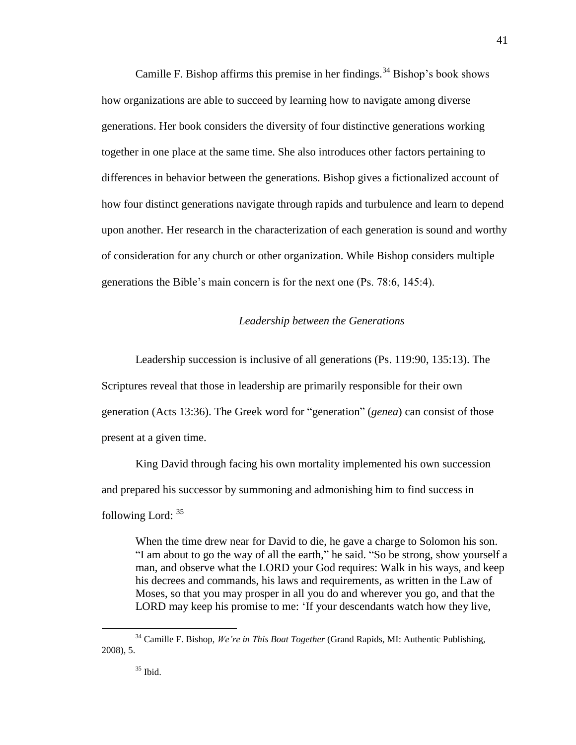Camille F. Bishop affirms this premise in her findings.<sup>34</sup> Bishop's book shows how organizations are able to succeed by learning how to navigate among diverse generations. Her book considers the diversity of four distinctive generations working together in one place at the same time. She also introduces other factors pertaining to differences in behavior between the generations. Bishop gives a fictionalized account of how four distinct generations navigate through rapids and turbulence and learn to depend upon another. Her research in the characterization of each generation is sound and worthy of consideration for any church or other organization. While Bishop considers multiple generations the Bible's main concern is for the next one (Ps. 78:6, 145:4).

# *Leadership between the Generations*

Leadership succession is inclusive of all generations (Ps. 119:90, 135:13). The Scriptures reveal that those in leadership are primarily responsible for their own generation (Acts 13:36). The Greek word for "generation" (*genea*) can consist of those present at a given time.

King David through facing his own mortality implemented his own succession and prepared his successor by summoning and admonishing him to find success in following Lord: <sup>35</sup>

When the time drew near for David to die, he gave a charge to Solomon his son. "I am about to go the way of all the earth," he said. "So be strong, show yourself a man, and observe what the LORD your God requires: Walk in his ways, and keep his decrees and commands, his laws and requirements, as written in the Law of Moses, so that you may prosper in all you do and wherever you go, and that the LORD may keep his promise to me: 'If your descendants watch how they live,

<sup>34</sup> Camille F. Bishop, *We're in This Boat Together* (Grand Rapids, MI: Authentic Publishing, 2008), 5.

<sup>41</sup>

 $35$  Ibid.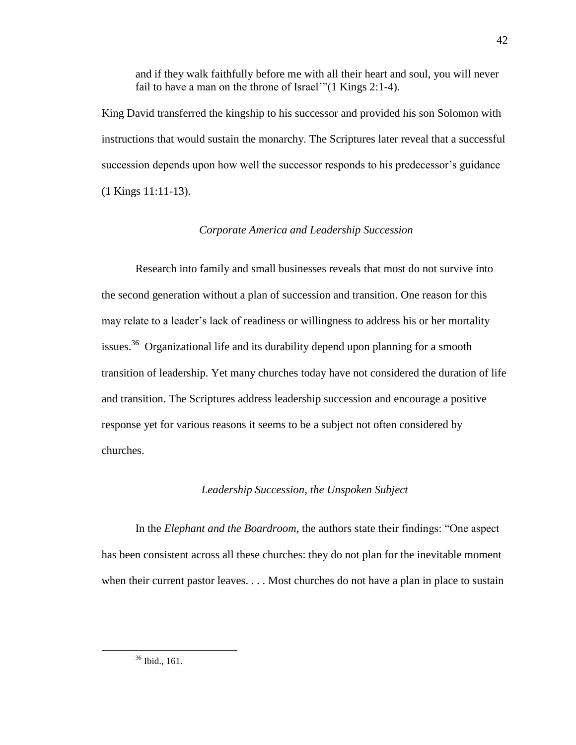and if they walk faithfully before me with all their heart and soul, you will never fail to have a man on the throne of Israel'" $(1$  Kings 2:1-4).

King David transferred the kingship to his successor and provided his son Solomon with instructions that would sustain the monarchy. The Scriptures later reveal that a successful succession depends upon how well the successor responds to his predecessor's guidance (1 Kings 11:11-13).

## *Corporate America and Leadership Succession*

Research into family and small businesses reveals that most do not survive into the second generation without a plan of succession and transition. One reason for this may relate to a leader's lack of readiness or willingness to address his or her mortality issues.<sup>36</sup> Organizational life and its durability depend upon planning for a smooth transition of leadership. Yet many churches today have not considered the duration of life and transition. The Scriptures address leadership succession and encourage a positive response yet for various reasons it seems to be a subject not often considered by churches.

#### *Leadership Succession, the Unspoken Subject*

In the *Elephant and the Boardroom*, the authors state their findings: "One aspect has been consistent across all these churches: they do not plan for the inevitable moment when their current pastor leaves. . . . Most churches do not have a plan in place to sustain

<sup>36</sup> Ibid., 161.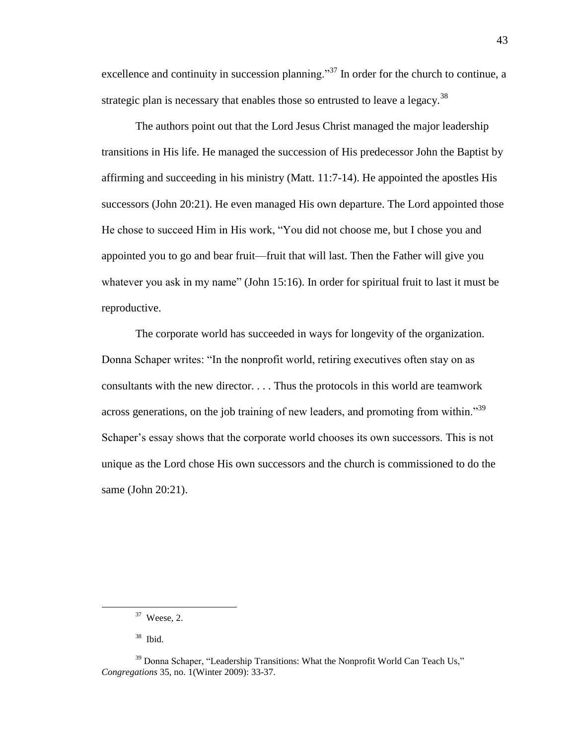excellence and continuity in succession planning.<sup>37</sup> In order for the church to continue, a strategic plan is necessary that enables those so entrusted to leave a legacy.<sup>38</sup>

The authors point out that the Lord Jesus Christ managed the major leadership transitions in His life. He managed the succession of His predecessor John the Baptist by affirming and succeeding in his ministry (Matt. 11:7-14). He appointed the apostles His successors (John 20:21). He even managed His own departure. The Lord appointed those He chose to succeed Him in His work, "You did not choose me, but I chose you and appointed you to go and bear fruit—fruit that will last. Then the Father will give you whatever you ask in my name" (John  $15:16$ ). In order for spiritual fruit to last it must be reproductive.

The corporate world has succeeded in ways for longevity of the organization. Donna Schaper writes: "In the nonprofit world, retiring executives often stay on as consultants with the new director. . . . Thus the protocols in this world are teamwork across generations, on the job training of new leaders, and promoting from within.<sup>39</sup> Schaper's essay shows that the corporate world chooses its own successors. This is not unique as the Lord chose His own successors and the church is commissioned to do the same (John 20:21).

 $37$  Weese, 2.

<sup>38</sup> Ibid.

 $39$  Donna Schaper, "Leadership Transitions: What the Nonprofit World Can Teach Us," *Congregations* 35, no. 1(Winter 2009): 33-37.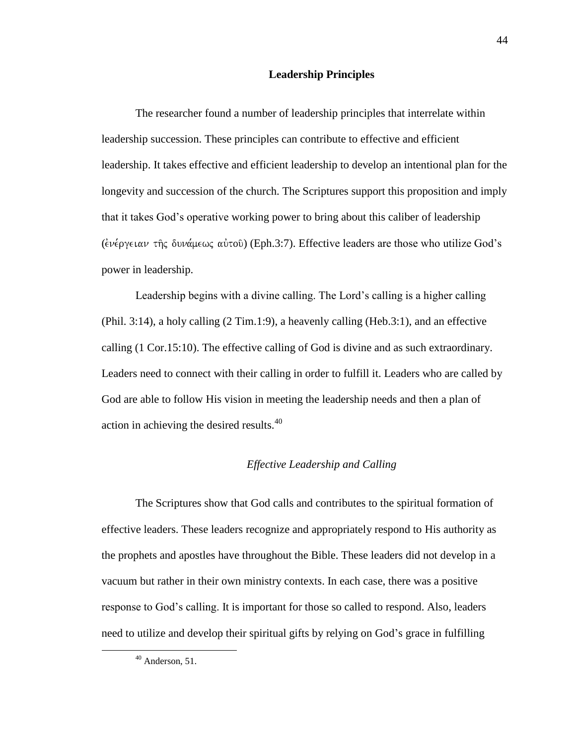### **Leadership Principles**

The researcher found a number of leadership principles that interrelate within leadership succession. These principles can contribute to effective and efficient leadership. It takes effective and efficient leadership to develop an intentional plan for the longevity and succession of the church. The Scriptures support this proposition and imply that it takes God's operative working power to bring about this caliber of leadership ( $\epsilon \nu \epsilon \rho \gamma \epsilon \nu \alpha \nu$  της δυνάμεως αύτοῦ) (Eph.3:7). Effective leaders are those who utilize God's power in leadership.

Leadership begins with a divine calling. The Lord's calling is a higher calling (Phil. 3:14), a holy calling (2 Tim.1:9), a heavenly calling (Heb.3:1), and an effective calling (1 Cor.15:10). The effective calling of God is divine and as such extraordinary. Leaders need to connect with their calling in order to fulfill it. Leaders who are called by God are able to follow His vision in meeting the leadership needs and then a plan of action in achieving the desired results.<sup>40</sup>

#### *Effective Leadership and Calling*

The Scriptures show that God calls and contributes to the spiritual formation of effective leaders. These leaders recognize and appropriately respond to His authority as the prophets and apostles have throughout the Bible. These leaders did not develop in a vacuum but rather in their own ministry contexts. In each case, there was a positive response to God's calling. It is important for those so called to respond. Also, leaders need to utilize and develop their spiritual gifts by relying on God's grace in fulfilling

 $40$  Anderson, 51.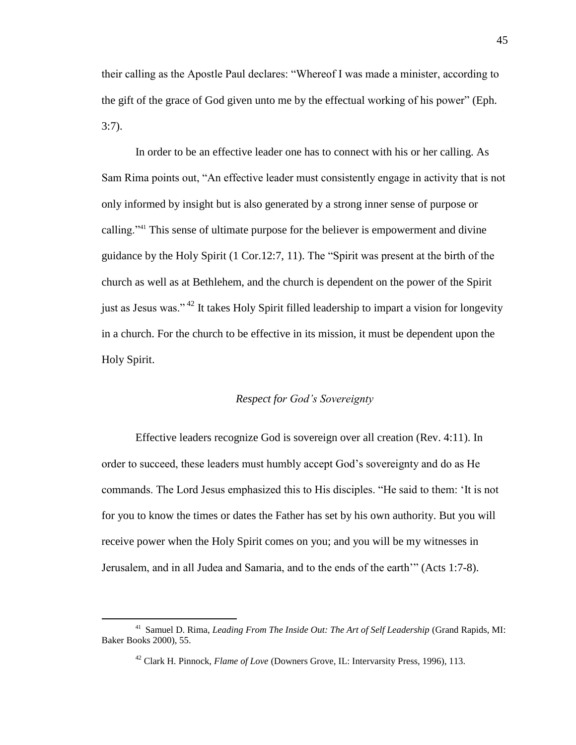their calling as the Apostle Paul declares: "Whereof I was made a minister, according to the gift of the grace of God given unto me by the effectual working of his power" (Eph. 3:7).

In order to be an effective leader one has to connect with his or her calling. As Sam Rima points out, "An effective leader must consistently engage in activity that is not only informed by insight but is also generated by a strong inner sense of purpose or calling."<sup>41</sup> This sense of ultimate purpose for the believer is empowerment and divine guidance by the Holy Spirit  $(1 \text{ Cor.12:7}, 11)$ . The "Spirit was present at the birth of the church as well as at Bethlehem, and the church is dependent on the power of the Spirit just as Jesus was."<sup>42</sup> It takes Holy Spirit filled leadership to impart a vision for longevity in a church. For the church to be effective in its mission, it must be dependent upon the Holy Spirit.

# *Respect for God's Sovereignty*

Effective leaders recognize God is sovereign over all creation (Rev. 4:11). In order to succeed, these leaders must humbly accept God's sovereignty and do as He commands. The Lord Jesus emphasized this to His disciples. "He said to them: 'It is not for you to know the times or dates the Father has set by his own authority. But you will receive power when the Holy Spirit comes on you; and you will be my witnesses in Jerusalem, and in all Judea and Samaria, and to the ends of the earth'" (Acts 1:7-8).

<sup>&</sup>lt;sup>41</sup> Samuel D. Rima, *Leading From The Inside Out: The Art of Self Leadership* (Grand Rapids, MI: Baker Books 2000), 55.

<sup>42</sup> Clark H. Pinnock, *Flame of Love* (Downers Grove, IL: Intervarsity Press, 1996), 113.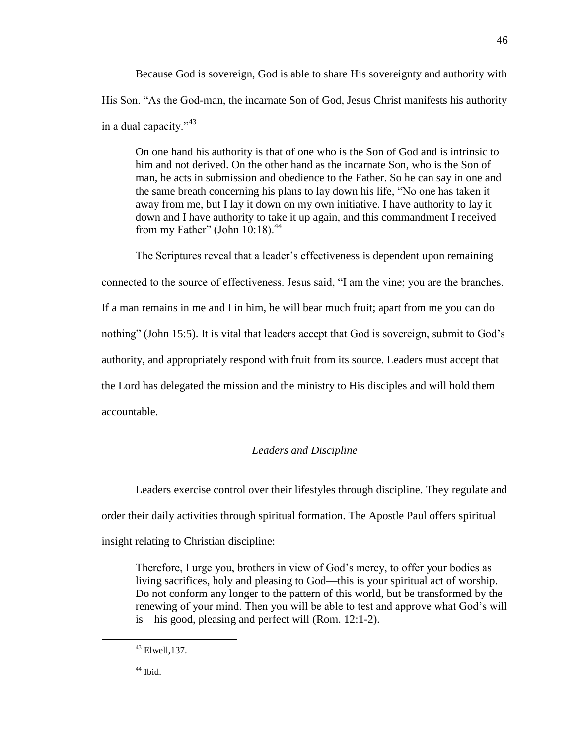Because God is sovereign, God is able to share His sovereignty and authority with His Son. "As the God-man, the incarnate Son of God, Jesus Christ manifests his authority in a dual capacity." $43$ 

On one hand his authority is that of one who is the Son of God and is intrinsic to him and not derived. On the other hand as the incarnate Son, who is the Son of man, he acts in submission and obedience to the Father. So he can say in one and the same breath concerning his plans to lay down his life, "No one has taken it away from me, but I lay it down on my own initiative. I have authority to lay it down and I have authority to take it up again, and this commandment I received from my Father" (John  $10:18$ ).<sup>44</sup>

The Scriptures reveal that a leader's effectiveness is dependent upon remaining connected to the source of effectiveness. Jesus said, "I am the vine; you are the branches. If a man remains in me and I in him, he will bear much fruit; apart from me you can do nothing" (John 15:5). It is vital that leaders accept that God is sovereign, submit to God's authority, and appropriately respond with fruit from its source. Leaders must accept that the Lord has delegated the mission and the ministry to His disciples and will hold them accountable.

# *Leaders and Discipline*

Leaders exercise control over their lifestyles through discipline. They regulate and order their daily activities through spiritual formation. The Apostle Paul offers spiritual insight relating to Christian discipline:

Therefore, I urge you, brothers in view of God's mercy, to offer your bodies as living sacrifices, holy and pleasing to God—this is your spiritual act of worship. Do not conform any longer to the pattern of this world, but be transformed by the renewing of your mind. Then you will be able to test and approve what God's will is—his good, pleasing and perfect will (Rom. 12:1-2).

46

<sup>43</sup> Elwell,137.

 $44$  Ibid.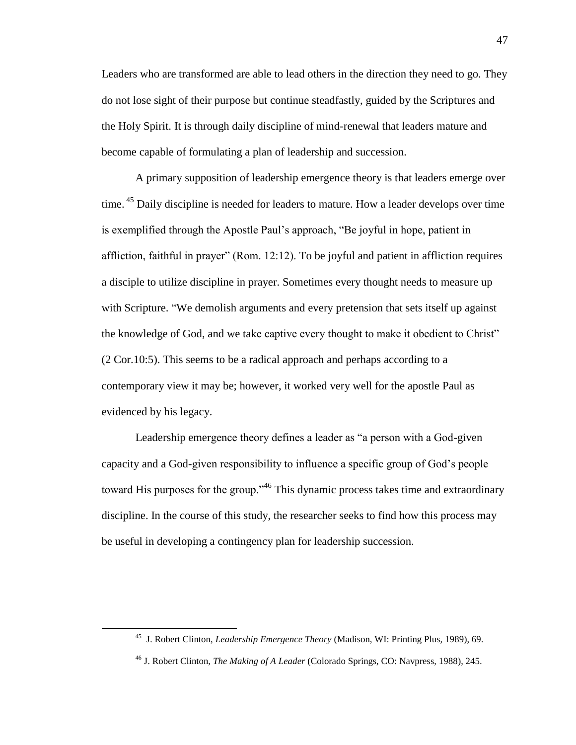Leaders who are transformed are able to lead others in the direction they need to go. They do not lose sight of their purpose but continue steadfastly, guided by the Scriptures and the Holy Spirit. It is through daily discipline of mind-renewal that leaders mature and become capable of formulating a plan of leadership and succession.

A primary supposition of leadership emergence theory is that leaders emerge over time. <sup>45</sup> Daily discipline is needed for leaders to mature. How a leader develops over time is exemplified through the Apostle Paul's approach, "Be joyful in hope, patient in affliction, faithful in prayer" (Rom.  $12:12$ ). To be joyful and patient in affliction requires a disciple to utilize discipline in prayer. Sometimes every thought needs to measure up with Scripture. "We demolish arguments and every pretension that sets itself up against the knowledge of God, and we take captive every thought to make it obedient to Christ" (2 Cor.10:5). This seems to be a radical approach and perhaps according to a contemporary view it may be; however, it worked very well for the apostle Paul as evidenced by his legacy.

Leadership emergence theory defines a leader as "a person with a God-given capacity and a God-given responsibility to influence a specific group of God's people toward His purposes for the group.<sup> $46$ </sup> This dynamic process takes time and extraordinary discipline. In the course of this study, the researcher seeks to find how this process may be useful in developing a contingency plan for leadership succession.

<sup>45</sup> J. Robert Clinton, *Leadership Emergence Theory* (Madison, WI: Printing Plus, 1989), 69.

<sup>46</sup> J. Robert Clinton, *The Making of A Leader* (Colorado Springs, CO: Navpress, 1988), 245.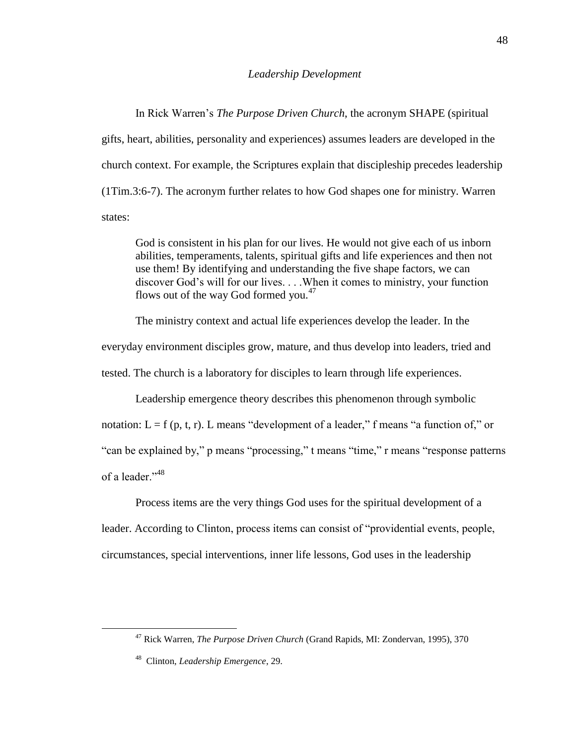#### *Leadership Development*

In Rick Warren's *The Purpose Driven Church*, the acronym SHAPE (spiritual gifts, heart, abilities, personality and experiences) assumes leaders are developed in the church context. For example, the Scriptures explain that discipleship precedes leadership (1Tim.3:6-7). The acronym further relates to how God shapes one for ministry. Warren states:

God is consistent in his plan for our lives. He would not give each of us inborn abilities, temperaments, talents, spiritual gifts and life experiences and then not use them! By identifying and understanding the five shape factors, we can discover God's will for our lives. . . .When it comes to ministry, your function flows out of the way God formed you.<sup>47</sup>

The ministry context and actual life experiences develop the leader. In the everyday environment disciples grow, mature, and thus develop into leaders, tried and tested. The church is a laboratory for disciples to learn through life experiences.

Leadership emergence theory describes this phenomenon through symbolic

notation:  $L = f(p, t, r)$ . L means "development of a leader," f means "a function of," or

"can be explained by," p means "processing," t means "time," r means "response patterns"

of a leader."<sup>48</sup>

 $\overline{a}$ 

Process items are the very things God uses for the spiritual development of a leader. According to Clinton, process items can consist of "providential events, people, circumstances, special interventions, inner life lessons, God uses in the leadership

<sup>47</sup> Rick Warren, *The Purpose Driven Church* (Grand Rapids, MI: Zondervan, 1995), 370

<sup>48</sup> Clinton, *Leadership Emergence*, 29.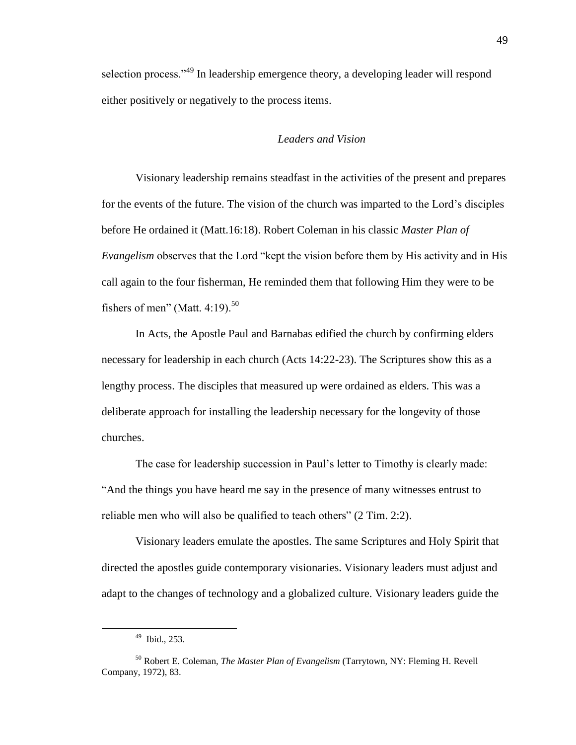selection process."<sup>49</sup> In leadership emergence theory, a developing leader will respond either positively or negatively to the process items.

### *Leaders and Vision*

Visionary leadership remains steadfast in the activities of the present and prepares for the events of the future. The vision of the church was imparted to the Lord's disciples before He ordained it (Matt.16:18). Robert Coleman in his classic *Master Plan of Evangelism* observes that the Lord "kept the vision before them by His activity and in His call again to the four fisherman, He reminded them that following Him they were to be fishers of men" (Matt. 4:19).<sup>50</sup>

In Acts, the Apostle Paul and Barnabas edified the church by confirming elders necessary for leadership in each church (Acts 14:22-23). The Scriptures show this as a lengthy process. The disciples that measured up were ordained as elders. This was a deliberate approach for installing the leadership necessary for the longevity of those churches.

The case for leadership succession in Paul's letter to Timothy is clearly made: ―And the things you have heard me say in the presence of many witnesses entrust to reliable men who will also be qualified to teach others" (2 Tim. 2:2).

Visionary leaders emulate the apostles. The same Scriptures and Holy Spirit that directed the apostles guide contemporary visionaries. Visionary leaders must adjust and adapt to the changes of technology and a globalized culture. Visionary leaders guide the

<sup>49</sup> Ibid., 253.

<sup>50</sup> Robert E. Coleman, *The Master Plan of Evangelism* (Tarrytown, NY: Fleming H. Revell Company, 1972), 83.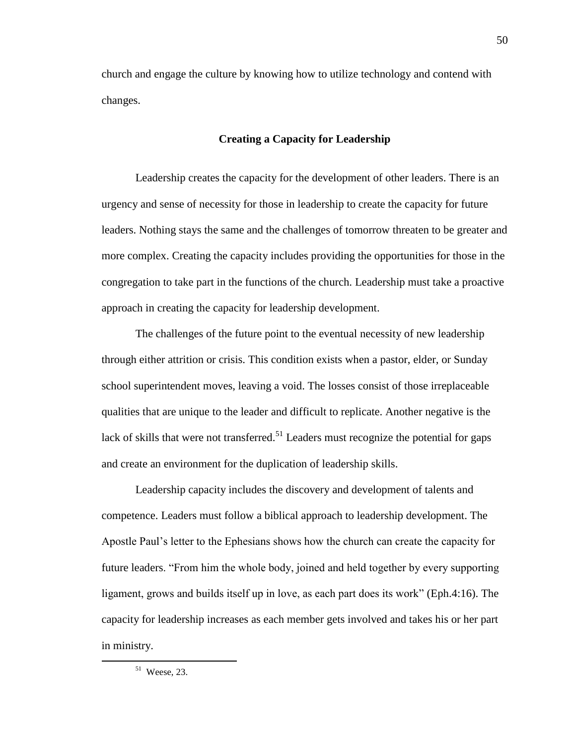church and engage the culture by knowing how to utilize technology and contend with changes.

### **Creating a Capacity for Leadership**

Leadership creates the capacity for the development of other leaders. There is an urgency and sense of necessity for those in leadership to create the capacity for future leaders. Nothing stays the same and the challenges of tomorrow threaten to be greater and more complex. Creating the capacity includes providing the opportunities for those in the congregation to take part in the functions of the church. Leadership must take a proactive approach in creating the capacity for leadership development.

The challenges of the future point to the eventual necessity of new leadership through either attrition or crisis. This condition exists when a pastor, elder, or Sunday school superintendent moves, leaving a void. The losses consist of those irreplaceable qualities that are unique to the leader and difficult to replicate. Another negative is the lack of skills that were not transferred.<sup>51</sup> Leaders must recognize the potential for gaps and create an environment for the duplication of leadership skills.

Leadership capacity includes the discovery and development of talents and competence. Leaders must follow a biblical approach to leadership development. The Apostle Paul's letter to the Ephesians shows how the church can create the capacity for future leaders. "From him the whole body, joined and held together by every supporting ligament, grows and builds itself up in love, as each part does its work" (Eph.4:16). The capacity for leadership increases as each member gets involved and takes his or her part in ministry.

 $51$  Weese, 23.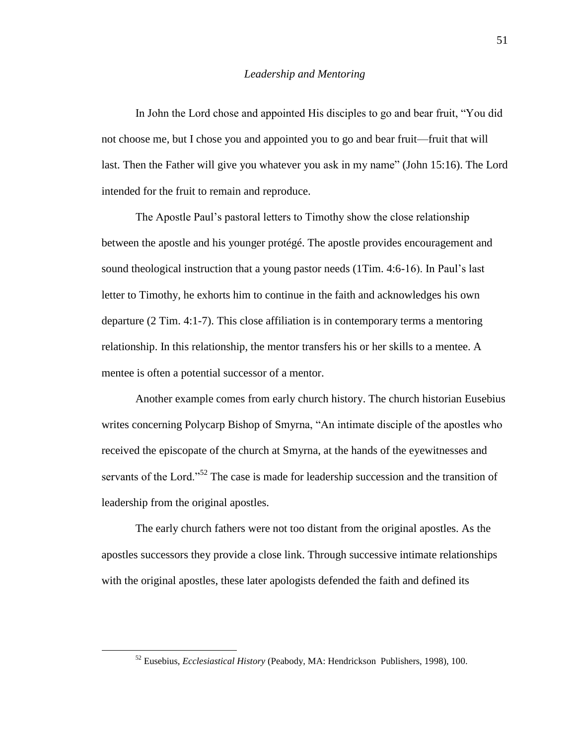### *Leadership and Mentoring*

In John the Lord chose and appointed His disciples to go and bear fruit, "You did" not choose me, but I chose you and appointed you to go and bear fruit—fruit that will last. Then the Father will give you whatever you ask in my name" (John 15:16). The Lord intended for the fruit to remain and reproduce.

The Apostle Paul's pastoral letters to Timothy show the close relationship between the apostle and his younger protégé. The apostle provides encouragement and sound theological instruction that a young pastor needs (1Tim. 4:6-16). In Paul's last letter to Timothy, he exhorts him to continue in the faith and acknowledges his own departure (2 Tim. 4:1-7). This close affiliation is in contemporary terms a mentoring relationship. In this relationship, the mentor transfers his or her skills to a mentee. A mentee is often a potential successor of a mentor.

Another example comes from early church history. The church historian Eusebius writes concerning Polycarp Bishop of Smyrna, "An intimate disciple of the apostles who received the episcopate of the church at Smyrna, at the hands of the eyewitnesses and servants of the Lord.<sup>52</sup> The case is made for leadership succession and the transition of leadership from the original apostles.

The early church fathers were not too distant from the original apostles. As the apostles successors they provide a close link. Through successive intimate relationships with the original apostles, these later apologists defended the faith and defined its

<sup>52</sup> Eusebius, *Ecclesiastical History* (Peabody, MA: Hendrickson Publishers, 1998), 100.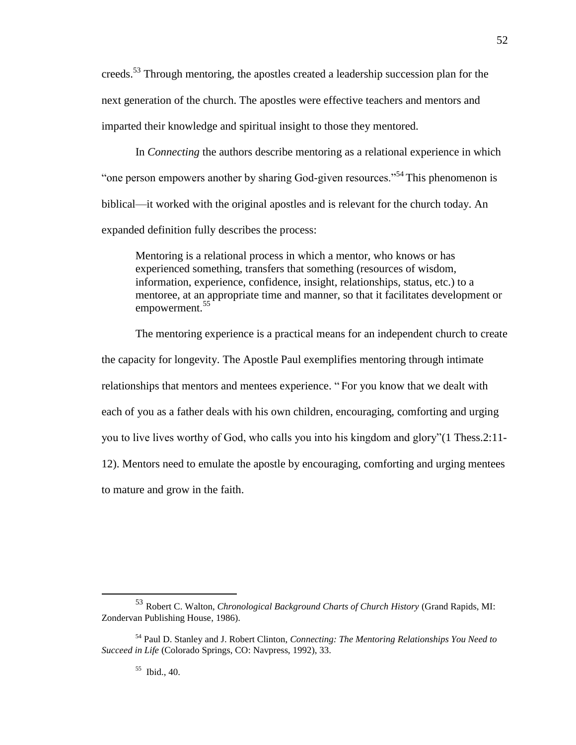creeds.<sup>53</sup> Through mentoring, the apostles created a leadership succession plan for the next generation of the church. The apostles were effective teachers and mentors and imparted their knowledge and spiritual insight to those they mentored.

In *Connecting* the authors describe mentoring as a relational experience in which " one person empowers another by sharing God-given resources."<sup>54</sup> This phenomenon is biblical—it worked with the original apostles and is relevant for the church today. An expanded definition fully describes the process:

Mentoring is a relational process in which a mentor, who knows or has experienced something, transfers that something (resources of wisdom, information, experience, confidence, insight, relationships, status, etc.) to a mentoree, at an appropriate time and manner, so that it facilitates development or empowerment.<sup>55</sup>

The mentoring experience is a practical means for an independent church to create the capacity for longevity. The Apostle Paul exemplifies mentoring through intimate relationships that mentors and mentees experience. "For you know that we dealt with each of you as a father deals with his own children, encouraging, comforting and urging you to live lives worthy of God, who calls you into his kingdom and glory"(1 Thess.2:11-12). Mentors need to emulate the apostle by encouraging, comforting and urging mentees to mature and grow in the faith.

55 Ibid., 40.

<sup>53</sup> Robert C. Walton, *Chronological Background Charts of Church History* (Grand Rapids, MI: Zondervan Publishing House, 1986).

<sup>54</sup> Paul D. Stanley and J. Robert Clinton, *Connecting: The Mentoring Relationships You Need to Succeed in Life* (Colorado Springs, CO: Navpress, 1992), 33.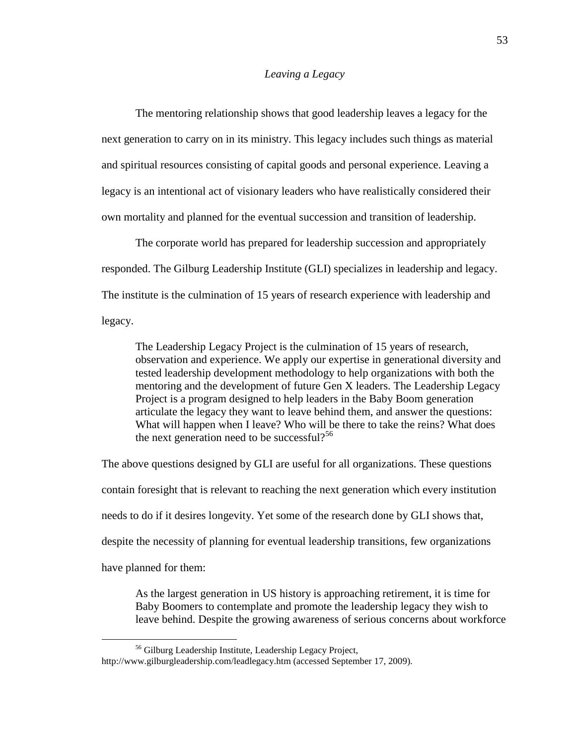#### *Leaving a Legacy*

The mentoring relationship shows that good leadership leaves a legacy for the next generation to carry on in its ministry. This legacy includes such things as material and spiritual resources consisting of capital goods and personal experience. Leaving a legacy is an intentional act of visionary leaders who have realistically considered their own mortality and planned for the eventual succession and transition of leadership.

The corporate world has prepared for leadership succession and appropriately responded. The Gilburg Leadership Institute (GLI) specializes in leadership and legacy. The institute is the culmination of 15 years of research experience with leadership and legacy.

The Leadership Legacy Project is the culmination of 15 years of research, observation and experience. We apply our expertise in generational diversity and tested leadership development methodology to help organizations with both the mentoring and the development of future Gen X leaders. The Leadership Legacy Project is a program designed to help leaders in the Baby Boom generation articulate the legacy they want to leave behind them, and answer the questions: What will happen when I leave? Who will be there to take the reins? What does the next generation need to be successful?<sup>56</sup>

The above questions designed by GLI are useful for all organizations. These questions contain foresight that is relevant to reaching the next generation which every institution needs to do if it desires longevity. Yet some of the research done by GLI shows that, despite the necessity of planning for eventual leadership transitions, few organizations have planned for them:

As the largest generation in US history is approaching retirement, it is time for Baby Boomers to contemplate and promote the leadership legacy they wish to leave behind. Despite the growing awareness of serious concerns about workforce

<sup>56</sup> Gilburg Leadership Institute, Leadership Legacy Project, http://www.gilburgleadership.com/leadlegacy.htm (accessed September 17, 2009).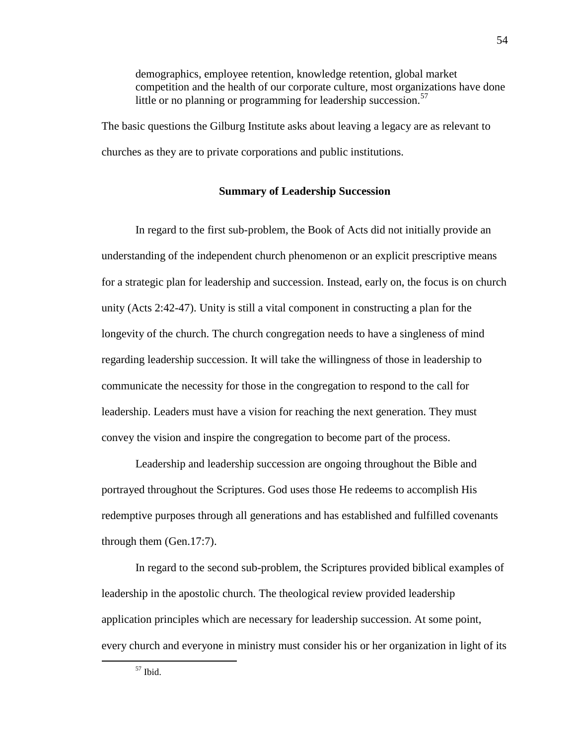demographics, employee retention, knowledge retention, global market competition and the health of our corporate culture, most organizations have done little or no planning or programming for leadership succession.<sup>57</sup>

The basic questions the Gilburg Institute asks about leaving a legacy are as relevant to churches as they are to private corporations and public institutions.

# **Summary of Leadership Succession**

In regard to the first sub-problem, the Book of Acts did not initially provide an understanding of the independent church phenomenon or an explicit prescriptive means for a strategic plan for leadership and succession. Instead, early on, the focus is on church unity (Acts 2:42-47). Unity is still a vital component in constructing a plan for the longevity of the church. The church congregation needs to have a singleness of mind regarding leadership succession. It will take the willingness of those in leadership to communicate the necessity for those in the congregation to respond to the call for leadership. Leaders must have a vision for reaching the next generation. They must convey the vision and inspire the congregation to become part of the process.

Leadership and leadership succession are ongoing throughout the Bible and portrayed throughout the Scriptures. God uses those He redeems to accomplish His redemptive purposes through all generations and has established and fulfilled covenants through them (Gen.17:7).

In regard to the second sub-problem, the Scriptures provided biblical examples of leadership in the apostolic church. The theological review provided leadership application principles which are necessary for leadership succession. At some point, every church and everyone in ministry must consider his or her organization in light of its

 $57$  Ibid.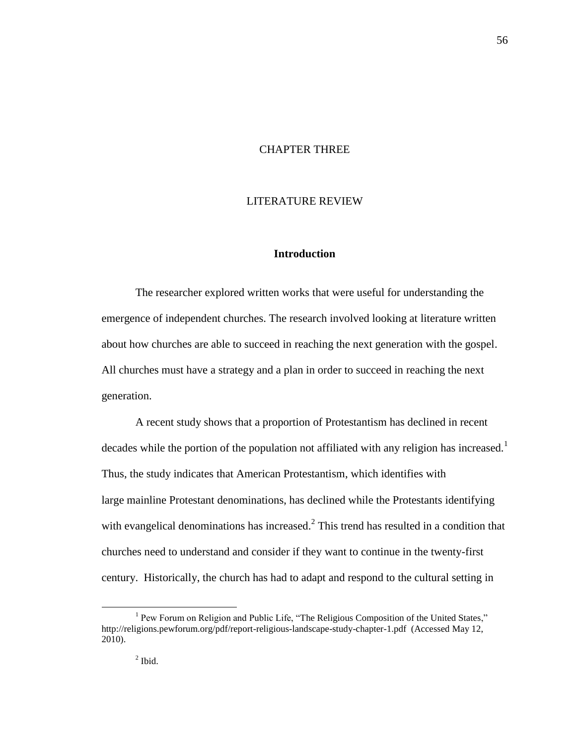## CHAPTER THREE

### LITERATURE REVIEW

# **Introduction**

The researcher explored written works that were useful for understanding the emergence of independent churches. The research involved looking at literature written about how churches are able to succeed in reaching the next generation with the gospel. All churches must have a strategy and a plan in order to succeed in reaching the next generation.

A recent study shows that a proportion of Protestantism has declined in recent decades while the portion of the population not affiliated with any religion has increased.<sup>1</sup> Thus, the study indicates that American Protestantism, which identifies with large mainline Protestant denominations, has declined while the Protestants identifying with evangelical denominations has increased. $2$  This trend has resulted in a condition that churches need to understand and consider if they want to continue in the twenty-first century. Historically, the church has had to adapt and respond to the cultural setting in

<sup>&</sup>lt;sup>1</sup> Pew Forum on Religion and Public Life, "The Religious Composition of the United States," http://religions.pewforum.org/pdf/report-religious-landscape-study-chapter-1.pdf (Accessed May 12, 2010).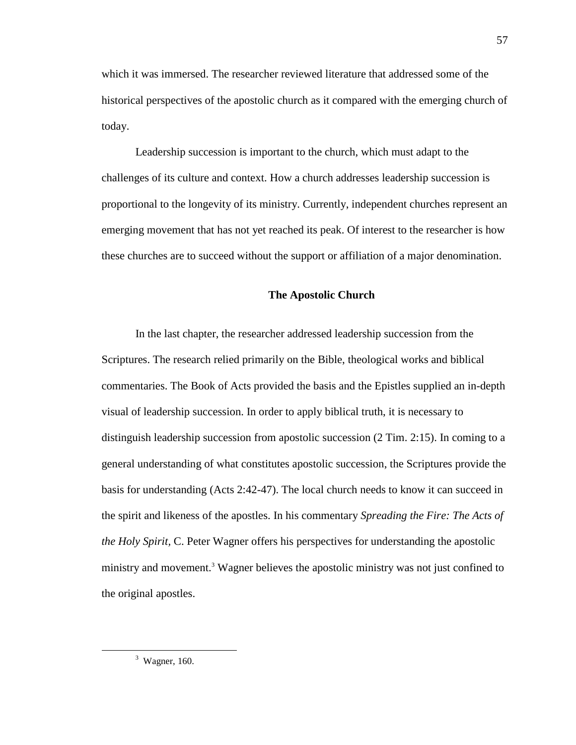which it was immersed. The researcher reviewed literature that addressed some of the historical perspectives of the apostolic church as it compared with the emerging church of today.

Leadership succession is important to the church, which must adapt to the challenges of its culture and context. How a church addresses leadership succession is proportional to the longevity of its ministry. Currently, independent churches represent an emerging movement that has not yet reached its peak. Of interest to the researcher is how these churches are to succeed without the support or affiliation of a major denomination.

#### **The Apostolic Church**

In the last chapter, the researcher addressed leadership succession from the Scriptures. The research relied primarily on the Bible, theological works and biblical commentaries. The Book of Acts provided the basis and the Epistles supplied an in-depth visual of leadership succession. In order to apply biblical truth, it is necessary to distinguish leadership succession from apostolic succession (2 Tim. 2:15). In coming to a general understanding of what constitutes apostolic succession, the Scriptures provide the basis for understanding (Acts 2:42-47). The local church needs to know it can succeed in the spirit and likeness of the apostles. In his commentary *Spreading the Fire: The Acts of the Holy Spirit,* C. Peter Wagner offers his perspectives for understanding the apostolic ministry and movement.<sup>3</sup> Wagner believes the apostolic ministry was not just confined to the original apostles.

 $3$  Wagner, 160.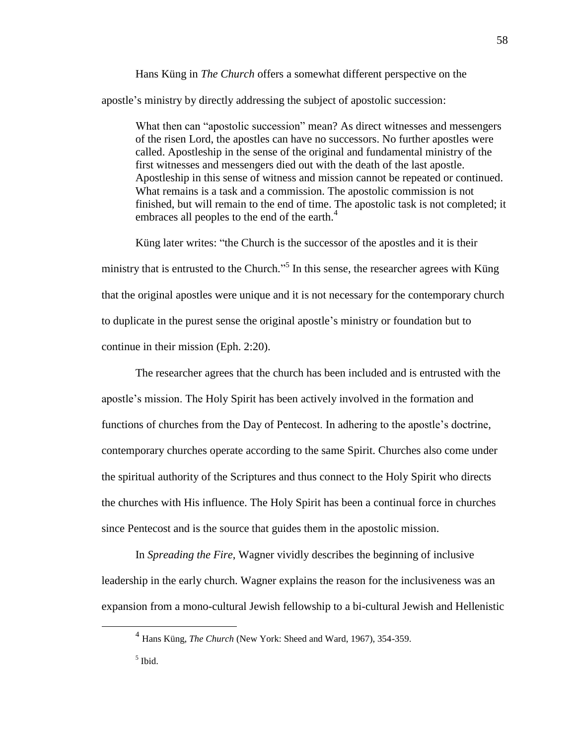Hans Küng in *The Church* offers a somewhat different perspective on the apostle's ministry by directly addressing the subject of apostolic succession:

What then can "apostolic succession" mean? As direct witnesses and messengers of the risen Lord, the apostles can have no successors. No further apostles were called. Apostleship in the sense of the original and fundamental ministry of the first witnesses and messengers died out with the death of the last apostle. Apostleship in this sense of witness and mission cannot be repeated or continued. What remains is a task and a commission. The apostolic commission is not finished, but will remain to the end of time. The apostolic task is not completed; it embraces all peoples to the end of the earth.<sup>4</sup>

Küng later writes: "the Church is the successor of the apostles and it is their ministry that is entrusted to the Church.<sup> $,5}$ </sup> In this sense, the researcher agrees with Küng that the original apostles were unique and it is not necessary for the contemporary church to duplicate in the purest sense the original apostle's ministry or foundation but to continue in their mission (Eph. 2:20).

The researcher agrees that the church has been included and is entrusted with the apostle's mission. The Holy Spirit has been actively involved in the formation and functions of churches from the Day of Pentecost. In adhering to the apostle's doctrine, contemporary churches operate according to the same Spirit. Churches also come under the spiritual authority of the Scriptures and thus connect to the Holy Spirit who directs the churches with His influence. The Holy Spirit has been a continual force in churches since Pentecost and is the source that guides them in the apostolic mission.

In *Spreading the Fire*, Wagner vividly describes the beginning of inclusive leadership in the early church. Wagner explains the reason for the inclusiveness was an expansion from a mono-cultural Jewish fellowship to a bi-cultural Jewish and Hellenistic

<sup>4</sup> Hans Küng, *The Church* (New York: Sheed and Ward, 1967), 354-359.

<sup>5</sup> Ibid.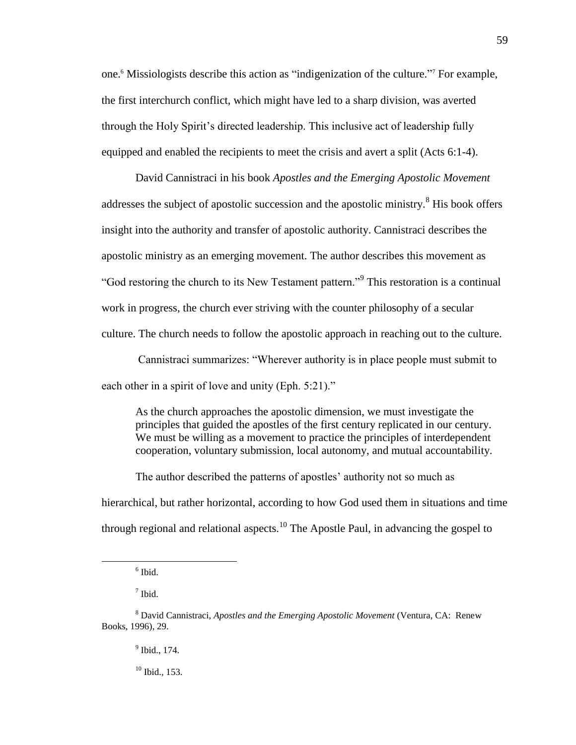one.<sup>6</sup> Missiologists describe this action as "indigenization of the culture."<sup>7</sup> For example, the first interchurch conflict, which might have led to a sharp division, was averted through the Holy Spirit's directed leadership. This inclusive act of leadership fully equipped and enabled the recipients to meet the crisis and avert a split (Acts 6:1-4).

David Cannistraci in his book *Apostles and the Emerging Apostolic Movement* addresses the subject of apostolic succession and the apostolic ministry*.* <sup>8</sup> His book offers insight into the authority and transfer of apostolic authority. Cannistraci describes the apostolic ministry as an emerging movement. The author describes this movement as "God restoring the church to its New Testament pattern."<sup>9</sup> This restoration is a continual work in progress, the church ever striving with the counter philosophy of a secular culture. The church needs to follow the apostolic approach in reaching out to the culture.

Cannistraci summarizes: "Wherever authority is in place people must submit to each other in a spirit of love and unity (Eph. 5:21)."

As the church approaches the apostolic dimension, we must investigate the principles that guided the apostles of the first century replicated in our century. We must be willing as a movement to practice the principles of interdependent cooperation, voluntary submission, local autonomy, and mutual accountability.

The author described the patterns of apostles' authority not so much as hierarchical, but rather horizontal, according to how God used them in situations and time through regional and relational aspects.<sup>10</sup> The Apostle Paul, in advancing the gospel to

<sup>6</sup> Ibid.

<sup>7</sup> Ibid.

<sup>8</sup> David Cannistraci, *Apostles and the Emerging Apostolic Movement* (Ventura, CA: Renew Books, 1996), 29.

<sup>&</sup>lt;sup>9</sup> Ibid., 174.

 $10$  Ibid., 153.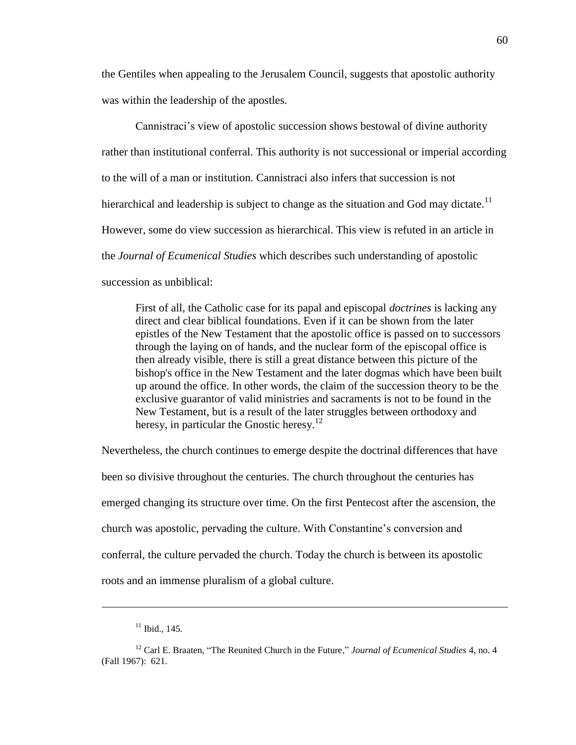the Gentiles when appealing to the Jerusalem Council, suggests that apostolic authority was within the leadership of the apostles.

Cannistraci's view of apostolic succession shows bestowal of divine authority rather than institutional conferral. This authority is not successional or imperial according to the will of a man or institution. Cannistraci also infers that succession is not hierarchical and leadership is subject to change as the situation and God may dictate.<sup>11</sup> However, some do view succession as hierarchical. This view is refuted in an article in the *Journal of Ecumenical Studies* which describes such understanding of apostolic succession as unbiblical:

First of all, the Catholic case for its papal and episcopal *doctrines* is lacking any direct and clear biblical foundations. Even if it can be shown from the later epistles of the New Testament that the apostolic office is passed on to successors through the laying on of hands, and the nuclear form of the episcopal office is then already visible, there is still a great distance between this picture of the bishop's office in the New Testament and the later dogmas which have been built up around the office. In other words, the claim of the succession theory to be the exclusive guarantor of valid ministries and sacraments is not to be found in the New Testament, but is a result of the later struggles between orthodoxy and heresy, in particular the Gnostic heresy.<sup>12</sup>

Nevertheless, the church continues to emerge despite the doctrinal differences that have been so divisive throughout the centuries. The church throughout the centuries has emerged changing its structure over time. On the first Pentecost after the ascension, the church was apostolic, pervading the culture. With Constantine's conversion and conferral, the culture pervaded the church. Today the church is between its apostolic roots and an immense pluralism of a global culture.

 $11$  Ibid., 145.

<sup>&</sup>lt;sup>12</sup> Carl E. Braaten, "The Reunited Church in the Future," *Journal of Ecumenical Studies* 4, no. 4 (Fall 1967): 621.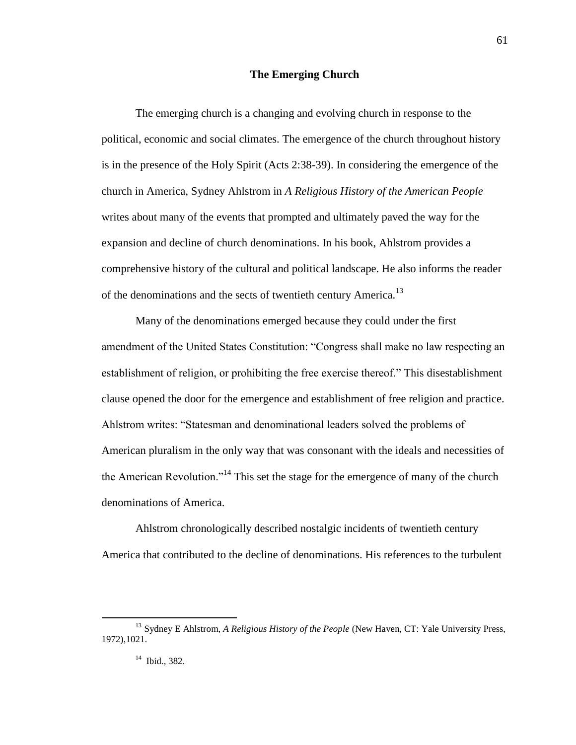### **The Emerging Church**

The emerging church is a changing and evolving church in response to the political, economic and social climates. The emergence of the church throughout history is in the presence of the Holy Spirit (Acts 2:38-39). In considering the emergence of the church in America, Sydney Ahlstrom in *A Religious History of the American People*  writes about many of the events that prompted and ultimately paved the way for the expansion and decline of church denominations. In his book, Ahlstrom provides a comprehensive history of the cultural and political landscape. He also informs the reader of the denominations and the sects of twentieth century America.<sup>13</sup>

Many of the denominations emerged because they could under the first amendment of the United States Constitution: "Congress shall make no law respecting an establishment of religion, or prohibiting the free exercise thereof." This disestablishment clause opened the door for the emergence and establishment of free religion and practice. Ahlstrom writes: "Statesman and denominational leaders solved the problems of American pluralism in the only way that was consonant with the ideals and necessities of the American Revolution.<sup> $14$ </sup> This set the stage for the emergence of many of the church denominations of America.

Ahlstrom chronologically described nostalgic incidents of twentieth century America that contributed to the decline of denominations. His references to the turbulent

<sup>&</sup>lt;sup>13</sup> Sydney E Ahlstrom, *A Religious History of the People* (New Haven, CT: Yale University Press, 1972),1021.

<sup>14</sup> Ibid., 382.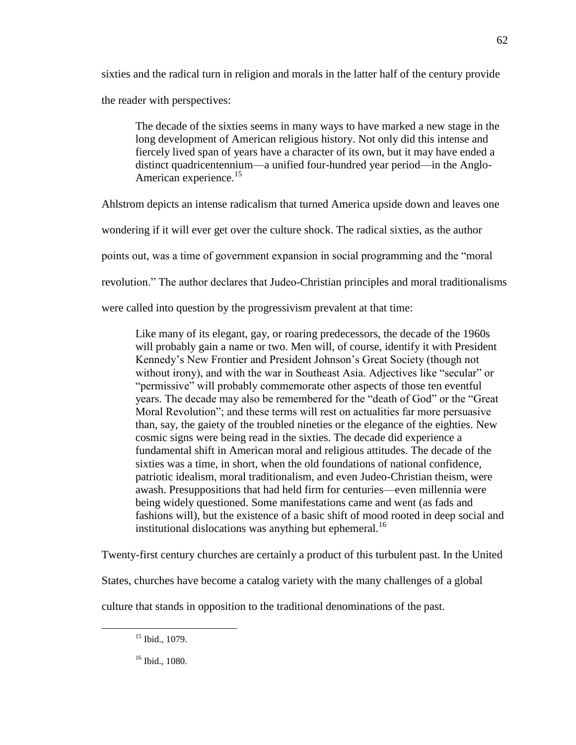sixties and the radical turn in religion and morals in the latter half of the century provide the reader with perspectives:

The decade of the sixties seems in many ways to have marked a new stage in the long development of American religious history. Not only did this intense and fiercely lived span of years have a character of its own, but it may have ended a distinct quadricentennium—a unified four-hundred year period—in the Anglo-American experience.<sup>15</sup>

Ahlstrom depicts an intense radicalism that turned America upside down and leaves one

wondering if it will ever get over the culture shock. The radical sixties, as the author

points out, was a time of government expansion in social programming and the "moral"

revolution." The author declares that Judeo-Christian principles and moral traditionalisms

were called into question by the progressivism prevalent at that time:

Like many of its elegant, gay, or roaring predecessors, the decade of the 1960s will probably gain a name or two. Men will, of course, identify it with President Kennedy's New Frontier and President Johnson's Great Society (though not without irony), and with the war in Southeast Asia. Adjectives like "secular" or "permissive" will probably commemorate other aspects of those ten eventful years. The decade may also be remembered for the "death of God" or the "Great Moral Revolution"; and these terms will rest on actualities far more persuasive than, say, the gaiety of the troubled nineties or the elegance of the eighties. New cosmic signs were being read in the sixties. The decade did experience a fundamental shift in American moral and religious attitudes. The decade of the sixties was a time, in short, when the old foundations of national confidence, patriotic idealism, moral traditionalism, and even Judeo-Christian theism, were awash. Presuppositions that had held firm for centuries—even millennia were being widely questioned. Some manifestations came and went (as fads and fashions will), but the existence of a basic shift of mood rooted in deep social and institutional dislocations was anything but ephemeral.<sup>16</sup>

Twenty-first century churches are certainly a product of this turbulent past. In the United

States, churches have become a catalog variety with the many challenges of a global

culture that stands in opposition to the traditional denominations of the past.

 $\overline{a}$ 

62

<sup>&</sup>lt;sup>15</sup> Ibid., 1079.

<sup>16</sup> Ibid., 1080.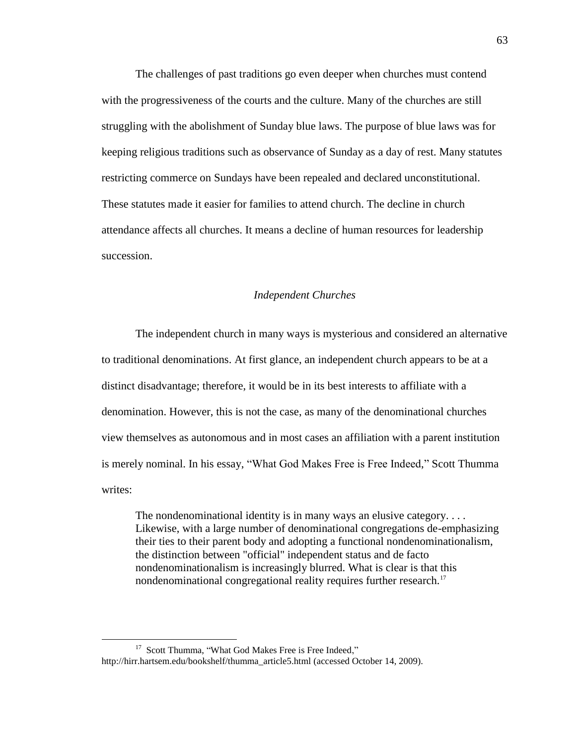The challenges of past traditions go even deeper when churches must contend with the progressiveness of the courts and the culture. Many of the churches are still struggling with the abolishment of Sunday blue laws. The purpose of blue laws was for keeping religious traditions such as observance of Sunday as a day of rest. Many statutes restricting commerce on Sundays have been repealed and declared unconstitutional. These statutes made it easier for families to attend church. The decline in church attendance affects all churches. It means a decline of human resources for leadership succession.

## *Independent Churches*

The independent church in many ways is mysterious and considered an alternative to traditional denominations. At first glance, an independent church appears to be at a distinct disadvantage; therefore, it would be in its best interests to affiliate with a denomination. However, this is not the case, as many of the denominational churches view themselves as autonomous and in most cases an affiliation with a parent institution is merely nominal. In his essay, "What God Makes Free is Free Indeed," Scott Thumma writes:

The nondenominational identity is in many ways an elusive category.... Likewise, with a large number of denominational congregations de-emphasizing their ties to their parent body and adopting a functional nondenominationalism, the distinction between "official" independent status and de facto nondenominationalism is increasingly blurred. What is clear is that this nondenominational congregational reality requires further research.<sup>17</sup>

<sup>&</sup>lt;sup>17</sup> Scott Thumma, "What God Makes Free is Free Indeed," http://hirr.hartsem.edu[/bookshelf/thumma\\_article5.html](http://hirr.hartsem.edu/bookshelf/thumma_article5.html) (accessed October 14, 2009).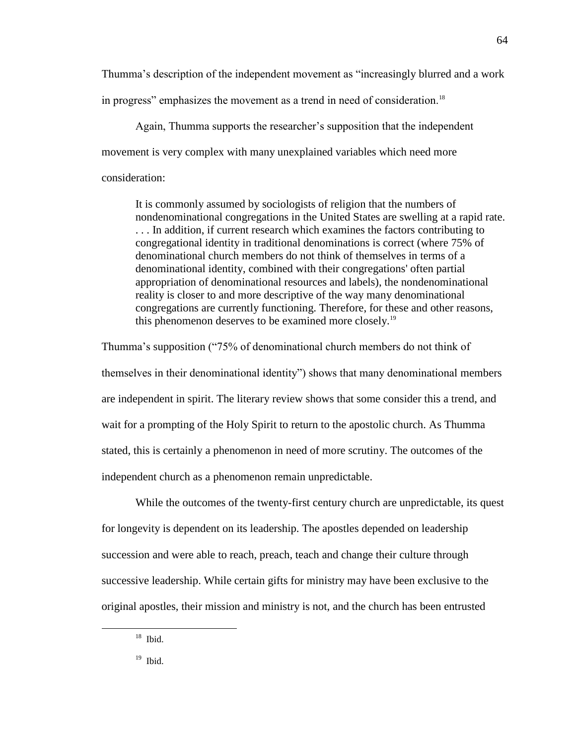Thumma's description of the independent movement as "increasingly blurred and a work in progress" emphasizes the movement as a trend in need of consideration.<sup>18</sup>

Again, Thumma supports the researcher's supposition that the independent movement is very complex with many unexplained variables which need more consideration:

It is commonly assumed by sociologists of religion that the numbers of nondenominational congregations in the United States are swelling at a rapid rate. . . . In addition, if current research which examines the factors contributing to congregational identity in traditional denominations is correct (where 75% of denominational church members do not think of themselves in terms of a denominational identity, combined with their congregations' often partial appropriation of denominational resources and labels), the nondenominational reality is closer to and more descriptive of the way many denominational congregations are currently functioning. Therefore, for these and other reasons, this phenomenon deserves to be examined more closely.<sup>19</sup>

Thumma's supposition ("75% of denominational church members do not think of themselves in their denominational identity") shows that many denominational members are independent in spirit. The literary review shows that some consider this a trend, and wait for a prompting of the Holy Spirit to return to the apostolic church. As Thumma stated, this is certainly a phenomenon in need of more scrutiny. The outcomes of the independent church as a phenomenon remain unpredictable.

While the outcomes of the twenty-first century church are unpredictable, its quest for longevity is dependent on its leadership. The apostles depended on leadership succession and were able to reach, preach, teach and change their culture through successive leadership. While certain gifts for ministry may have been exclusive to the original apostles, their mission and ministry is not, and the church has been entrusted

 $\overline{a}$ 

 $19$  Ibid.

<sup>18</sup> Ibid.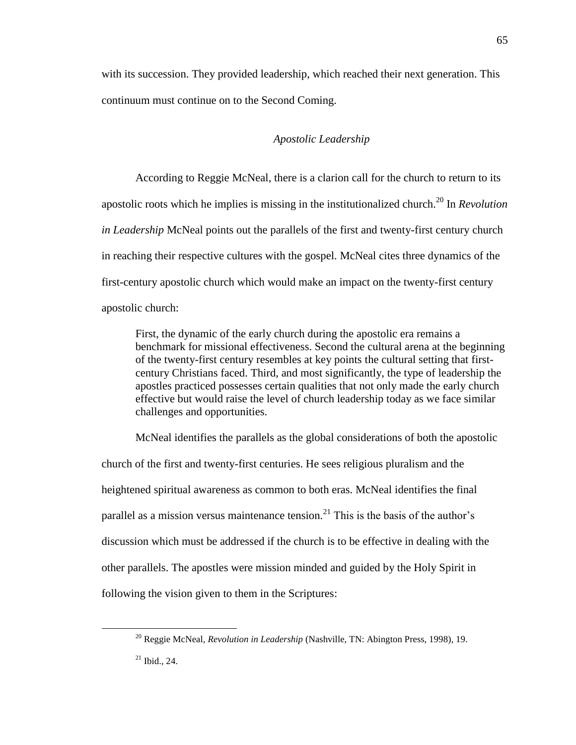with its succession. They provided leadership, which reached their next generation. This continuum must continue on to the Second Coming.

## *Apostolic Leadership*

According to Reggie McNeal, there is a clarion call for the church to return to its apostolic roots which he implies is missing in the institutionalized church.<sup>20</sup> In *Revolution in Leadership* McNeal points out the parallels of the first and twenty-first century church in reaching their respective cultures with the gospel. McNeal cites three dynamics of the first-century apostolic church which would make an impact on the twenty-first century apostolic church:

First, the dynamic of the early church during the apostolic era remains a benchmark for missional effectiveness. Second the cultural arena at the beginning of the twenty-first century resembles at key points the cultural setting that firstcentury Christians faced. Third, and most significantly, the type of leadership the apostles practiced possesses certain qualities that not only made the early church effective but would raise the level of church leadership today as we face similar challenges and opportunities.

McNeal identifies the parallels as the global considerations of both the apostolic church of the first and twenty-first centuries. He sees religious pluralism and the heightened spiritual awareness as common to both eras. McNeal identifies the final parallel as a mission versus maintenance tension.<sup>21</sup> This is the basis of the author's discussion which must be addressed if the church is to be effective in dealing with the other parallels. The apostles were mission minded and guided by the Holy Spirit in following the vision given to them in the Scriptures:

<sup>20</sup> Reggie McNeal, *Revolution in Leadership* (Nashville, TN: Abington Press, 1998), 19.

 $21$  Ibid., 24.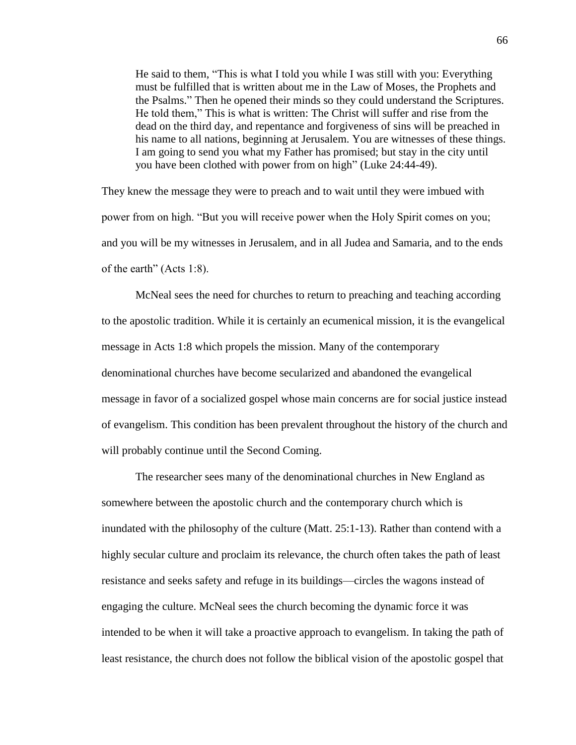He said to them, "This is what I told you while I was still with you: Everything must be fulfilled that is written about me in the Law of Moses, the Prophets and the Psalms.‖ Then he opened their minds so they could understand the Scriptures. He told them," This is what is written: The Christ will suffer and rise from the dead on the third day, and repentance and forgiveness of sins will be preached in his name to all nations, beginning at Jerusalem. You are witnesses of these things. I am going to send you what my Father has promised; but stay in the city until you have been clothed with power from on high" (Luke 24:44-49).

They knew the message they were to preach and to wait until they were imbued with power from on high. "But you will receive power when the Holy Spirit comes on you; and you will be my witnesses in Jerusalem, and in all Judea and Samaria, and to the ends of the earth" (Acts 1:8).

McNeal sees the need for churches to return to preaching and teaching according to the apostolic tradition. While it is certainly an ecumenical mission, it is the evangelical message in Acts 1:8 which propels the mission. Many of the contemporary denominational churches have become secularized and abandoned the evangelical message in favor of a socialized gospel whose main concerns are for social justice instead of evangelism. This condition has been prevalent throughout the history of the church and will probably continue until the Second Coming.

The researcher sees many of the denominational churches in New England as somewhere between the apostolic church and the contemporary church which is inundated with the philosophy of the culture (Matt. 25:1-13). Rather than contend with a highly secular culture and proclaim its relevance, the church often takes the path of least resistance and seeks safety and refuge in its buildings—circles the wagons instead of engaging the culture. McNeal sees the church becoming the dynamic force it was intended to be when it will take a proactive approach to evangelism. In taking the path of least resistance, the church does not follow the biblical vision of the apostolic gospel that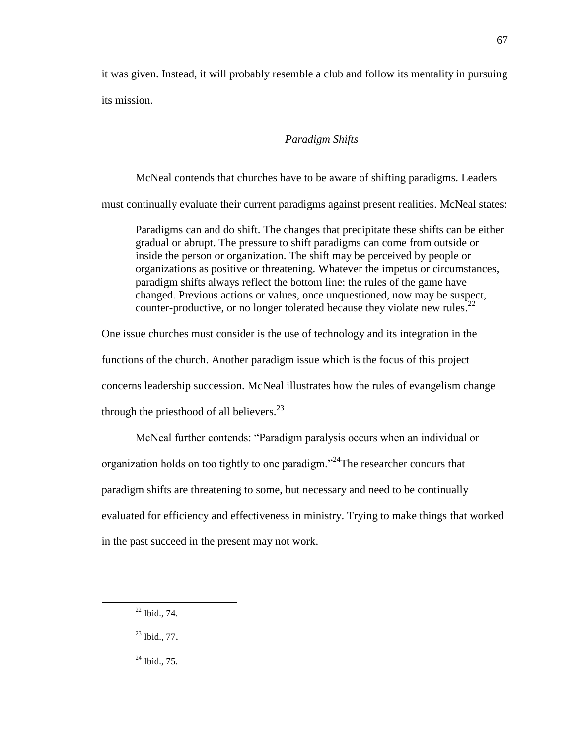it was given. Instead, it will probably resemble a club and follow its mentality in pursuing its mission.

## *Paradigm Shifts*

McNeal contends that churches have to be aware of shifting paradigms. Leaders must continually evaluate their current paradigms against present realities. McNeal states: Paradigms can and do shift. The changes that precipitate these shifts can be either gradual or abrupt. The pressure to shift paradigms can come from outside or inside the person or organization. The shift may be perceived by people or organizations as positive or threatening. Whatever the impetus or circumstances,

paradigm shifts always reflect the bottom line: the rules of the game have changed. Previous actions or values, once unquestioned, now may be suspect, counter-productive, or no longer tolerated because they violate new rules.<sup>22</sup>

One issue churches must consider is the use of technology and its integration in the

functions of the church. Another paradigm issue which is the focus of this project

concerns leadership succession. McNeal illustrates how the rules of evangelism change

through the priesthood of all believers. $^{23}$ 

McNeal further contends: "Paradigm paralysis occurs when an individual or organization holds on too tightly to one paradigm.<sup>24</sup>The researcher concurs that paradigm shifts are threatening to some, but necessary and need to be continually evaluated for efficiency and effectiveness in ministry. Trying to make things that worked in the past succeed in the present may not work.

 $\overline{a}$ 

 $24$  Ibid., 75.

<sup>22</sup> Ibid., 74.

 $^{23}$  Ibid., 77.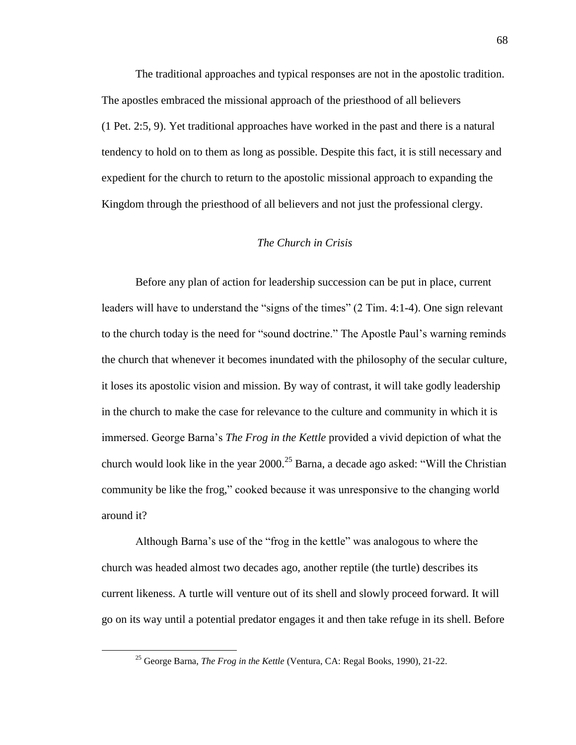The traditional approaches and typical responses are not in the apostolic tradition. The apostles embraced the missional approach of the priesthood of all believers (1 Pet. 2:5, 9). Yet traditional approaches have worked in the past and there is a natural tendency to hold on to them as long as possible. Despite this fact, it is still necessary and expedient for the church to return to the apostolic missional approach to expanding the Kingdom through the priesthood of all believers and not just the professional clergy.

## *The Church in Crisis*

Before any plan of action for leadership succession can be put in place, current leaders will have to understand the "signs of the times"  $(2 \text{ Tim. } 4:1-4)$ . One sign relevant to the church today is the need for "sound doctrine." The Apostle Paul's warning reminds the church that whenever it becomes inundated with the philosophy of the secular culture, it loses its apostolic vision and mission. By way of contrast, it will take godly leadership in the church to make the case for relevance to the culture and community in which it is immersed. George Barna's *The Frog in the Kettle* provided a vivid depiction of what the church would look like in the year  $2000$ <sup>25</sup> Barna, a decade ago asked: "Will the Christian" community be like the frog," cooked because it was unresponsive to the changing world around it?

Although Barna's use of the "frog in the kettle" was analogous to where the church was headed almost two decades ago, another reptile (the turtle) describes its current likeness. A turtle will venture out of its shell and slowly proceed forward. It will go on its way until a potential predator engages it and then take refuge in its shell. Before

<sup>25</sup> George Barna, *The Frog in the Kettle* (Ventura, CA: Regal Books, 1990), 21-22.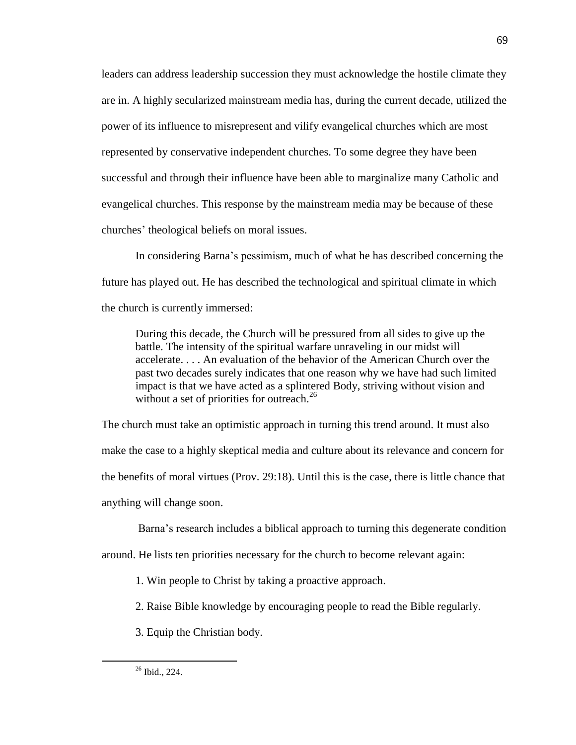leaders can address leadership succession they must acknowledge the hostile climate they are in. A highly secularized mainstream media has, during the current decade, utilized the power of its influence to misrepresent and vilify evangelical churches which are most represented by conservative independent churches. To some degree they have been successful and through their influence have been able to marginalize many Catholic and evangelical churches. This response by the mainstream media may be because of these churches' theological beliefs on moral issues.

In considering Barna's pessimism, much of what he has described concerning the future has played out. He has described the technological and spiritual climate in which the church is currently immersed:

During this decade, the Church will be pressured from all sides to give up the battle. The intensity of the spiritual warfare unraveling in our midst will accelerate. . . . An evaluation of the behavior of the American Church over the past two decades surely indicates that one reason why we have had such limited impact is that we have acted as a splintered Body, striving without vision and without a set of priorities for outreach.<sup>26</sup>

The church must take an optimistic approach in turning this trend around. It must also make the case to a highly skeptical media and culture about its relevance and concern for the benefits of moral virtues (Prov. 29:18). Until this is the case, there is little chance that anything will change soon.

Barna's research includes a biblical approach to turning this degenerate condition

around. He lists ten priorities necessary for the church to become relevant again:

1. Win people to Christ by taking a proactive approach.

2. Raise Bible knowledge by encouraging people to read the Bible regularly.

3. Equip the Christian body.

<sup>69</sup>

<sup>26</sup> Ibid.*,* 224.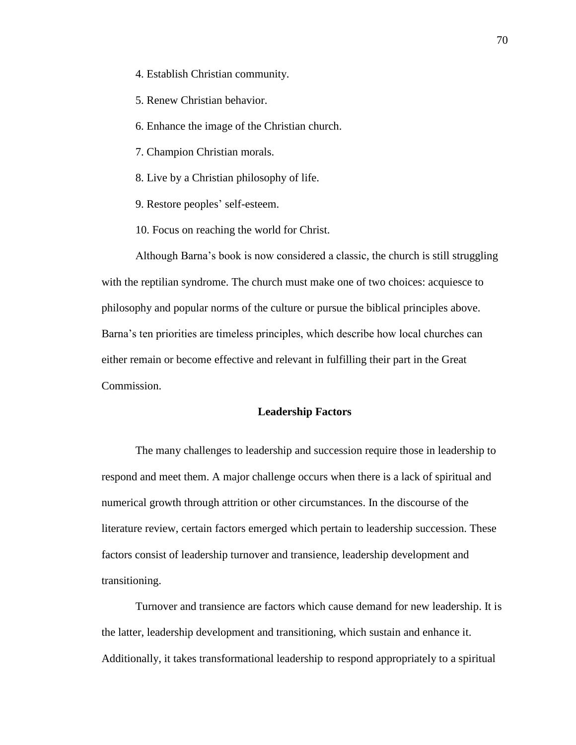- 4. Establish Christian community.
- 5. Renew Christian behavior.
- 6. Enhance the image of the Christian church.
- 7. Champion Christian morals.
- 8. Live by a Christian philosophy of life.
- 9. Restore peoples' self-esteem.
- 10. Focus on reaching the world for Christ.

Although Barna's book is now considered a classic, the church is still struggling with the reptilian syndrome. The church must make one of two choices: acquiesce to philosophy and popular norms of the culture or pursue the biblical principles above. Barna's ten priorities are timeless principles, which describe how local churches can either remain or become effective and relevant in fulfilling their part in the Great Commission.

#### **Leadership Factors**

The many challenges to leadership and succession require those in leadership to respond and meet them. A major challenge occurs when there is a lack of spiritual and numerical growth through attrition or other circumstances. In the discourse of the literature review, certain factors emerged which pertain to leadership succession. These factors consist of leadership turnover and transience, leadership development and transitioning.

Turnover and transience are factors which cause demand for new leadership. It is the latter, leadership development and transitioning, which sustain and enhance it. Additionally, it takes transformational leadership to respond appropriately to a spiritual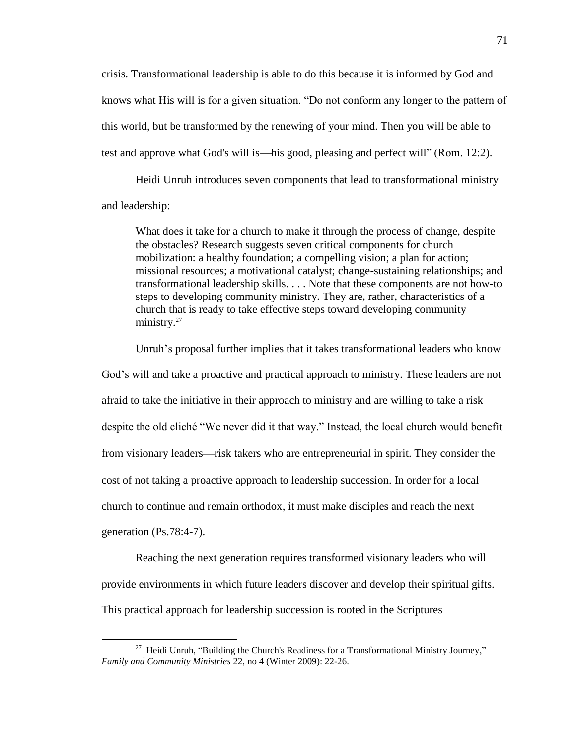crisis. Transformational leadership is able to do this because it is informed by God and knows what His will is for a given situation. "Do not conform any longer to the pattern of this world, but be transformed by the renewing of your mind. Then you will be able to test and approve what God's will is—his good, pleasing and perfect will" (Rom. 12:2).

Heidi Unruh introduces seven components that lead to transformational ministry and leadership:

What does it take for a church to make it through the process of change, despite the obstacles? Research suggests seven critical components for church mobilization: a healthy foundation; a compelling vision; a plan for action; missional resources; a motivational catalyst; change-sustaining relationships; and transformational leadership skills. . . . Note that these components are not how-to steps to developing community ministry. They are, rather, characteristics of a church that is ready to take effective steps toward developing community ministry.<sup>27</sup>

Unruh's proposal further implies that it takes transformational leaders who know God's will and take a proactive and practical approach to ministry. These leaders are not afraid to take the initiative in their approach to ministry and are willing to take a risk despite the old cliché "We never did it that way." Instead, the local church would benefit from visionary leaders—risk takers who are entrepreneurial in spirit. They consider the cost of not taking a proactive approach to leadership succession. In order for a local church to continue and remain orthodox, it must make disciples and reach the next generation (Ps.78:4-7).

Reaching the next generation requires transformed visionary leaders who will provide environments in which future leaders discover and develop their spiritual gifts. This practical approach for leadership succession is rooted in the Scriptures

<sup>&</sup>lt;sup>27</sup> Heidi Unruh, "Building the Church's Readiness for a Transformational Ministry Journey," *Family and Community Ministries* 22, no 4 (Winter 2009): 22-26.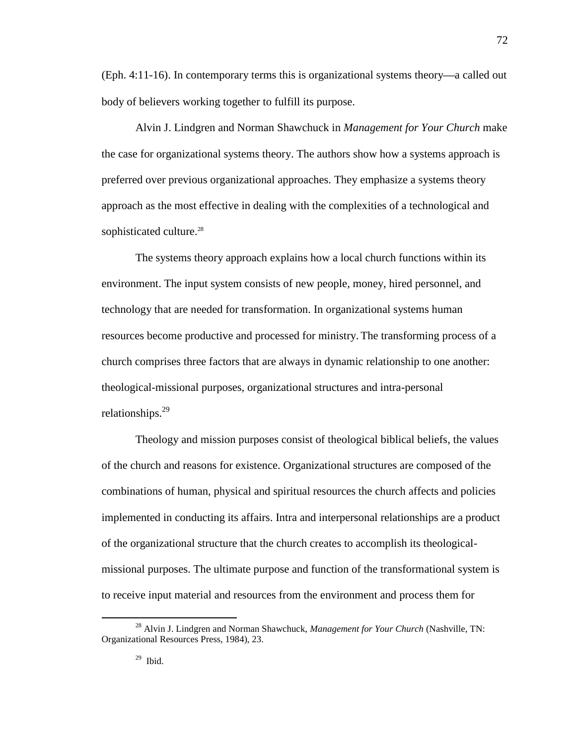$(Eph. 4:11-16)$ . In contemporary terms this is organizational systems theory—a called out body of believers working together to fulfill its purpose.

Alvin J. Lindgren and Norman Shawchuck in *Management for Your Church* make the case for organizational systems theory. The authors show how a systems approach is preferred over previous organizational approaches. They emphasize a systems theory approach as the most effective in dealing with the complexities of a technological and sophisticated culture.<sup>28</sup>

The systems theory approach explains how a local church functions within its environment. The input system consists of new people, money, hired personnel, and technology that are needed for transformation. In organizational systems human resources become productive and processed for ministry. The transforming process of a church comprises three factors that are always in dynamic relationship to one another: theological-missional purposes, organizational structures and intra-personal relationships.<sup>29</sup>

Theology and mission purposes consist of theological biblical beliefs, the values of the church and reasons for existence. Organizational structures are composed of the combinations of human, physical and spiritual resources the church affects and policies implemented in conducting its affairs. Intra and interpersonal relationships are a product of the organizational structure that the church creates to accomplish its theologicalmissional purposes. The ultimate purpose and function of the transformational system is to receive input material and resources from the environment and process them for

<sup>&</sup>lt;sup>28</sup> Alvin J. Lindgren and Norman Shawchuck, *Management for Your Church* (Nashville, TN: Organizational Resources Press, 1984), 23.

 $29$  Ibid.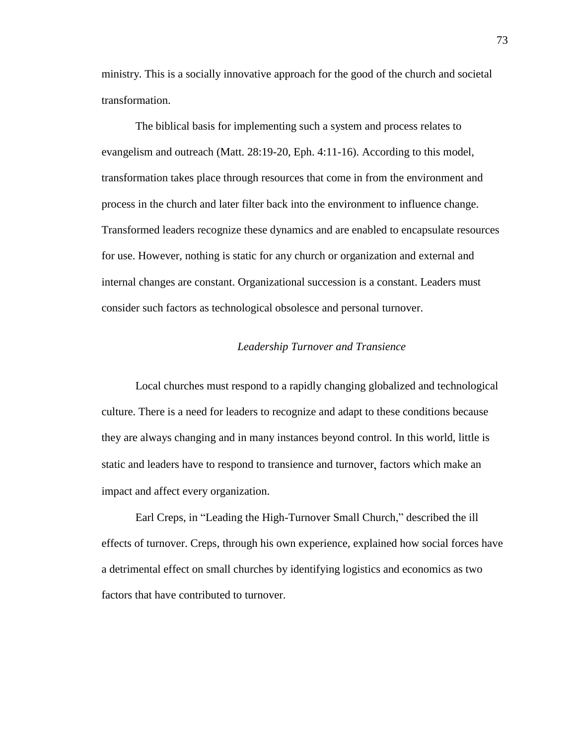ministry. This is a socially innovative approach for the good of the church and societal transformation.

The biblical basis for implementing such a system and process relates to evangelism and outreach (Matt. 28:19-20, Eph. 4:11-16). According to this model, transformation takes place through resources that come in from the environment and process in the church and later filter back into the environment to influence change. Transformed leaders recognize these dynamics and are enabled to encapsulate resources for use. However, nothing is static for any church or organization and external and internal changes are constant. Organizational succession is a constant. Leaders must consider such factors as technological obsolesce and personal turnover.

## *Leadership Turnover and Transience*

Local churches must respond to a rapidly changing globalized and technological culture. There is a need for leaders to recognize and adapt to these conditions because they are always changing and in many instances beyond control. In this world, little is static and leaders have to respond to transience and turnover, factors which make an impact and affect every organization.

Earl Creps, in "Leading the High-Turnover Small Church," described the ill effects of turnover. Creps, through his own experience, explained how social forces have a detrimental effect on small churches by identifying logistics and economics as two factors that have contributed to turnover.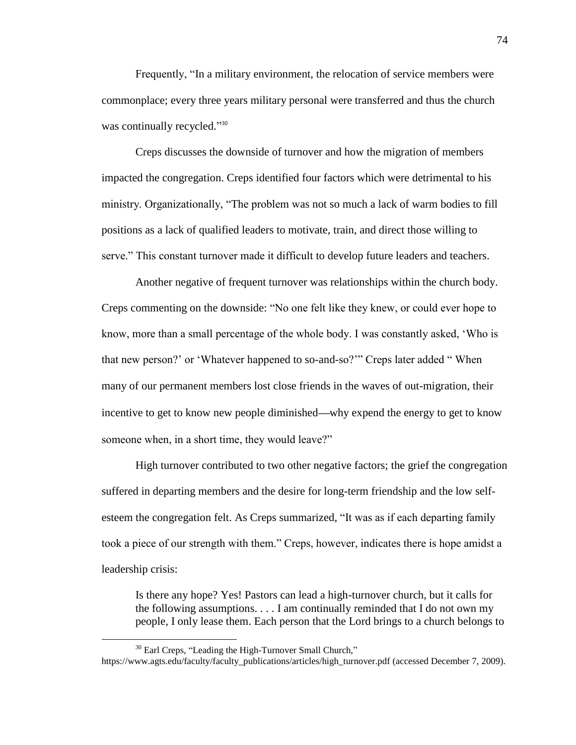Frequently, "In a military environment, the relocation of service members were commonplace; every three years military personal were transferred and thus the church was continually recycled."30

Creps discusses the downside of turnover and how the migration of members impacted the congregation. Creps identified four factors which were detrimental to his ministry. Organizationally, "The problem was not so much a lack of warm bodies to fill positions as a lack of qualified leaders to motivate, train, and direct those willing to serve." This constant turnover made it difficult to develop future leaders and teachers.

Another negative of frequent turnover was relationships within the church body. Creps commenting on the downside: "No one felt like they knew, or could ever hope to know, more than a small percentage of the whole body. I was constantly asked, 'Who is that new person?' or 'Whatever happened to so-and-so?'" Creps later added "When many of our permanent members lost close friends in the waves of out-migration, their incentive to get to know new people diminished—why expend the energy to get to know someone when, in a short time, they would leave?"

High turnover contributed to two other negative factors; the grief the congregation suffered in departing members and the desire for long-term friendship and the low selfesteem the congregation felt. As Creps summarized, "It was as if each departing family took a piece of our strength with them." Creps, however, indicates there is hope amidst a leadership crisis:

Is there any hope? Yes! Pastors can lead a high-turnover church, but it calls for the following assumptions.  $\dots$  I am continually reminded that I do not own my people, I only lease them. Each person that the Lord brings to a church belongs to

 $30$  Earl Creps, "Leading the High-Turnover Small Church,"

[https://www.agts.edu/faculty/faculty\\_publications/articles/high\\_turnover.pdf](https://www.agts.edu/faculty/faculty_publications/articles/high_turnover.pdf) (accessed December 7, 2009).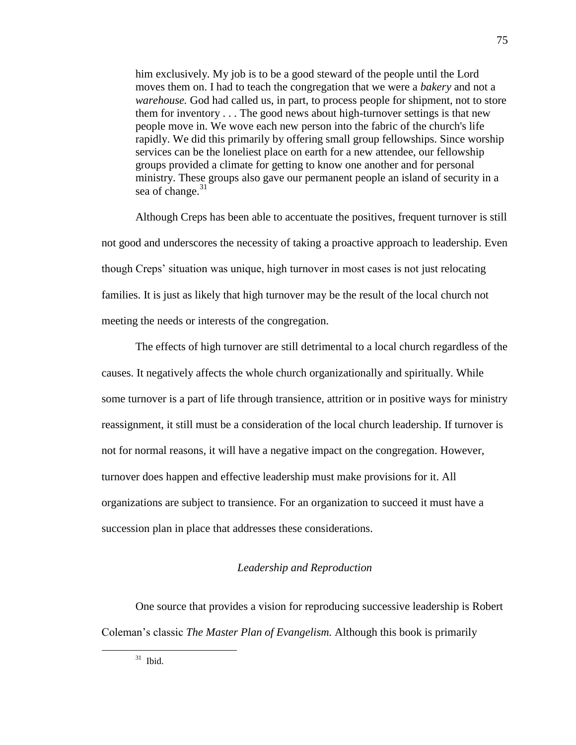him exclusively. My job is to be a good steward of the people until the Lord moves them on. I had to teach the congregation that we were a *bakery* and not a *warehouse.* God had called us, in part, to process people for shipment, not to store them for inventory . . . The good news about high-turnover settings is that new people move in. We wove each new person into the fabric of the church's life rapidly. We did this primarily by offering small group fellowships. Since worship services can be the loneliest place on earth for a new attendee, our fellowship groups provided a climate for getting to know one another and for personal ministry. These groups also gave our permanent people an island of security in a sea of change.<sup>31</sup>

Although Creps has been able to accentuate the positives, frequent turnover is still not good and underscores the necessity of taking a proactive approach to leadership. Even though Creps' situation was unique, high turnover in most cases is not just relocating families. It is just as likely that high turnover may be the result of the local church not meeting the needs or interests of the congregation.

The effects of high turnover are still detrimental to a local church regardless of the causes. It negatively affects the whole church organizationally and spiritually. While some turnover is a part of life through transience, attrition or in positive ways for ministry reassignment, it still must be a consideration of the local church leadership. If turnover is not for normal reasons, it will have a negative impact on the congregation. However, turnover does happen and effective leadership must make provisions for it. All organizations are subject to transience. For an organization to succeed it must have a succession plan in place that addresses these considerations.

## *Leadership and Reproduction*

One source that provides a vision for reproducing successive leadership is Robert Coleman's classic *The Master Plan of Evangelism.* Although this book is primarily

 $31$  Ibid.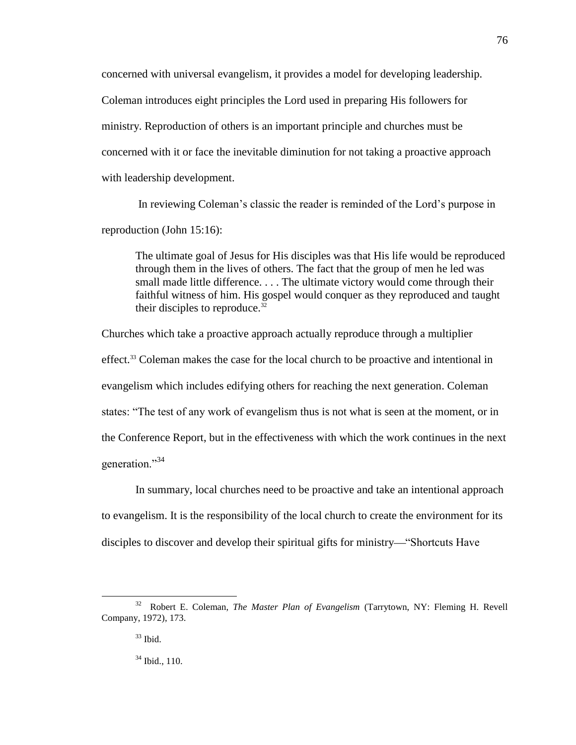concerned with universal evangelism, it provides a model for developing leadership. Coleman introduces eight principles the Lord used in preparing His followers for ministry. Reproduction of others is an important principle and churches must be concerned with it or face the inevitable diminution for not taking a proactive approach with leadership development.

In reviewing Coleman's classic the reader is reminded of the Lord's purpose in reproduction (John 15:16):

The ultimate goal of Jesus for His disciples was that His life would be reproduced through them in the lives of others. The fact that the group of men he led was small made little difference. . . . The ultimate victory would come through their faithful witness of him. His gospel would conquer as they reproduced and taught their disciples to reproduce.<sup>32</sup>

Churches which take a proactive approach actually reproduce through a multiplier effect.<sup>33</sup> Coleman makes the case for the local church to be proactive and intentional in evangelism which includes edifying others for reaching the next generation. Coleman states: "The test of any work of evangelism thus is not what is seen at the moment, or in the Conference Report, but in the effectiveness with which the work continues in the next generation."<sup>34</sup>

In summary, local churches need to be proactive and take an intentional approach to evangelism. It is the responsibility of the local church to create the environment for its disciples to discover and develop their spiritual gifts for ministry—"Shortcuts Have

<sup>32</sup> Robert E. Coleman, *The Master Plan of Evangelism* (Tarrytown, NY: Fleming H. Revell Company, 1972), 173.

 $33$  Ibid.

 $34$  Ibid., 110.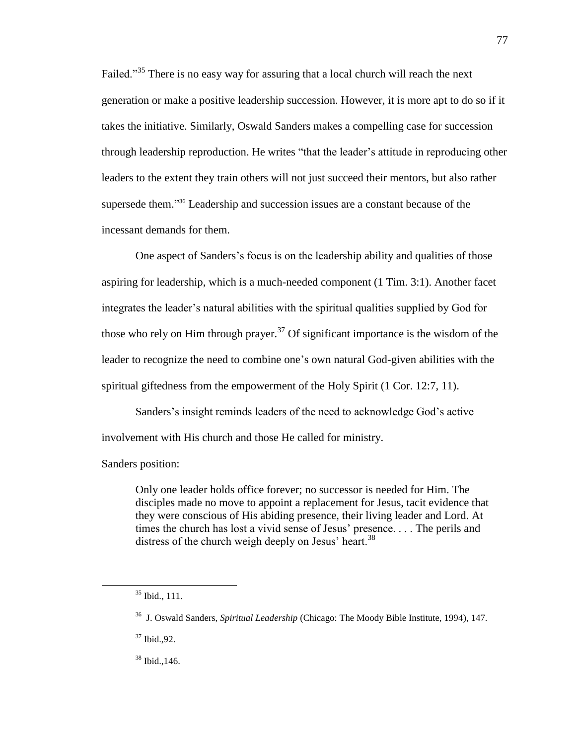Failed.<sup>35</sup> There is no easy way for assuring that a local church will reach the next generation or make a positive leadership succession. However, it is more apt to do so if it takes the initiative. Similarly, Oswald Sanders makes a compelling case for succession through leadership reproduction. He writes "that the leader's attitude in reproducing other leaders to the extent they train others will not just succeed their mentors, but also rather supersede them."<sup>36</sup> Leadership and succession issues are a constant because of the incessant demands for them.

One aspect of Sanders's focus is on the leadership ability and qualities of those aspiring for leadership, which is a much-needed component (1 Tim. 3:1). Another facet integrates the leader's natural abilities with the spiritual qualities supplied by God for those who rely on Him through prayer.<sup>37</sup> Of significant importance is the wisdom of the leader to recognize the need to combine one's own natural God-given abilities with the spiritual giftedness from the empowerment of the Holy Spirit (1 Cor. 12:7, 11).

Sanders's insight reminds leaders of the need to acknowledge God's active involvement with His church and those He called for ministry.

Sanders position:

Only one leader holds office forever; no successor is needed for Him. The disciples made no move to appoint a replacement for Jesus, tacit evidence that they were conscious of His abiding presence, their living leader and Lord. At times the church has lost a vivid sense of Jesus' presence. . . . The perils and distress of the church weigh deeply on Jesus' heart.<sup>38</sup>

 $\overline{a}$ 

<sup>38</sup> Ibid.,146.

 $35$  Ibid., 111.

<sup>36</sup> J. Oswald Sanders, *Spiritual Leadership* (Chicago: The Moody Bible Institute, 1994), 147.

<sup>37</sup> Ibid.,92.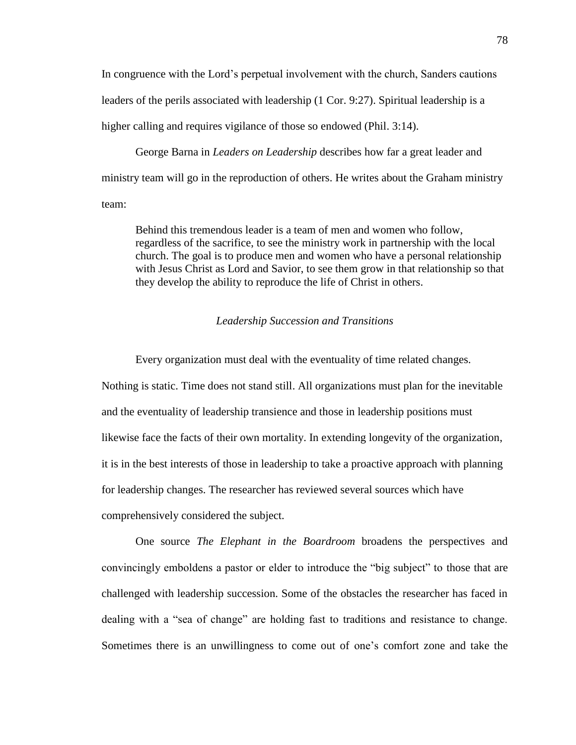In congruence with the Lord's perpetual involvement with the church, Sanders cautions leaders of the perils associated with leadership (1 Cor. 9:27). Spiritual leadership is a higher calling and requires vigilance of those so endowed (Phil. 3:14).

George Barna in *Leaders on Leadership* describes how far a great leader and ministry team will go in the reproduction of others. He writes about the Graham ministry team:

Behind this tremendous leader is a team of men and women who follow, regardless of the sacrifice, to see the ministry work in partnership with the local church. The goal is to produce men and women who have a personal relationship with Jesus Christ as Lord and Savior, to see them grow in that relationship so that they develop the ability to reproduce the life of Christ in others.

## *Leadership Succession and Transitions*

Every organization must deal with the eventuality of time related changes. Nothing is static. Time does not stand still. All organizations must plan for the inevitable and the eventuality of leadership transience and those in leadership positions must likewise face the facts of their own mortality. In extending longevity of the organization, it is in the best interests of those in leadership to take a proactive approach with planning for leadership changes. The researcher has reviewed several sources which have comprehensively considered the subject.

One source *The Elephant in the Boardroom* broadens the perspectives and convincingly emboldens a pastor or elder to introduce the "big subject" to those that are challenged with leadership succession. Some of the obstacles the researcher has faced in dealing with a "sea of change" are holding fast to traditions and resistance to change. Sometimes there is an unwillingness to come out of one's comfort zone and take the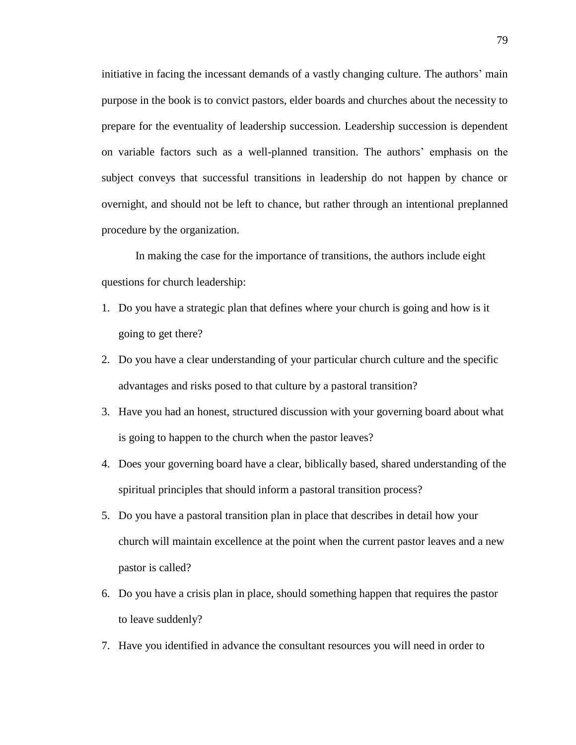initiative in facing the incessant demands of a vastly changing culture. The authors' main purpose in the book is to convict pastors, elder boards and churches about the necessity to prepare for the eventuality of leadership succession. Leadership succession is dependent on variable factors such as a well-planned transition. The authors' emphasis on the subject conveys that successful transitions in leadership do not happen by chance or overnight, and should not be left to chance, but rather through an intentional preplanned procedure by the organization.

In making the case for the importance of transitions, the authors include eight questions for church leadership:

- 1. Do you have a strategic plan that defines where your church is going and how is it going to get there?
- 2. Do you have a clear understanding of your particular church culture and the specific advantages and risks posed to that culture by a pastoral transition?
- 3. Have you had an honest, structured discussion with your governing board about what is going to happen to the church when the pastor leaves?
- 4. Does your governing board have a clear, biblically based, shared understanding of the spiritual principles that should inform a pastoral transition process?
- 5. Do you have a pastoral transition plan in place that describes in detail how your church will maintain excellence at the point when the current pastor leaves and a new pastor is called?
- 6. Do you have a crisis plan in place, should something happen that requires the pastor to leave suddenly?
- 7. Have you identified in advance the consultant resources you will need in order to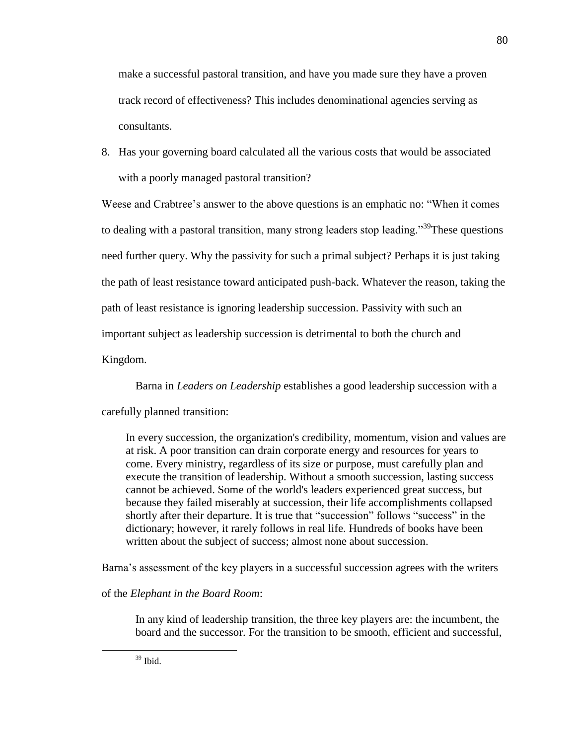make a successful pastoral transition, and have you made sure they have a proven track record of effectiveness? This includes denominational agencies serving as consultants.

8. Has your governing board calculated all the various costs that would be associated with a poorly managed pastoral transition?

Weese and Crabtree's answer to the above questions is an emphatic no: "When it comes to dealing with a pastoral transition, many strong leaders stop leading.<sup>39</sup>These questions need further query. Why the passivity for such a primal subject? Perhaps it is just taking the path of least resistance toward anticipated push-back. Whatever the reason, taking the path of least resistance is ignoring leadership succession. Passivity with such an important subject as leadership succession is detrimental to both the church and Kingdom.

Barna in *Leaders on Leadership* establishes a good leadership succession with a carefully planned transition:

In every succession, the organization's credibility, momentum, vision and values are at risk. A poor transition can drain corporate energy and resources for years to come. Every ministry, regardless of its size or purpose, must carefully plan and execute the transition of leadership. Without a smooth succession, lasting success cannot be achieved. Some of the world's leaders experienced great success, but because they failed miserably at succession, their life accomplishments collapsed shortly after their departure. It is true that "succession" follows "success" in the dictionary; however, it rarely follows in real life. Hundreds of books have been written about the subject of success; almost none about succession.

Barna's assessment of the key players in a successful succession agrees with the writers

of the *Elephant in the Board Room*:

In any kind of leadership transition, the three key players are: the incumbent, the board and the successor. For the transition to be smooth, efficient and successful,

 $39$  Ibid.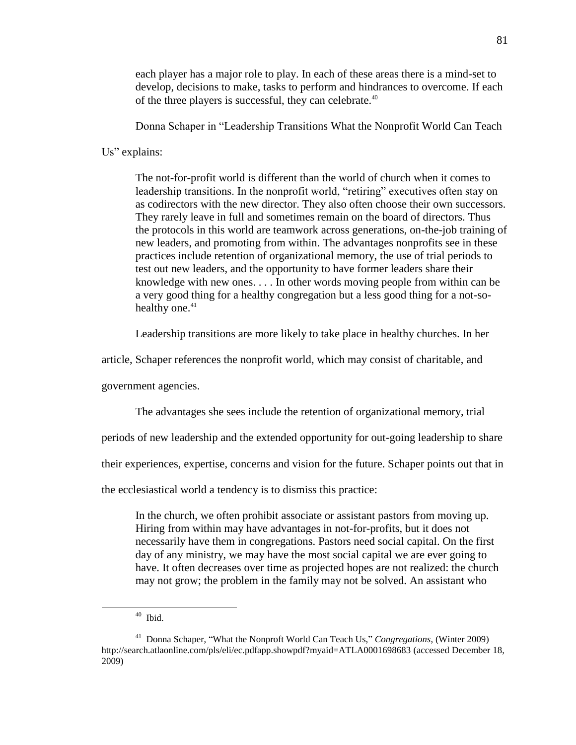each player has a major role to play. In each of these areas there is a mind-set to develop, decisions to make, tasks to perform and hindrances to overcome. If each of the three players is successful, they can celebrate.<sup>40</sup>

Donna Schaper in "Leadership Transitions What the Nonprofit World Can Teach

Us" explains:

The not-for-profit world is different than the world of church when it comes to leadership transitions. In the nonprofit world, "retiring" executives often stay on as codirectors with the new director. They also often choose their own successors. They rarely leave in full and sometimes remain on the board of directors. Thus the protocols in this world are teamwork across generations, on-the-job training of new leaders, and promoting from within. The advantages nonprofits see in these practices include retention of organizational memory, the use of trial periods to test out new leaders, and the opportunity to have former leaders share their knowledge with new ones. . . . In other words moving people from within can be a very good thing for a healthy congregation but a less good thing for a not-sohealthy one.<sup>41</sup>

Leadership transitions are more likely to take place in healthy churches. In her

article, Schaper references the nonprofit world, which may consist of charitable, and

government agencies.

The advantages she sees include the retention of organizational memory, trial

periods of new leadership and the extended opportunity for out-going leadership to share

their experiences, expertise, concerns and vision for the future. Schaper points out that in

the ecclesiastical world a tendency is to dismiss this practice:

In the church, we often prohibit associate or assistant pastors from moving up. Hiring from within may have advantages in not-for-profits, but it does not necessarily have them in congregations. Pastors need social capital. On the first day of any ministry, we may have the most social capital we are ever going to have. It often decreases over time as projected hopes are not realized: the church may not grow; the problem in the family may not be solved. An assistant who

<sup>40</sup> Ibid.

<sup>&</sup>lt;sup>41</sup> Donna Schaper, "What the Nonproft World Can Teach Us," *Congregations*, (Winter 2009) <http://search.atlaonline.com/pls/eli/ec.pdfapp.showpdf?myaid=ATLA0001698683> (accessed December 18, 2009)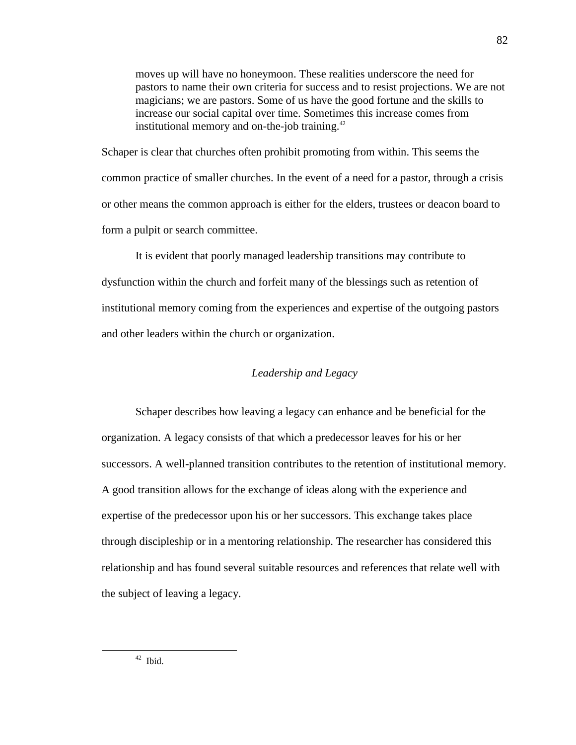moves up will have no honeymoon. These realities underscore the need for pastors to name their own criteria for success and to resist projections. We are not magicians; we are pastors. Some of us have the good fortune and the skills to increase our social capital over time. Sometimes this increase comes from institutional memory and on-the-job training. $42$ 

Schaper is clear that churches often prohibit promoting from within. This seems the common practice of smaller churches. In the event of a need for a pastor, through a crisis or other means the common approach is either for the elders, trustees or deacon board to form a pulpit or search committee.

It is evident that poorly managed leadership transitions may contribute to dysfunction within the church and forfeit many of the blessings such as retention of institutional memory coming from the experiences and expertise of the outgoing pastors and other leaders within the church or organization.

# *Leadership and Legacy*

Schaper describes how leaving a legacy can enhance and be beneficial for the organization. A legacy consists of that which a predecessor leaves for his or her successors. A well-planned transition contributes to the retention of institutional memory. A good transition allows for the exchange of ideas along with the experience and expertise of the predecessor upon his or her successors. This exchange takes place through discipleship or in a mentoring relationship. The researcher has considered this relationship and has found several suitable resources and references that relate well with the subject of leaving a legacy.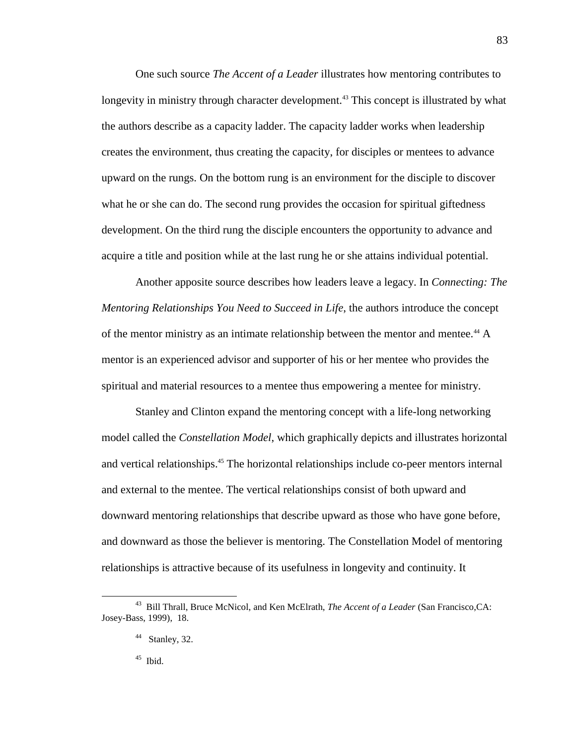One such source *The Accent of a Leader* illustrates how mentoring contributes to longevity in ministry through character development.<sup>43</sup> This concept is illustrated by what the authors describe as a capacity ladder. The capacity ladder works when leadership creates the environment, thus creating the capacity, for disciples or mentees to advance upward on the rungs. On the bottom rung is an environment for the disciple to discover what he or she can do. The second rung provides the occasion for spiritual giftedness development. On the third rung the disciple encounters the opportunity to advance and acquire a title and position while at the last rung he or she attains individual potential.

Another apposite source describes how leaders leave a legacy. In *Connecting: The Mentoring Relationships You Need to Succeed in Life*, the authors introduce the concept of the mentor ministry as an intimate relationship between the mentor and mentee.<sup>44</sup> A mentor is an experienced advisor and supporter of his or her mentee who provides the spiritual and material resources to a mentee thus empowering a mentee for ministry.

Stanley and Clinton expand the mentoring concept with a life-long networking model called the *Constellation Model*, which graphically depicts and illustrates horizontal and vertical relationships. <sup>45</sup> The horizontal relationships include co-peer mentors internal and external to the mentee. The vertical relationships consist of both upward and downward mentoring relationships that describe upward as those who have gone before, and downward as those the believer is mentoring. The Constellation Model of mentoring relationships is attractive because of its usefulness in longevity and continuity. It

45 Ibid.

<sup>43</sup> Bill Thrall, Bruce McNicol, and Ken McElrath, *The Accent of a Leader* (San Francisco,CA: Josey-Bass, 1999), 18.

 $44$  Stanley, 32.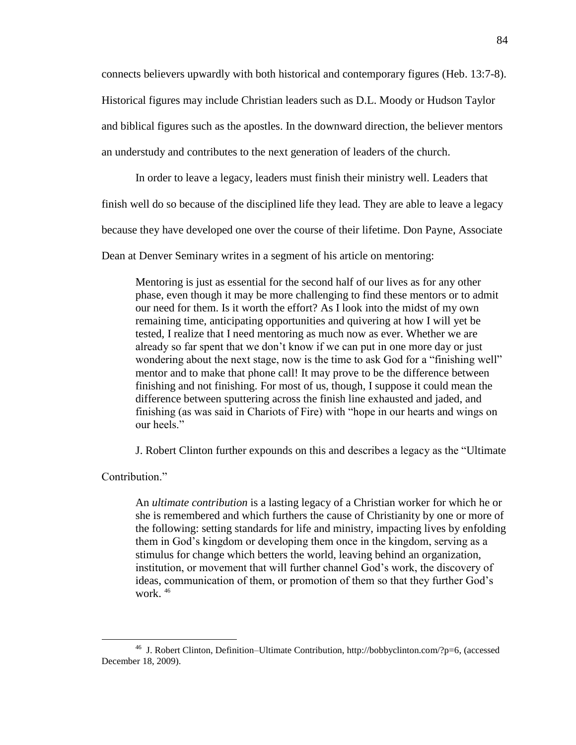connects believers upwardly with both historical and contemporary figures (Heb. 13:7-8).

Historical figures may include Christian leaders such as D.L. Moody or Hudson Taylor

and biblical figures such as the apostles. In the downward direction, the believer mentors

an understudy and contributes to the next generation of leaders of the church.

In order to leave a legacy, leaders must finish their ministry well. Leaders that

finish well do so because of the disciplined life they lead. They are able to leave a legacy

because they have developed one over the course of their lifetime. Don Payne, Associate

Dean at Denver Seminary writes in a segment of his article on mentoring:

Mentoring is just as essential for the second half of our lives as for any other phase, even though it may be more challenging to find these mentors or to admit our need for them. Is it worth the effort? As I look into the midst of my own remaining time, anticipating opportunities and quivering at how I will yet be tested, I realize that I need mentoring as much now as ever. Whether we are already so far spent that we don't know if we can put in one more day or just wondering about the next stage, now is the time to ask God for a "finishing well" mentor and to make that phone call! It may prove to be the difference between finishing and not finishing. For most of us, though, I suppose it could mean the difference between sputtering across the finish line exhausted and jaded, and finishing (as was said in Chariots of Fire) with "hope in our hearts and wings on our heels."

J. Robert Clinton further expounds on this and describes a legacy as the "Ultimate"

Contribution<sup>"</sup>

 $\overline{a}$ 

An *ultimate contribution* is a lasting legacy of a Christian worker for which he or she is remembered and which furthers the cause of Christianity by one or more of the following: setting standards for life and ministry, impacting lives by enfolding them in God's kingdom or developing them once in the kingdom, serving as a stimulus for change which betters the world, leaving behind an organization, institution, or movement that will further channel God's work, the discovery of ideas, communication of them, or promotion of them so that they further God's work. <sup>46</sup>

<sup>&</sup>lt;sup>46</sup> J. Robert Clinton, Definition–Ultimate Contribution, [http://bobbyclinton.com/?p=6,](http://bobbyclinton.com/?p=6) (accessed December 18, 2009).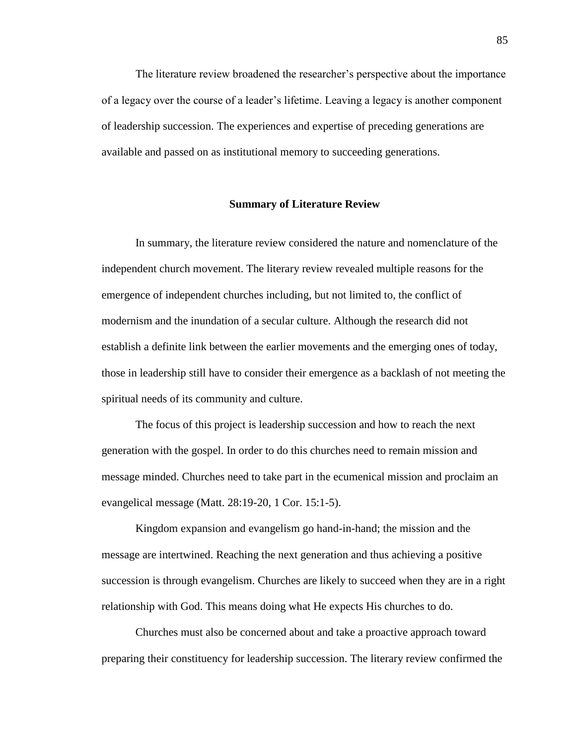The literature review broadened the researcher's perspective about the importance of a legacy over the course of a leader's lifetime. Leaving a legacy is another component of leadership succession. The experiences and expertise of preceding generations are available and passed on as institutional memory to succeeding generations.

## **Summary of Literature Review**

In summary, the literature review considered the nature and nomenclature of the independent church movement. The literary review revealed multiple reasons for the emergence of independent churches including, but not limited to, the conflict of modernism and the inundation of a secular culture. Although the research did not establish a definite link between the earlier movements and the emerging ones of today, those in leadership still have to consider their emergence as a backlash of not meeting the spiritual needs of its community and culture.

The focus of this project is leadership succession and how to reach the next generation with the gospel. In order to do this churches need to remain mission and message minded. Churches need to take part in the ecumenical mission and proclaim an evangelical message (Matt. 28:19-20, 1 Cor. 15:1-5).

Kingdom expansion and evangelism go hand-in-hand; the mission and the message are intertwined. Reaching the next generation and thus achieving a positive succession is through evangelism. Churches are likely to succeed when they are in a right relationship with God. This means doing what He expects His churches to do.

Churches must also be concerned about and take a proactive approach toward preparing their constituency for leadership succession. The literary review confirmed the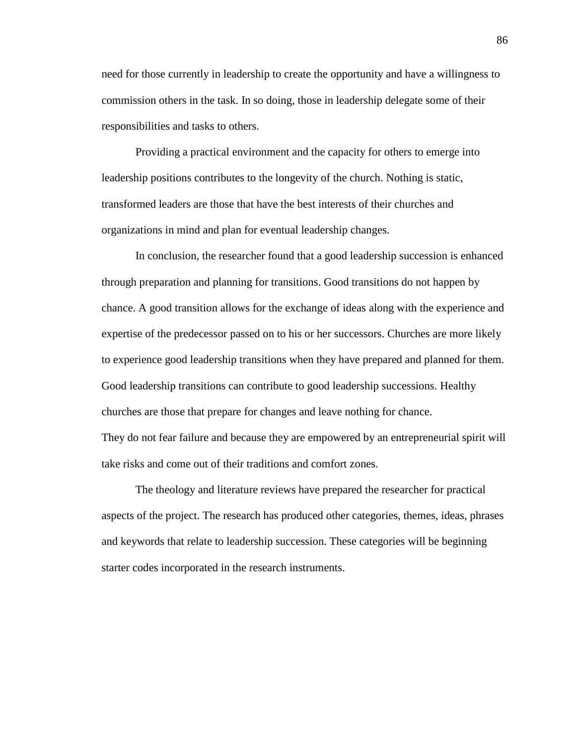need for those currently in leadership to create the opportunity and have a willingness to commission others in the task. In so doing, those in leadership delegate some of their responsibilities and tasks to others.

Providing a practical environment and the capacity for others to emerge into leadership positions contributes to the longevity of the church. Nothing is static, transformed leaders are those that have the best interests of their churches and organizations in mind and plan for eventual leadership changes.

In conclusion, the researcher found that a good leadership succession is enhanced through preparation and planning for transitions. Good transitions do not happen by chance. A good transition allows for the exchange of ideas along with the experience and expertise of the predecessor passed on to his or her successors. Churches are more likely to experience good leadership transitions when they have prepared and planned for them. Good leadership transitions can contribute to good leadership successions. Healthy churches are those that prepare for changes and leave nothing for chance. They do not fear failure and because they are empowered by an entrepreneurial spirit will take risks and come out of their traditions and comfort zones.

The theology and literature reviews have prepared the researcher for practical aspects of the project. The research has produced other categories, themes, ideas, phrases and keywords that relate to leadership succession. These categories will be beginning starter codes incorporated in the research instruments.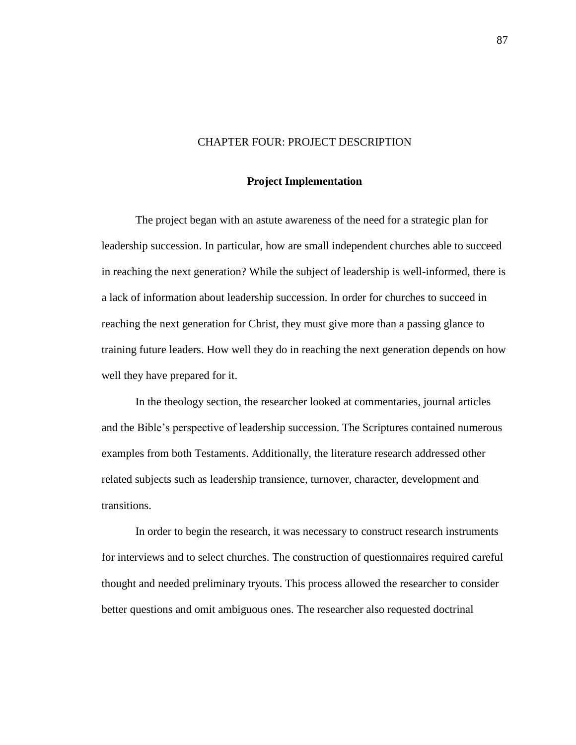## CHAPTER FOUR: PROJECT DESCRIPTION

### **Project Implementation**

The project began with an astute awareness of the need for a strategic plan for leadership succession. In particular, how are small independent churches able to succeed in reaching the next generation? While the subject of leadership is well-informed, there is a lack of information about leadership succession. In order for churches to succeed in reaching the next generation for Christ, they must give more than a passing glance to training future leaders. How well they do in reaching the next generation depends on how well they have prepared for it.

In the theology section, the researcher looked at commentaries, journal articles and the Bible's perspective of leadership succession. The Scriptures contained numerous examples from both Testaments. Additionally, the literature research addressed other related subjects such as leadership transience, turnover, character, development and transitions.

In order to begin the research, it was necessary to construct research instruments for interviews and to select churches. The construction of questionnaires required careful thought and needed preliminary tryouts. This process allowed the researcher to consider better questions and omit ambiguous ones. The researcher also requested doctrinal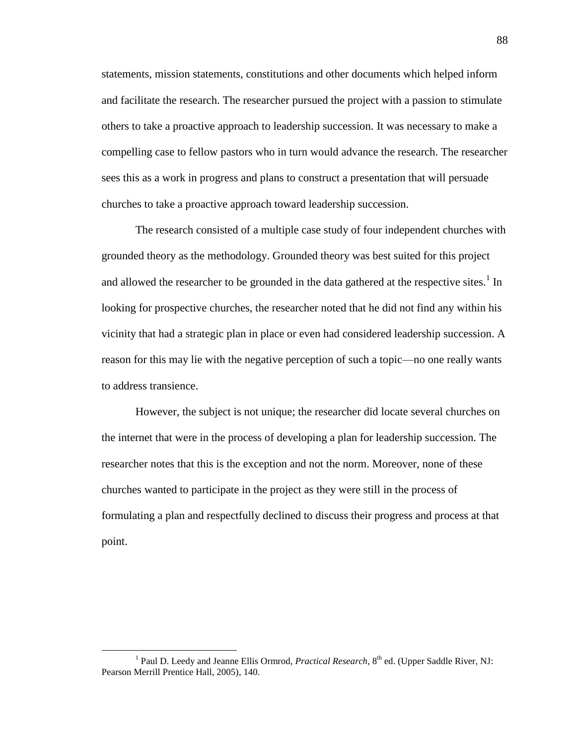statements, mission statements, constitutions and other documents which helped inform and facilitate the research. The researcher pursued the project with a passion to stimulate others to take a proactive approach to leadership succession. It was necessary to make a compelling case to fellow pastors who in turn would advance the research. The researcher sees this as a work in progress and plans to construct a presentation that will persuade churches to take a proactive approach toward leadership succession.

The research consisted of a multiple case study of four independent churches with grounded theory as the methodology. Grounded theory was best suited for this project and allowed the researcher to be grounded in the data gathered at the respective sites.<sup>1</sup> In looking for prospective churches, the researcher noted that he did not find any within his vicinity that had a strategic plan in place or even had considered leadership succession. A reason for this may lie with the negative perception of such a topic—no one really wants to address transience.

However, the subject is not unique; the researcher did locate several churches on the internet that were in the process of developing a plan for leadership succession. The researcher notes that this is the exception and not the norm. Moreover, none of these churches wanted to participate in the project as they were still in the process of formulating a plan and respectfully declined to discuss their progress and process at that point.

<sup>&</sup>lt;sup>1</sup> Paul D. Leedy and Jeanne Ellis Ormrod, *Practical Research*, 8<sup>th</sup> ed. (Upper Saddle River, NJ: Pearson Merrill Prentice Hall, 2005), 140.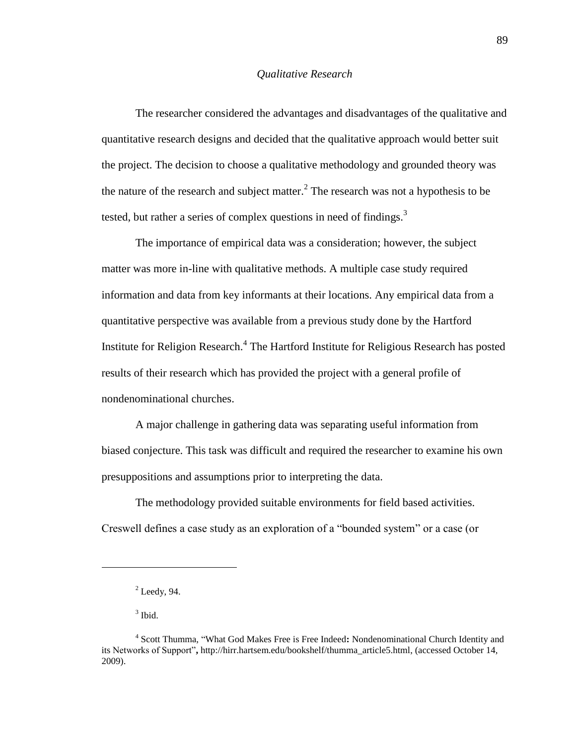### *Qualitative Research*

The researcher considered the advantages and disadvantages of the qualitative and quantitative research designs and decided that the qualitative approach would better suit the project. The decision to choose a qualitative methodology and grounded theory was the nature of the research and subject matter. $^2$  The research was not a hypothesis to be tested, but rather a series of complex questions in need of findings.<sup>3</sup>

The importance of empirical data was a consideration; however, the subject matter was more in-line with qualitative methods. A multiple case study required information and data from key informants at their locations. Any empirical data from a quantitative perspective was available from a previous study done by the Hartford Institute for Religion Research.<sup>4</sup> The Hartford Institute for Religious Research has posted results of their research which has provided the project with a general profile of nondenominational churches.

A major challenge in gathering data was separating useful information from biased conjecture. This task was difficult and required the researcher to examine his own presuppositions and assumptions prior to interpreting the data.

The methodology provided suitable environments for field based activities. Creswell defines a case study as an exploration of a "bounded system" or a case (or

 $3$  Ibid.

 $2$  Leedy, 94.

<sup>&</sup>lt;sup>4</sup> Scott Thumma, "What God Makes Free is Free Indeed: Nondenominational Church Identity and its Networks of Support", http://hirr.hartsem.edu/bookshelf/thumma\_article5.html, (accessed October 14, 2009).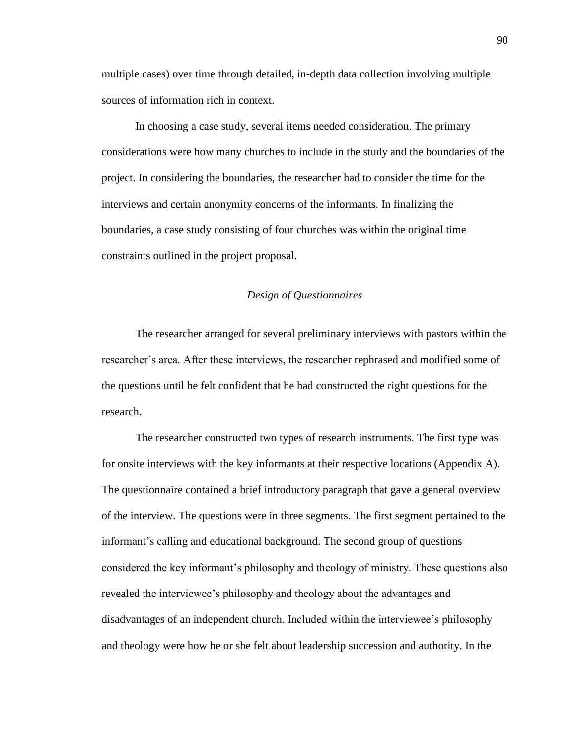multiple cases) over time through detailed, in-depth data collection involving multiple sources of information rich in context.

In choosing a case study, several items needed consideration. The primary considerations were how many churches to include in the study and the boundaries of the project. In considering the boundaries, the researcher had to consider the time for the interviews and certain anonymity concerns of the informants. In finalizing the boundaries, a case study consisting of four churches was within the original time constraints outlined in the project proposal.

## *Design of Questionnaires*

The researcher arranged for several preliminary interviews with pastors within the researcher's area. After these interviews, the researcher rephrased and modified some of the questions until he felt confident that he had constructed the right questions for the research.

The researcher constructed two types of research instruments. The first type was for onsite interviews with the key informants at their respective locations (Appendix A). The questionnaire contained a brief introductory paragraph that gave a general overview of the interview. The questions were in three segments. The first segment pertained to the informant's calling and educational background. The second group of questions considered the key informant's philosophy and theology of ministry. These questions also revealed the interviewee's philosophy and theology about the advantages and disadvantages of an independent church. Included within the interviewee's philosophy and theology were how he or she felt about leadership succession and authority. In the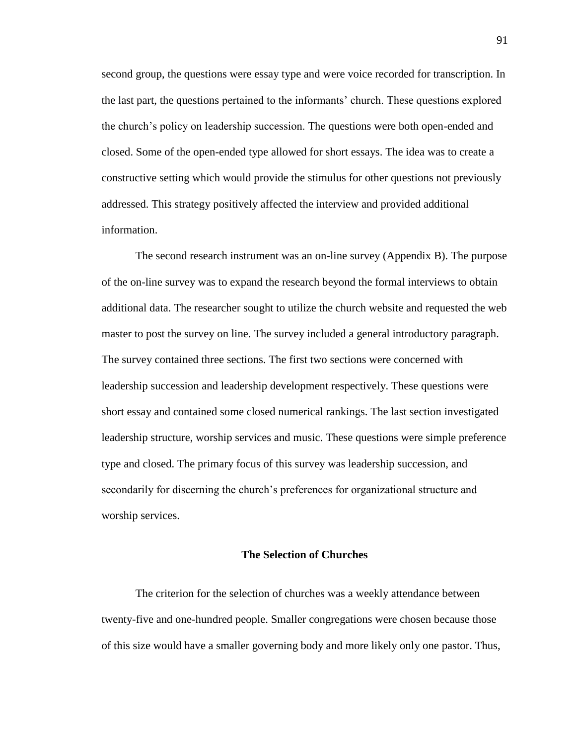second group, the questions were essay type and were voice recorded for transcription. In the last part, the questions pertained to the informants' church. These questions explored the church's policy on leadership succession. The questions were both open-ended and closed. Some of the open-ended type allowed for short essays. The idea was to create a constructive setting which would provide the stimulus for other questions not previously addressed. This strategy positively affected the interview and provided additional information.

The second research instrument was an on-line survey (Appendix B). The purpose of the on-line survey was to expand the research beyond the formal interviews to obtain additional data. The researcher sought to utilize the church website and requested the web master to post the survey on line. The survey included a general introductory paragraph. The survey contained three sections. The first two sections were concerned with leadership succession and leadership development respectively. These questions were short essay and contained some closed numerical rankings. The last section investigated leadership structure, worship services and music. These questions were simple preference type and closed. The primary focus of this survey was leadership succession, and secondarily for discerning the church's preferences for organizational structure and worship services.

#### **The Selection of Churches**

The criterion for the selection of churches was a weekly attendance between twenty-five and one-hundred people. Smaller congregations were chosen because those of this size would have a smaller governing body and more likely only one pastor. Thus,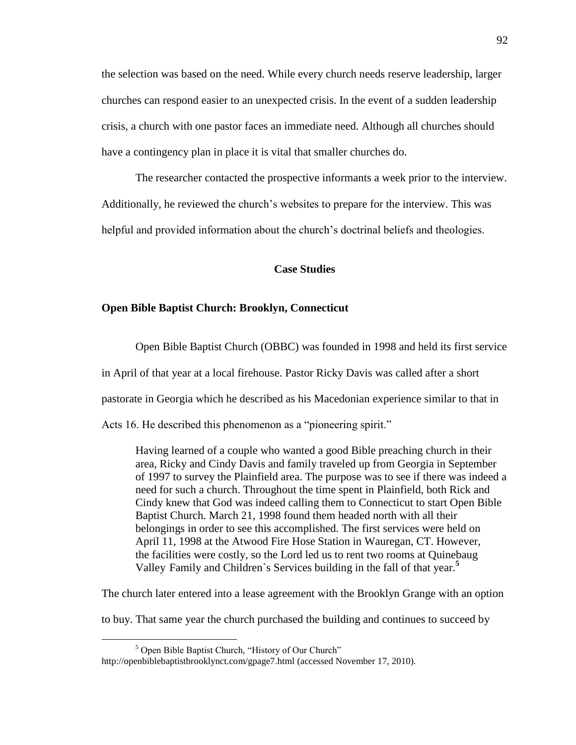the selection was based on the need. While every church needs reserve leadership, larger churches can respond easier to an unexpected crisis. In the event of a sudden leadership crisis, a church with one pastor faces an immediate need. Although all churches should have a contingency plan in place it is vital that smaller churches do.

The researcher contacted the prospective informants a week prior to the interview. Additionally, he reviewed the church's websites to prepare for the interview. This was helpful and provided information about the church's doctrinal beliefs and theologies.

# **Case Studies**

#### **Open Bible Baptist Church: Brooklyn, Connecticut**

Open Bible Baptist Church (OBBC) was founded in 1998 and held its first service

in April of that year at a local firehouse. Pastor Ricky Davis was called after a short

pastorate in Georgia which he described as his Macedonian experience similar to that in

Acts 16. He described this phenomenon as a "pioneering spirit."

Having learned of a couple who wanted a good Bible preaching church in their area, Ricky and Cindy Davis and family traveled up from Georgia in September of 1997 to survey the Plainfield area. The purpose was to see if there was indeed a need for such a church. Throughout the time spent in Plainfield, both Rick and Cindy knew that God was indeed calling them to Connecticut to start Open Bible Baptist Church. March 21, 1998 found them headed north with all their belongings in order to see this accomplished. The first services were held on April 11, 1998 at the Atwood Fire Hose Station in Wauregan, CT. However, the facilities were costly, so the Lord led us to rent two rooms at Quinebaug Valley Family and Children`s Services building in the fall of that year.**<sup>5</sup>**

The church later entered into a lease agreement with the Brooklyn Grange with an option

to buy. That same year the church purchased the building and continues to succeed by

 $<sup>5</sup>$  Open Bible Baptist Church, "History of Our Church"</sup>

http://openbiblebaptistbrooklynct.com/gpage7.html (accessed November 17, 2010).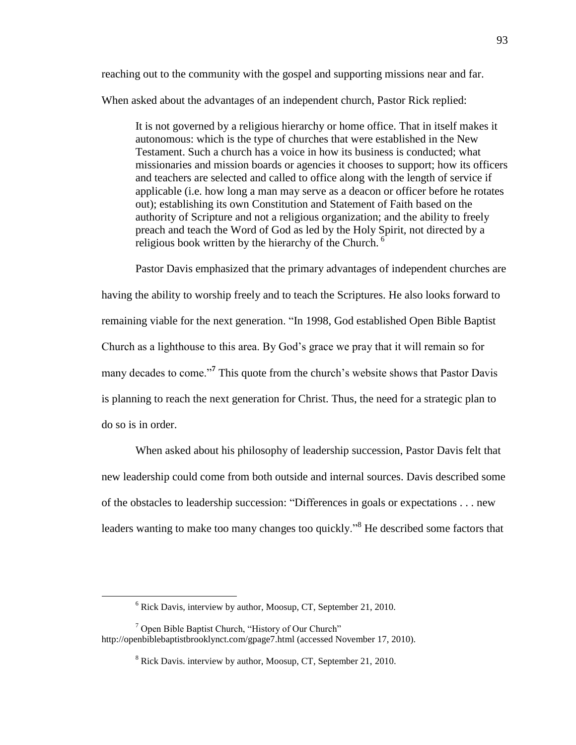reaching out to the community with the gospel and supporting missions near and far. When asked about the advantages of an independent church, Pastor Rick replied:

It is not governed by a religious hierarchy or home office. That in itself makes it autonomous: which is the type of churches that were established in the New Testament. Such a church has a voice in how its business is conducted; what missionaries and mission boards or agencies it chooses to support; how its officers and teachers are selected and called to office along with the length of service if applicable (i.e. how long a man may serve as a deacon or officer before he rotates out); establishing its own Constitution and Statement of Faith based on the authority of Scripture and not a religious organization; and the ability to freely preach and teach the Word of God as led by the Holy Spirit, not directed by a religious book written by the hierarchy of the Church.<sup> $6$ </sup>

Pastor Davis emphasized that the primary advantages of independent churches are having the ability to worship freely and to teach the Scriptures. He also looks forward to remaining viable for the next generation. "In 1998, God established Open Bible Baptist Church as a lighthouse to this area. By God's grace we pray that it will remain so for many decades to come."<sup>7</sup> This quote from the church's website shows that Pastor Davis is planning to reach the next generation for Christ. Thus, the need for a strategic plan to do so is in order.

When asked about his philosophy of leadership succession, Pastor Davis felt that new leadership could come from both outside and internal sources. Davis described some of the obstacles to leadership succession: "Differences in goals or expectations . . . new leaders wanting to make too many changes too quickly.<sup>8</sup> He described some factors that

 $6$  Rick Davis, interview by author, Moosup, CT, September 21, 2010.

 $7$  Open Bible Baptist Church, "History of Our Church" http://openbiblebaptistbrooklynct.com/gpage7.html (accessed November 17, 2010).

<sup>8</sup> Rick Davis. interview by author, Moosup, CT, September 21, 2010.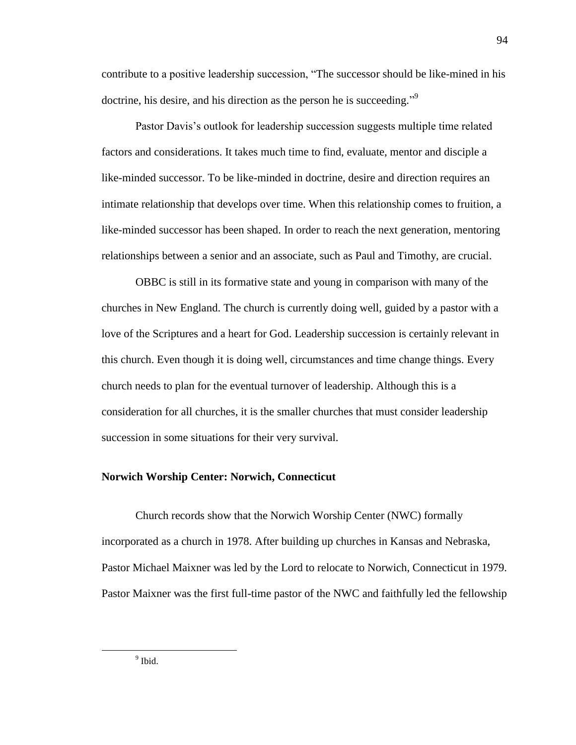contribute to a positive leadership succession, "The successor should be like-mined in his doctrine, his desire, and his direction as the person he is succeeding."<sup>9</sup>

Pastor Davis's outlook for leadership succession suggests multiple time related factors and considerations. It takes much time to find, evaluate, mentor and disciple a like-minded successor. To be like-minded in doctrine, desire and direction requires an intimate relationship that develops over time. When this relationship comes to fruition, a like-minded successor has been shaped. In order to reach the next generation, mentoring relationships between a senior and an associate, such as Paul and Timothy, are crucial.

OBBC is still in its formative state and young in comparison with many of the churches in New England. The church is currently doing well, guided by a pastor with a love of the Scriptures and a heart for God. Leadership succession is certainly relevant in this church. Even though it is doing well, circumstances and time change things. Every church needs to plan for the eventual turnover of leadership. Although this is a consideration for all churches, it is the smaller churches that must consider leadership succession in some situations for their very survival.

## **Norwich Worship Center: Norwich, Connecticut**

Church records show that the Norwich Worship Center (NWC) formally incorporated as a church in 1978. After building up churches in Kansas and Nebraska, Pastor Michael Maixner was led by the Lord to relocate to Norwich, Connecticut in 1979. Pastor Maixner was the first full-time pastor of the NWC and faithfully led the fellowship

 $<sup>9</sup>$  Ibid.</sup>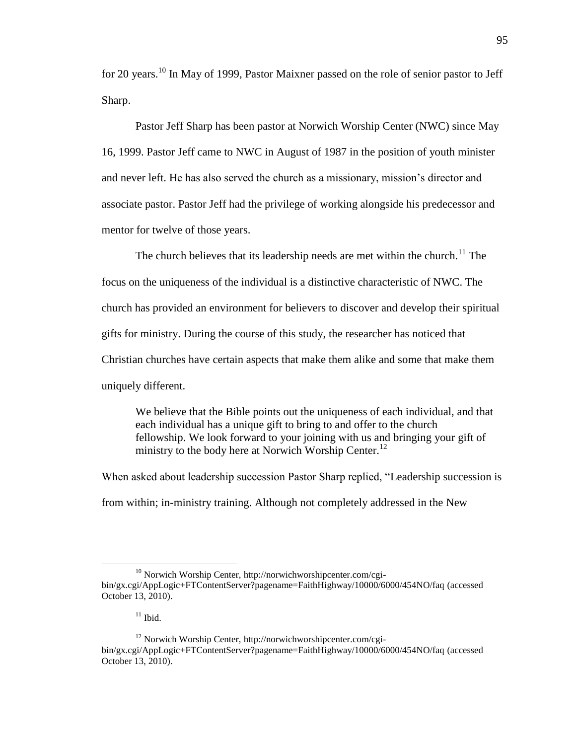for 20 years.<sup>10</sup> In May of 1999, Pastor Maixner passed on the role of senior pastor to Jeff Sharp.

Pastor Jeff Sharp has been pastor at Norwich Worship Center (NWC) since May 16, 1999. Pastor Jeff came to NWC in August of 1987 in the position of youth minister and never left. He has also served the church as a missionary, mission's director and associate pastor. Pastor Jeff had the privilege of working alongside his predecessor and mentor for twelve of those years.

The church believes that its leadership needs are met within the church.<sup>11</sup> The focus on the uniqueness of the individual is a distinctive characteristic of NWC. The church has provided an environment for believers to discover and develop their spiritual gifts for ministry. During the course of this study, the researcher has noticed that Christian churches have certain aspects that make them alike and some that make them uniquely different.

We believe that the Bible points out the uniqueness of each individual, and that each individual has a unique gift to bring to and offer to the church fellowship. We look forward to your joining with us and bringing your gift of ministry to the body here at Norwich Worship Center.<sup>12</sup>

When asked about leadership succession Pastor Sharp replied, "Leadership succession is from within; in-ministry training. Although not completely addressed in the New

<sup>10</sup> Norwich Worship Center, http://norwichworshipcenter.com/cgibin/gx.cgi/AppLogic+FTContentServer?pagename=FaithHighway/10000/6000/454NO/faq (accessed October 13, 2010).

 $11$  Ibid.

<sup>12</sup> Norwich Worship Center, http://norwichworshipcenter.com/cgibin/gx.cgi/AppLogic+FTContentServer?pagename=FaithHighway/10000/6000/454NO/faq (accessed October 13, 2010).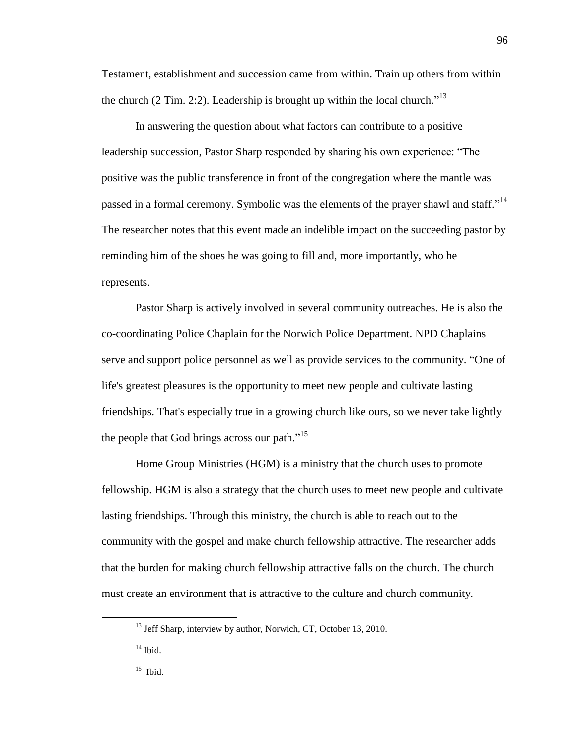Testament, establishment and succession came from within. Train up others from within the church  $(2 \text{ Tim. } 2.2)$ . Leadership is brought up within the local church.<sup>13</sup>

In answering the question about what factors can contribute to a positive leadership succession, Pastor Sharp responded by sharing his own experience: "The positive was the public transference in front of the congregation where the mantle was passed in a formal ceremony. Symbolic was the elements of the prayer shawl and staff."<sup>14</sup> The researcher notes that this event made an indelible impact on the succeeding pastor by reminding him of the shoes he was going to fill and, more importantly, who he represents.

Pastor Sharp is actively involved in several community outreaches. He is also the co-coordinating Police Chaplain for the Norwich Police Department. NPD Chaplains serve and support police personnel as well as provide services to the community. "One of life's greatest pleasures is the opportunity to meet new people and cultivate lasting friendships. That's especially true in a growing church like ours, so we never take lightly the people that God brings across our path. $^{15}$ 

Home Group Ministries (HGM) is a ministry that the church uses to promote fellowship. HGM is also a strategy that the church uses to meet new people and cultivate lasting friendships. Through this ministry, the church is able to reach out to the community with the gospel and make church fellowship attractive. The researcher adds that the burden for making church fellowship attractive falls on the church. The church must create an environment that is attractive to the culture and church community.

 $\overline{a}$ 

96

<sup>&</sup>lt;sup>13</sup> Jeff Sharp, interview by author, Norwich, CT, October 13, 2010.

 $14$  Ibid.

<sup>15</sup> Ibid.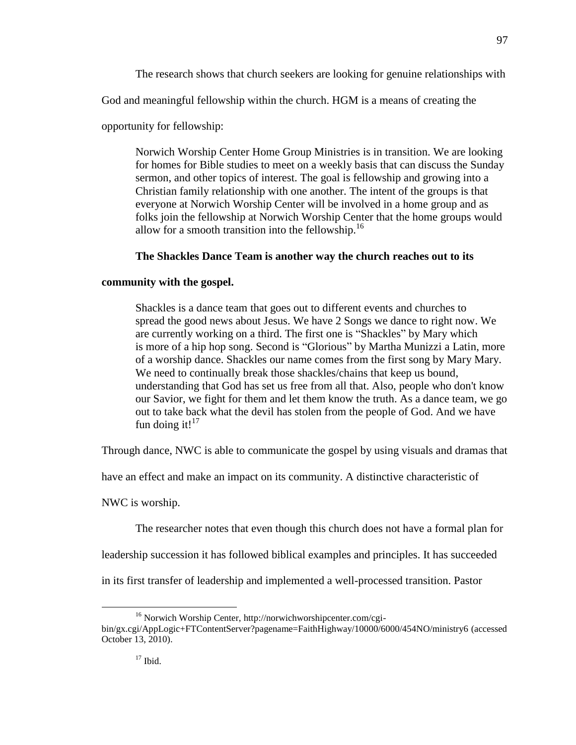The research shows that church seekers are looking for genuine relationships with

God and meaningful fellowship within the church. HGM is a means of creating the

opportunity for fellowship:

Norwich Worship Center Home Group Ministries is in transition. We are looking for homes for Bible studies to meet on a weekly basis that can discuss the Sunday sermon, and other topics of interest. The goal is fellowship and growing into a Christian family relationship with one another. The intent of the groups is that everyone at Norwich Worship Center will be involved in a home group and as folks join the fellowship at Norwich Worship Center that the home groups would allow for a smooth transition into the fellowship. $16$ 

# **The Shackles Dance Team is another way the church reaches out to its**

# **community with the gospel.**

Shackles is a dance team that goes out to different events and churches to spread the good news about Jesus. We have 2 Songs we dance to right now. We are currently working on a third. The first one is "Shackles" by Mary which is more of a hip hop song. Second is "Glorious" by Martha Munizzi a Latin, more of a worship dance. Shackles our name comes from the first song by Mary Mary. We need to continually break those shackles/chains that keep us bound, understanding that God has set us free from all that. Also, people who don't know our Savior, we fight for them and let them know the truth. As a dance team, we go out to take back what the devil has stolen from the people of God. And we have fun doing it! $17$ 

Through dance, NWC is able to communicate the gospel by using visuals and dramas that

have an effect and make an impact on its community. A distinctive characteristic of

NWC is worship.

The researcher notes that even though this church does not have a formal plan for

leadership succession it has followed biblical examples and principles. It has succeeded

in its first transfer of leadership and implemented a well-processed transition. Pastor

<sup>16</sup> Norwich Worship Center, http://norwichworshipcenter.com/cgibin/gx.cgi/AppLogic+FTContentServer?pagename=FaithHighway/10000/6000/454NO/ministry6 (accessed October 13, 2010).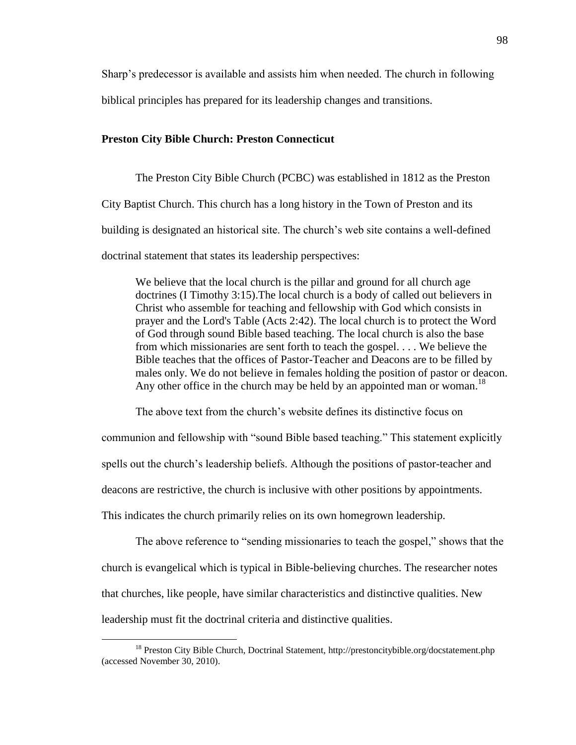Sharp's predecessor is available and assists him when needed. The church in following

biblical principles has prepared for its leadership changes and transitions.

## **Preston City Bible Church: Preston Connecticut**

The Preston City Bible Church (PCBC) was established in 1812 as the Preston City Baptist Church. This church has a long history in the Town of Preston and its building is designated an historical site. The church's web site contains a well-defined doctrinal statement that states its leadership perspectives:

We believe that the local church is the pillar and ground for all church age doctrines (I Timothy 3:15).The local church is a body of called out believers in Christ who assemble for teaching and fellowship with God which consists in prayer and the Lord's Table (Acts 2:42). The local church is to protect the Word of God through sound Bible based teaching. The local church is also the base from which missionaries are sent forth to teach the gospel. . . . We believe the Bible teaches that the offices of Pastor-Teacher and Deacons are to be filled by males only. We do not believe in females holding the position of pastor or deacon. Any other office in the church may be held by an appointed man or woman.<sup>18</sup>

The above text from the church's website defines its distinctive focus on communion and fellowship with "sound Bible based teaching." This statement explicitly spells out the church's leadership beliefs. Although the positions of pastor-teacher and deacons are restrictive, the church is inclusive with other positions by appointments. This indicates the church primarily relies on its own homegrown leadership.

The above reference to "sending missionaries to teach the gospel," shows that the church is evangelical which is typical in Bible-believing churches. The researcher notes that churches, like people, have similar characteristics and distinctive qualities. New leadership must fit the doctrinal criteria and distinctive qualities.

<sup>&</sup>lt;sup>18</sup> Preston City Bible Church, Doctrinal Statement, http://prestoncitybible.org/docstatement.php (accessed November 30, 2010).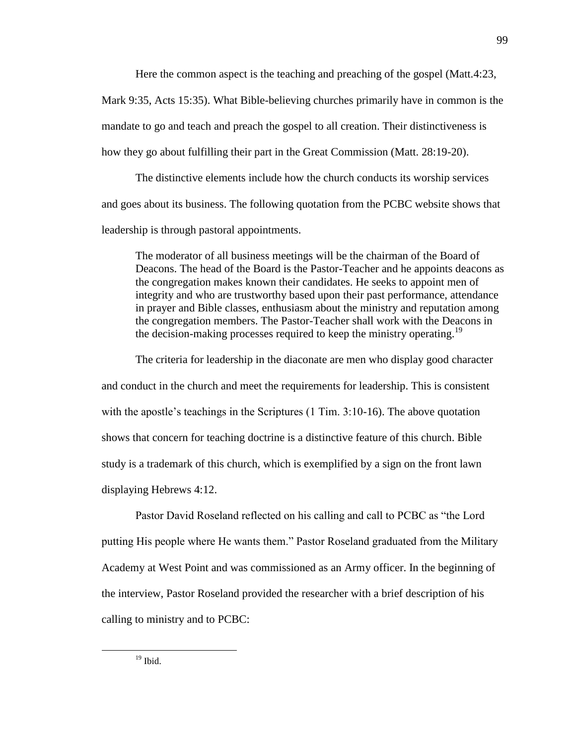Here the common aspect is the teaching and preaching of the gospel (Matt.4:23,

Mark 9:35, Acts 15:35). What Bible-believing churches primarily have in common is the mandate to go and teach and preach the gospel to all creation. Their distinctiveness is how they go about fulfilling their part in the Great Commission (Matt. 28:19-20).

The distinctive elements include how the church conducts its worship services and goes about its business. The following quotation from the PCBC website shows that leadership is through pastoral appointments.

The moderator of all business meetings will be the chairman of the Board of Deacons. The head of the Board is the Pastor-Teacher and he appoints deacons as the congregation makes known their candidates. He seeks to appoint men of integrity and who are trustworthy based upon their past performance, attendance in prayer and Bible classes, enthusiasm about the ministry and reputation among the congregation members. The Pastor-Teacher shall work with the Deacons in the decision-making processes required to keep the ministry operating.<sup>19</sup>

The criteria for leadership in the diaconate are men who display good character and conduct in the church and meet the requirements for leadership. This is consistent with the apostle's teachings in the Scriptures (1 Tim. 3:10-16). The above quotation shows that concern for teaching doctrine is a distinctive feature of this church. Bible study is a trademark of this church, which is exemplified by a sign on the front lawn displaying Hebrews 4:12.

Pastor David Roseland reflected on his calling and call to PCBC as "the Lord" putting His people where He wants them." Pastor Roseland graduated from the Military Academy at West Point and was commissioned as an Army officer. In the beginning of the interview, Pastor Roseland provided the researcher with a brief description of his calling to ministry and to PCBC: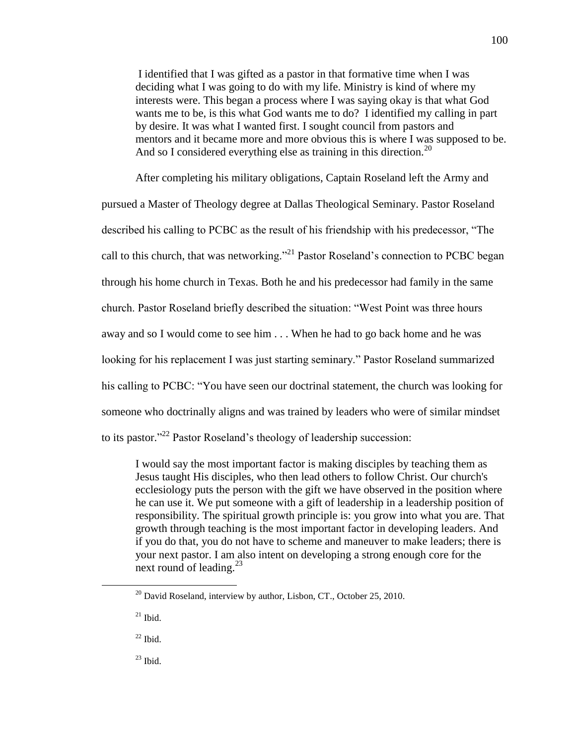I identified that I was gifted as a pastor in that formative time when I was deciding what I was going to do with my life. Ministry is kind of where my interests were. This began a process where I was saying okay is that what God wants me to be, is this what God wants me to do? I identified my calling in part by desire. It was what I wanted first. I sought council from pastors and mentors and it became more and more obvious this is where I was supposed to be. And so I considered everything else as training in this direction.<sup>20</sup>

After completing his military obligations, Captain Roseland left the Army and pursued a Master of Theology degree at Dallas Theological Seminary. Pastor Roseland described his calling to PCBC as the result of his friendship with his predecessor, "The call to this church, that was networking."<sup>21</sup> Pastor Roseland's connection to PCBC began through his home church in Texas. Both he and his predecessor had family in the same church. Pastor Roseland briefly described the situation: "West Point was three hours away and so I would come to see him . . . When he had to go back home and he was looking for his replacement I was just starting seminary." Pastor Roseland summarized his calling to PCBC: "You have seen our doctrinal statement, the church was looking for someone who doctrinally aligns and was trained by leaders who were of similar mindset to its pastor."<sup>22</sup> Pastor Roseland's theology of leadership succession:

I would say the most important factor is making disciples by teaching them as Jesus taught His disciples, who then lead others to follow Christ. Our church's ecclesiology puts the person with the gift we have observed in the position where he can use it. We put someone with a gift of leadership in a leadership position of responsibility. The spiritual growth principle is: you grow into what you are. That growth through teaching is the most important factor in developing leaders. And if you do that, you do not have to scheme and maneuver to make leaders; there is your next pastor. I am also intent on developing a strong enough core for the next round of leading.<sup>23</sup>

 $20$  David Roseland, interview by author, Lisbon, CT., October 25, 2010.

 $21$  Ibid.

 $22$  Ibid.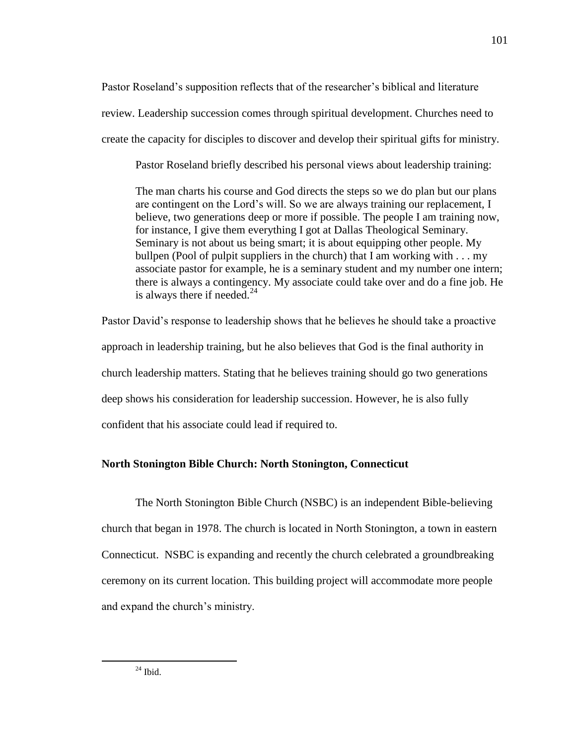Pastor Roseland's supposition reflects that of the researcher's biblical and literature review. Leadership succession comes through spiritual development. Churches need to create the capacity for disciples to discover and develop their spiritual gifts for ministry.

Pastor Roseland briefly described his personal views about leadership training:

The man charts his course and God directs the steps so we do plan but our plans are contingent on the Lord's will. So we are always training our replacement, I believe, two generations deep or more if possible. The people I am training now, for instance, I give them everything I got at Dallas Theological Seminary. Seminary is not about us being smart; it is about equipping other people. My bullpen (Pool of pulpit suppliers in the church) that I am working with . . . my associate pastor for example, he is a seminary student and my number one intern; there is always a contingency. My associate could take over and do a fine job. He is always there if needed. $^{24}$ 

Pastor David's response to leadership shows that he believes he should take a proactive approach in leadership training, but he also believes that God is the final authority in church leadership matters. Stating that he believes training should go two generations deep shows his consideration for leadership succession. However, he is also fully confident that his associate could lead if required to.

# **North Stonington Bible Church: North Stonington, Connecticut**

The North Stonington Bible Church (NSBC) is an independent Bible-believing church that began in 1978. The church is located in North Stonington, a town in eastern Connecticut. NSBC is expanding and recently the church celebrated a groundbreaking ceremony on its current location. This building project will accommodate more people and expand the church's ministry.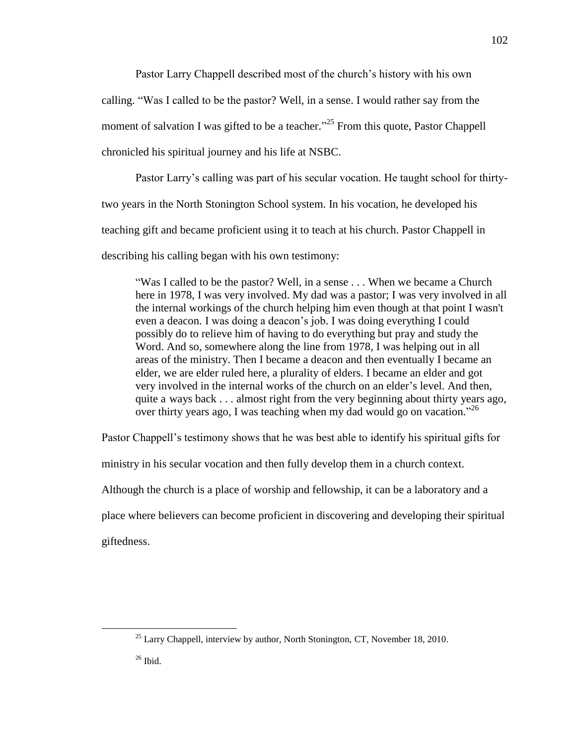Pastor Larry Chappell described most of the church's history with his own calling. ―Was I called to be the pastor? Well, in a sense. I would rather say from the moment of salvation I was gifted to be a teacher.<sup> $25$ </sup> From this quote, Pastor Chappell chronicled his spiritual journey and his life at NSBC.

Pastor Larry's calling was part of his secular vocation. He taught school for thirty-

two years in the North Stonington School system. In his vocation, he developed his

teaching gift and became proficient using it to teach at his church. Pastor Chappell in

describing his calling began with his own testimony:

―Was I called to be the pastor? Well, in a sense . . . When we became a Church here in 1978, I was very involved. My dad was a pastor; I was very involved in all the internal workings of the church helping him even though at that point I wasn't even a deacon. I was doing a deacon's job. I was doing everything I could possibly do to relieve him of having to do everything but pray and study the Word. And so, somewhere along the line from 1978, I was helping out in all areas of the ministry. Then I became a deacon and then eventually I became an elder, we are elder ruled here, a plurality of elders. I became an elder and got very involved in the internal works of the church on an elder's level. And then, quite a ways back . . . almost right from the very beginning about thirty years ago, over thirty years ago, I was teaching when my dad would go on vacation.<sup>726</sup>

Pastor Chappell's testimony shows that he was best able to identify his spiritual gifts for

ministry in his secular vocation and then fully develop them in a church context.

Although the church is a place of worship and fellowship, it can be a laboratory and a

place where believers can become proficient in discovering and developing their spiritual

giftedness.

 $\overline{a}$ 

 $26$  Ibid.

 $^{25}$  Larry Chappell, interview by author, North Stonington, CT, November 18, 2010.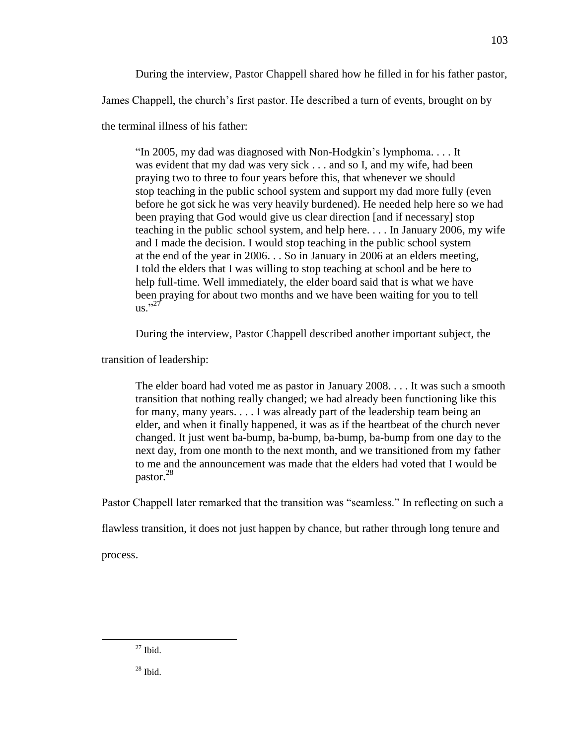During the interview, Pastor Chappell shared how he filled in for his father pastor,

James Chappell, the church's first pastor. He described a turn of events, brought on by

the terminal illness of his father:

"In 2005, my dad was diagnosed with Non-Hodgkin's lymphoma.... It was evident that my dad was very sick . . . and so I, and my wife, had been praying two to three to four years before this, that whenever we should stop teaching in the public school system and support my dad more fully (even before he got sick he was very heavily burdened). He needed help here so we had been praying that God would give us clear direction [and if necessary] stop teaching in the public school system, and help here. . . . In January 2006, my wife and I made the decision. I would stop teaching in the public school system at the end of the year in 2006. . . So in January in 2006 at an elders meeting, I told the elders that I was willing to stop teaching at school and be here to help full-time. Well immediately, the elder board said that is what we have been praying for about two months and we have been waiting for you to tell  $\overrightarrow{us}$ .  $\overrightarrow{27}$ 

During the interview, Pastor Chappell described another important subject, the

transition of leadership:

The elder board had voted me as pastor in January 2008. . . . It was such a smooth transition that nothing really changed; we had already been functioning like this for many, many years. . . . I was already part of the leadership team being an elder, and when it finally happened, it was as if the heartbeat of the church never changed. It just went ba-bump, ba-bump, ba-bump, ba-bump from one day to the next day, from one month to the next month, and we transitioned from my father to me and the announcement was made that the elders had voted that I would be pastor. 28

Pastor Chappell later remarked that the transition was "seamless." In reflecting on such a

flawless transition, it does not just happen by chance, but rather through long tenure and

process.

 $27$  Ibid.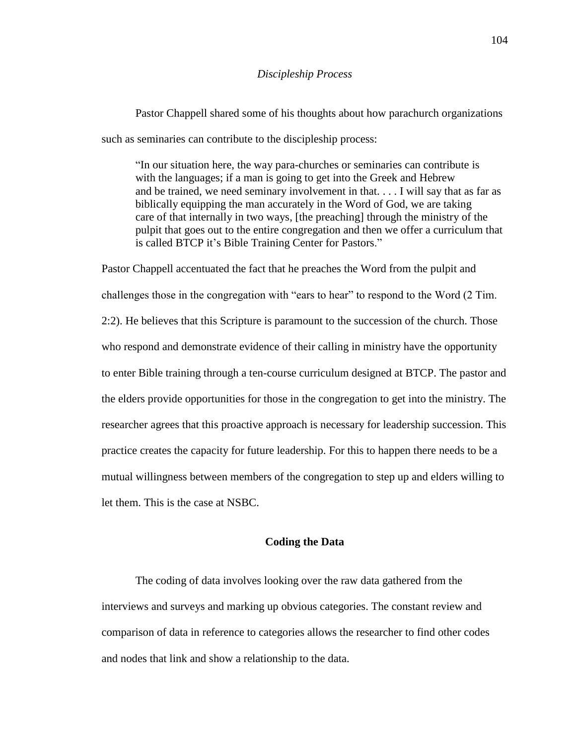#### *Discipleship Process*

Pastor Chappell shared some of his thoughts about how parachurch organizations such as seminaries can contribute to the discipleship process:

"In our situation here, the way para-churches or seminaries can contribute is with the languages; if a man is going to get into the Greek and Hebrew and be trained, we need seminary involvement in that. . . . I will say that as far as biblically equipping the man accurately in the Word of God, we are taking care of that internally in two ways, [the preaching] through the ministry of the pulpit that goes out to the entire congregation and then we offer a curriculum that is called BTCP it's Bible Training Center for Pastors."

Pastor Chappell accentuated the fact that he preaches the Word from the pulpit and challenges those in the congregation with "ears to hear" to respond to the Word (2 Tim. 2:2). He believes that this Scripture is paramount to the succession of the church. Those who respond and demonstrate evidence of their calling in ministry have the opportunity to enter Bible training through a ten-course curriculum designed at BTCP. The pastor and the elders provide opportunities for those in the congregation to get into the ministry. The researcher agrees that this proactive approach is necessary for leadership succession. This practice creates the capacity for future leadership. For this to happen there needs to be a mutual willingness between members of the congregation to step up and elders willing to let them. This is the case at NSBC.

#### **Coding the Data**

The coding of data involves looking over the raw data gathered from the interviews and surveys and marking up obvious categories. The constant review and comparison of data in reference to categories allows the researcher to find other codes and nodes that link and show a relationship to the data.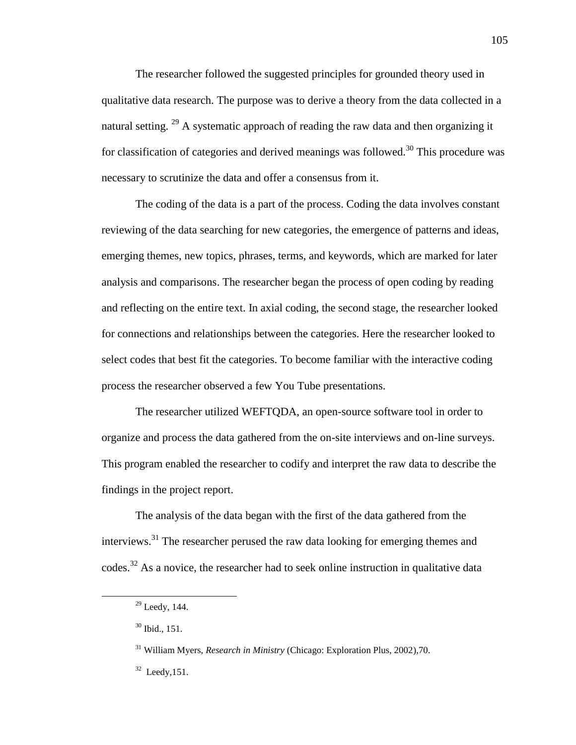The researcher followed the suggested principles for grounded theory used in qualitative data research. The purpose was to derive a theory from the data collected in a natural setting. <sup>29</sup> A systematic approach of reading the raw data and then organizing it for classification of categories and derived meanings was followed.<sup>30</sup> This procedure was necessary to scrutinize the data and offer a consensus from it.

The coding of the data is a part of the process. Coding the data involves constant reviewing of the data searching for new categories, the emergence of patterns and ideas, emerging themes, new topics, phrases, terms, and keywords, which are marked for later analysis and comparisons. The researcher began the process of open coding by reading and reflecting on the entire text. In axial coding, the second stage, the researcher looked for connections and relationships between the categories. Here the researcher looked to select codes that best fit the categories. To become familiar with the interactive coding process the researcher observed a few You Tube presentations.

The researcher utilized WEFTQDA, an open-source software tool in order to organize and process the data gathered from the on-site interviews and on-line surveys. This program enabled the researcher to codify and interpret the raw data to describe the findings in the project report.

The analysis of the data began with the first of the data gathered from the interviews.<sup>31</sup> The researcher perused the raw data looking for emerging themes and codes.<sup>32</sup> As a novice, the researcher had to seek online instruction in qualitative data

 $29$  Leedy, 144.

<sup>30</sup> Ibid., 151.

<sup>31</sup> William Myers, *Research in Ministry* (Chicago: Exploration Plus, 2002),70.

 $32$  Leedy, 151.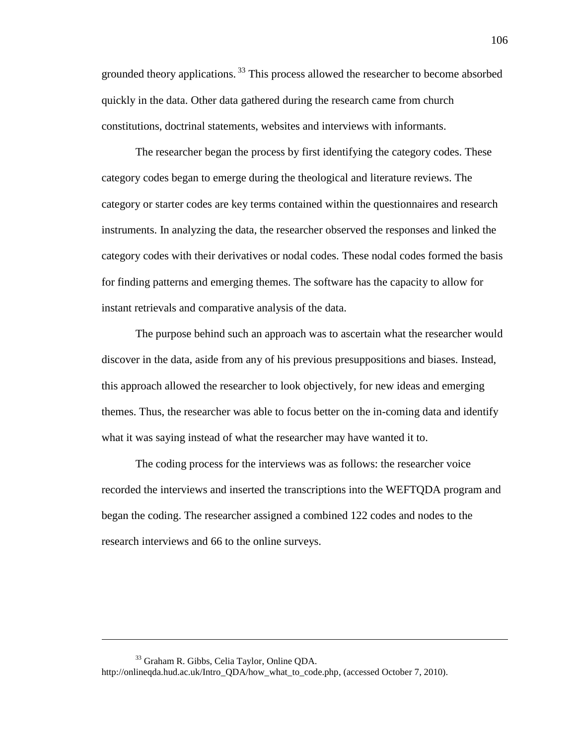grounded theory applications.<sup>33</sup> This process allowed the researcher to become absorbed quickly in the data. Other data gathered during the research came from church constitutions, doctrinal statements, websites and interviews with informants.

The researcher began the process by first identifying the category codes. These category codes began to emerge during the theological and literature reviews. The category or starter codes are key terms contained within the questionnaires and research instruments. In analyzing the data, the researcher observed the responses and linked the category codes with their derivatives or nodal codes. These nodal codes formed the basis for finding patterns and emerging themes. The software has the capacity to allow for instant retrievals and comparative analysis of the data.

The purpose behind such an approach was to ascertain what the researcher would discover in the data, aside from any of his previous presuppositions and biases. Instead, this approach allowed the researcher to look objectively, for new ideas and emerging themes. Thus, the researcher was able to focus better on the in-coming data and identify what it was saying instead of what the researcher may have wanted it to.

The coding process for the interviews was as follows: the researcher voice recorded the interviews and inserted the transcriptions into the WEFTQDA program and began the coding. The researcher assigned a combined 122 codes and nodes to the research interviews and 66 to the online surveys.

<sup>33</sup> Graham R. Gibbs, Celia Taylor, Online QDA.

http://onlineqda.hud.ac.uk/Intro\_QDA/how\_what\_to\_code.php, (accessed October 7, 2010).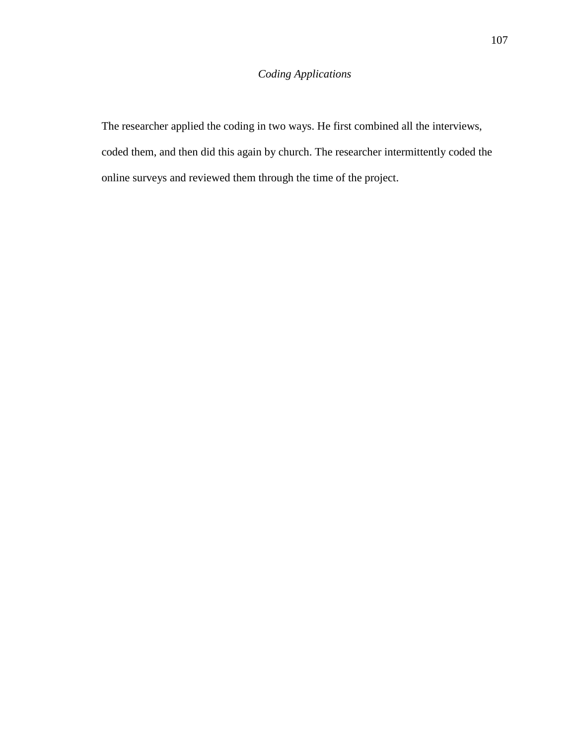# *Coding Applications*

The researcher applied the coding in two ways. He first combined all the interviews, coded them, and then did this again by church. The researcher intermittently coded the online surveys and reviewed them through the time of the project.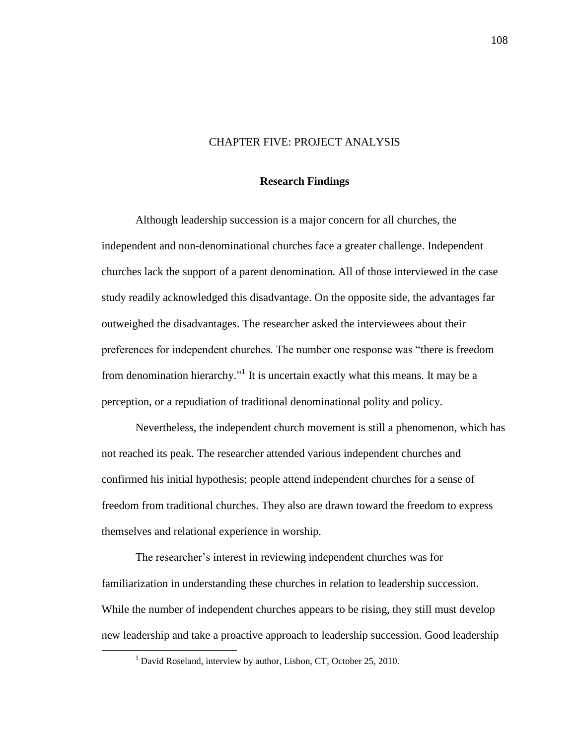## CHAPTER FIVE: PROJECT ANALYSIS

### **Research Findings**

Although leadership succession is a major concern for all churches, the independent and non-denominational churches face a greater challenge. Independent churches lack the support of a parent denomination. All of those interviewed in the case study readily acknowledged this disadvantage. On the opposite side, the advantages far outweighed the disadvantages. The researcher asked the interviewees about their preferences for independent churches. The number one response was "there is freedom from denomination hierarchy."<sup>1</sup> It is uncertain exactly what this means. It may be a perception, or a repudiation of traditional denominational polity and policy.

Nevertheless, the independent church movement is still a phenomenon, which has not reached its peak. The researcher attended various independent churches and confirmed his initial hypothesis; people attend independent churches for a sense of freedom from traditional churches. They also are drawn toward the freedom to express themselves and relational experience in worship.

The researcher's interest in reviewing independent churches was for familiarization in understanding these churches in relation to leadership succession. While the number of independent churches appears to be rising, they still must develop new leadership and take a proactive approach to leadership succession. Good leadership

<sup>&</sup>lt;sup>1</sup> David Roseland, interview by author, Lisbon, CT, October 25, 2010.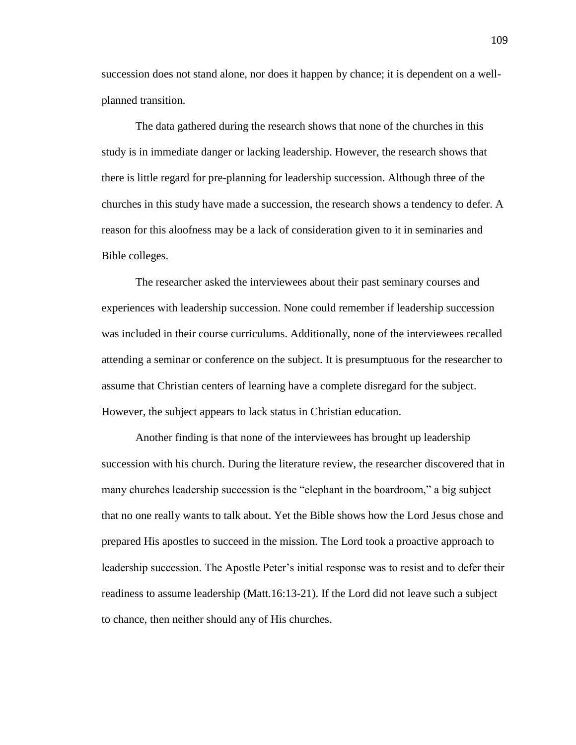succession does not stand alone, nor does it happen by chance; it is dependent on a wellplanned transition.

The data gathered during the research shows that none of the churches in this study is in immediate danger or lacking leadership. However, the research shows that there is little regard for pre-planning for leadership succession. Although three of the churches in this study have made a succession, the research shows a tendency to defer. A reason for this aloofness may be a lack of consideration given to it in seminaries and Bible colleges.

The researcher asked the interviewees about their past seminary courses and experiences with leadership succession. None could remember if leadership succession was included in their course curriculums. Additionally, none of the interviewees recalled attending a seminar or conference on the subject. It is presumptuous for the researcher to assume that Christian centers of learning have a complete disregard for the subject. However, the subject appears to lack status in Christian education.

Another finding is that none of the interviewees has brought up leadership succession with his church. During the literature review, the researcher discovered that in many churches leadership succession is the "elephant in the boardroom," a big subject that no one really wants to talk about. Yet the Bible shows how the Lord Jesus chose and prepared His apostles to succeed in the mission. The Lord took a proactive approach to leadership succession. The Apostle Peter's initial response was to resist and to defer their readiness to assume leadership (Matt.16:13-21). If the Lord did not leave such a subject to chance, then neither should any of His churches.

109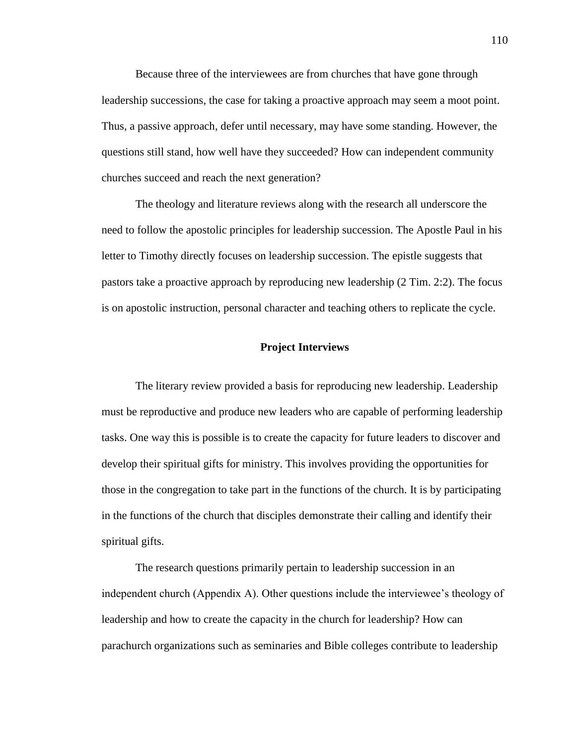Because three of the interviewees are from churches that have gone through leadership successions, the case for taking a proactive approach may seem a moot point. Thus, a passive approach, defer until necessary, may have some standing. However, the questions still stand, how well have they succeeded? How can independent community churches succeed and reach the next generation?

The theology and literature reviews along with the research all underscore the need to follow the apostolic principles for leadership succession. The Apostle Paul in his letter to Timothy directly focuses on leadership succession. The epistle suggests that pastors take a proactive approach by reproducing new leadership (2 Tim. 2:2). The focus is on apostolic instruction, personal character and teaching others to replicate the cycle.

## **Project Interviews**

The literary review provided a basis for reproducing new leadership. Leadership must be reproductive and produce new leaders who are capable of performing leadership tasks. One way this is possible is to create the capacity for future leaders to discover and develop their spiritual gifts for ministry. This involves providing the opportunities for those in the congregation to take part in the functions of the church. It is by participating in the functions of the church that disciples demonstrate their calling and identify their spiritual gifts.

The research questions primarily pertain to leadership succession in an independent church (Appendix A). Other questions include the interviewee's theology of leadership and how to create the capacity in the church for leadership? How can parachurch organizations such as seminaries and Bible colleges contribute to leadership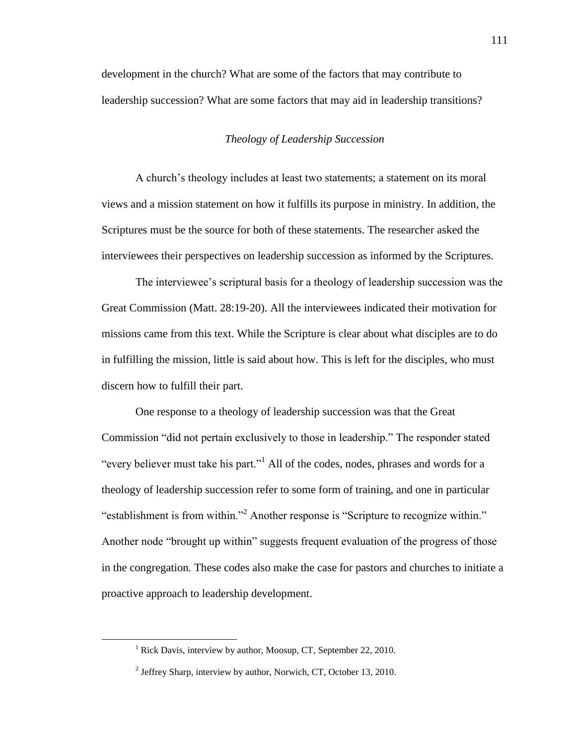development in the church? What are some of the factors that may contribute to leadership succession? What are some factors that may aid in leadership transitions?

## *Theology of Leadership Succession*

A church's theology includes at least two statements; a statement on its moral views and a mission statement on how it fulfills its purpose in ministry. In addition, the Scriptures must be the source for both of these statements. The researcher asked the interviewees their perspectives on leadership succession as informed by the Scriptures.

The interviewee's scriptural basis for a theology of leadership succession was the Great Commission (Matt. 28:19-20). All the interviewees indicated their motivation for missions came from this text. While the Scripture is clear about what disciples are to do in fulfilling the mission, little is said about how. This is left for the disciples, who must discern how to fulfill their part.

One response to a theology of leadership succession was that the Great Commission "did not pertain exclusively to those in leadership." The responder stated "every believer must take his part."<sup>1</sup> All of the codes, nodes, phrases and words for a theology of leadership succession refer to some form of training, and one in particular "establishment is from within."<sup>2</sup> Another response is "Scripture to recognize within." Another node "brought up within" suggests frequent evaluation of the progress of those in the congregation. These codes also make the case for pastors and churches to initiate a proactive approach to leadership development.

<sup>&</sup>lt;sup>1</sup> Rick Davis, interview by author, Moosup, CT, September 22, 2010.

<sup>&</sup>lt;sup>2</sup> Jeffrey Sharp, interview by author, Norwich, CT, October 13, 2010.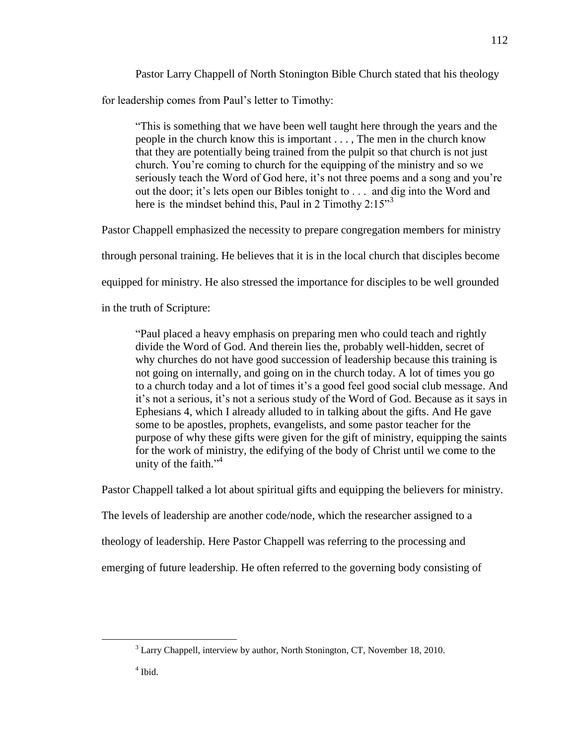Pastor Larry Chappell of North Stonington Bible Church stated that his theology for leadership comes from Paul's letter to Timothy:

―This is something that we have been well taught here through the years and the people in the church know this is important . . . , The men in the church know that they are potentially being trained from the pulpit so that church is not just church. You're coming to church for the equipping of the ministry and so we seriously teach the Word of God here, it's not three poems and a song and you're out the door; it's lets open our Bibles tonight to . . . and dig into the Word and here is the mindset behind this, Paul in 2 Timothy  $2:15^{3}$ 

Pastor Chappell emphasized the necessity to prepare congregation members for ministry

through personal training. He believes that it is in the local church that disciples become

equipped for ministry. He also stressed the importance for disciples to be well grounded

in the truth of Scripture:

"Paul placed a heavy emphasis on preparing men who could teach and rightly divide the Word of God. And therein lies the, probably well-hidden, secret of why churches do not have good succession of leadership because this training is not going on internally, and going on in the church today. A lot of times you go to a church today and a lot of times it's a good feel good social club message. And it's not a serious, it's not a serious study of the Word of God. Because as it says in Ephesians 4, which I already alluded to in talking about the gifts. And He gave some to be apostles, prophets, evangelists, and some pastor teacher for the purpose of why these gifts were given for the gift of ministry, equipping the saints for the work of ministry, the edifying of the body of Christ until we come to the unity of the faith."<sup>4</sup>

Pastor Chappell talked a lot about spiritual gifts and equipping the believers for ministry.

The levels of leadership are another code/node, which the researcher assigned to a

theology of leadership. Here Pastor Chappell was referring to the processing and

emerging of future leadership. He often referred to the governing body consisting of

4 Ibid.

<sup>&</sup>lt;sup>3</sup> Larry Chappell, interview by author, North Stonington, CT, November 18, 2010.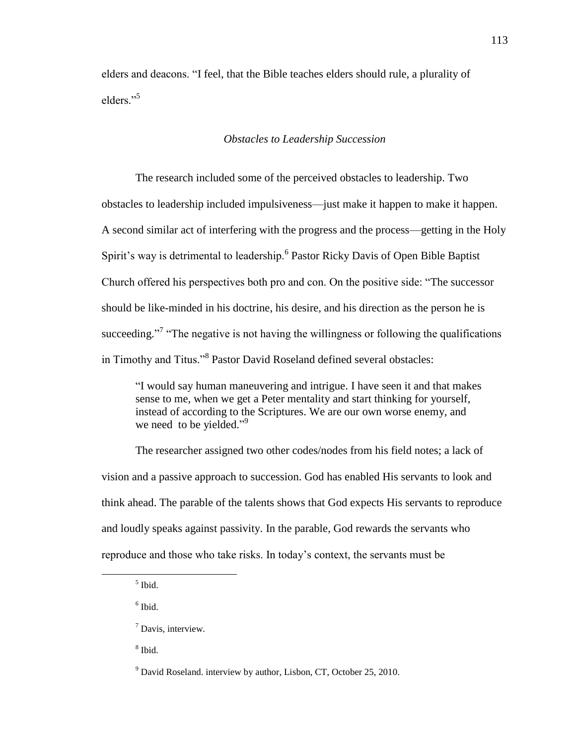elders and deacons. "I feel, that the Bible teaches elders should rule, a plurality of elders<sup>"5</sup>

## *Obstacles to Leadership Succession*

The research included some of the perceived obstacles to leadership. Two obstacles to leadership included impulsiveness—just make it happen to make it happen. A second similar act of interfering with the progress and the process—getting in the Holy Spirit's way is detrimental to leadership.<sup>6</sup> Pastor Ricky Davis of Open Bible Baptist Church offered his perspectives both pro and con. On the positive side: "The successor should be like-minded in his doctrine, his desire, and his direction as the person he is succeeding.<sup>7</sup> "The negative is not having the willingness or following the qualifications in Timothy and Titus."<sup>8</sup> Pastor David Roseland defined several obstacles:

―I would say human maneuvering and intrigue. I have seen it and that makes sense to me, when we get a Peter mentality and start thinking for yourself, instead of according to the Scriptures. We are our own worse enemy, and we need to be yielded."<sup>9</sup>

The researcher assigned two other codes/nodes from his field notes; a lack of vision and a passive approach to succession. God has enabled His servants to look and think ahead. The parable of the talents shows that God expects His servants to reproduce and loudly speaks against passivity. In the parable, God rewards the servants who reproduce and those who take risks. In today's context, the servants must be

 $\overline{a}$ 

6 Ibid.

8 Ibid.

<sup>5</sup> Ibid.

<sup>7</sup> Davis, interview.

 $9$  David Roseland. interview by author, Lisbon, CT, October 25, 2010.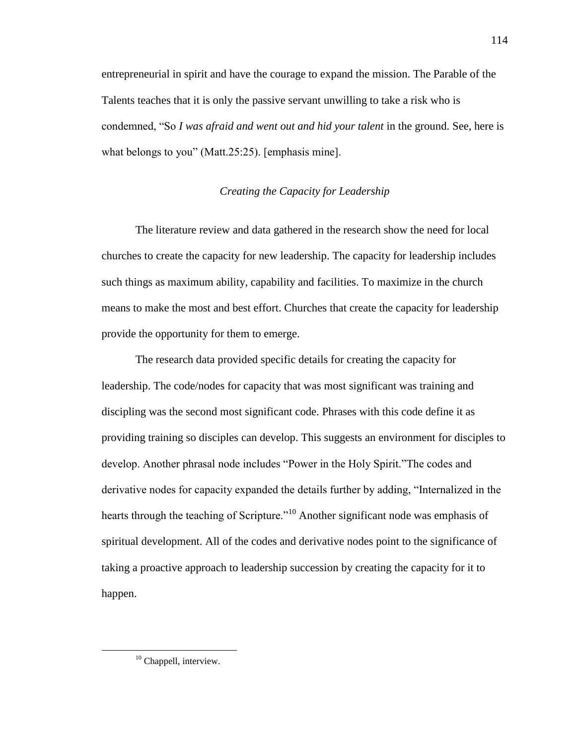entrepreneurial in spirit and have the courage to expand the mission. The Parable of the Talents teaches that it is only the passive servant unwilling to take a risk who is condemned, "So *I was afraid and went out and hid your talent* in the ground. See, here is what belongs to you" (Matt.  $25:25$ ). [emphasis mine].

## *Creating the Capacity for Leadership*

The literature review and data gathered in the research show the need for local churches to create the capacity for new leadership. The capacity for leadership includes such things as maximum ability, capability and facilities. To maximize in the church means to make the most and best effort. Churches that create the capacity for leadership provide the opportunity for them to emerge.

The research data provided specific details for creating the capacity for leadership. The code/nodes for capacity that was most significant was training and discipling was the second most significant code. Phrases with this code define it as providing training so disciples can develop. This suggests an environment for disciples to develop. Another phrasal node includes "Power in the Holy Spirit." The codes and derivative nodes for capacity expanded the details further by adding, "Internalized in the hearts through the teaching of Scripture.<sup>10</sup> Another significant node was emphasis of spiritual development. All of the codes and derivative nodes point to the significance of taking a proactive approach to leadership succession by creating the capacity for it to happen.

<sup>&</sup>lt;sup>10</sup> Chappell, interview.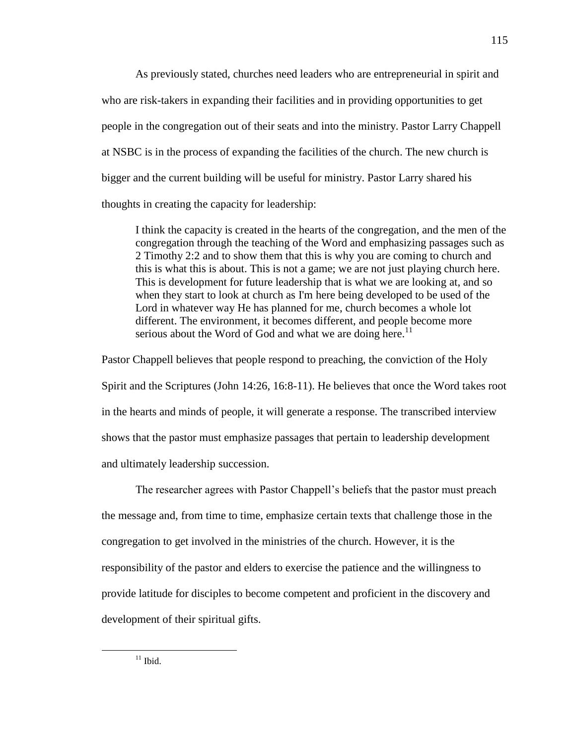As previously stated, churches need leaders who are entrepreneurial in spirit and who are risk-takers in expanding their facilities and in providing opportunities to get people in the congregation out of their seats and into the ministry. Pastor Larry Chappell at NSBC is in the process of expanding the facilities of the church. The new church is bigger and the current building will be useful for ministry. Pastor Larry shared his thoughts in creating the capacity for leadership:

I think the capacity is created in the hearts of the congregation, and the men of the congregation through the teaching of the Word and emphasizing passages such as 2 Timothy 2:2 and to show them that this is why you are coming to church and this is what this is about. This is not a game; we are not just playing church here. This is development for future leadership that is what we are looking at, and so when they start to look at church as I'm here being developed to be used of the Lord in whatever way He has planned for me, church becomes a whole lot different. The environment, it becomes different, and people become more serious about the Word of God and what we are doing here.<sup>11</sup>

Pastor Chappell believes that people respond to preaching, the conviction of the Holy Spirit and the Scriptures (John 14:26, 16:8-11). He believes that once the Word takes root in the hearts and minds of people, it will generate a response. The transcribed interview shows that the pastor must emphasize passages that pertain to leadership development and ultimately leadership succession.

The researcher agrees with Pastor Chappell's beliefs that the pastor must preach the message and, from time to time, emphasize certain texts that challenge those in the congregation to get involved in the ministries of the church. However, it is the responsibility of the pastor and elders to exercise the patience and the willingness to provide latitude for disciples to become competent and proficient in the discovery and development of their spiritual gifts.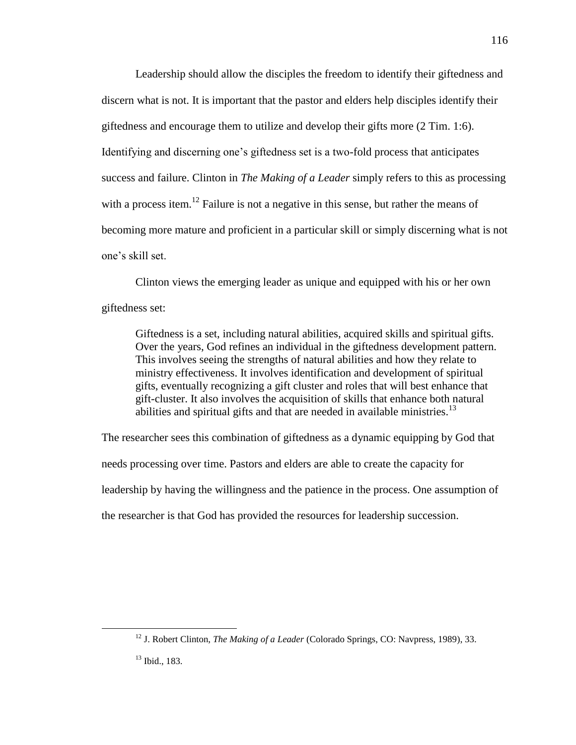Leadership should allow the disciples the freedom to identify their giftedness and discern what is not. It is important that the pastor and elders help disciples identify their giftedness and encourage them to utilize and develop their gifts more (2 Tim. 1:6). Identifying and discerning one's giftedness set is a two-fold process that anticipates success and failure. Clinton in *The Making of a Leader* simply refers to this as processing with a process item.<sup>12</sup> Failure is not a negative in this sense, but rather the means of becoming more mature and proficient in a particular skill or simply discerning what is not one's skill set.

Clinton views the emerging leader as unique and equipped with his or her own giftedness set:

Giftedness is a set, including natural abilities, acquired skills and spiritual gifts. Over the years, God refines an individual in the giftedness development pattern. This involves seeing the strengths of natural abilities and how they relate to ministry effectiveness. It involves identification and development of spiritual gifts, eventually recognizing a gift cluster and roles that will best enhance that gift-cluster. It also involves the acquisition of skills that enhance both natural abilities and spiritual gifts and that are needed in available ministries.<sup>13</sup>

The researcher sees this combination of giftedness as a dynamic equipping by God that needs processing over time. Pastors and elders are able to create the capacity for leadership by having the willingness and the patience in the process. One assumption of the researcher is that God has provided the resources for leadership succession.

<sup>12</sup> J. Robert Clinton, *The Making of a Leader* (Colorado Springs, CO: Navpress, 1989), 33.

<sup>13</sup> Ibid., 183.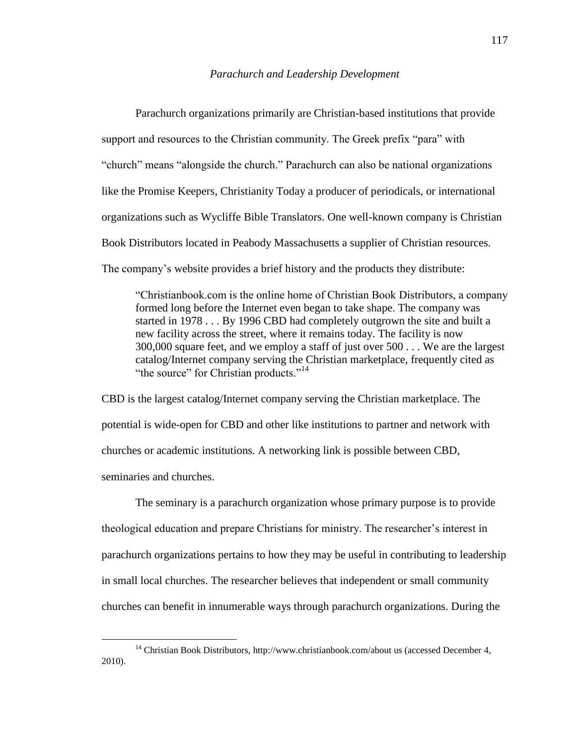#### *Parachurch and Leadership Development*

 Parachurch organizations primarily are Christian-based institutions that provide support and resources to the Christian community. The Greek prefix "para" with "
church" means "alongside the church." Parachurch can also be national organizations like the Promise Keepers, Christianity Today a producer of periodicals, or international organizations such as Wycliffe Bible Translators. One well-known company is Christian Book Distributors located in Peabody Massachusetts a supplier of Christian resources. The company's website provides a brief history and the products they distribute:

―Christianbook.com is the online home of Christian Book Distributors, a company formed long before the Internet even began to take shape. The company was started in 1978 . . . By 1996 CBD had completely outgrown the site and built a new facility across the street, where it remains today. The facility is now 300,000 square feet, and we employ a staff of just over 500 . . . We are the largest catalog/Internet company serving the Christian marketplace, frequently cited as "the source" for Christian products."<sup>14</sup>

CBD is the largest catalog/Internet company serving the Christian marketplace. The potential is wide-open for CBD and other like institutions to partner and network with churches or academic institutions. A networking link is possible between CBD, seminaries and churches.

The seminary is a parachurch organization whose primary purpose is to provide theological education and prepare Christians for ministry. The researcher's interest in parachurch organizations pertains to how they may be useful in contributing to leadership in small local churches. The researcher believes that independent or small community churches can benefit in innumerable ways through parachurch organizations. During the

<sup>&</sup>lt;sup>14</sup> Christian Book Distributors, http://www.christianbook.com/about us (accessed December 4, 2010).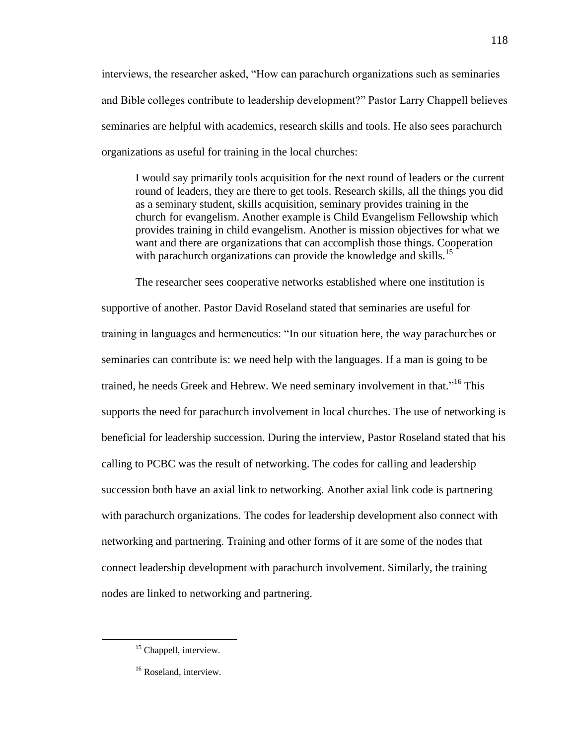interviews, the researcher asked, "How can parachurch organizations such as seminaries and Bible colleges contribute to leadership development?" Pastor Larry Chappell believes seminaries are helpful with academics, research skills and tools. He also sees parachurch organizations as useful for training in the local churches:

I would say primarily tools acquisition for the next round of leaders or the current round of leaders, they are there to get tools. Research skills, all the things you did as a seminary student, skills acquisition, seminary provides training in the church for evangelism. Another example is Child Evangelism Fellowship which provides training in child evangelism. Another is mission objectives for what we want and there are organizations that can accomplish those things. Cooperation with parachurch organizations can provide the knowledge and skills.<sup>15</sup>

The researcher sees cooperative networks established where one institution is supportive of another. Pastor David Roseland stated that seminaries are useful for training in languages and hermeneutics: "In our situation here, the way parachurches or seminaries can contribute is: we need help with the languages. If a man is going to be trained, he needs Greek and Hebrew. We need seminary involvement in that."<sup>16</sup> This supports the need for parachurch involvement in local churches. The use of networking is beneficial for leadership succession. During the interview, Pastor Roseland stated that his calling to PCBC was the result of networking. The codes for calling and leadership succession both have an axial link to networking. Another axial link code is partnering with parachurch organizations. The codes for leadership development also connect with networking and partnering. Training and other forms of it are some of the nodes that connect leadership development with parachurch involvement. Similarly, the training nodes are linked to networking and partnering.

<sup>&</sup>lt;sup>15</sup> Chappell, interview.

<sup>&</sup>lt;sup>16</sup> Roseland, interview.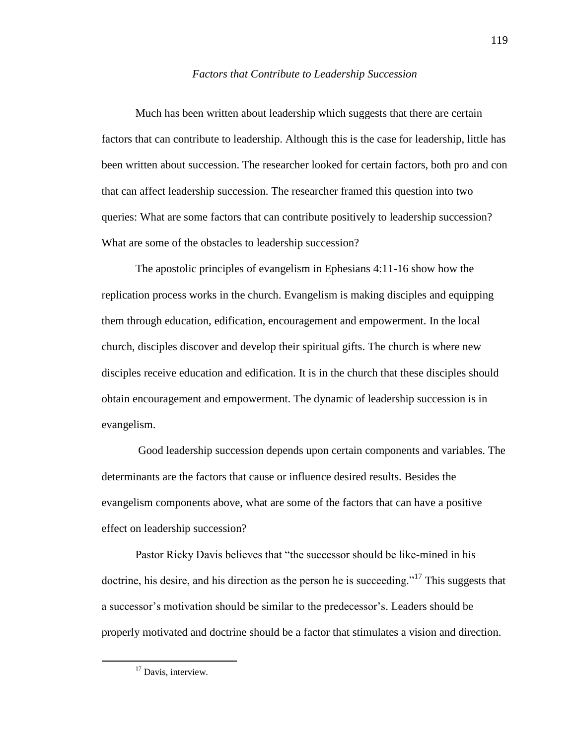#### *Factors that Contribute to Leadership Succession*

Much has been written about leadership which suggests that there are certain factors that can contribute to leadership. Although this is the case for leadership, little has been written about succession. The researcher looked for certain factors, both pro and con that can affect leadership succession. The researcher framed this question into two queries: What are some factors that can contribute positively to leadership succession? What are some of the obstacles to leadership succession?

The apostolic principles of evangelism in Ephesians 4:11-16 show how the replication process works in the church. Evangelism is making disciples and equipping them through education, edification, encouragement and empowerment. In the local church, disciples discover and develop their spiritual gifts. The church is where new disciples receive education and edification. It is in the church that these disciples should obtain encouragement and empowerment. The dynamic of leadership succession is in evangelism.

Good leadership succession depends upon certain components and variables. The determinants are the factors that cause or influence desired results. Besides the evangelism components above, what are some of the factors that can have a positive effect on leadership succession?

Pastor Ricky Davis believes that "the successor should be like-mined in his doctrine, his desire, and his direction as the person he is succeeding."<sup>17</sup> This suggests that a successor's motivation should be similar to the predecessor's. Leaders should be properly motivated and doctrine should be a factor that stimulates a vision and direction.

<sup>&</sup>lt;sup>17</sup> Davis, interview.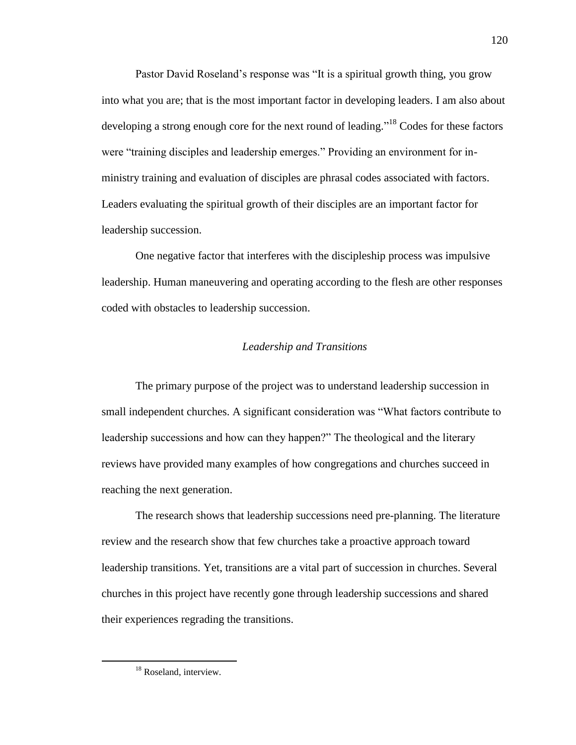Pastor David Roseland's response was "It is a spiritual growth thing, you grow into what you are; that is the most important factor in developing leaders. I am also about developing a strong enough core for the next round of leading."<sup>18</sup> Codes for these factors were "training disciples and leadership emerges." Providing an environment for inministry training and evaluation of disciples are phrasal codes associated with factors. Leaders evaluating the spiritual growth of their disciples are an important factor for leadership succession.

One negative factor that interferes with the discipleship process was impulsive leadership. Human maneuvering and operating according to the flesh are other responses coded with obstacles to leadership succession.

## *Leadership and Transitions*

The primary purpose of the project was to understand leadership succession in small independent churches. A significant consideration was "What factors contribute to leadership successions and how can they happen?" The theological and the literary reviews have provided many examples of how congregations and churches succeed in reaching the next generation.

The research shows that leadership successions need pre-planning. The literature review and the research show that few churches take a proactive approach toward leadership transitions. Yet, transitions are a vital part of succession in churches. Several churches in this project have recently gone through leadership successions and shared their experiences regrading the transitions.

<sup>&</sup>lt;sup>18</sup> Roseland, interview.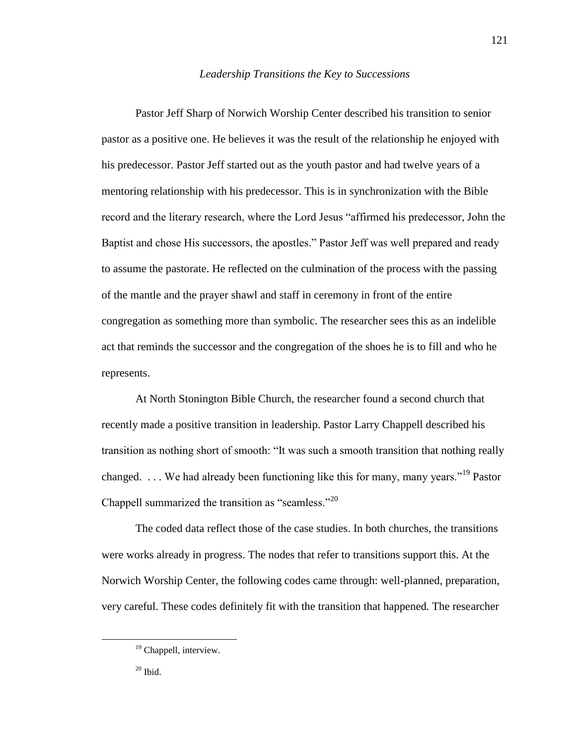## *Leadership Transitions the Key to Successions*

Pastor Jeff Sharp of Norwich Worship Center described his transition to senior pastor as a positive one. He believes it was the result of the relationship he enjoyed with his predecessor. Pastor Jeff started out as the youth pastor and had twelve years of a mentoring relationship with his predecessor. This is in synchronization with the Bible record and the literary research, where the Lord Jesus "affirmed his predecessor, John the Baptist and chose His successors, the apostles." Pastor Jeff was well prepared and ready to assume the pastorate. He reflected on the culmination of the process with the passing of the mantle and the prayer shawl and staff in ceremony in front of the entire congregation as something more than symbolic. The researcher sees this as an indelible act that reminds the successor and the congregation of the shoes he is to fill and who he represents.

At North Stonington Bible Church, the researcher found a second church that recently made a positive transition in leadership. Pastor Larry Chappell described his transition as nothing short of smooth: "It was such a smooth transition that nothing really changed. ... We had already been functioning like this for many, many vears."<sup>19</sup> Pastor Chappell summarized the transition as "seamless."<sup>20</sup>

The coded data reflect those of the case studies. In both churches, the transitions were works already in progress. The nodes that refer to transitions support this. At the Norwich Worship Center, the following codes came through: well-planned, preparation, very careful. These codes definitely fit with the transition that happened. The researcher

<sup>&</sup>lt;sup>19</sup> Chappell, interview.

 $20$  Ibid.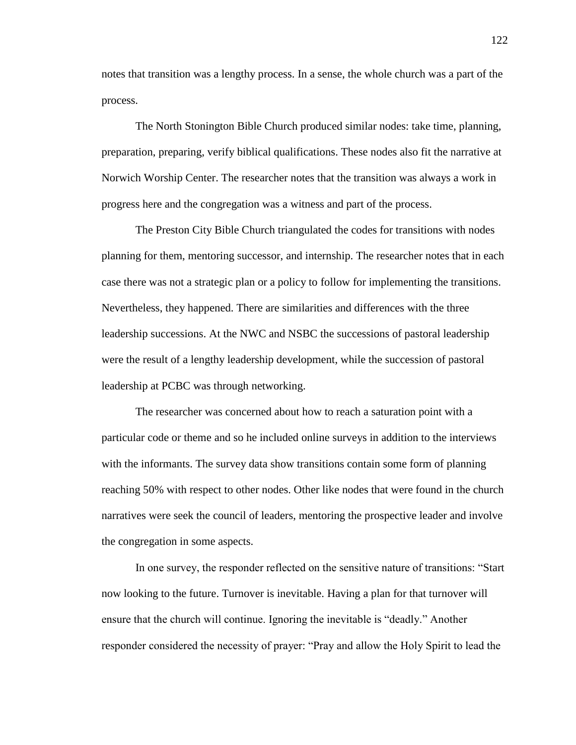notes that transition was a lengthy process. In a sense, the whole church was a part of the process.

The North Stonington Bible Church produced similar nodes: take time, planning, preparation, preparing, verify biblical qualifications. These nodes also fit the narrative at Norwich Worship Center. The researcher notes that the transition was always a work in progress here and the congregation was a witness and part of the process.

The Preston City Bible Church triangulated the codes for transitions with nodes planning for them, mentoring successor, and internship. The researcher notes that in each case there was not a strategic plan or a policy to follow for implementing the transitions. Nevertheless, they happened. There are similarities and differences with the three leadership successions. At the NWC and NSBC the successions of pastoral leadership were the result of a lengthy leadership development, while the succession of pastoral leadership at PCBC was through networking.

The researcher was concerned about how to reach a saturation point with a particular code or theme and so he included online surveys in addition to the interviews with the informants. The survey data show transitions contain some form of planning reaching 50% with respect to other nodes. Other like nodes that were found in the church narratives were seek the council of leaders, mentoring the prospective leader and involve the congregation in some aspects.

In one survey, the responder reflected on the sensitive nature of transitions: "Start now looking to the future. Turnover is inevitable. Having a plan for that turnover will ensure that the church will continue. Ignoring the inevitable is "deadly." Another responder considered the necessity of prayer: "Pray and allow the Holy Spirit to lead the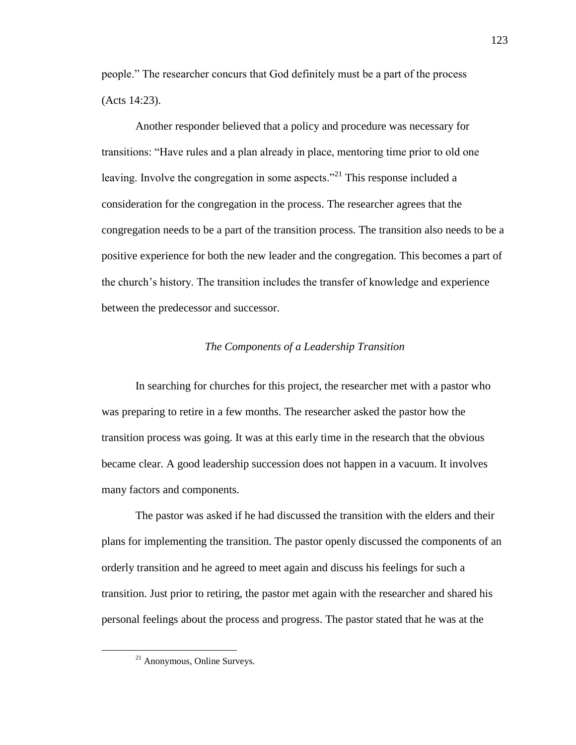people.‖ The researcher concurs that God definitely must be a part of the process (Acts 14:23).

Another responder believed that a policy and procedure was necessary for transitions: ―Have rules and a plan already in place, mentoring time prior to old one leaving. Involve the congregation in some aspects."<sup>21</sup> This response included a consideration for the congregation in the process. The researcher agrees that the congregation needs to be a part of the transition process. The transition also needs to be a positive experience for both the new leader and the congregation. This becomes a part of the church's history. The transition includes the transfer of knowledge and experience between the predecessor and successor.

## *The Components of a Leadership Transition*

In searching for churches for this project, the researcher met with a pastor who was preparing to retire in a few months. The researcher asked the pastor how the transition process was going. It was at this early time in the research that the obvious became clear. A good leadership succession does not happen in a vacuum. It involves many factors and components.

The pastor was asked if he had discussed the transition with the elders and their plans for implementing the transition. The pastor openly discussed the components of an orderly transition and he agreed to meet again and discuss his feelings for such a transition. Just prior to retiring, the pastor met again with the researcher and shared his personal feelings about the process and progress. The pastor stated that he was at the

<sup>21</sup> Anonymous, Online Surveys.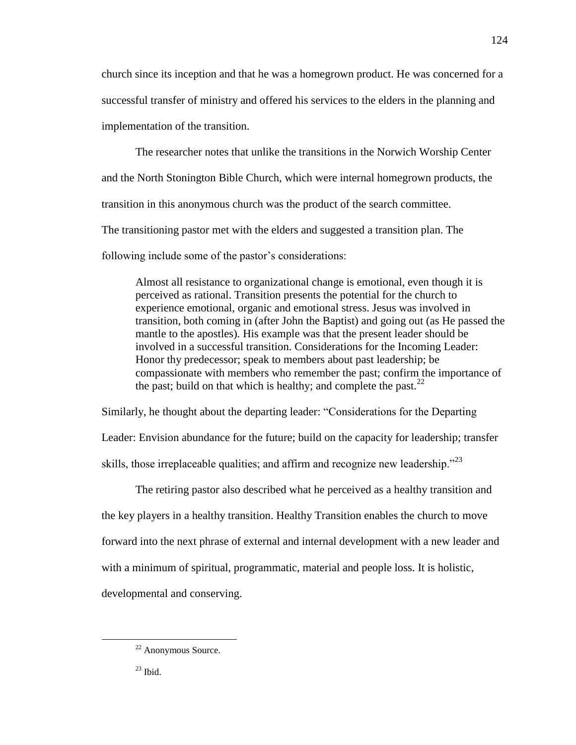church since its inception and that he was a homegrown product. He was concerned for a successful transfer of ministry and offered his services to the elders in the planning and implementation of the transition.

The researcher notes that unlike the transitions in the Norwich Worship Center and the North Stonington Bible Church, which were internal homegrown products, the transition in this anonymous church was the product of the search committee. The transitioning pastor met with the elders and suggested a transition plan. The

following include some of the pastor's considerations:

Almost all resistance to organizational change is emotional, even though it is perceived as rational. Transition presents the potential for the church to experience emotional, organic and emotional stress. Jesus was involved in transition, both coming in (after John the Baptist) and going out (as He passed the mantle to the apostles). His example was that the present leader should be involved in a successful transition. Considerations for the Incoming Leader: Honor thy predecessor; speak to members about past leadership; be compassionate with members who remember the past; confirm the importance of the past; build on that which is healthy; and complete the past.  $22$ 

Similarly, he thought about the departing leader: "Considerations for the Departing Leader: Envision abundance for the future; build on the capacity for leadership; transfer skills, those irreplaceable qualities; and affirm and recognize new leadership.<sup>223</sup>

The retiring pastor also described what he perceived as a healthy transition and the key players in a healthy transition. Healthy Transition enables the church to move forward into the next phrase of external and internal development with a new leader and with a minimum of spiritual, programmatic, material and people loss. It is holistic, developmental and conserving.

<sup>22</sup> Anonymous Source.

 $^{23}$  Ibid.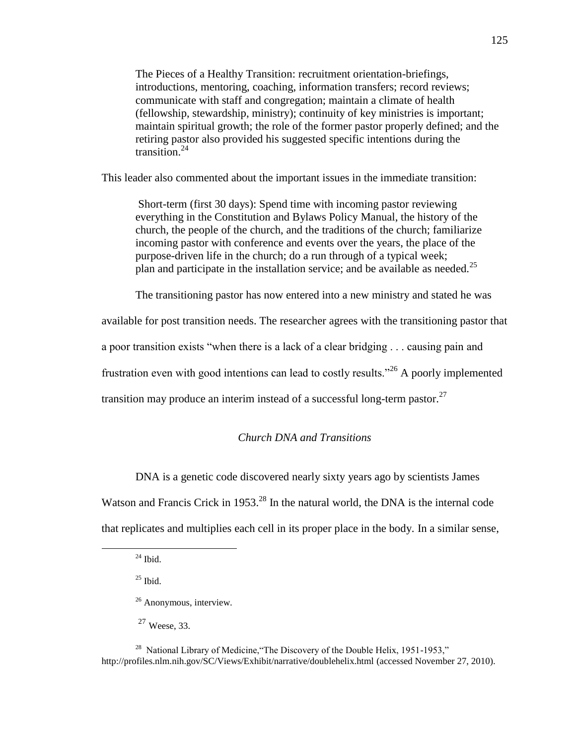The Pieces of a Healthy Transition: recruitment orientation-briefings, introductions, mentoring, coaching, information transfers; record reviews; communicate with staff and congregation; maintain a climate of health (fellowship, stewardship, ministry); continuity of key ministries is important; maintain spiritual growth; the role of the former pastor properly defined; and the retiring pastor also provided his suggested specific intentions during the transition.<sup>24</sup>

This leader also commented about the important issues in the immediate transition:

Short-term (first 30 days): Spend time with incoming pastor reviewing everything in the Constitution and Bylaws Policy Manual, the history of the church, the people of the church, and the traditions of the church; familiarize incoming pastor with conference and events over the years, the place of the purpose-driven life in the church; do a run through of a typical week; plan and participate in the installation service; and be available as needed.<sup>25</sup>

The transitioning pastor has now entered into a new ministry and stated he was

available for post transition needs. The researcher agrees with the transitioning pastor that a poor transition exists "when there is a lack of a clear bridging . . . causing pain and frustration even with good intentions can lead to costly results."<sup>26</sup> A poorly implemented transition may produce an interim instead of a successful long-term pastor.<sup>27</sup>

## *Church DNA and Transitions*

DNA is a genetic code discovered nearly sixty years ago by scientists James

Watson and Francis Crick in 1953.<sup>28</sup> In the natural world, the DNA is the internal code that replicates and multiplies each cell in its proper place in the body. In a similar sense,

 $\overline{a}$ 

 $27$  Weese, 33.

<sup>28</sup> National Library of Medicine, "The Discovery of the Double Helix, 1951-1953," http://profiles.nlm.nih.gov/SC/Views/Exhibit/narrative/doublehelix.html (accessed November 27, 2010).

 $^{24}$  Ibid.

 $25$  Ibid.

<sup>&</sup>lt;sup>26</sup> Anonymous, interview.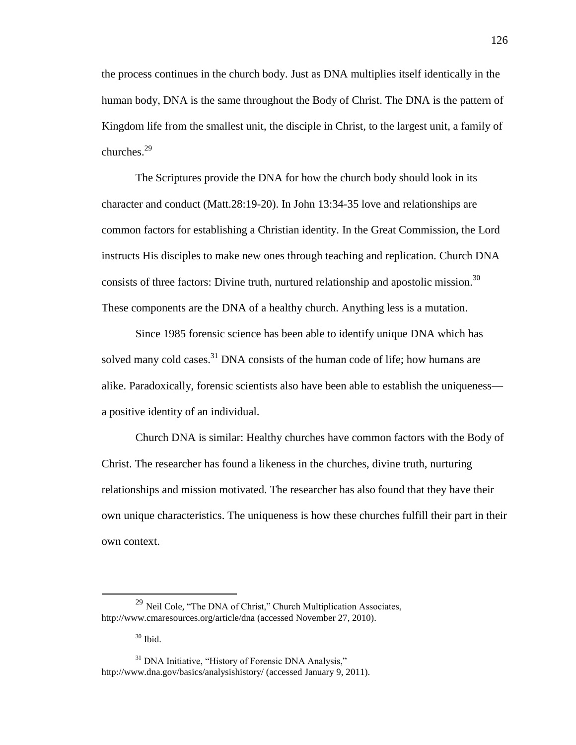the process continues in the church body. Just as DNA multiplies itself identically in the human body, DNA is the same throughout the Body of Christ. The DNA is the pattern of Kingdom life from the smallest unit, the disciple in Christ, to the largest unit, a family of churches.<sup>29</sup>

The Scriptures provide the DNA for how the church body should look in its character and conduct (Matt.28:19-20). In John 13:34-35 love and relationships are common factors for establishing a Christian identity. In the Great Commission, the Lord instructs His disciples to make new ones through teaching and replication. Church DNA consists of three factors: Divine truth, nurtured relationship and apostolic mission.<sup>30</sup> These components are the DNA of a healthy church. Anything less is a mutation.

Since 1985 forensic science has been able to identify unique DNA which has solved many cold cases.<sup>31</sup> DNA consists of the human code of life; how humans are alike. Paradoxically, forensic scientists also have been able to establish the uniqueness a positive identity of an individual.

Church DNA is similar: Healthy churches have common factors with the Body of Christ. The researcher has found a likeness in the churches, divine truth, nurturing relationships and mission motivated. The researcher has also found that they have their own unique characteristics. The uniqueness is how these churches fulfill their part in their own context.

 $30$  Ibid.

 $^{29}$  Neil Cole, "The DNA of Christ," Church Multiplication Associates, http://www.cmaresources.org/article/dna (accessed November 27, 2010).

 $31$  DNA Initiative, "History of Forensic DNA Analysis," http://www.dna.gov/basics/analysishistory/ (accessed January 9, 2011).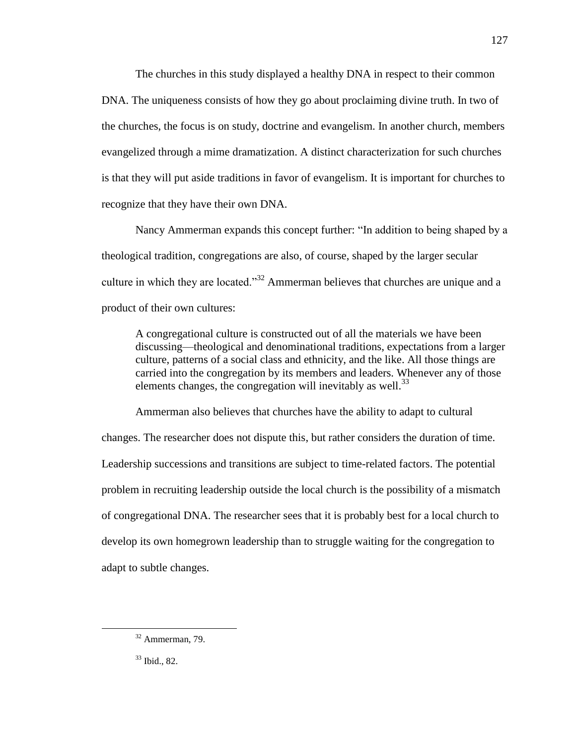The churches in this study displayed a healthy DNA in respect to their common DNA. The uniqueness consists of how they go about proclaiming divine truth. In two of the churches, the focus is on study, doctrine and evangelism. In another church, members evangelized through a mime dramatization. A distinct characterization for such churches is that they will put aside traditions in favor of evangelism. It is important for churches to recognize that they have their own DNA.

Nancy Ammerman expands this concept further: "In addition to being shaped by a theological tradition, congregations are also, of course, shaped by the larger secular culture in which they are located.<sup>33</sup> Ammerman believes that churches are unique and a product of their own cultures:

A congregational culture is constructed out of all the materials we have been discussing—theological and denominational traditions, expectations from a larger culture, patterns of a social class and ethnicity, and the like. All those things are carried into the congregation by its members and leaders. Whenever any of those elements changes, the congregation will inevitably as well.<sup>33</sup>

Ammerman also believes that churches have the ability to adapt to cultural changes. The researcher does not dispute this, but rather considers the duration of time. Leadership successions and transitions are subject to time-related factors. The potential problem in recruiting leadership outside the local church is the possibility of a mismatch of congregational DNA. The researcher sees that it is probably best for a local church to develop its own homegrown leadership than to struggle waiting for the congregation to adapt to subtle changes.

127

<sup>32</sup> Ammerman, 79.

<sup>33</sup> Ibid., 82.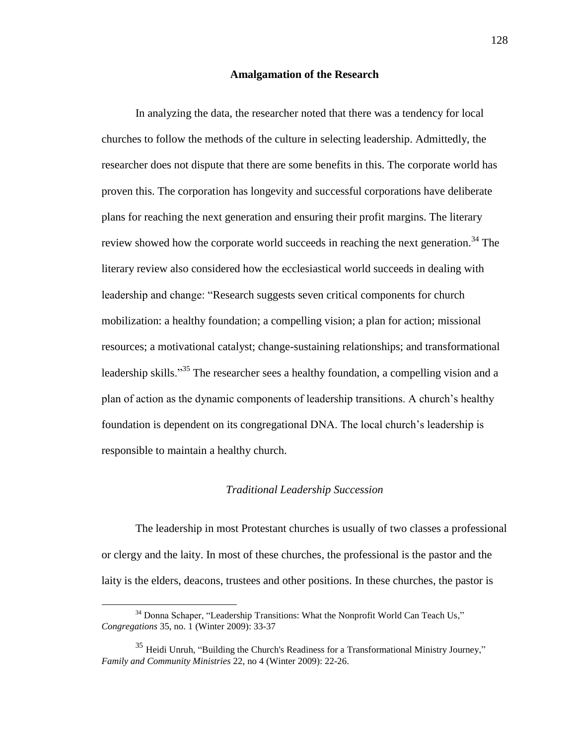### **Amalgamation of the Research**

In analyzing the data, the researcher noted that there was a tendency for local churches to follow the methods of the culture in selecting leadership. Admittedly, the researcher does not dispute that there are some benefits in this. The corporate world has proven this. The corporation has longevity and successful corporations have deliberate plans for reaching the next generation and ensuring their profit margins. The literary review showed how the corporate world succeeds in reaching the next generation.<sup>34</sup> The literary review also considered how the ecclesiastical world succeeds in dealing with leadership and change: "Research suggests seven critical components for church mobilization: a healthy foundation; a compelling vision; a plan for action; missional resources; a motivational catalyst; change-sustaining relationships; and transformational leadership skills."<sup>35</sup> The researcher sees a healthy foundation, a compelling vision and a plan of action as the dynamic components of leadership transitions. A church's healthy foundation is dependent on its congregational DNA. The local church's leadership is responsible to maintain a healthy church.

## *Traditional Leadership Succession*

The leadership in most Protestant churches is usually of two classes a professional or clergy and the laity. In most of these churches, the professional is the pastor and the laity is the elders, deacons, trustees and other positions. In these churches, the pastor is

 $34$  Donna Schaper, "Leadership Transitions: What the Nonprofit World Can Teach Us," *Congregations* 35, no. 1 (Winter 2009): 33-37

 $35$  Heidi Unruh, "Building the Church's Readiness for a Transformational Ministry Journey," *Family and Community Ministries* 22, no 4 (Winter 2009): 22-26.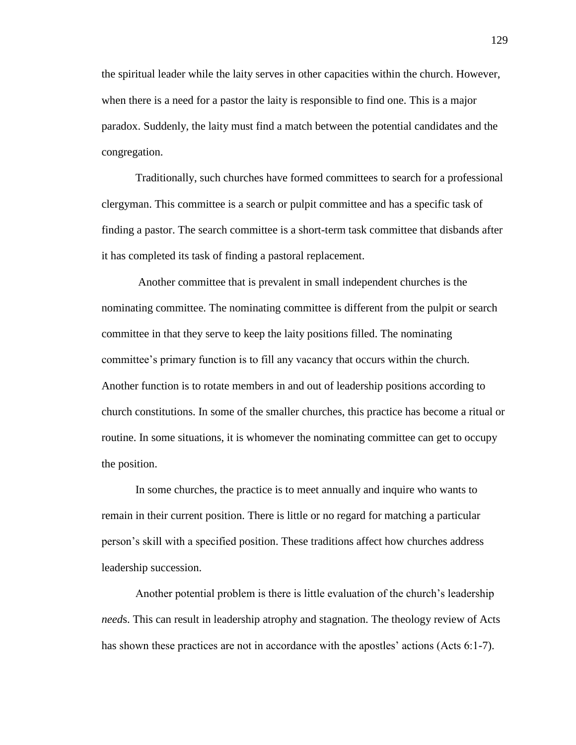the spiritual leader while the laity serves in other capacities within the church. However, when there is a need for a pastor the laity is responsible to find one. This is a major paradox. Suddenly, the laity must find a match between the potential candidates and the congregation.

Traditionally, such churches have formed committees to search for a professional clergyman. This committee is a search or pulpit committee and has a specific task of finding a pastor. The search committee is a short-term task committee that disbands after it has completed its task of finding a pastoral replacement.

Another committee that is prevalent in small independent churches is the nominating committee. The nominating committee is different from the pulpit or search committee in that they serve to keep the laity positions filled. The nominating committee's primary function is to fill any vacancy that occurs within the church. Another function is to rotate members in and out of leadership positions according to church constitutions. In some of the smaller churches, this practice has become a ritual or routine. In some situations, it is whomever the nominating committee can get to occupy the position.

In some churches, the practice is to meet annually and inquire who wants to remain in their current position. There is little or no regard for matching a particular person's skill with a specified position. These traditions affect how churches address leadership succession.

Another potential problem is there is little evaluation of the church's leadership *need*s. This can result in leadership atrophy and stagnation. The theology review of Acts has shown these practices are not in accordance with the apostles' actions (Acts 6:1-7).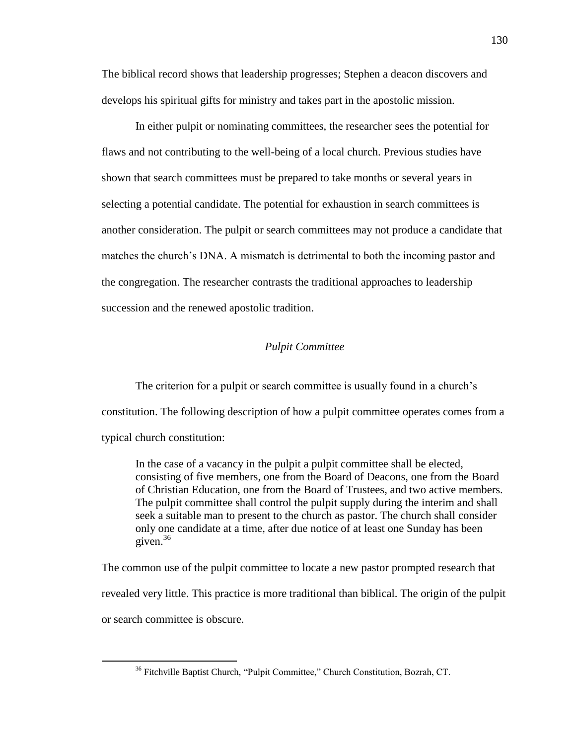The biblical record shows that leadership progresses; Stephen a deacon discovers and develops his spiritual gifts for ministry and takes part in the apostolic mission.

In either pulpit or nominating committees, the researcher sees the potential for flaws and not contributing to the well-being of a local church. Previous studies have shown that search committees must be prepared to take months or several years in selecting a potential candidate. The potential for exhaustion in search committees is another consideration. The pulpit or search committees may not produce a candidate that matches the church's DNA. A mismatch is detrimental to both the incoming pastor and the congregation. The researcher contrasts the traditional approaches to leadership succession and the renewed apostolic tradition.

## *Pulpit Committee*

The criterion for a pulpit or search committee is usually found in a church's constitution. The following description of how a pulpit committee operates comes from a typical church constitution:

In the case of a vacancy in the pulpit a pulpit committee shall be elected, consisting of five members, one from the Board of Deacons, one from the Board of Christian Education, one from the Board of Trustees, and two active members. The pulpit committee shall control the pulpit supply during the interim and shall seek a suitable man to present to the church as pastor. The church shall consider only one candidate at a time, after due notice of at least one Sunday has been given. $36$ 

The common use of the pulpit committee to locate a new pastor prompted research that revealed very little. This practice is more traditional than biblical. The origin of the pulpit or search committee is obscure.

<sup>&</sup>lt;sup>36</sup> Fitchville Baptist Church, "Pulpit Committee," Church Constitution, Bozrah, CT.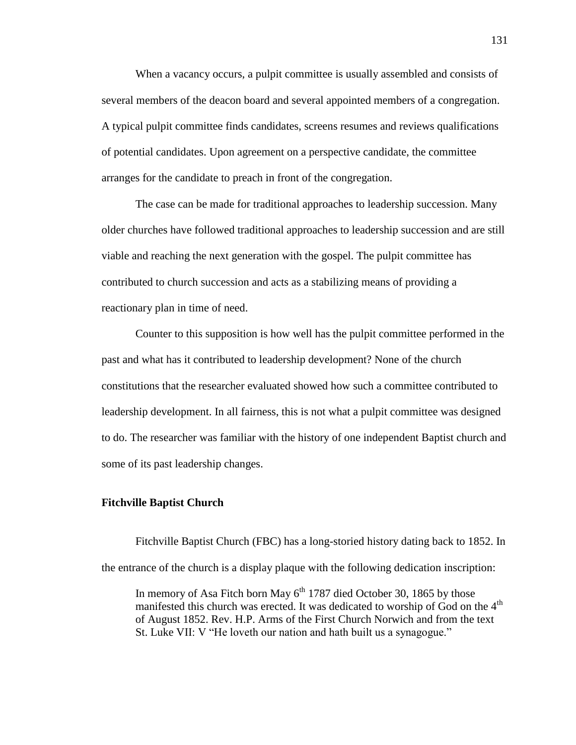When a vacancy occurs, a pulpit committee is usually assembled and consists of several members of the deacon board and several appointed members of a congregation. A typical pulpit committee finds candidates, screens resumes and reviews qualifications of potential candidates. Upon agreement on a perspective candidate, the committee arranges for the candidate to preach in front of the congregation.

The case can be made for traditional approaches to leadership succession. Many older churches have followed traditional approaches to leadership succession and are still viable and reaching the next generation with the gospel. The pulpit committee has contributed to church succession and acts as a stabilizing means of providing a reactionary plan in time of need.

Counter to this supposition is how well has the pulpit committee performed in the past and what has it contributed to leadership development? None of the church constitutions that the researcher evaluated showed how such a committee contributed to leadership development. In all fairness, this is not what a pulpit committee was designed to do. The researcher was familiar with the history of one independent Baptist church and some of its past leadership changes.

### **Fitchville Baptist Church**

Fitchville Baptist Church (FBC) has a long-storied history dating back to 1852. In the entrance of the church is a display plaque with the following dedication inscription:

In memory of Asa Fitch born May  $6<sup>th</sup>$  1787 died October 30, 1865 by those manifested this church was erected. It was dedicated to worship of God on the 4<sup>th</sup> of August 1852. Rev. H.P. Arms of the First Church Norwich and from the text St. Luke VII: V "He loveth our nation and hath built us a synagogue."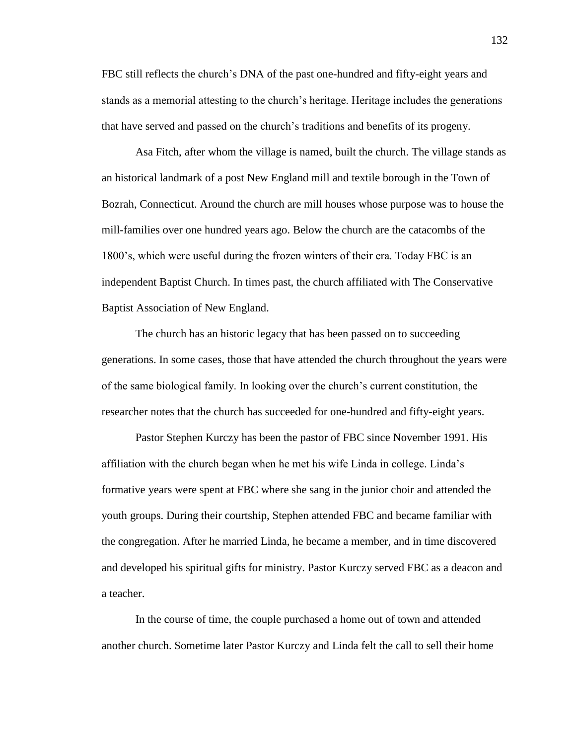FBC still reflects the church's DNA of the past one-hundred and fifty-eight years and stands as a memorial attesting to the church's heritage. Heritage includes the generations that have served and passed on the church's traditions and benefits of its progeny.

Asa Fitch, after whom the village is named, built the church. The village stands as an historical landmark of a post New England mill and textile borough in the Town of Bozrah, Connecticut. Around the church are mill houses whose purpose was to house the mill-families over one hundred years ago. Below the church are the catacombs of the 1800's, which were useful during the frozen winters of their era. Today FBC is an independent Baptist Church. In times past, the church affiliated with The Conservative Baptist Association of New England.

The church has an historic legacy that has been passed on to succeeding generations. In some cases, those that have attended the church throughout the years were of the same biological family. In looking over the church's current constitution, the researcher notes that the church has succeeded for one-hundred and fifty-eight years.

Pastor Stephen Kurczy has been the pastor of FBC since November 1991. His affiliation with the church began when he met his wife Linda in college. Linda's formative years were spent at FBC where she sang in the junior choir and attended the youth groups. During their courtship, Stephen attended FBC and became familiar with the congregation. After he married Linda, he became a member, and in time discovered and developed his spiritual gifts for ministry. Pastor Kurczy served FBC as a deacon and a teacher.

In the course of time, the couple purchased a home out of town and attended another church. Sometime later Pastor Kurczy and Linda felt the call to sell their home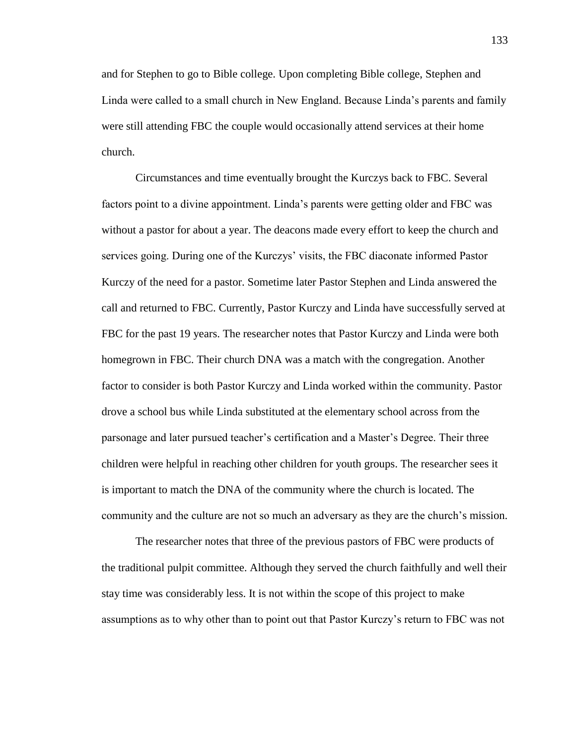and for Stephen to go to Bible college. Upon completing Bible college, Stephen and Linda were called to a small church in New England. Because Linda's parents and family were still attending FBC the couple would occasionally attend services at their home church.

Circumstances and time eventually brought the Kurczys back to FBC. Several factors point to a divine appointment. Linda's parents were getting older and FBC was without a pastor for about a year. The deacons made every effort to keep the church and services going. During one of the Kurczys' visits, the FBC diaconate informed Pastor Kurczy of the need for a pastor. Sometime later Pastor Stephen and Linda answered the call and returned to FBC. Currently, Pastor Kurczy and Linda have successfully served at FBC for the past 19 years. The researcher notes that Pastor Kurczy and Linda were both homegrown in FBC. Their church DNA was a match with the congregation. Another factor to consider is both Pastor Kurczy and Linda worked within the community. Pastor drove a school bus while Linda substituted at the elementary school across from the parsonage and later pursued teacher's certification and a Master's Degree. Their three children were helpful in reaching other children for youth groups. The researcher sees it is important to match the DNA of the community where the church is located. The community and the culture are not so much an adversary as they are the church's mission.

The researcher notes that three of the previous pastors of FBC were products of the traditional pulpit committee. Although they served the church faithfully and well their stay time was considerably less. It is not within the scope of this project to make assumptions as to why other than to point out that Pastor Kurczy's return to FBC was not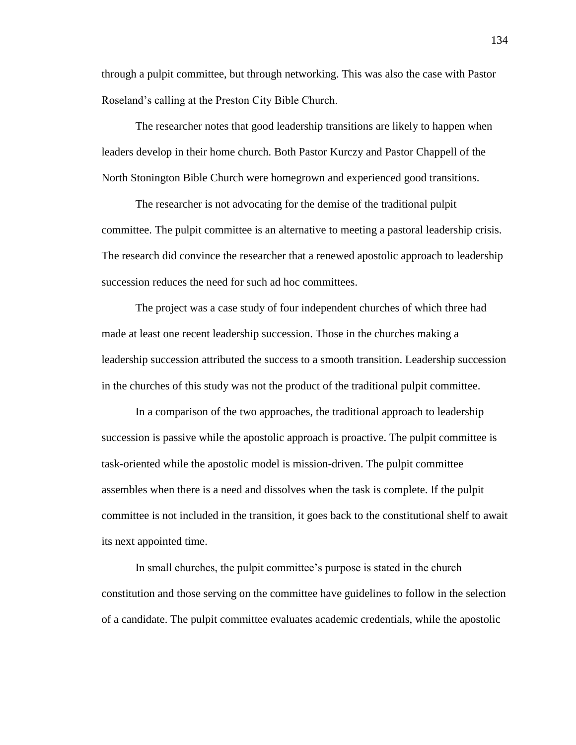through a pulpit committee, but through networking. This was also the case with Pastor Roseland's calling at the Preston City Bible Church.

The researcher notes that good leadership transitions are likely to happen when leaders develop in their home church. Both Pastor Kurczy and Pastor Chappell of the North Stonington Bible Church were homegrown and experienced good transitions.

The researcher is not advocating for the demise of the traditional pulpit committee. The pulpit committee is an alternative to meeting a pastoral leadership crisis. The research did convince the researcher that a renewed apostolic approach to leadership succession reduces the need for such ad hoc committees.

The project was a case study of four independent churches of which three had made at least one recent leadership succession. Those in the churches making a leadership succession attributed the success to a smooth transition. Leadership succession in the churches of this study was not the product of the traditional pulpit committee.

In a comparison of the two approaches, the traditional approach to leadership succession is passive while the apostolic approach is proactive. The pulpit committee is task-oriented while the apostolic model is mission-driven. The pulpit committee assembles when there is a need and dissolves when the task is complete. If the pulpit committee is not included in the transition, it goes back to the constitutional shelf to await its next appointed time.

In small churches, the pulpit committee's purpose is stated in the church constitution and those serving on the committee have guidelines to follow in the selection of a candidate. The pulpit committee evaluates academic credentials, while the apostolic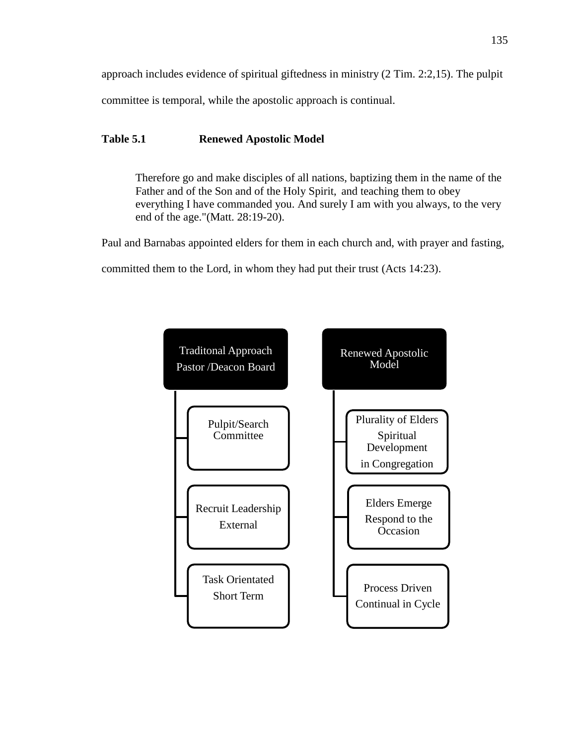approach includes evidence of spiritual giftedness in ministry (2 Tim. 2:2,15). The pulpit committee is temporal, while the apostolic approach is continual.

# **Table 5.1 Renewed Apostolic Model**

Therefore go and make disciples of all nations, baptizing them in the name of the Father and of the Son and of the Holy Spirit, and teaching them to obey everything I have commanded you. And surely I am with you always, to the very end of the age."(Matt. 28:19-20).

Paul and Barnabas appointed elders for them in each church and, with prayer and fasting,

committed them to the Lord, in whom they had put their trust (Acts 14:23).

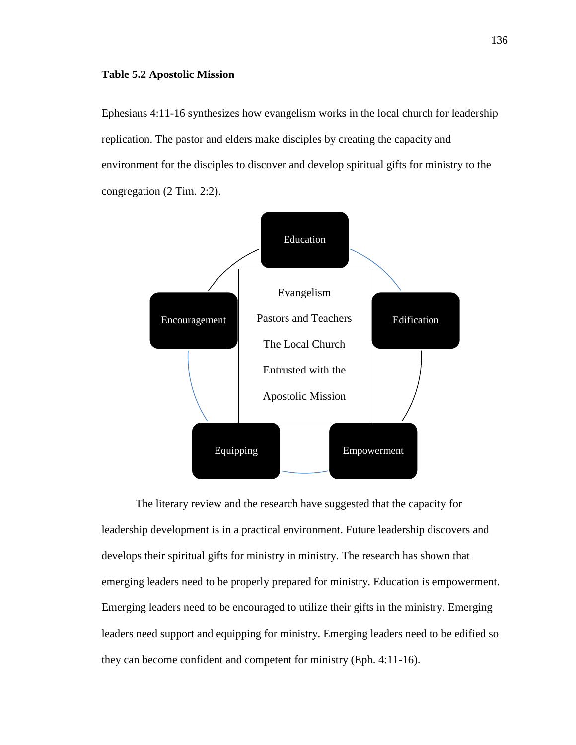#### **Table 5.2 Apostolic Mission**

Ephesians 4:11-16 synthesizes how evangelism works in the local church for leadership replication. The pastor and elders make disciples by creating the capacity and environment for the disciples to discover and develop spiritual gifts for ministry to the congregation (2 Tim. 2:2).



The literary review and the research have suggested that the capacity for leadership development is in a practical environment. Future leadership discovers and develops their spiritual gifts for ministry in ministry. The research has shown that emerging leaders need to be properly prepared for ministry. Education is empowerment. Emerging leaders need to be encouraged to utilize their gifts in the ministry. Emerging leaders need support and equipping for ministry. Emerging leaders need to be edified so they can become confident and competent for ministry (Eph. 4:11-16).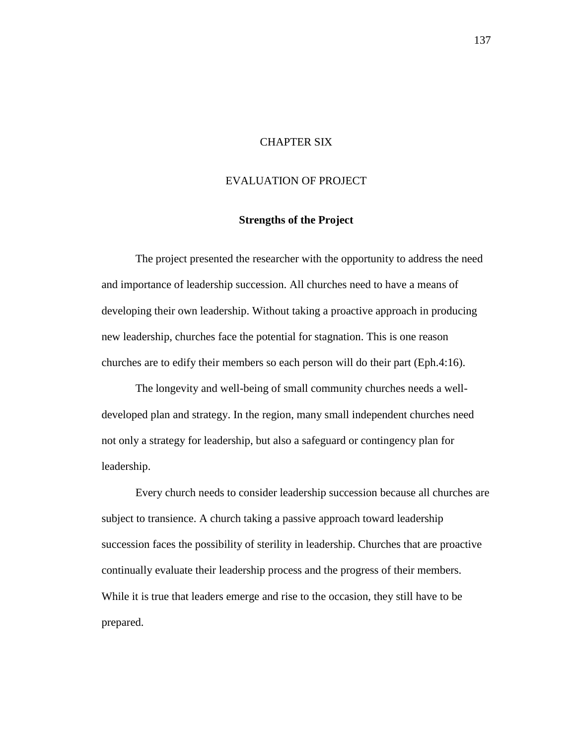# CHAPTER SIX

# EVALUATION OF PROJECT

### **Strengths of the Project**

The project presented the researcher with the opportunity to address the need and importance of leadership succession. All churches need to have a means of developing their own leadership. Without taking a proactive approach in producing new leadership, churches face the potential for stagnation. This is one reason churches are to edify their members so each person will do their part (Eph.4:16).

The longevity and well-being of small community churches needs a welldeveloped plan and strategy. In the region, many small independent churches need not only a strategy for leadership, but also a safeguard or contingency plan for leadership.

Every church needs to consider leadership succession because all churches are subject to transience. A church taking a passive approach toward leadership succession faces the possibility of sterility in leadership. Churches that are proactive continually evaluate their leadership process and the progress of their members. While it is true that leaders emerge and rise to the occasion, they still have to be prepared.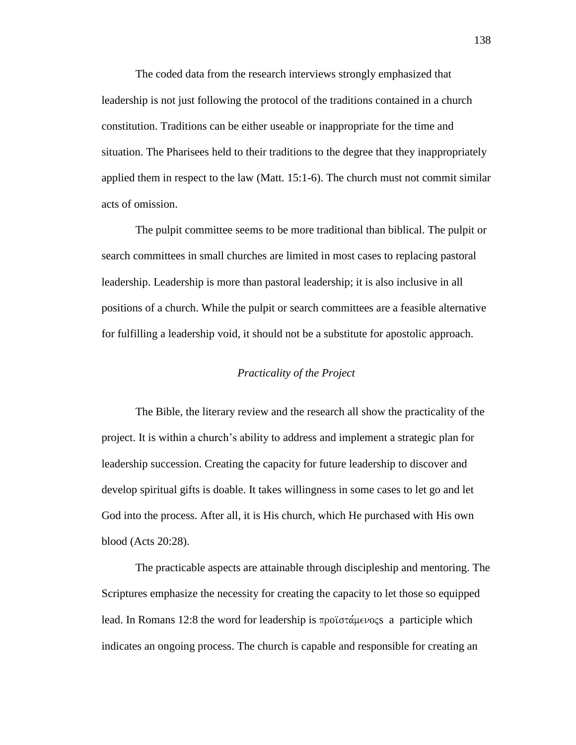The coded data from the research interviews strongly emphasized that leadership is not just following the protocol of the traditions contained in a church constitution. Traditions can be either useable or inappropriate for the time and situation. The Pharisees held to their traditions to the degree that they inappropriately applied them in respect to the law (Matt. 15:1-6). The church must not commit similar acts of omission.

The pulpit committee seems to be more traditional than biblical. The pulpit or search committees in small churches are limited in most cases to replacing pastoral leadership. Leadership is more than pastoral leadership; it is also inclusive in all positions of a church. While the pulpit or search committees are a feasible alternative for fulfilling a leadership void, it should not be a substitute for apostolic approach.

## *Practicality of the Project*

The Bible, the literary review and the research all show the practicality of the project. It is within a church's ability to address and implement a strategic plan for leadership succession. Creating the capacity for future leadership to discover and develop spiritual gifts is doable. It takes willingness in some cases to let go and let God into the process. After all, it is His church, which He purchased with His own blood (Acts 20:28).

The practicable aspects are attainable through discipleship and mentoring. The Scriptures emphasize the necessity for creating the capacity to let those so equipped lead. In Romans 12:8 the word for leadership is  $\pi \rho o \bar{a} \alpha \mu \epsilon \nu o \varsigma s$  a participle which indicates an ongoing process. The church is capable and responsible for creating an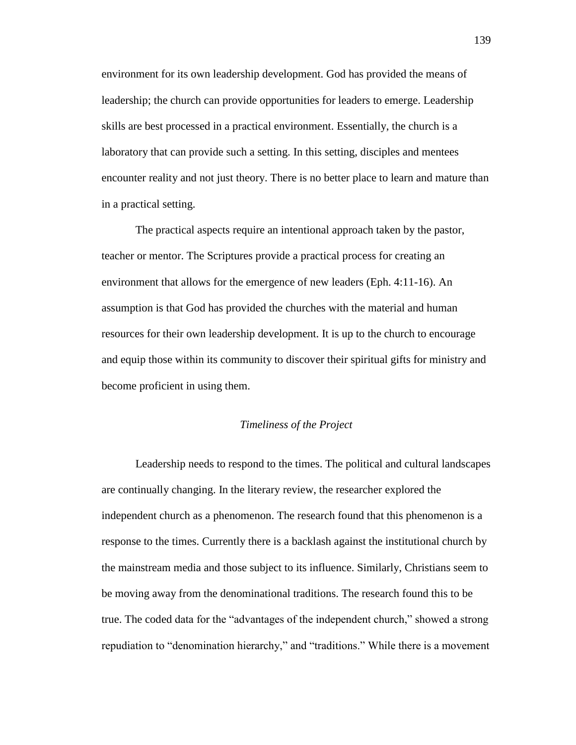environment for its own leadership development. God has provided the means of leadership; the church can provide opportunities for leaders to emerge. Leadership skills are best processed in a practical environment. Essentially, the church is a laboratory that can provide such a setting. In this setting, disciples and mentees encounter reality and not just theory. There is no better place to learn and mature than in a practical setting.

The practical aspects require an intentional approach taken by the pastor, teacher or mentor. The Scriptures provide a practical process for creating an environment that allows for the emergence of new leaders (Eph. 4:11-16). An assumption is that God has provided the churches with the material and human resources for their own leadership development. It is up to the church to encourage and equip those within its community to discover their spiritual gifts for ministry and become proficient in using them.

### *Timeliness of the Project*

Leadership needs to respond to the times. The political and cultural landscapes are continually changing. In the literary review, the researcher explored the independent church as a phenomenon. The research found that this phenomenon is a response to the times. Currently there is a backlash against the institutional church by the mainstream media and those subject to its influence. Similarly, Christians seem to be moving away from the denominational traditions. The research found this to be true. The coded data for the "advantages of the independent church," showed a strong repudiation to "denomination hierarchy," and "traditions." While there is a movement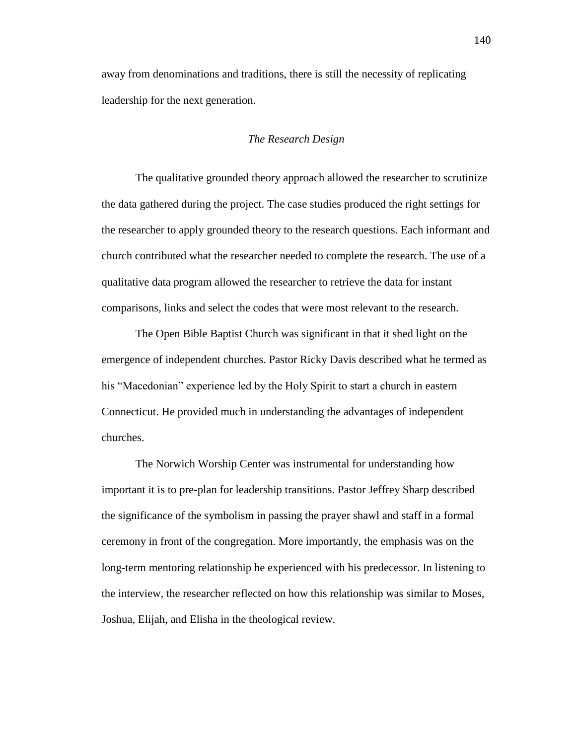away from denominations and traditions, there is still the necessity of replicating leadership for the next generation.

### *The Research Design*

The qualitative grounded theory approach allowed the researcher to scrutinize the data gathered during the project. The case studies produced the right settings for the researcher to apply grounded theory to the research questions. Each informant and church contributed what the researcher needed to complete the research. The use of a qualitative data program allowed the researcher to retrieve the data for instant comparisons, links and select the codes that were most relevant to the research.

The Open Bible Baptist Church was significant in that it shed light on the emergence of independent churches. Pastor Ricky Davis described what he termed as his "Macedonian" experience led by the Holy Spirit to start a church in eastern Connecticut. He provided much in understanding the advantages of independent churches.

The Norwich Worship Center was instrumental for understanding how important it is to pre-plan for leadership transitions. Pastor Jeffrey Sharp described the significance of the symbolism in passing the prayer shawl and staff in a formal ceremony in front of the congregation. More importantly, the emphasis was on the long-term mentoring relationship he experienced with his predecessor. In listening to the interview, the researcher reflected on how this relationship was similar to Moses, Joshua, Elijah, and Elisha in the theological review.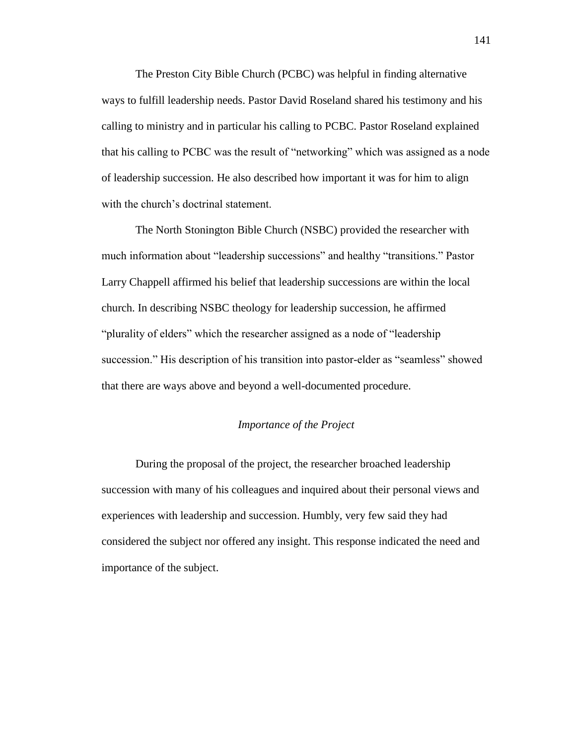The Preston City Bible Church (PCBC) was helpful in finding alternative ways to fulfill leadership needs. Pastor David Roseland shared his testimony and his calling to ministry and in particular his calling to PCBC. Pastor Roseland explained that his calling to PCBC was the result of "networking" which was assigned as a node of leadership succession. He also described how important it was for him to align with the church's doctrinal statement.

The North Stonington Bible Church (NSBC) provided the researcher with much information about "leadership successions" and healthy "transitions." Pastor Larry Chappell affirmed his belief that leadership successions are within the local church. In describing NSBC theology for leadership succession, he affirmed "plurality of elders" which the researcher assigned as a node of "leadership" succession." His description of his transition into pastor-elder as "seamless" showed that there are ways above and beyond a well-documented procedure.

### *Importance of the Project*

During the proposal of the project, the researcher broached leadership succession with many of his colleagues and inquired about their personal views and experiences with leadership and succession. Humbly, very few said they had considered the subject nor offered any insight. This response indicated the need and importance of the subject.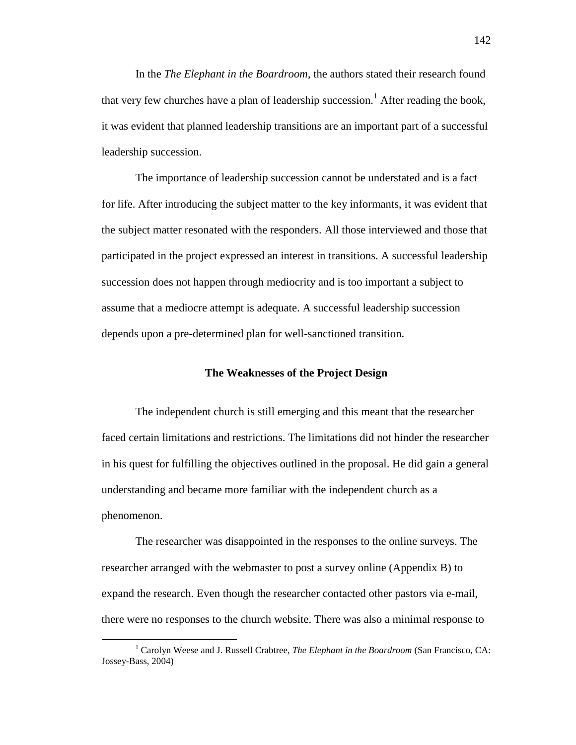In the *The Elephant in the Boardroom,* the authors stated their research found that very few churches have a plan of leadership succession.<sup>1</sup> After reading the book, it was evident that planned leadership transitions are an important part of a successful leadership succession.

The importance of leadership succession cannot be understated and is a fact for life. After introducing the subject matter to the key informants, it was evident that the subject matter resonated with the responders. All those interviewed and those that participated in the project expressed an interest in transitions. A successful leadership succession does not happen through mediocrity and is too important a subject to assume that a mediocre attempt is adequate. A successful leadership succession depends upon a pre-determined plan for well-sanctioned transition.

### **The Weaknesses of the Project Design**

The independent church is still emerging and this meant that the researcher faced certain limitations and restrictions. The limitations did not hinder the researcher in his quest for fulfilling the objectives outlined in the proposal. He did gain a general understanding and became more familiar with the independent church as a phenomenon.

The researcher was disappointed in the responses to the online surveys. The researcher arranged with the webmaster to post a survey online (Appendix B) to expand the research. Even though the researcher contacted other pastors via e-mail, there were no responses to the church website. There was also a minimal response to

 $\overline{a}$ 

<sup>1</sup> Carolyn Weese and J. Russell Crabtree, *The Elephant in the Boardroom* (San Francisco, CA: Jossey-Bass, 2004)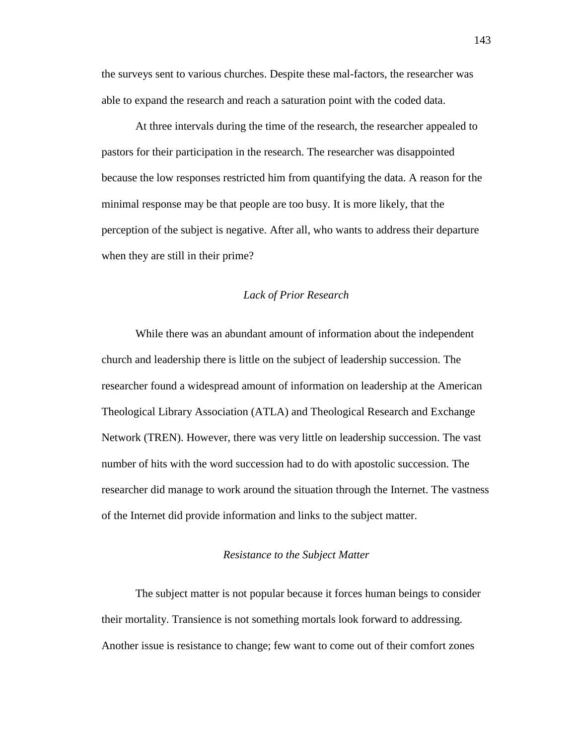the surveys sent to various churches. Despite these mal-factors, the researcher was able to expand the research and reach a saturation point with the coded data.

At three intervals during the time of the research, the researcher appealed to pastors for their participation in the research. The researcher was disappointed because the low responses restricted him from quantifying the data. A reason for the minimal response may be that people are too busy. It is more likely, that the perception of the subject is negative. After all, who wants to address their departure when they are still in their prime?

### *Lack of Prior Research*

While there was an abundant amount of information about the independent church and leadership there is little on the subject of leadership succession. The researcher found a widespread amount of information on leadership at the American Theological Library Association (ATLA) and Theological Research and Exchange Network (TREN). However, there was very little on leadership succession. The vast number of hits with the word succession had to do with apostolic succession. The researcher did manage to work around the situation through the Internet. The vastness of the Internet did provide information and links to the subject matter.

### *Resistance to the Subject Matter*

The subject matter is not popular because it forces human beings to consider their mortality. Transience is not something mortals look forward to addressing. Another issue is resistance to change; few want to come out of their comfort zones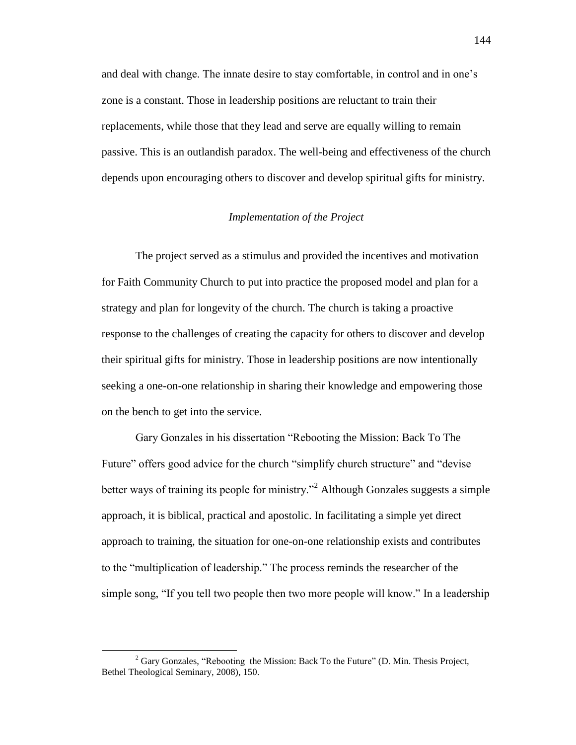and deal with change. The innate desire to stay comfortable, in control and in one's zone is a constant. Those in leadership positions are reluctant to train their replacements, while those that they lead and serve are equally willing to remain passive. This is an outlandish paradox. The well-being and effectiveness of the church depends upon encouraging others to discover and develop spiritual gifts for ministry.

### *Implementation of the Project*

The project served as a stimulus and provided the incentives and motivation for Faith Community Church to put into practice the proposed model and plan for a strategy and plan for longevity of the church. The church is taking a proactive response to the challenges of creating the capacity for others to discover and develop their spiritual gifts for ministry. Those in leadership positions are now intentionally seeking a one-on-one relationship in sharing their knowledge and empowering those on the bench to get into the service.

Gary Gonzales in his dissertation "Rebooting the Mission: Back To The Future" offers good advice for the church "simplify church structure" and "devise better ways of training its people for ministry.<sup> $2$ </sup> Although Gonzales suggests a simple approach, it is biblical, practical and apostolic. In facilitating a simple yet direct approach to training, the situation for one-on-one relationship exists and contributes to the "multiplication of leadership." The process reminds the researcher of the simple song, "If you tell two people then two more people will know." In a leadership

 $\overline{a}$ 

 $2^2$  Gary Gonzales, "Rebooting the Mission: Back To the Future" (D. Min. Thesis Project, Bethel Theological Seminary, 2008), 150.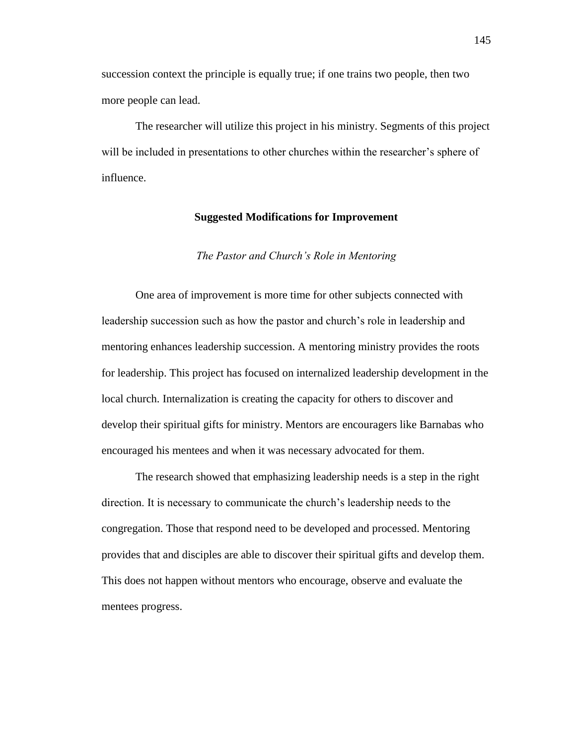succession context the principle is equally true; if one trains two people, then two more people can lead.

The researcher will utilize this project in his ministry. Segments of this project will be included in presentations to other churches within the researcher's sphere of influence.

### **Suggested Modifications for Improvement**

#### *The Pastor and Church's Role in Mentoring*

One area of improvement is more time for other subjects connected with leadership succession such as how the pastor and church's role in leadership and mentoring enhances leadership succession. A mentoring ministry provides the roots for leadership. This project has focused on internalized leadership development in the local church. Internalization is creating the capacity for others to discover and develop their spiritual gifts for ministry. Mentors are encouragers like Barnabas who encouraged his mentees and when it was necessary advocated for them.

The research showed that emphasizing leadership needs is a step in the right direction. It is necessary to communicate the church's leadership needs to the congregation. Those that respond need to be developed and processed. Mentoring provides that and disciples are able to discover their spiritual gifts and develop them. This does not happen without mentors who encourage, observe and evaluate the mentees progress.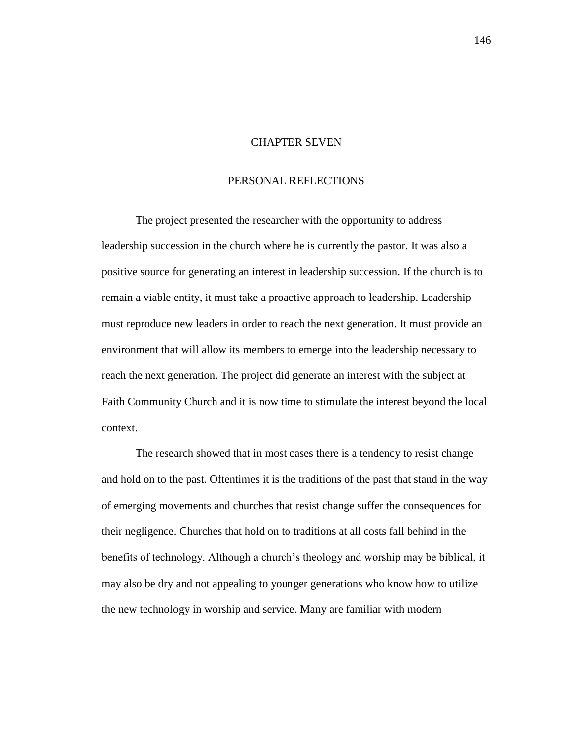### CHAPTER SEVEN

### PERSONAL REFLECTIONS

The project presented the researcher with the opportunity to address leadership succession in the church where he is currently the pastor. It was also a positive source for generating an interest in leadership succession. If the church is to remain a viable entity, it must take a proactive approach to leadership. Leadership must reproduce new leaders in order to reach the next generation. It must provide an environment that will allow its members to emerge into the leadership necessary to reach the next generation. The project did generate an interest with the subject at Faith Community Church and it is now time to stimulate the interest beyond the local context.

The research showed that in most cases there is a tendency to resist change and hold on to the past. Oftentimes it is the traditions of the past that stand in the way of emerging movements and churches that resist change suffer the consequences for their negligence. Churches that hold on to traditions at all costs fall behind in the benefits of technology. Although a church's theology and worship may be biblical, it may also be dry and not appealing to younger generations who know how to utilize the new technology in worship and service. Many are familiar with modern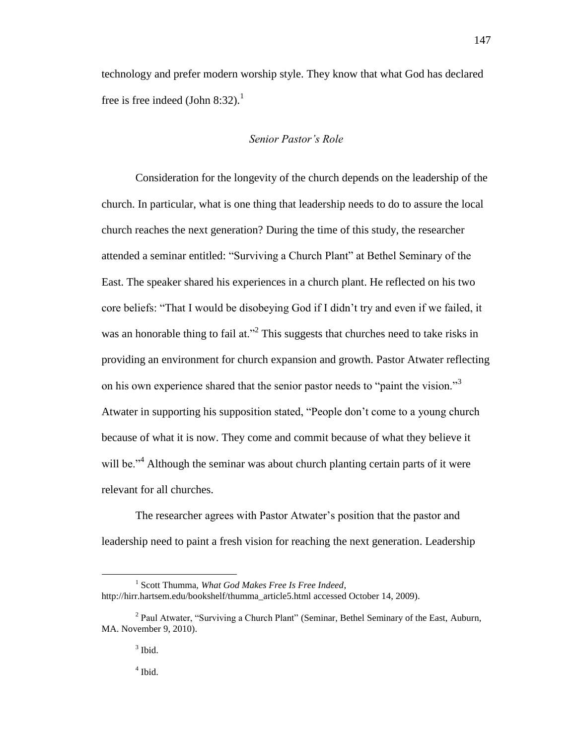technology and prefer modern worship style. They know that what God has declared free is free indeed (John 8:32).<sup>1</sup>

### *Senior Pastor's Role*

Consideration for the longevity of the church depends on the leadership of the church. In particular, what is one thing that leadership needs to do to assure the local church reaches the next generation? During the time of this study, the researcher attended a seminar entitled: "Surviving a Church Plant" at Bethel Seminary of the East. The speaker shared his experiences in a church plant. He reflected on his two core beliefs: "That I would be disobeying God if I didn't try and even if we failed, it was an honorable thing to fail at."<sup>2</sup> This suggests that churches need to take risks in providing an environment for church expansion and growth. Pastor Atwater reflecting on his own experience shared that the senior pastor needs to "paint the vision."<sup>3</sup> Atwater in supporting his supposition stated, "People don't come to a young church because of what it is now. They come and commit because of what they believe it will be.<sup> $4$ </sup> Although the seminar was about church planting certain parts of it were relevant for all churches.

The researcher agrees with Pastor Atwater's position that the pastor and leadership need to paint a fresh vision for reaching the next generation. Leadership

 $\overline{a}$ 

<sup>1</sup> Scott Thumma, *What God Makes Free Is Free Indeed*, http://hirr.hartsem.edu/bookshelf/thumma\_article5.html accessed October 14, 2009).

<sup>&</sup>lt;sup>2</sup> Paul Atwater, "Surviving a Church Plant" (Seminar, Bethel Seminary of the East, Auburn, MA. November 9, 2010).

 $3$  Ibid.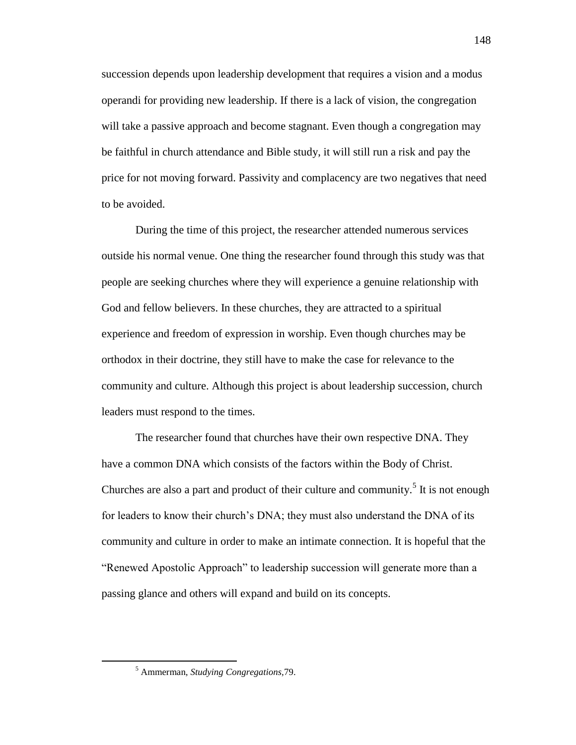succession depends upon leadership development that requires a vision and a modus operandi for providing new leadership. If there is a lack of vision, the congregation will take a passive approach and become stagnant. Even though a congregation may be faithful in church attendance and Bible study, it will still run a risk and pay the price for not moving forward. Passivity and complacency are two negatives that need to be avoided.

During the time of this project, the researcher attended numerous services outside his normal venue. One thing the researcher found through this study was that people are seeking churches where they will experience a genuine relationship with God and fellow believers. In these churches, they are attracted to a spiritual experience and freedom of expression in worship. Even though churches may be orthodox in their doctrine, they still have to make the case for relevance to the community and culture. Although this project is about leadership succession, church leaders must respond to the times.

The researcher found that churches have their own respective DNA. They have a common DNA which consists of the factors within the Body of Christ. Churches are also a part and product of their culture and community.<sup>5</sup> It is not enough for leaders to know their church's DNA; they must also understand the DNA of its community and culture in order to make an intimate connection. It is hopeful that the ―Renewed Apostolic Approach‖ to leadership succession will generate more than a passing glance and others will expand and build on its concepts.

 $\overline{a}$ 

<sup>5</sup> Ammerman, *Studying Congregations,*79.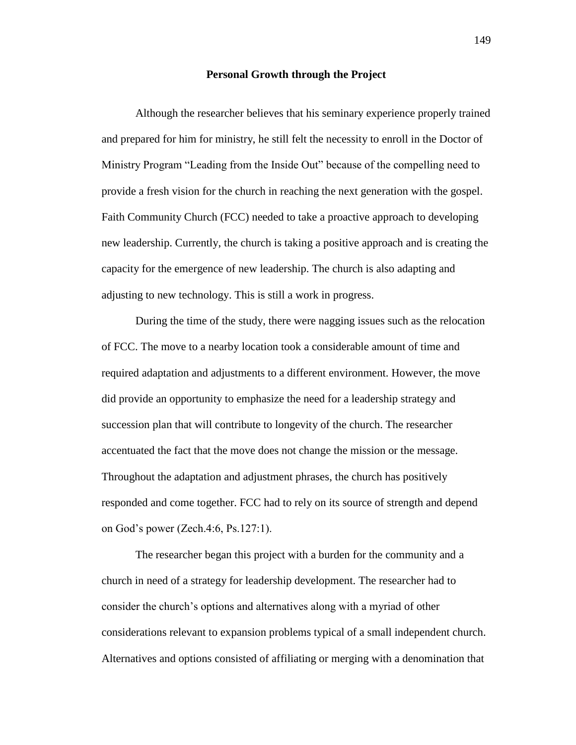#### **Personal Growth through the Project**

Although the researcher believes that his seminary experience properly trained and prepared for him for ministry, he still felt the necessity to enroll in the Doctor of Ministry Program "Leading from the Inside Out" because of the compelling need to provide a fresh vision for the church in reaching the next generation with the gospel. Faith Community Church (FCC) needed to take a proactive approach to developing new leadership. Currently, the church is taking a positive approach and is creating the capacity for the emergence of new leadership. The church is also adapting and adjusting to new technology. This is still a work in progress.

During the time of the study, there were nagging issues such as the relocation of FCC. The move to a nearby location took a considerable amount of time and required adaptation and adjustments to a different environment. However, the move did provide an opportunity to emphasize the need for a leadership strategy and succession plan that will contribute to longevity of the church. The researcher accentuated the fact that the move does not change the mission or the message. Throughout the adaptation and adjustment phrases, the church has positively responded and come together. FCC had to rely on its source of strength and depend on God's power (Zech.4:6, Ps.127:1).

The researcher began this project with a burden for the community and a church in need of a strategy for leadership development. The researcher had to consider the church's options and alternatives along with a myriad of other considerations relevant to expansion problems typical of a small independent church. Alternatives and options consisted of affiliating or merging with a denomination that

149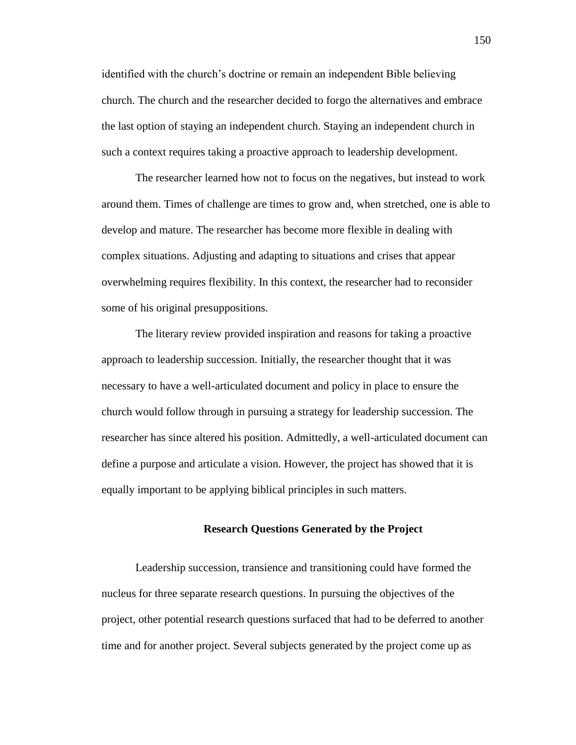identified with the church's doctrine or remain an independent Bible believing church. The church and the researcher decided to forgo the alternatives and embrace the last option of staying an independent church. Staying an independent church in such a context requires taking a proactive approach to leadership development.

The researcher learned how not to focus on the negatives, but instead to work around them. Times of challenge are times to grow and, when stretched, one is able to develop and mature. The researcher has become more flexible in dealing with complex situations. Adjusting and adapting to situations and crises that appear overwhelming requires flexibility. In this context, the researcher had to reconsider some of his original presuppositions.

The literary review provided inspiration and reasons for taking a proactive approach to leadership succession. Initially, the researcher thought that it was necessary to have a well-articulated document and policy in place to ensure the church would follow through in pursuing a strategy for leadership succession. The researcher has since altered his position. Admittedly, a well-articulated document can define a purpose and articulate a vision. However, the project has showed that it is equally important to be applying biblical principles in such matters.

### **Research Questions Generated by the Project**

Leadership succession, transience and transitioning could have formed the nucleus for three separate research questions. In pursuing the objectives of the project, other potential research questions surfaced that had to be deferred to another time and for another project. Several subjects generated by the project come up as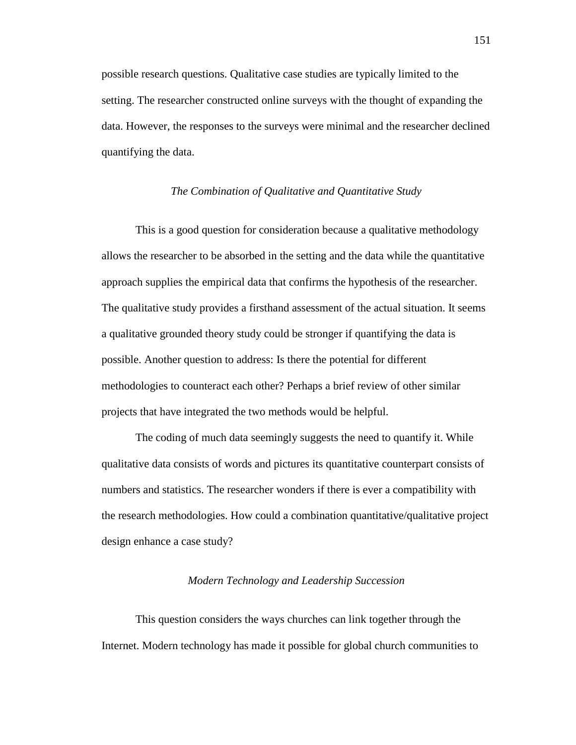possible research questions. Qualitative case studies are typically limited to the setting. The researcher constructed online surveys with the thought of expanding the data. However, the responses to the surveys were minimal and the researcher declined quantifying the data.

### *The Combination of Qualitative and Quantitative Study*

This is a good question for consideration because a qualitative methodology allows the researcher to be absorbed in the setting and the data while the quantitative approach supplies the empirical data that confirms the hypothesis of the researcher. The qualitative study provides a firsthand assessment of the actual situation. It seems a qualitative grounded theory study could be stronger if quantifying the data is possible. Another question to address: Is there the potential for different methodologies to counteract each other? Perhaps a brief review of other similar projects that have integrated the two methods would be helpful.

The coding of much data seemingly suggests the need to quantify it. While qualitative data consists of words and pictures its quantitative counterpart consists of numbers and statistics. The researcher wonders if there is ever a compatibility with the research methodologies. How could a combination quantitative/qualitative project design enhance a case study?

### *Modern Technology and Leadership Succession*

This question considers the ways churches can link together through the Internet. Modern technology has made it possible for global church communities to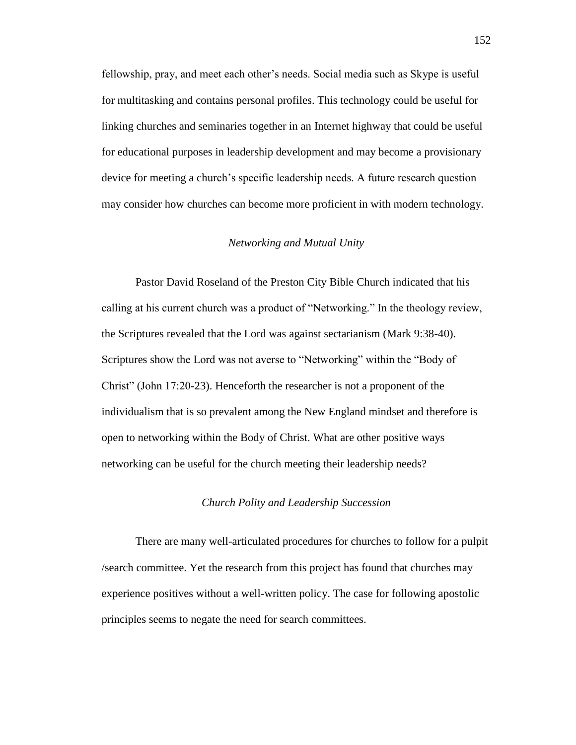fellowship, pray, and meet each other's needs. Social media such as Skype is useful for multitasking and contains personal profiles. This technology could be useful for linking churches and seminaries together in an Internet highway that could be useful for educational purposes in leadership development and may become a provisionary device for meeting a church's specific leadership needs. A future research question may consider how churches can become more proficient in with modern technology.

### *Networking and Mutual Unity*

Pastor David Roseland of the Preston City Bible Church indicated that his calling at his current church was a product of "Networking." In the theology review, the Scriptures revealed that the Lord was against sectarianism (Mark 9:38-40). Scriptures show the Lord was not averse to "Networking" within the "Body of Christ" (John 17:20-23). Henceforth the researcher is not a proponent of the individualism that is so prevalent among the New England mindset and therefore is open to networking within the Body of Christ. What are other positive ways networking can be useful for the church meeting their leadership needs?

### *Church Polity and Leadership Succession*

There are many well-articulated procedures for churches to follow for a pulpit /search committee. Yet the research from this project has found that churches may experience positives without a well-written policy. The case for following apostolic principles seems to negate the need for search committees.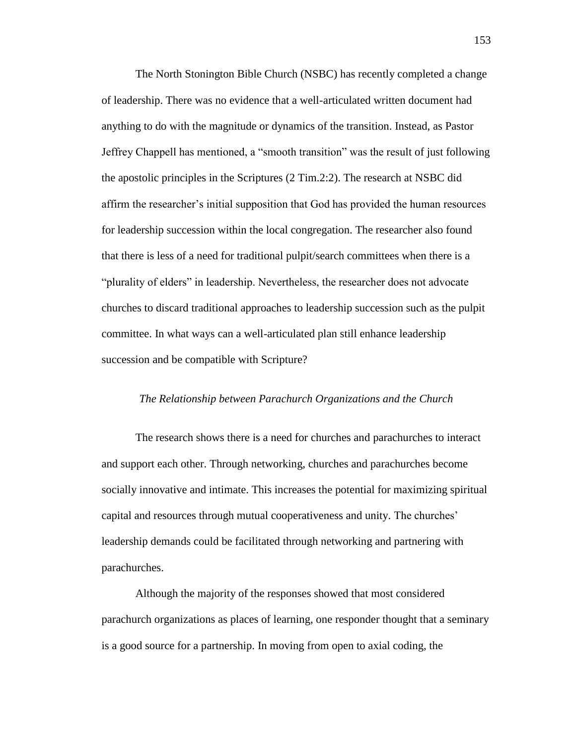The North Stonington Bible Church (NSBC) has recently completed a change of leadership. There was no evidence that a well-articulated written document had anything to do with the magnitude or dynamics of the transition. Instead, as Pastor Jeffrey Chappell has mentioned, a "smooth transition" was the result of just following the apostolic principles in the Scriptures (2 Tim.2:2). The research at NSBC did affirm the researcher's initial supposition that God has provided the human resources for leadership succession within the local congregation. The researcher also found that there is less of a need for traditional pulpit/search committees when there is a ―plurality of elders‖ in leadership. Nevertheless, the researcher does not advocate churches to discard traditional approaches to leadership succession such as the pulpit committee. In what ways can a well-articulated plan still enhance leadership succession and be compatible with Scripture?

### *The Relationship between Parachurch Organizations and the Church*

The research shows there is a need for churches and parachurches to interact and support each other. Through networking, churches and parachurches become socially innovative and intimate. This increases the potential for maximizing spiritual capital and resources through mutual cooperativeness and unity. The churches' leadership demands could be facilitated through networking and partnering with parachurches.

Although the majority of the responses showed that most considered parachurch organizations as places of learning, one responder thought that a seminary is a good source for a partnership. In moving from open to axial coding, the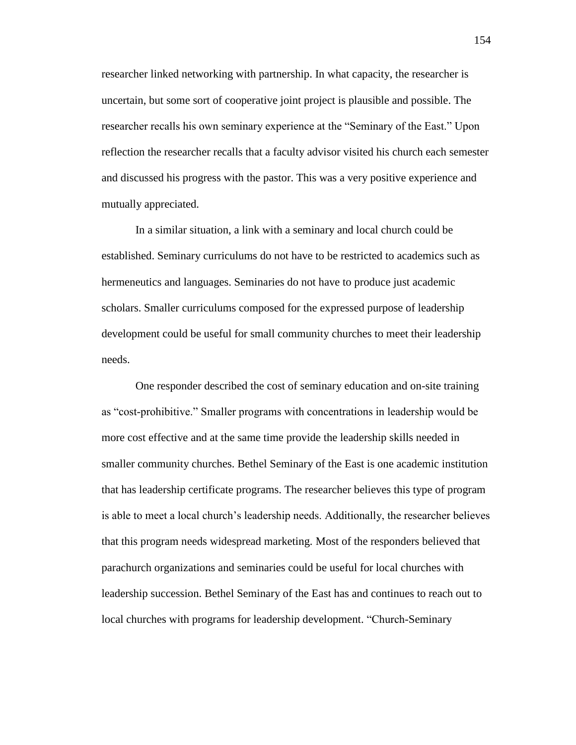researcher linked networking with partnership. In what capacity, the researcher is uncertain, but some sort of cooperative joint project is plausible and possible. The researcher recalls his own seminary experience at the "Seminary of the East." Upon reflection the researcher recalls that a faculty advisor visited his church each semester and discussed his progress with the pastor. This was a very positive experience and mutually appreciated.

In a similar situation, a link with a seminary and local church could be established. Seminary curriculums do not have to be restricted to academics such as hermeneutics and languages. Seminaries do not have to produce just academic scholars. Smaller curriculums composed for the expressed purpose of leadership development could be useful for small community churches to meet their leadership needs.

One responder described the cost of seminary education and on-site training as "cost-prohibitive." Smaller programs with concentrations in leadership would be more cost effective and at the same time provide the leadership skills needed in smaller community churches. Bethel Seminary of the East is one academic institution that has leadership certificate programs. The researcher believes this type of program is able to meet a local church's leadership needs. Additionally, the researcher believes that this program needs widespread marketing. Most of the responders believed that parachurch organizations and seminaries could be useful for local churches with leadership succession. Bethel Seminary of the East has and continues to reach out to local churches with programs for leadership development. "Church-Seminary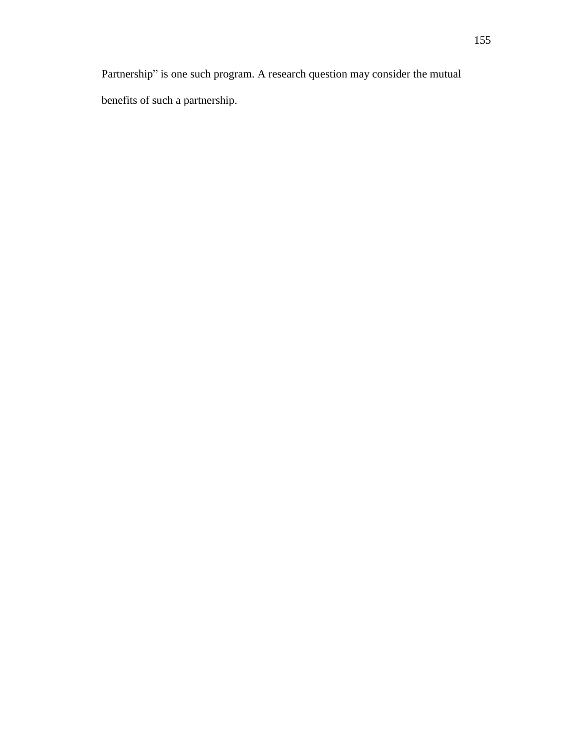Partnership" is one such program. A research question may consider the mutual benefits of such a partnership.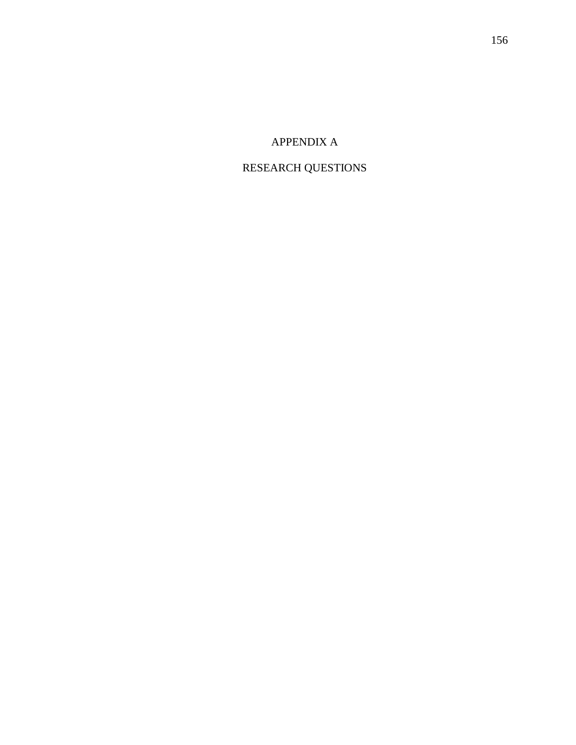# APPENDIX A

# RESEARCH QUESTIONS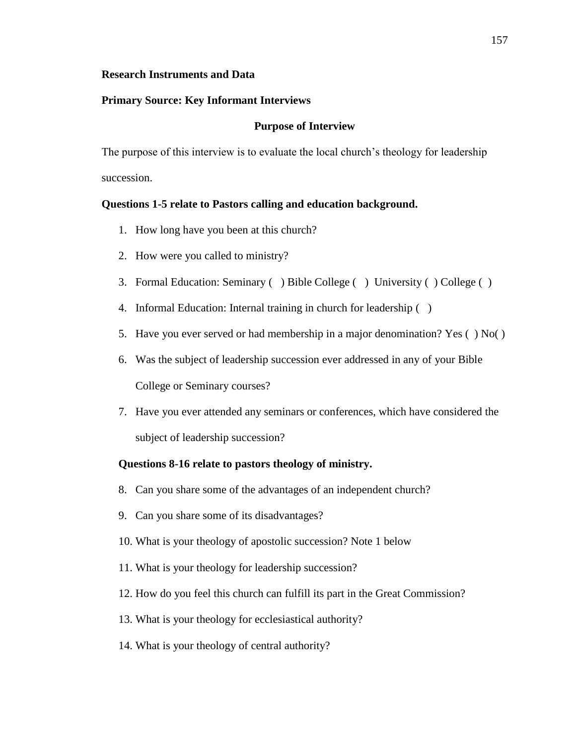### **Research Instruments and Data**

# **Primary Source: Key Informant Interviews**

## **Purpose of Interview**

The purpose of this interview is to evaluate the local church's theology for leadership succession.

# **Questions 1-5 relate to Pastors calling and education background.**

- 1. How long have you been at this church?
- 2. How were you called to ministry?
- 3. Formal Education: Seminary ( ) Bible College ( ) University ( ) College ( )
- 4. Informal Education: Internal training in church for leadership ( )
- 5. Have you ever served or had membership in a major denomination? Yes ( ) No( )
- 6. Was the subject of leadership succession ever addressed in any of your Bible College or Seminary courses?
- 7. Have you ever attended any seminars or conferences, which have considered the subject of leadership succession?

# **Questions 8-16 relate to pastors theology of ministry.**

- 8. Can you share some of the advantages of an independent church?
- 9. Can you share some of its disadvantages?
- 10. What is your theology of apostolic succession? Note 1 below
- 11. What is your theology for leadership succession?
- 12. How do you feel this church can fulfill its part in the Great Commission?
- 13. What is your theology for ecclesiastical authority?
- 14. What is your theology of central authority?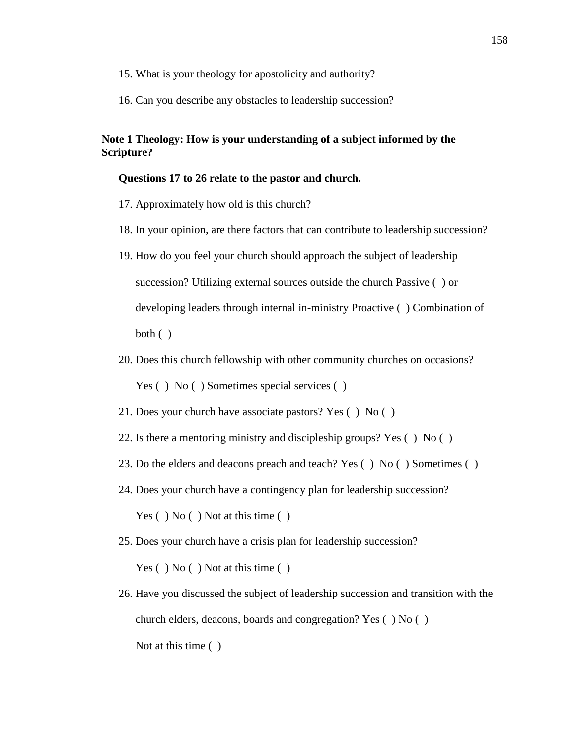- 15. What is your theology for apostolicity and authority?
- 16. Can you describe any obstacles to leadership succession?

# **Note 1 Theology: How is your understanding of a subject informed by the Scripture?**

## **Questions 17 to 26 relate to the pastor and church.**

- 17. Approximately how old is this church?
- 18. In your opinion, are there factors that can contribute to leadership succession?
- 19. How do you feel your church should approach the subject of leadership succession? Utilizing external sources outside the church Passive ( ) or developing leaders through internal in-ministry Proactive ( ) Combination of both ( )
- 20. Does this church fellowship with other community churches on occasions? Yes () No () Sometimes special services ()
- 21. Does your church have associate pastors? Yes ( ) No ( )
- 22. Is there a mentoring ministry and discipleship groups? Yes ( ) No ( )
- 23. Do the elders and deacons preach and teach? Yes ( ) No ( ) Sometimes ( )
- 24. Does your church have a contingency plan for leadership succession?

Yes () No () Not at this time ()

25. Does your church have a crisis plan for leadership succession?

Yes () No () Not at this time ()

26. Have you discussed the subject of leadership succession and transition with the church elders, deacons, boards and congregation? Yes ( ) No ( ) Not at this time ( )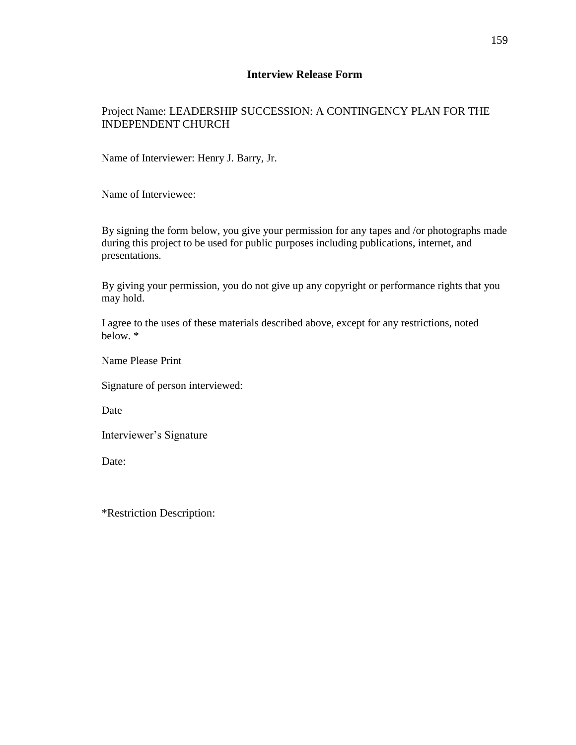# **Interview Release Form**

# Project Name: LEADERSHIP SUCCESSION: A CONTINGENCY PLAN FOR THE INDEPENDENT CHURCH

Name of Interviewer: Henry J. Barry, Jr.

Name of Interviewee:

By signing the form below, you give your permission for any tapes and /or photographs made during this project to be used for public purposes including publications, internet, and presentations.

By giving your permission, you do not give up any copyright or performance rights that you may hold.

I agree to the uses of these materials described above, except for any restrictions, noted below. \*

Name Please Print

Signature of person interviewed:

Date

Interviewer's Signature

Date:

\*Restriction Description: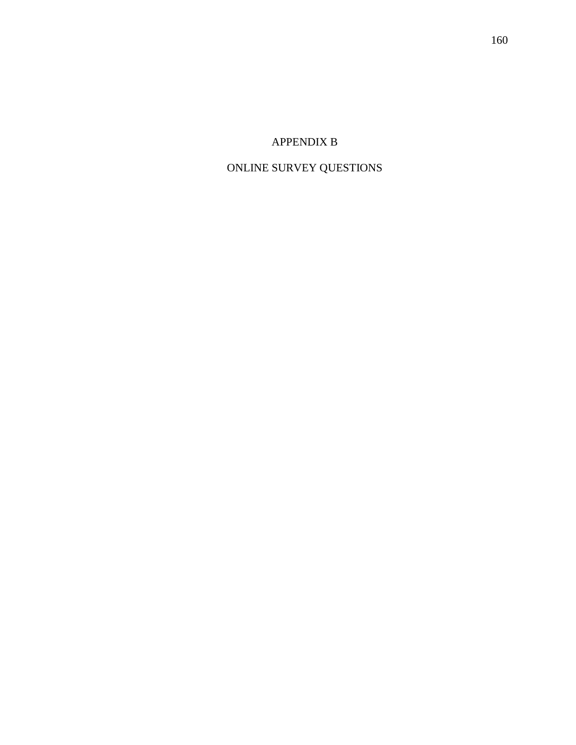# APPENDIX B

# ONLINE SURVEY QUESTIONS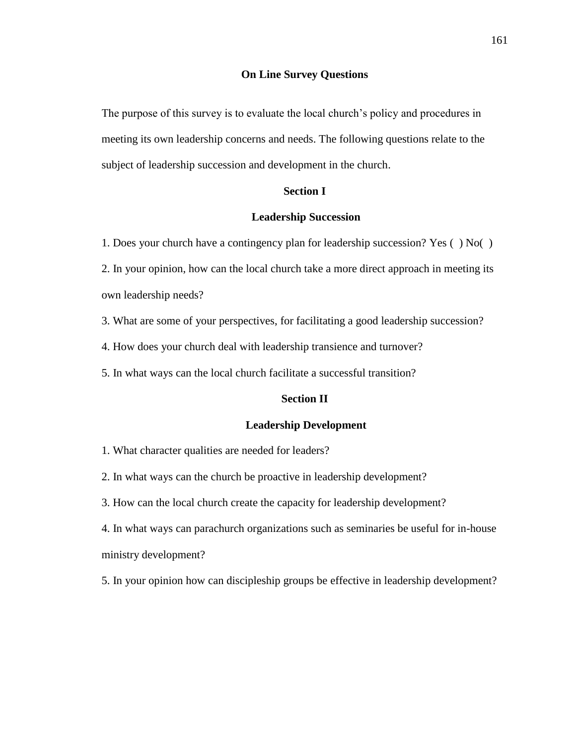### **On Line Survey Questions**

The purpose of this survey is to evaluate the local church's policy and procedures in meeting its own leadership concerns and needs. The following questions relate to the subject of leadership succession and development in the church.

# **Section I**

# **Leadership Succession**

1. Does your church have a contingency plan for leadership succession? Yes ( ) No( ) 2. In your opinion, how can the local church take a more direct approach in meeting its own leadership needs?

3. What are some of your perspectives, for facilitating a good leadership succession?

4. How does your church deal with leadership transience and turnover?

5. In what ways can the local church facilitate a successful transition?

# **Section II**

### **Leadership Development**

1. What character qualities are needed for leaders?

2. In what ways can the church be proactive in leadership development?

3. How can the local church create the capacity for leadership development?

4. In what ways can parachurch organizations such as seminaries be useful for in-house ministry development?

5. In your opinion how can discipleship groups be effective in leadership development?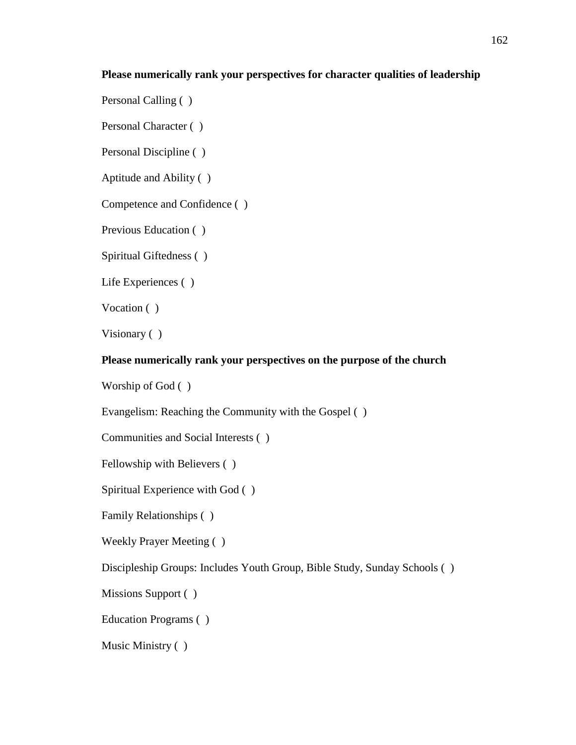# **Please numerically rank your perspectives for character qualities of leadership**

Personal Calling ( )

Personal Character ( )

Personal Discipline ( )

Aptitude and Ability ( )

Competence and Confidence ( )

Previous Education ( )

Spiritual Giftedness ( )

Life Experiences ( )

Vocation ( )

Visionary ( )

# **Please numerically rank your perspectives on the purpose of the church**

Worship of God ( )

Evangelism: Reaching the Community with the Gospel ( )

Communities and Social Interests ( )

Fellowship with Believers ( )

Spiritual Experience with God ( )

Family Relationships ( )

Weekly Prayer Meeting ( )

Discipleship Groups: Includes Youth Group, Bible Study, Sunday Schools ( )

Missions Support ( )

Education Programs ( )

Music Ministry ( )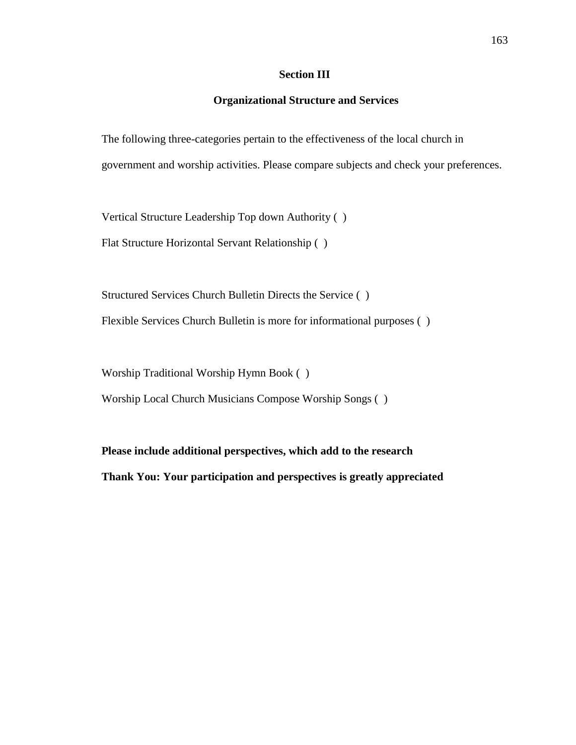# **Section III**

# **Organizational Structure and Services**

The following three-categories pertain to the effectiveness of the local church in government and worship activities. Please compare subjects and check your preferences.

Vertical Structure Leadership Top down Authority ( )

Flat Structure Horizontal Servant Relationship ( )

Structured Services Church Bulletin Directs the Service ( ) Flexible Services Church Bulletin is more for informational purposes ( )

Worship Traditional Worship Hymn Book ( )

Worship Local Church Musicians Compose Worship Songs ( )

**Please include additional perspectives, which add to the research Thank You: Your participation and perspectives is greatly appreciated**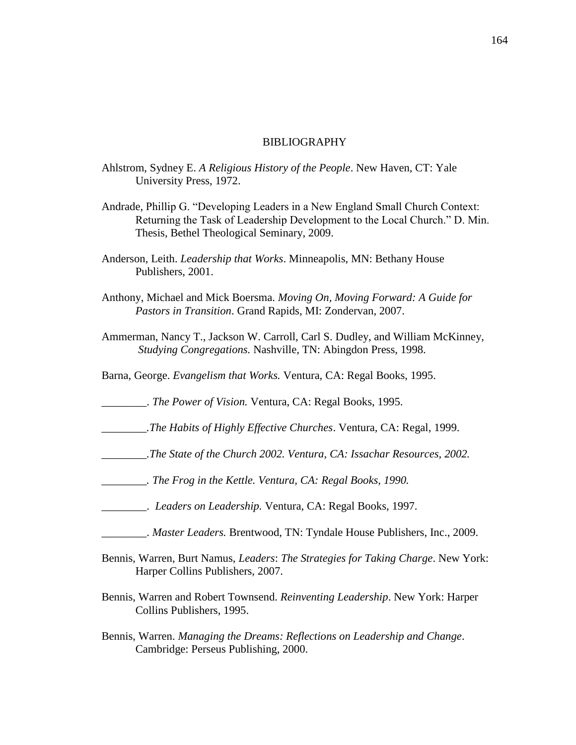#### BIBLIOGRAPHY

- Ahlstrom, Sydney E. *A Religious History of the People*. New Haven, CT: Yale University Press, 1972.
- Andrade, Phillip G. "Developing Leaders in a New England Small Church Context: Returning the Task of Leadership Development to the Local Church." D. Min. Thesis, Bethel Theological Seminary, 2009.
- Anderson, Leith. *Leadership that Works*. Minneapolis, MN: Bethany House Publishers, 2001.
- Anthony, Michael and Mick Boersma. *Moving On, Moving Forward: A Guide for Pastors in Transition*. Grand Rapids, MI: Zondervan, 2007.
- Ammerman, Nancy T., Jackson W. Carroll, Carl S. Dudley, and William McKinney, *Studying Congregations.* Nashville, TN: Abingdon Press, 1998.
- Barna, George. *Evangelism that Works.* Ventura, CA: Regal Books, 1995.

\_\_\_\_\_\_\_\_. *The Power of Vision.* Ventura, CA: Regal Books, 1995.

- *\_\_\_\_\_\_\_\_.The Habits of Highly Effective Churches*. Ventura, CA: Regal, 1999.
- *\_\_\_\_\_\_\_\_.The State of the Church 2002. Ventura, CA: Issachar Resources, 2002.*
- *\_\_\_\_\_\_\_\_. The Frog in the Kettle. Ventura, CA: Regal Books, 1990.*
- \_\_\_\_\_\_\_\_. *Leaders on Leadership.* Ventura, CA: Regal Books, 1997.
- \_\_\_\_\_\_\_\_. *Master Leaders.* Brentwood, TN: Tyndale House Publishers, Inc., 2009.
- Bennis, Warren, Burt Namus, *Leaders*: *The Strategies for Taking Charge*. New York: Harper Collins Publishers, 2007.
- Bennis, Warren and Robert Townsend. *Reinventing Leadership*. New York: Harper Collins Publishers, 1995.
- Bennis, Warren. *Managing the Dreams: Reflections on Leadership and Change*. Cambridge: Perseus Publishing, 2000.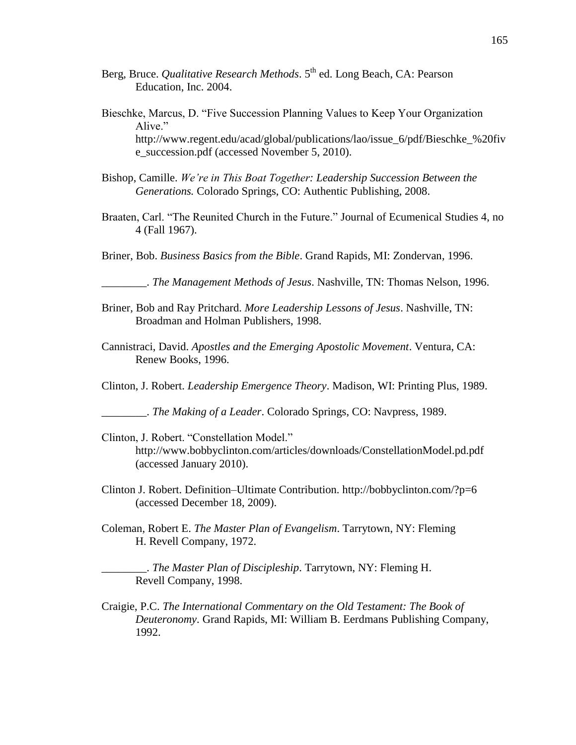- Berg, Bruce. *Qualitative Research Methods*. 5<sup>th</sup> ed. Long Beach, CA: Pearson Education, Inc. 2004.
- Bieschke, Marcus, D. "Five Succession Planning Values to Keep Your Organization Alive." http://www.regent.edu/acad/global/publications/lao/issue\_6/pdf/Bieschke\_%20fiv e\_succession.pdf (accessed November 5, 2010).
- Bishop, Camille. *We're in This Boat Together: Leadership Succession Between the Generations.* Colorado Springs, CO: Authentic Publishing, 2008.
- Braaten, Carl. "The Reunited Church in the Future." Journal of Ecumenical Studies 4, no 4 (Fall 1967).
- Briner, Bob. *Business Basics from the Bible*. Grand Rapids, MI: Zondervan, 1996.

\_\_\_\_\_\_\_\_. *The Management Methods of Jesus*. Nashville, TN: Thomas Nelson, 1996.

- Briner, Bob and Ray Pritchard. *More Leadership Lessons of Jesus*. Nashville, TN: Broadman and Holman Publishers, 1998.
- Cannistraci, David. *Apostles and the Emerging Apostolic Movement*. Ventura, CA: Renew Books, 1996.

Clinton, J. Robert. *Leadership Emergence Theory*. Madison, WI: Printing Plus, 1989.

\_\_\_\_\_\_\_\_. *The Making of a Leader*. Colorado Springs, CO: Navpress, 1989.

- Clinton, J. Robert. "Constellation Model." http://www.bobbyclinton.com/articles/downloads/ConstellationModel.pd.pdf (accessed January 2010).
- Clinton J. Robert. Definition–Ultimate Contribution.<http://bobbyclinton.com/?p=6> (accessed December 18, 2009).
- Coleman, Robert E. *The Master Plan of Evangelism*. Tarrytown, NY: Fleming H. Revell Company, 1972.

\_\_\_\_\_\_\_\_. *The Master Plan of Discipleship*. Tarrytown, NY: Fleming H. Revell Company, 1998.

Craigie, P.C. *The International Commentary on the Old Testament: The Book of Deuteronomy*. Grand Rapids, MI: William B. Eerdmans Publishing Company, 1992.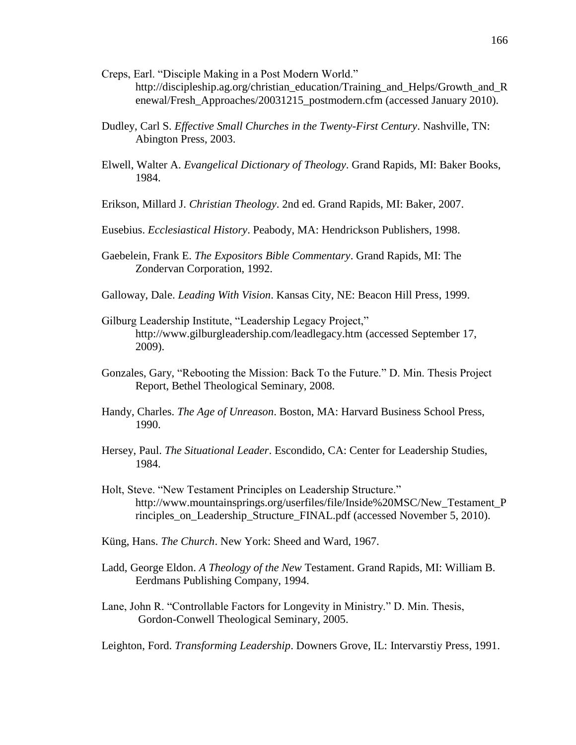- Creps, Earl. "Disciple Making in a Post Modern World." http://discipleship.ag.org/christian\_education/Training\_and\_Helps/Growth\_and\_R enewal/Fresh\_Approaches/20031215\_postmodern.cfm (accessed January 2010).
- Dudley, Carl S. *Effective Small Churches in the Twenty-First Century*. Nashville, TN: Abington Press, 2003.
- Elwell, Walter A. *Evangelical Dictionary of Theology*. Grand Rapids, MI: Baker Books, 1984.
- Erikson, Millard J. *Christian Theology*. 2nd ed. Grand Rapids, MI: Baker, 2007.
- Eusebius. *Ecclesiastical History*. Peabody, MA: Hendrickson Publishers, 1998.
- Gaebelein, Frank E. *The Expositors Bible Commentary*. Grand Rapids, MI: The Zondervan Corporation, 1992.
- Galloway, Dale. *Leading With Vision*. Kansas City, NE: Beacon Hill Press, 1999.
- Gilburg Leadership Institute, "Leadership Legacy Project," http://www.gilburgleadership.com/leadlegacy.htm (accessed September 17, 2009).
- Gonzales, Gary, "Rebooting the Mission: Back To the Future." D. Min. Thesis Project Report, Bethel Theological Seminary, 2008.
- Handy, Charles. *The Age of Unreason*. Boston, MA: Harvard Business School Press, 1990.
- Hersey, Paul. *The Situational Leader*. Escondido, CA: Center for Leadership Studies, 1984.
- Holt, Steve. "New Testament Principles on Leadership Structure." http://www.mountainsprings.org/userfiles/file/Inside%20MSC/New\_Testament\_P rinciples on Leadership Structure FINAL.pdf (accessed November 5, 2010).
- Küng, Hans. *The Church*. New York: Sheed and Ward, 1967.
- Ladd, George Eldon. *A Theology of the New* Testament. Grand Rapids, MI: William B. Eerdmans Publishing Company, 1994.
- Lane, John R. "Controllable Factors for Longevity in Ministry." D. Min. Thesis, Gordon-Conwell Theological Seminary, 2005.

Leighton, Ford. *Transforming Leadership*. Downers Grove, IL: Intervarstiy Press, 1991.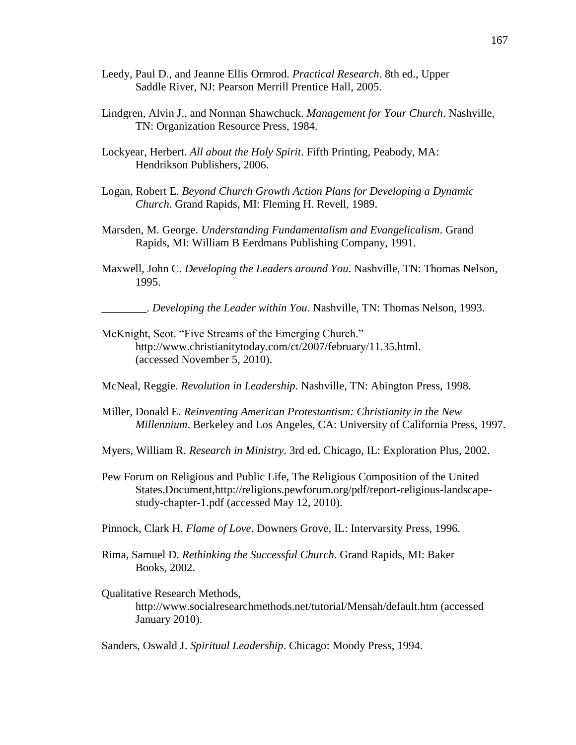- Leedy, Paul D., and Jeanne Ellis Ormrod. *Practical Research*. 8th ed., Upper Saddle River, NJ: Pearson Merrill Prentice Hall, 2005.
- Lindgren, Alvin J., and Norman Shawchuck. *Management for Your Church*. Nashville, TN: Organization Resource Press, 1984.
- Lockyear, Herbert. *All about the Holy Spirit*. Fifth Printing, Peabody, MA: Hendrikson Publishers, 2006.
- Logan, Robert E. *Beyond Church Growth Action Plans for Developing a Dynamic Church*. Grand Rapids, MI: Fleming H. Revell, 1989.
- Marsden, M. George. *Understanding Fundamentalism and Evangelicalism*. Grand Rapids, MI: William B Eerdmans Publishing Company, 1991.
- Maxwell, John C. *Developing the Leaders around You*. Nashville, TN: Thomas Nelson, 1995.

\_\_\_\_\_\_\_\_. *Developing the Leader within You*. Nashville, TN: Thomas Nelson, 1993.

- McKnight, Scot. "Five Streams of the Emerging Church." http://www.christianitytoday.com/ct/2007/february/11.35.html. (accessed November 5, 2010).
- McNeal, Reggie. *Revolution in Leadership*. Nashville, TN: Abington Press, 1998.
- Miller, Donald E. *Reinventing American Protestantism: Christianity in the New Millennium*. Berkeley and Los Angeles, CA: University of California Press, 1997.
- Myers, William R. *Research in Ministry*. 3rd ed. Chicago, IL: Exploration Plus, 2002.
- Pew Forum on Religious and Public Life, The Religious Composition of the United States.Document,http://religions.pewforum.org/pdf/report-religious-landscapestudy-chapter-1.pdf (accessed May 12, 2010).
- Pinnock, Clark H. *Flame of Love*. Downers Grove, IL: Intervarsity Press, 1996.
- Rima, Samuel D. *Rethinking the Successful Church*. Grand Rapids, MI: Baker Books, 2002.

Qualitative Research Methods, http://www.socialresearchmethods.net/tutorial/Mensah/default.htm (accessed January 2010).

Sanders, Oswald J. *Spiritual Leadership*. Chicago: Moody Press, 1994.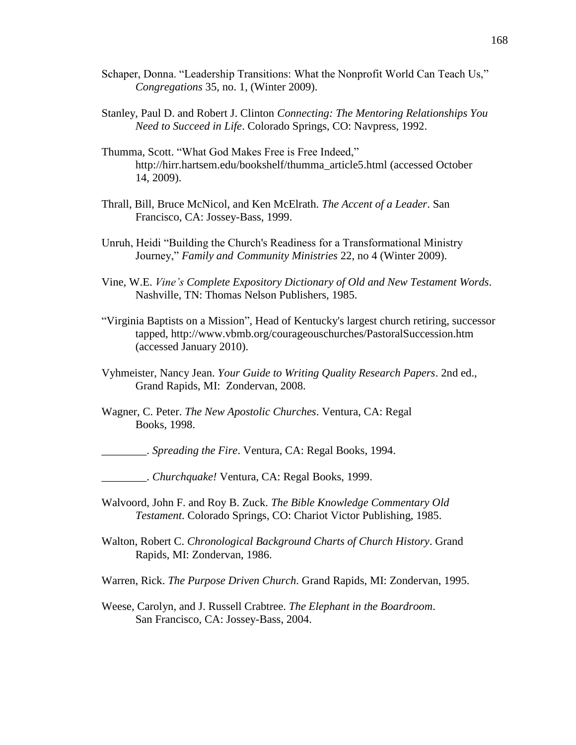- Schaper, Donna. "Leadership Transitions: What the Nonprofit World Can Teach Us," *Congregations* 35, no. 1, (Winter 2009).
- Stanley, Paul D. and Robert J. Clinton *Connecting: The Mentoring Relationships You Need to Succeed in Life*. Colorado Springs, CO: Navpress, 1992.
- Thumma, Scott. "What God Makes Free is Free Indeed," http://hirr.hartsem.edu[/bookshelf/thumma\\_article5.html](http://hirr.hartsem.edu/bookshelf/thumma_article5.html) (accessed October 14, 2009).
- Thrall, Bill, Bruce McNicol, and Ken McElrath. *The Accent of a Leader*. San Francisco, CA: Jossey-Bass, 1999.
- Unruh, Heidi "Building the Church's Readiness for a Transformational Ministry Journey,‖ *Family and Community Ministries* 22, no 4 (Winter 2009).
- Vine, W.E. *Vine's Complete Expository Dictionary of Old and New Testament Words*. Nashville, TN: Thomas Nelson Publishers, 1985.
- "Virginia Baptists on a Mission", Head of Kentucky's largest church retiring, successor tapped, http://www.vbmb.org/courageouschurches/PastoralSuccession.htm (accessed January 2010).
- Vyhmeister, Nancy Jean. *Your Guide to Writing Quality Research Papers*. 2nd ed., Grand Rapids, MI: Zondervan, 2008.
- Wagner, C. Peter. *The New Apostolic Churches*. Ventura, CA: Regal Books, 1998.

\_\_\_\_\_\_\_\_. *Spreading the Fire*. Ventura, CA: Regal Books, 1994.

\_\_\_\_\_\_\_\_. *Churchquake!* Ventura, CA: Regal Books, 1999.

- Walvoord, John F. and Roy B. Zuck. *The Bible Knowledge Commentary Old Testament*. Colorado Springs, CO: Chariot Victor Publishing, 1985.
- Walton, Robert C. *Chronological Background Charts of Church History*. Grand Rapids, MI: Zondervan, 1986.

Warren, Rick. *The Purpose Driven Church*. Grand Rapids, MI: Zondervan, 1995.

Weese, Carolyn, and J. Russell Crabtree. *The Elephant in the Boardroom*. San Francisco, CA: Jossey-Bass, 2004.